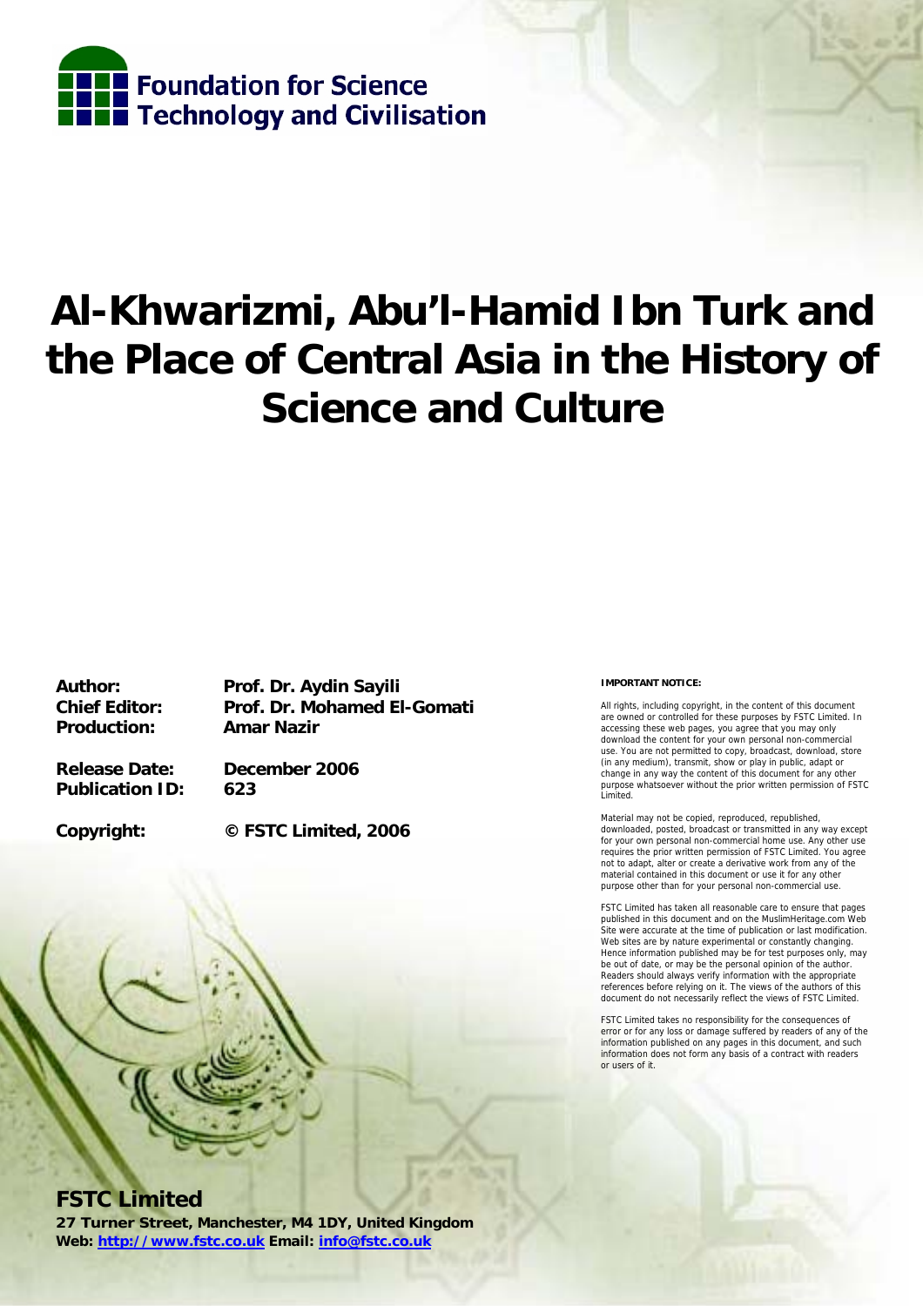

# **Al-Khwarizmi, Abu'l-Hamid Ibn Turk and the Place of Central Asia in the History of Science and Culture**

**Production: Amar Nazir** 

**Author: Prof. Dr. Aydin Sayili Chief Editor: Prof. Dr. Mohamed El-Gomati** 

**Release Date: December 2006 Publication ID: 623** 

**Copyright: © FSTC Limited, 2006** 



**FSTC Limited** 

**27 Turner Street, Manchester, M4 1DY, United Kingdom Web: http://www.fstc.co.uk Email: info@fstc.co.uk**

#### **IMPORTANT NOTICE:**

All rights, including copyright, in the content of this document are owned or controlled for these purposes by FSTC Limited. In accessing these web pages, you agree that you may only download the content for your own personal non-commercial use. You are not permitted to copy, broadcast, download, store (in any medium), transmit, show or play in public, adapt or change in any way the content of this document for any other purpose whatsoever without the prior written permission of FSTC Limited.

Material may not be copied, reproduced, republished, downloaded, posted, broadcast or transmitted in any way except for your own personal non-commercial home use. Any other use requires the prior written permission of FSTC Limited. You agree not to adapt, alter or create a derivative work from any of the material contained in this document or use it for any other purpose other than for your personal non-commercial use.

FSTC Limited has taken all reasonable care to ensure that pages published in this document and on the MuslimHeritage.com Web Site were accurate at the time of publication or last modification. Web sites are by nature experimental or constantly changing. Hence information published may be for test purposes only, may be out of date, or may be the personal opinion of the author. Readers should always verify information with the appropriate references before relying on it. The views of the authors of this document do not necessarily reflect the views of FSTC Limited.

FSTC Limited takes no responsibility for the consequences of error or for any loss or damage suffered by readers of any of the information published on any pages in this document, and such information does not form any basis of a contract with readers or users of it.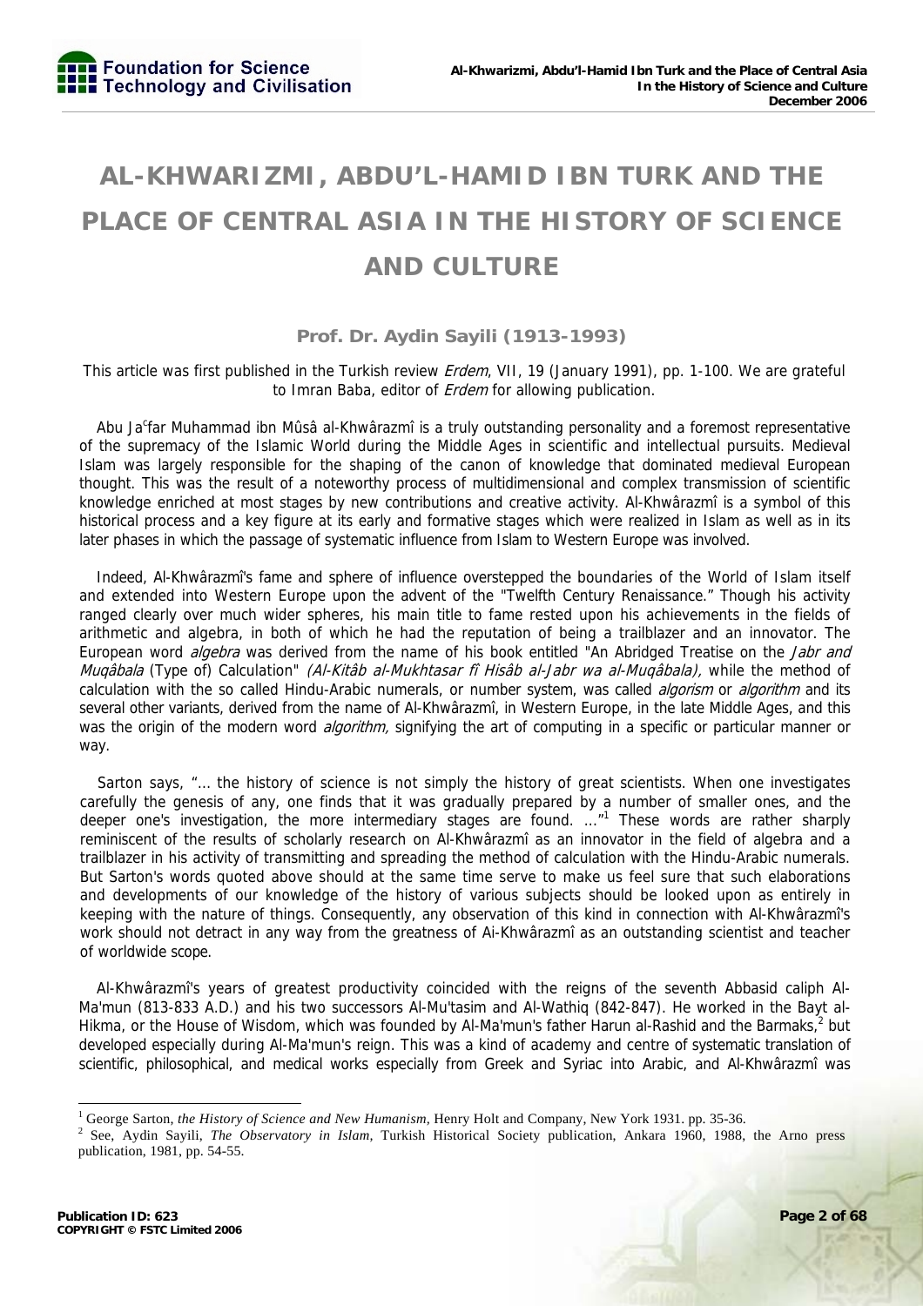# **AL-KHWARIZMI, ABDU'L-HAMID IBN TURK AND THE PLACE OF CENTRAL ASIA IN THE HISTORY OF SCIENCE AND CULTURE**

# **Prof. Dr. Aydin Sayili (1913-1993)**

This article was first published in the Turkish review *Erdem*, VII, 19 (January 1991), pp. 1-100. We are grateful to Imran Baba, editor of *Erdem* for allowing publication.

Abu Ja<sup>c</sup>far Muhammad ibn Mûsâ al-Khwârazmî is a truly outstanding personality and a foremost representative of the supremacy of the Islamic World during the Middle Ages in scientific and intellectual pursuits. Medieval Islam was largely responsible for the shaping of the canon of knowledge that dominated medieval European thought. This was the result of a noteworthy process of multidimensional and complex transmission of scientific knowledge enriched at most stages by new contributions and creative activity. Al-Khwârazmî is a symbol of this historical process and a key figure at its early and formative stages which were realized in Islam as well as in its later phases in which the passage of systematic influence from Islam to Western Europe was involved.

Indeed, Al-Khwârazmî's fame and sphere of influence overstepped the boundaries of the World of Islam itself and extended into Western Europe upon the advent of the "Twelfth Century Renaissance." Though his activity ranged clearly over much wider spheres, his main title to fame rested upon his achievements in the fields of arithmetic and algebra, in both of which he had the reputation of being a trailblazer and an innovator. The European word *algebra* was derived from the name of his book entitled "An Abridged Treatise on the *Jabr and* Muqâbala (Type of) Calculation" (Al-Kitâb al-Mukhtasar fî Hisâb al-Jabr wa al-Muqâbala), while the method of calculation with the so called Hindu-Arabic numerals, or number system, was called *algorism* or *algorithm* and its several other variants, derived from the name of Al-Khwârazmî, in Western Europe, in the late Middle Ages, and this was the origin of the modern word *algorithm*, signifying the art of computing in a specific or particular manner or way.

Sarton says, "… the history of science is not simply the history of great scientists. When one investigates carefully the genesis of any, one finds that it was gradually prepared by a number of smaller ones, and the deeper one's investigation, the more intermediary stages are found. ..."<sup>1</sup> These words are rather sharply reminiscent of the results of scholarly research on Al-Khwârazmî as an innovator in the field of algebra and a trailblazer in his activity of transmitting and spreading the method of calculation with the Hindu-Arabic numerals. But Sarton's words quoted above should at the same time serve to make us feel sure that such elaborations and developments of our knowledge of the history of various subjects should be looked upon as entirely in keeping with the nature of things. Consequently, any observation of this kind in connection with Al-Khwârazmî's work should not detract in any way from the greatness of Ai-Khwârazmî as an outstanding scientist and teacher of worldwide scope.

Al-Khwârazmî's years of greatest productivity coincided with the reigns of the seventh Abbasid caliph Al-Ma'mun (813-833 A.D.) and his two successors Al-Mu'tasim and Al-Wathiq (842-847). He worked in the Bayt al-Hikma, or the House of Wisdom, which was founded by Al-Ma'mun's father Harun al-Rashid and the Barmaks,<sup>2</sup> but developed especially during Al-Ma'mun's reign. This was a kind of academy and centre of systematic translation of scientific, philosophical, and medical works especially from Greek and Syriac into Arabic, and Al-Khwârazmî was

<sup>&</sup>lt;sup>1</sup> George Sarton, *the History of Science and New Humanism*, Henry Holt and Company, New York 1931. pp. 35-36.<br><sup>2</sup> See, Aydin, Savili, *The Observatory in Islam*, Turkish Historiael Society, publication, Ankara 1960, 1988

<sup>&</sup>lt;sup>2</sup> See, Aydin Sayili, *The Observatory in Islam*, Turkish Historical Society publication, Ankara 1960, 1988, the Arno press publication, 1981, pp. 54-55.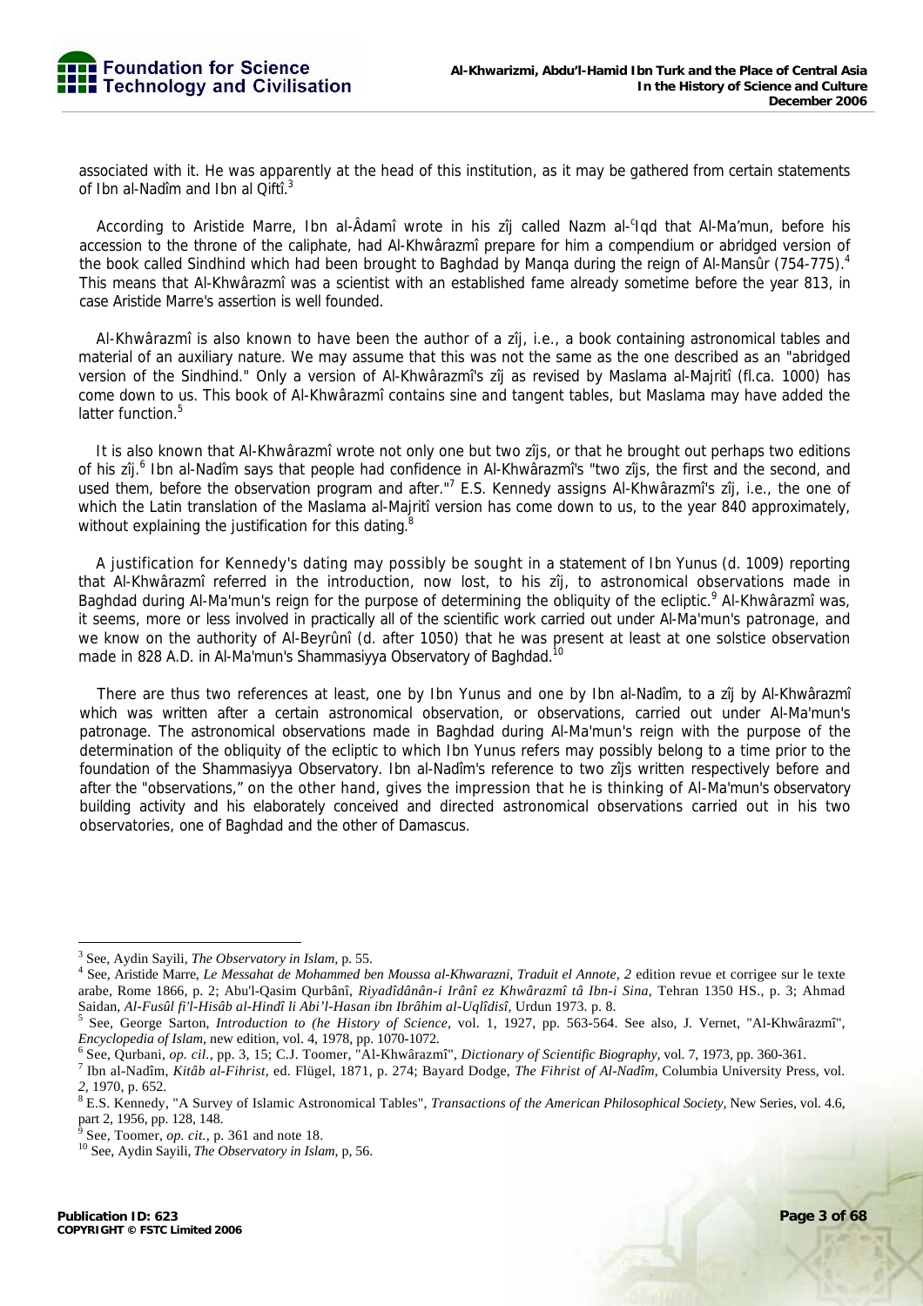associated with it. He was apparently at the head of this institution, as it may be gathered from certain statements of Ibn al-Nadîm and Ibn al Qiftî.<sup>3</sup>

According to Aristide Marre, Ibn al-Âdamî wrote in his zîj called Nazm al-<sup>c</sup>iqd that Al-Ma'mun, before his accession to the throne of the caliphate, had Al-Khwârazmî prepare for him a compendium or abridged version of the book called Sindhind which had been brought to Baghdad by Manga during the reign of Al-Mansûr (754-775).<sup>4</sup> This means that Al-Khwârazmî was a scientist with an established fame already sometime before the year 813, in case Aristide Marre's assertion is well founded.

Al-Khwârazmî is also known to have been the author of a zîj, i.e., a book containing astronomical tables and material of an auxiliary nature. We may assume that this was not the same as the one described as an "abridged version of the Sindhind." Only a version of Al-Khwârazmî's zîj as revised by Maslama al-Majritî (fl.ca. 1000) has come down to us. This book of Al-Khwârazmî contains sine and tangent tables, but Maslama may have added the latter function.<sup>5</sup>

It is also known that Al-Khwârazmî wrote not only one but two zîjs, or that he brought out perhaps two editions of his zîj.<sup>6</sup> Ibn al-Nadîm says that people had confidence in Al-Khwârazmî's "two zîjs, the first and the second, and used them, before the observation program and after."<sup>7</sup> E.S. Kennedy assigns Al-Khwârazmî's zîj, i.e., the one of which the Latin translation of the Maslama al-Majriti version has come down to us, to the year 840 approximately, without explaining the justification for this dating.<sup>8</sup>

A justification for Kennedy's dating may possibly be sought in a statement of Ibn Yunus (d. 1009) reporting that Al-Khwârazmî referred in the introduction, now lost, to his zîj, to astronomical observations made in Baghdad during Al-Ma'mun's reign for the purpose of determining the obliquity of the ecliptic.<sup>9</sup> Al-Khwârazmî was, it seems, more or less involved in practically all of the scientific work carried out under Al-Ma'mun's patronage, and we know on the authority of Al-Beyrûnî (d. after 1050) that he was present at least at one solstice observation made in 828 A.D. in Al-Ma'mun's Shammasiyya Observatory of Baghdad.<sup>10</sup>

There are thus two references at least, one by Ibn Yunus and one by Ibn al-Nadîm, to a zîj by Al-Khwârazmî which was written after a certain astronomical observation, or observations, carried out under Al-Ma'mun's patronage. The astronomical observations made in Baghdad during Al-Ma'mun's reign with the purpose of the determination of the obliquity of the ecliptic to which Ibn Yunus refers may possibly belong to a time prior to the foundation of the Shammasiyya Observatory. Ibn al-Nadîm's reference to two zîjs written respectively before and after the "observations," on the other hand, gives the impression that he is thinking of Al-Ma'mun's observatory building activity and his elaborately conceived and directed astronomical observations carried out in his two observatories, one of Baghdad and the other of Damascus.

 <sup>3</sup> See, Aydin Sayili, *The Observatory in Islam*, p. 55.<br><sup>4</sup> See, Aristide Merre, *Le Messehet de Mehammed he* 

See, Aristide Marre, *Le Messahat de Mohammed ben Moussa al-Khwarazni, Traduit el Annote, 2* edition revue et corrigee sur le texte arabe, Rome 1866, p. 2; Abu'l-Qasim Qurbânî, *Riyadîdânân-i Irânî ez Khwârazmî tâ Ibn-i Sina,* Tehran 1350 HS., p. 3; Ahmad Saidan, *Al-Fusûl fi'l-Hisâb al-Hindî li Abi'l-Hasan ibn Ibrâhim al-Uqlîdisî,* Urdun 1973. p. 8. 5

See, George Sarton, *Introduction to (he History of Science,* vol. 1, 1927, pp. 563-564. See also, J. Vernet, "Al-Khwârazmî", *Encyclopedia of Islam, new edition, vol. 4, 1978, pp. 1070-1072.* 

See, Qurbani, *op. cil.,* pp. 3, 15; C.J. Toomer, "Al-Khwârazmî", *Dictionary of Scientific Biography,* vol. 7, 1973, pp. 360-361. 7

Ibn al-Nadîm, *Kitâb al-Fihrist,* ed. Flügel, 1871, p. 274; Bayard Dodge, *The Fihrist of Al-Nadîm,* Columbia University Press, vol. 2, 1970, p. 652.

<sup>&</sup>lt;sup>8</sup> E.S. Kennedy, "A Survey of Islamic Astronomical Tables", *Transactions of the American Philosophical Society*, New Series, vol. 4.6, part 2, 1956, pp. 128, 148.

 $9^9$  See, Toomer, op. cit., p. 361 and note 18.

<sup>&</sup>lt;sup>10</sup> See, Aydin Sayili, *The Observatory in Islam*, p, 56.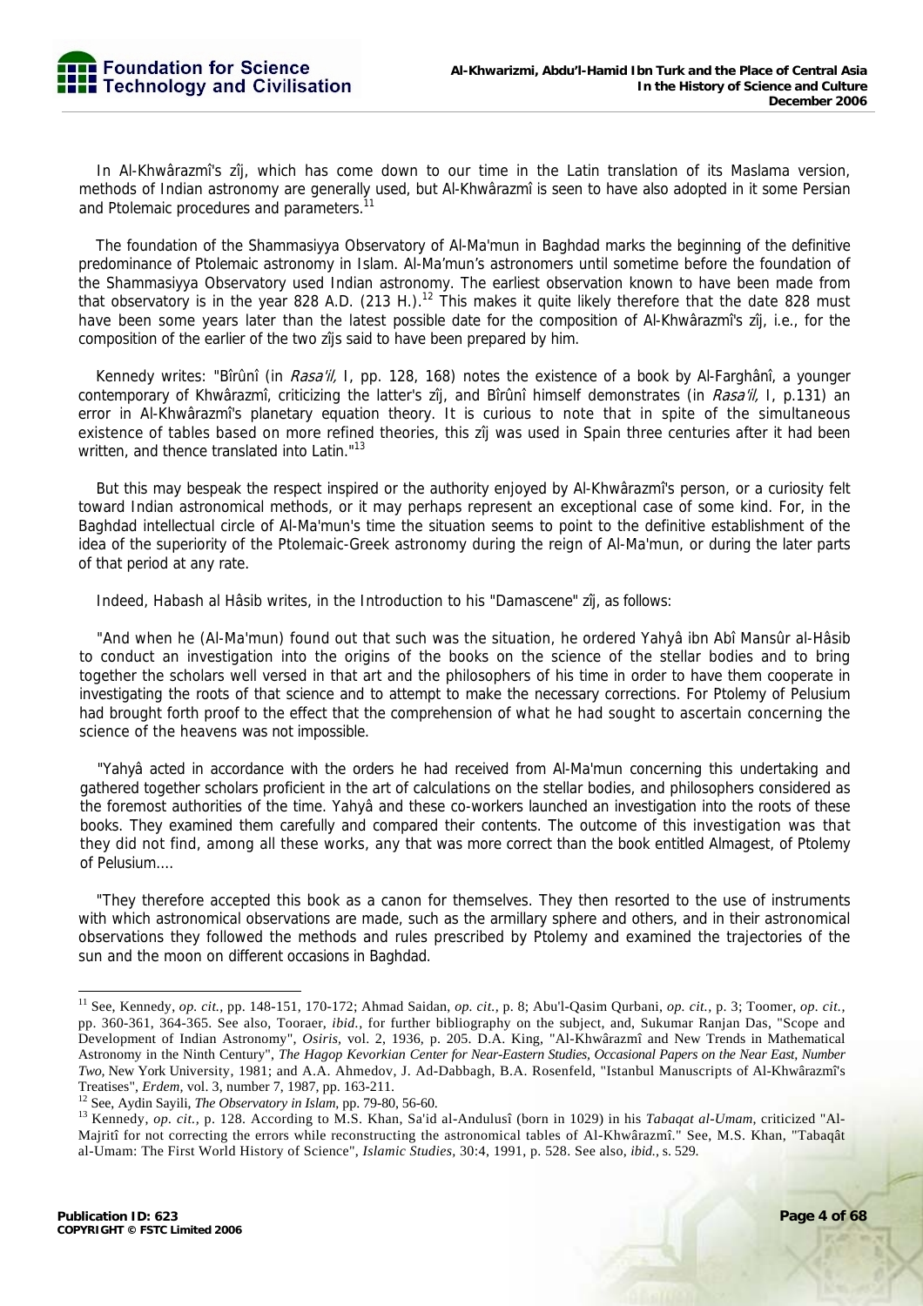In Al-Khwârazmî's zîj, which has come down to our time in the Latin translation of its Maslama version, methods of Indian astronomy are generally used, but Al-Khwârazmî is seen to have also adopted in it some Persian and Ptolemaic procedures and parameters.<sup>11</sup>

The foundation of the Shammasiyya Observatory of Al-Ma'mun in Baghdad marks the beginning of the definitive predominance of Ptolemaic astronomy in Islam. Al-Ma'mun's astronomers until sometime before the foundation of the Shammasiyya Observatory used Indian astronomy. The earliest observation known to have been made from that observatory is in the year 828 A.D. (213 H.).<sup>12</sup> This makes it quite likely therefore that the date 828 must have been some years later than the latest possible date for the composition of Al-Khwârazmî's zîj, i.e., for the composition of the earlier of the two zîjs said to have been prepared by him.

Kennedy writes: "Bîrûnî (in *Rasa'il*, I, pp. 128, 168) notes the existence of a book by Al-Farghânî, a younger contemporary of Khwârazmî, criticizing the latter's zîj, and Bîrûnî himself demonstrates (in Rasa'il, I, p.131) an error in Al-Khwârazmî's planetary equation theory. It is curious to note that in spite of the simultaneous existence of tables based on more refined theories, this zîj was used in Spain three centuries after it had been written, and thence translated into Latin."<sup>13</sup>

But this may bespeak the respect inspired or the authority enjoyed by Al-Khwârazmî's person, or a curiosity felt toward Indian astronomical methods, or it may perhaps represent an exceptional case of some kind. For, in the Baghdad intellectual circle of Al-Ma'mun's time the situation seems to point to the definitive establishment of the idea of the superiority of the Ptolemaic-Greek astronomy during the reign of Al-Ma'mun, or during the later parts of that period at any rate.

Indeed, Habash al Hâsib writes, in the Introduction to his "Damascene" zîj, as follows:

"And when he (Al-Ma'mun) found out that such was the situation, he ordered Yahyâ ibn Abî Mansûr al-Hâsib to conduct an investigation into the origins of the books on the science of the stellar bodies and to bring together the scholars well versed in that art and the philosophers of his time in order to have them cooperate in investigating the roots of that science and to attempt to make the necessary corrections. For Ptolemy of Pelusium had brought forth proof to the effect that the comprehension of what he had sought to ascertain concerning the science of the heavens was not impossible.

"Yahyâ acted in accordance with the orders he had received from Al-Ma'mun concerning this undertaking and gathered together scholars proficient in the art of calculations on the stellar bodies, and philosophers considered as the foremost authorities of the time. Yahyâ and these co-workers launched an investigation into the roots of these books. They examined them carefully and compared their contents. The outcome of this investigation was that they did not find, among all these works, any that was more correct than the book entitled Almagest, of Ptolemy of Pelusium....

"They therefore accepted this book as a canon for themselves. They then resorted to the use of instruments with which astronomical observations are made, such as the armillary sphere and others, and in their astronomical observations they followed the methods and rules prescribed by Ptolemy and examined the trajectories of the sun and the moon on different occasions in Baghdad.

<sup>11</sup> See, Kennedy, *op. cit.,* pp. 148-151, 170-172; Ahmad Saidan, *op. cit.,* p. 8; Abu'l-Qasim Qurbani, *op. cit.,* p. 3; Toomer, *op. cit.,*  pp. 360-361, 364-365. See also, Tooraer, *ibid.,* for further bibliography on the subject, and, Sukumar Ranjan Das, "Scope and Development of Indian Astronomy", *Osiris,* vol. 2, 1936, p. 205. D.A. King, "Al-Khwârazmî and New Trends in Mathematical Astronomy in the Ninth Century", *The Hagop Kevorkian Center for Near-Eastern Studies, Occasional Papers on the Near East, Number Two,* New York University, 1981; and A.A. Ahmedov, J. Ad-Dabbagh, B.A. Rosenfeld, "Istanbul Manuscripts of Al-Khwârazmî's

Treatises", *Erdem*, vol. 3, number 7, 1987, pp. 163-211.<br><sup>12</sup> See, Aydin Sayili, *The Observatory in Islam*, pp. 79-80, 56-60.<br><sup>13</sup> Kennedy, *op. cit.*, p. 128. According to M.S. Khan, Sa'id al-Andulusî (born in 1029) in Majritî for not correcting the errors while reconstructing the astronomical tables of Al-Khwârazmî." See, M.S. Khan, "Tabaqât al-Umam: The First World History of Science", *Islamic Studies,* 30:4, 1991, p. 528. See also, *ibid.,* s. 529.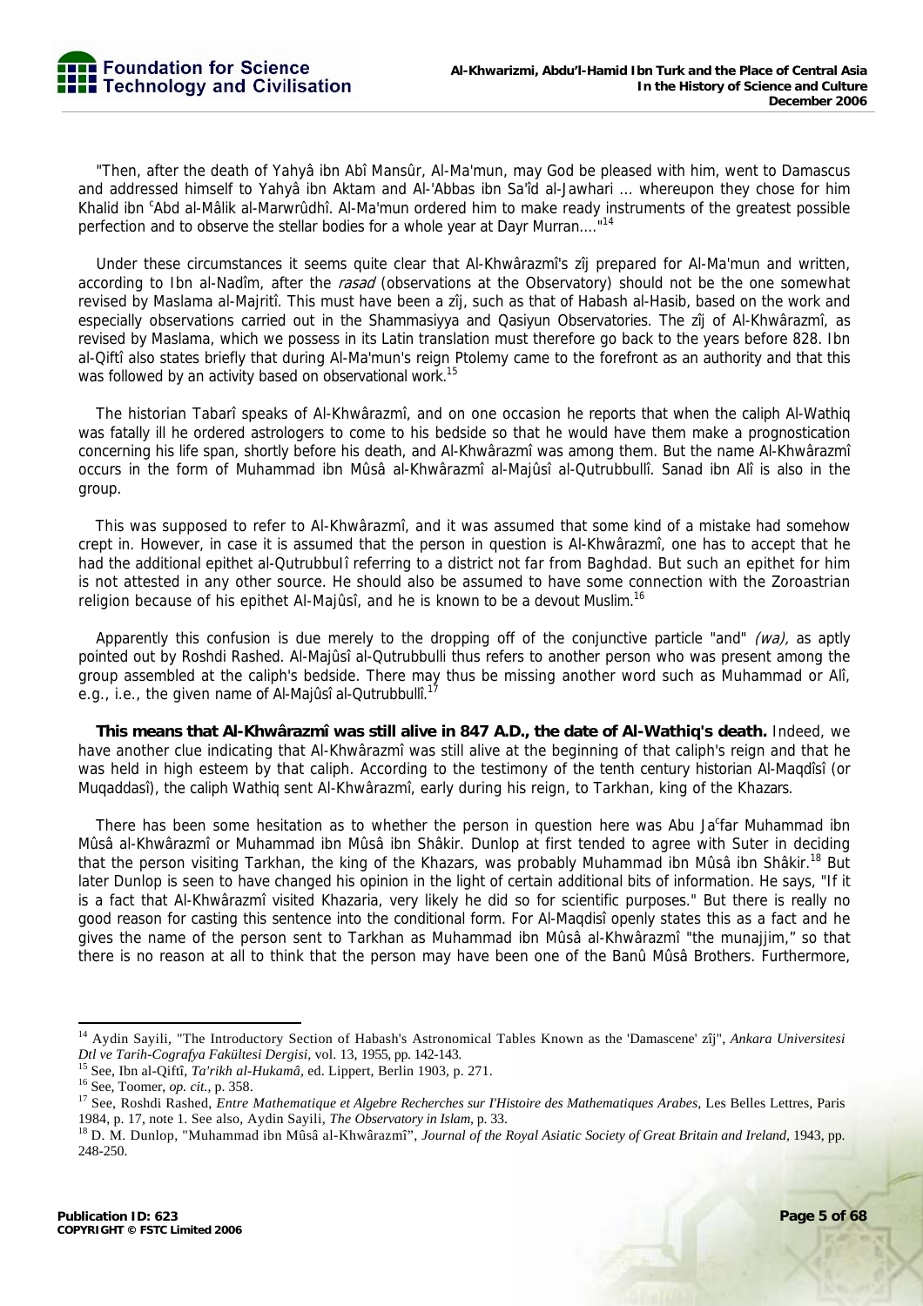"Then, after the death of Yahyâ ibn Abî Mansûr, Al-Ma'mun, may God be pleased with him, went to Damascus and addressed himself to Yahyâ ibn Aktam and Al-'Abbas ibn Sa'îd al-Jawhari ... whereupon they chose for him Khalid ibn <sup>c</sup>Abd al-Mâlik al-Marwrûdhî. Al-Ma'mun ordered him to make ready instruments of the greatest possible perfection and to observe the stellar bodies for a whole year at Dayr Murran...."14

Under these circumstances it seems quite clear that Al-Khwârazmî's zîj prepared for Al-Ma'mun and written, according to Ibn al-Nadîm, after the rasad (observations at the Observatory) should not be the one somewhat revised by Maslama al-Majritî. This must have been a zîj, such as that of Habash al-Hasib, based on the work and especially observations carried out in the Shammasiyya and Qasiyun Observatories. The zîj of Al-Khwârazmî, as revised by Maslama, which we possess in its Latin translation must therefore go back to the years before 828. Ibn al-Qiftî also states briefly that during Al-Ma'mun's reign Ptolemy came to the forefront as an authority and that this was followed by an activity based on observational work.<sup>15</sup>

The historian Tabarî speaks of Al-Khwârazmî, and on one occasion he reports that when the caliph Al-Wathiq was fatally ill he ordered astrologers to come to his bedside so that he would have them make a prognostication concerning his life span, shortly before his death, and Al-Khwârazmî was among them. But the name Al-Khwârazmî occurs in the form of Muhammad ibn Mûsâ al-Khwârazmî al-Majûsî al-Qutrubbullî. Sanad ibn Alî is also in the group.

This was supposed to refer to Al-Khwârazmî, and it was assumed that some kind of a mistake had somehow crept in. However, in case it is assumed that the person in question is Al-Khwârazmî, one has to accept that he had the additional epithet al-Qutrubbulî referring to a district not far from Baghdad. But such an epithet for him is not attested in any other source. He should also be assumed to have some connection with the Zoroastrian religion because of his epithet Al-Majûsî, and he is known to be a devout Muslim.<sup>16</sup>

Apparently this confusion is due merely to the dropping off of the conjunctive particle "and" ( $\omega a$ ), as aptly pointed out by Roshdi Rashed. Al-Majûsî al-Qutrubbulli thus refers to another person who was present among the group assembled at the caliph's bedside. There may thus be missing another word such as Muhammad or Alî, e.g., i.e., the given name of Al-Majûsî al-Qutrubbullî.<sup>17</sup>

**This means that Al-Khwârazmî was still alive in 847 A.D., the date of Al-Wathiq's death.** Indeed, we have another clue indicating that Al-Khwârazmî was still alive at the beginning of that caliph's reign and that he was held in high esteem by that caliph. According to the testimony of the tenth century historian Al-Maqdîsî (or Muqaddasî), the caliph Wathiq sent Al-Khwârazmî, early during his reign, to Tarkhan, king of the Khazars.

There has been some hesitation as to whether the person in question here was Abu Ja<sup>c</sup>far Muhammad ibn Mûsâ al-Khwârazmî or Muhammad ibn Mûsâ ibn Shâkir. Dunlop at first tended to agree with Suter in deciding that the person visiting Tarkhan, the king of the Khazars, was probably Muhammad ibn Mûsâ ibn Shâkir.<sup>18</sup> But later Dunlop is seen to have changed his opinion in the light of certain additional bits of information. He says, "If it is a fact that Al-Khwârazmî visited Khazaria, very likely he did so for scientific purposes." But there is really no good reason for casting this sentence into the conditional form. For Al-Maqdisî openly states this as a fact and he gives the name of the person sent to Tarkhan as Muhammad ibn Mûsâ al-Khwârazmî "the munajjim," so that there is no reason at all to think that the person may have been one of the Banû Mûsâ Brothers. Furthermore,

<sup>14</sup> Aydin Sayili, "The Introductory Section of Habash's Astronomical Tables Known as the 'Damascene' zîj", *Ankara Universitesi* 

Dtl ve Tarih-Cografya Fakültesi Dergisi, vol. 13, 1955, pp. 142-143.<br><sup>15</sup> See, Ibn al-Qiftî, *Ta'rikh al-Hukamâ*, ed. Lippert, Berlin 1903, p. 271.<br><sup>16</sup> See, Toomer, *op. cit.*, p. 358.<br><sup>17</sup> See, Roshdi Rashed, *Entre Math* 

<sup>1984,</sup> p. 17, note 1. See also, Aydin Sayili, *The Observatory in Islam*, p. 33.<br><sup>18</sup> D. M. Dunlop, "Muhammad ibn Mûsâ al-Khwârazmî", Journal of the Royal Asiatic Society of Great Britain and Ireland, 1943, pp. 248-250.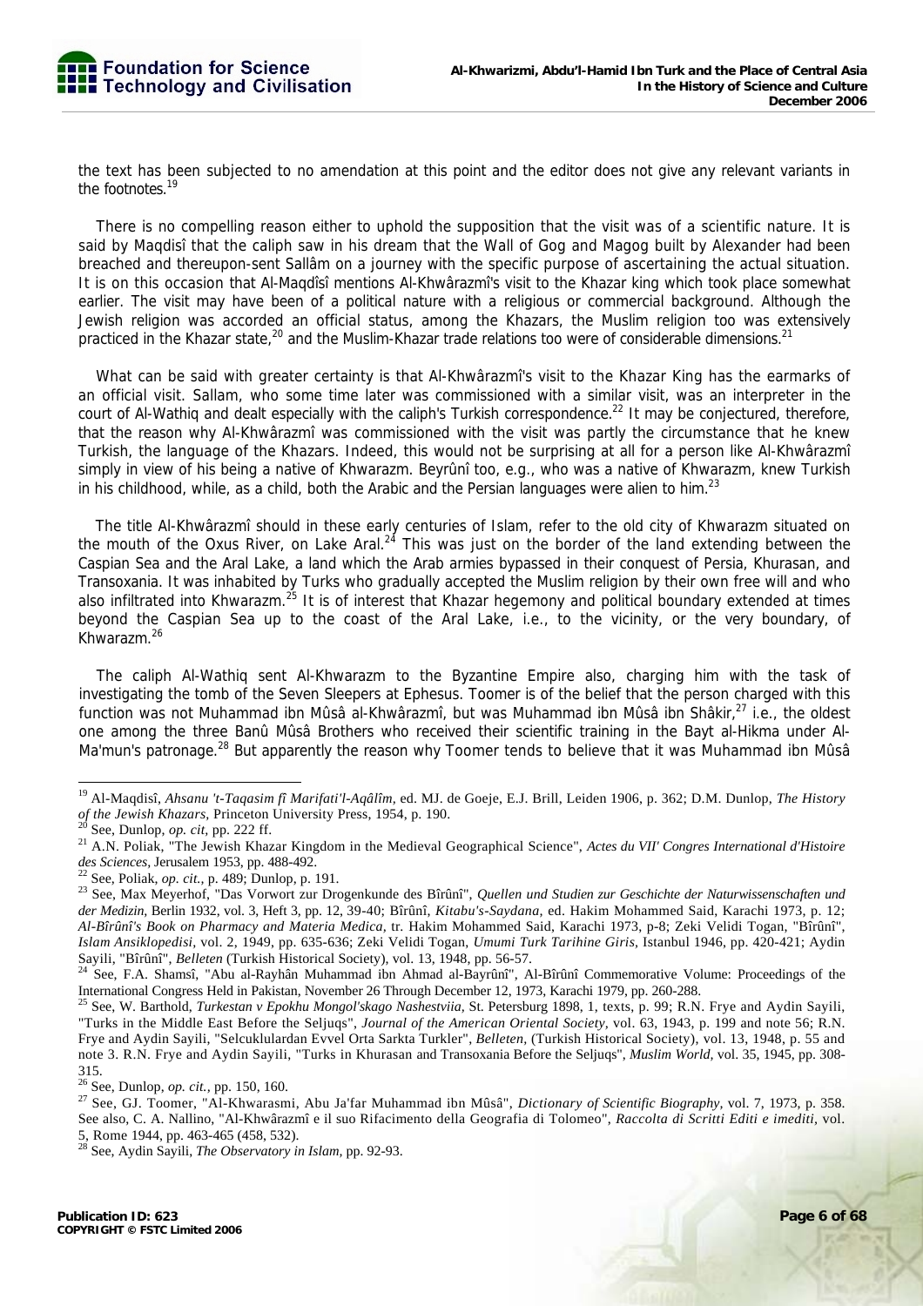

the text has been subjected to no amendation at this point and the editor does not give any relevant variants in the footnotes.19

There is no compelling reason either to uphold the supposition that the visit was of a scientific nature. It is said by Maqdisî that the caliph saw in his dream that the Wall of Gog and Magog built by Alexander had been breached and thereupon-sent Sallâm on a journey with the specific purpose of ascertaining the actual situation. It is on this occasion that Al-Maqdîsî mentions Al-Khwârazmî's visit to the Khazar king which took place somewhat earlier. The visit may have been of a political nature with a religious or commercial background. Although the Jewish religion was accorded an official status, among the Khazars, the Muslim religion too was extensively practiced in the Khazar state,<sup>20</sup> and the Muslim-Khazar trade relations too were of considerable dimensions.<sup>21</sup>

What can be said with greater certainty is that Al-Khwârazmî's visit to the Khazar King has the earmarks of an official visit. Sallam, who some time later was commissioned with a similar visit, was an interpreter in the court of Al-Wathig and dealt especially with the caliph's Turkish correspondence.<sup>22</sup> It may be conjectured, therefore, that the reason why Al-Khwârazmî was commissioned with the visit was partly the circumstance that he knew Turkish, the language of the Khazars. Indeed, this would not be surprising at all for a person like Al-Khwârazmî simply in view of his being a native of Khwarazm. Beyrûnî too, e.g., who was a native of Khwarazm, knew Turkish in his childhood, while, as a child, both the Arabic and the Persian languages were alien to him. $^{23}$ 

The title Al-Khwârazmî should in these early centuries of Islam, refer to the old city of Khwarazm situated on the mouth of the Oxus River, on Lake Aral. $24$  This was just on the border of the land extending between the Caspian Sea and the Aral Lake, a land which the Arab armies bypassed in their conquest of Persia, Khurasan, and Transoxania. It was inhabited by Turks who gradually accepted the Muslim religion by their own free will and who also infiltrated into Khwarazm.<sup>25</sup> It is of interest that Khazar hegemony and political boundary extended at times beyond the Caspian Sea up to the coast of the Aral Lake, i.e., to the vicinity, or the very boundary, of Khwarazm.26

The caliph Al-Wathiq sent Al-Khwarazm to the Byzantine Empire also, charging him with the task of investigating the tomb of the Seven Sleepers at Ephesus. Toomer is of the belief that the person charged with this function was not Muhammad ibn Mûsâ al-Khwârazmî, but was Muhammad ibn Mûsâ ibn Shâkir,<sup>27</sup> i.e., the oldest one among the three Banû Mûsâ Brothers who received their scientific training in the Bayt al-Hikma under Al-Ma'mun's patronage.<sup>28</sup> But apparently the reason why Toomer tends to believe that it was Muhammad ibn Mûsâ

<sup>19</sup> Al-Maqdisî, *Ahsanu 't-Taqasim fî Marifati'l-Aqâlîm,* ed. MJ. de Goeje, E.J. Brill, Leiden 1906, p. 362; D.M. Dunlop, *The History*  of the Jewish Khazars, Princeton University Press, 1954, p. 190.<br><sup>20</sup> See, Dunlop, op. cit, pp. 222 ff.<br><sup>20</sup> See, Dunlop, op. cit, pp. 222 ff.<br><sup>21</sup> A.N. Poliak, "The Jewish Khazar Kingdom in the Medieval Geographical Scie

des Sciences, Jerusalem 1953, pp. 488-492.<br><sup>22</sup> See, Poliak, *op. cit.*, p. 489; Dunlop, p. 191.<br><sup>23</sup> See, Max Meyerhof, "Das Vorwort zur Drogenkunde des Bîrûnî", *Quellen und Studien zur Geschichte der Naturwissenschaften* 

*der Medizin,* Berlin 1932, vol. 3, Heft 3, pp. 12, 39-40; Bîrûnî, *Kitabu's-Saydana,* ed. Hakim Mohammed Said, Karachi 1973, p. 12; *Al-Bîrûnî's Book on Pharmacy and Materia Medica,* tr. Hakim Mohammed Said, Karachi 1973, p-8; Zeki Velidi Togan, "Bîrûnî", *Islam Ansiklopedisi,* vol. 2, 1949, pp. 635-636; Zeki Velidi Togan, *Umumi Turk Tarihine Giris,* Istanbul 1946, pp. 420-421; Aydin Sayili, "Bîrûnî", *Belleten* (Turkish Historical Society), vol. 13, 1948, pp. 56-57.<br><sup>24</sup> See, F.A. Shamsî, "Abu al-Rayhân Muhammad ibn Ahmad al-Bayrûnî", Al-Bîrûnî Commemorative Volume: Proceedings of the

International Congress Held in Pakistan, November 26 Through December 12, 1973, Karachi 1979, pp. 260-288.<br><sup>25</sup> See, W. Barthold, *Turkestan v Epokhu Mongol'skago Nashestviia*, St. Petersburg 1898, 1, texts, p. 99; R.N. Fr

<sup>&</sup>quot;Turks in the Middle East Before the Seljuqs", *Journal of the American Oriental Society,* vol. 63, 1943, p. 199 and note 56; R.N. Frye and Aydin Sayili, "Selcuklulardan Evvel Orta Sarkta Turkler", *Belleten,* (Turkish Historical Society), vol. 13, 1948, p. 55 and note 3. R.N. Frye and Aydin Sayili, "Turks in Khurasan and Transoxania Before the Seljuqs", *Muslim World,* vol. 35, 1945, pp. 308- 315.<br>
<sup>26</sup> See, Dunlop, *op. cit.*, pp. 150, 160.

<sup>26</sup> See, Dunlop, *op. cit.,* pp. 150, 160. 27 See, GJ. Toomer, "Al-Khwarasmi, Abu Ja'far Muhammad ibn Mûsâ", *Dictionary of Scientific Biography,* vol. 7, 1973, p. 358. See also, C. A. Nallino, "Al-Khwârazmî e il suo Rifacimento della Geografia di Tolomeo", *Raccolta di Scritti Editi e imediti,* vol. 5, Rome 1944, pp. 463-465 (458, 532).

<sup>28</sup> See, Aydin Sayili, *The Observatory in Islam,* pp. 92-93.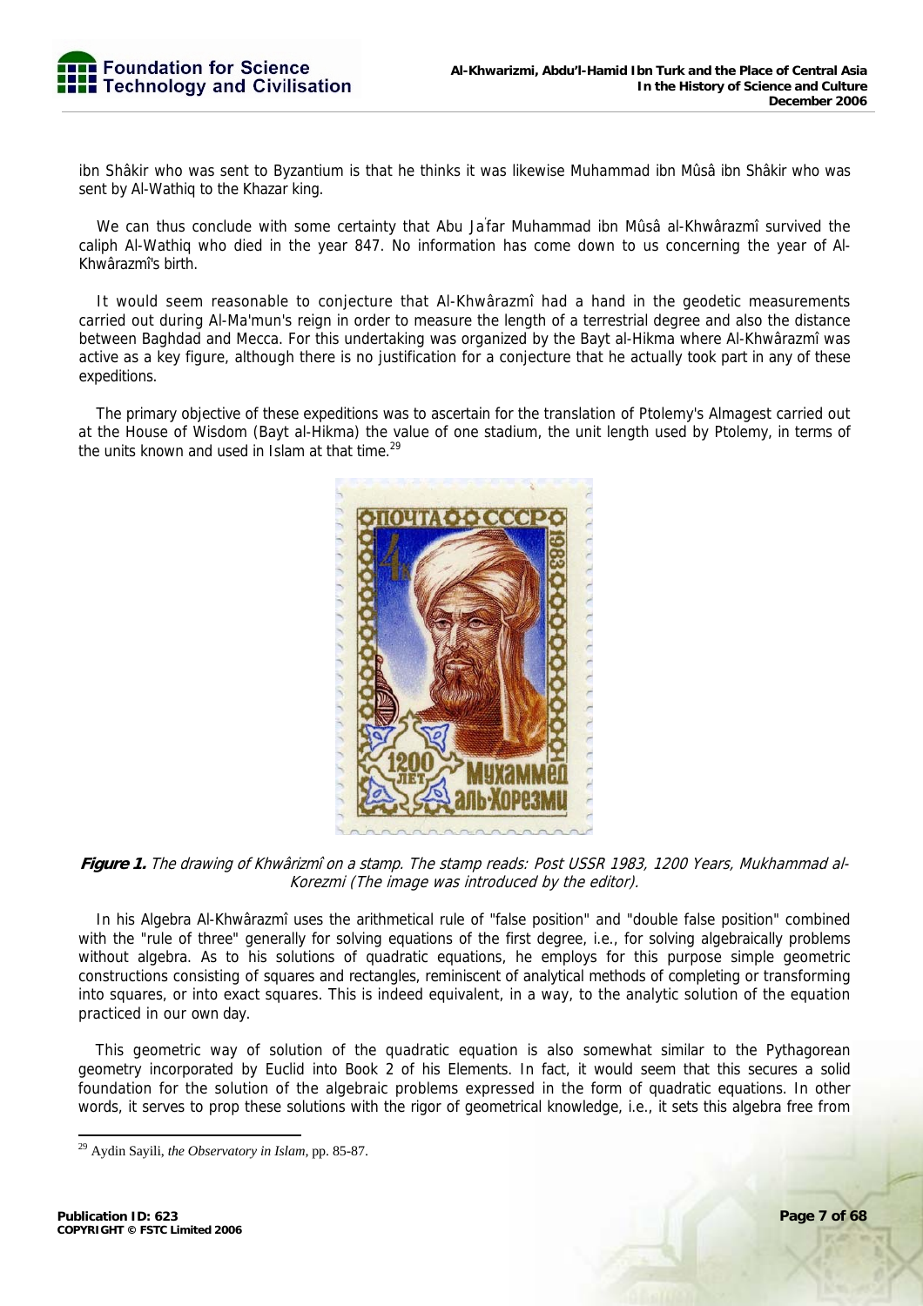ibn Shâkir who was sent to Byzantium is that he thinks it was likewise Muhammad ibn Mûsâ ibn Shâkir who was sent by Al-Wathiq to the Khazar king.

We can thus conclude with some certainty that Abu Ja' far Muhammad ibn Mûsâ al-Khwârazmî survived the caliph Al-Wathiq who died in the year 847. No information has come down to us concerning the year of Al-Khwârazmî's birth.

It would seem reasonable to conjecture that Al-Khwârazmî had a hand in the geodetic measurements carried out during Al-Ma'mun's reign in order to measure the length of a terrestrial degree and also the distance between Baghdad and Mecca. For this undertaking was organized by the Bayt al-Hikma where Al-Khwârazmî was active as a key figure, although there is no justification for a conjecture that he actually took part in any of these expeditions.

The primary objective of these expeditions was to ascertain for the translation of Ptolemy's Almagest carried out at the House of Wisdom (Bayt al-Hikma) the value of one stadium, the unit length used by Ptolemy, in terms of the units known and used in Islam at that time.<sup>29</sup>



**Figure 1.** The drawing of Khwârizmî on a stamp. The stamp reads: Post USSR 1983, 1200 Years, Mukhammad al-Korezmi (The image was introduced by the editor).

In his Algebra Al-Khwârazmî uses the arithmetical rule of "false position" and "double false position" combined with the "rule of three" generally for solving equations of the first degree, i.e., for solving algebraically problems without algebra. As to his solutions of quadratic equations, he employs for this purpose simple geometric constructions consisting of squares and rectangles, reminiscent of analytical methods of completing or transforming into squares, or into exact squares. This is indeed equivalent, in a way, to the analytic solution of the equation practiced in our own day.

This geometric way of solution of the quadratic equation is also somewhat similar to the Pythagorean geometry incorporated by Euclid into Book 2 of his Elements. In fact, it would seem that this secures a solid foundation for the solution of the algebraic problems expressed in the form of quadratic equations. In other words, it serves to prop these solutions with the rigor of geometrical knowledge, i.e., it sets this algebra free from

<sup>29</sup> Aydin Sayili, *the Observatory in Islam,* pp. 85-87.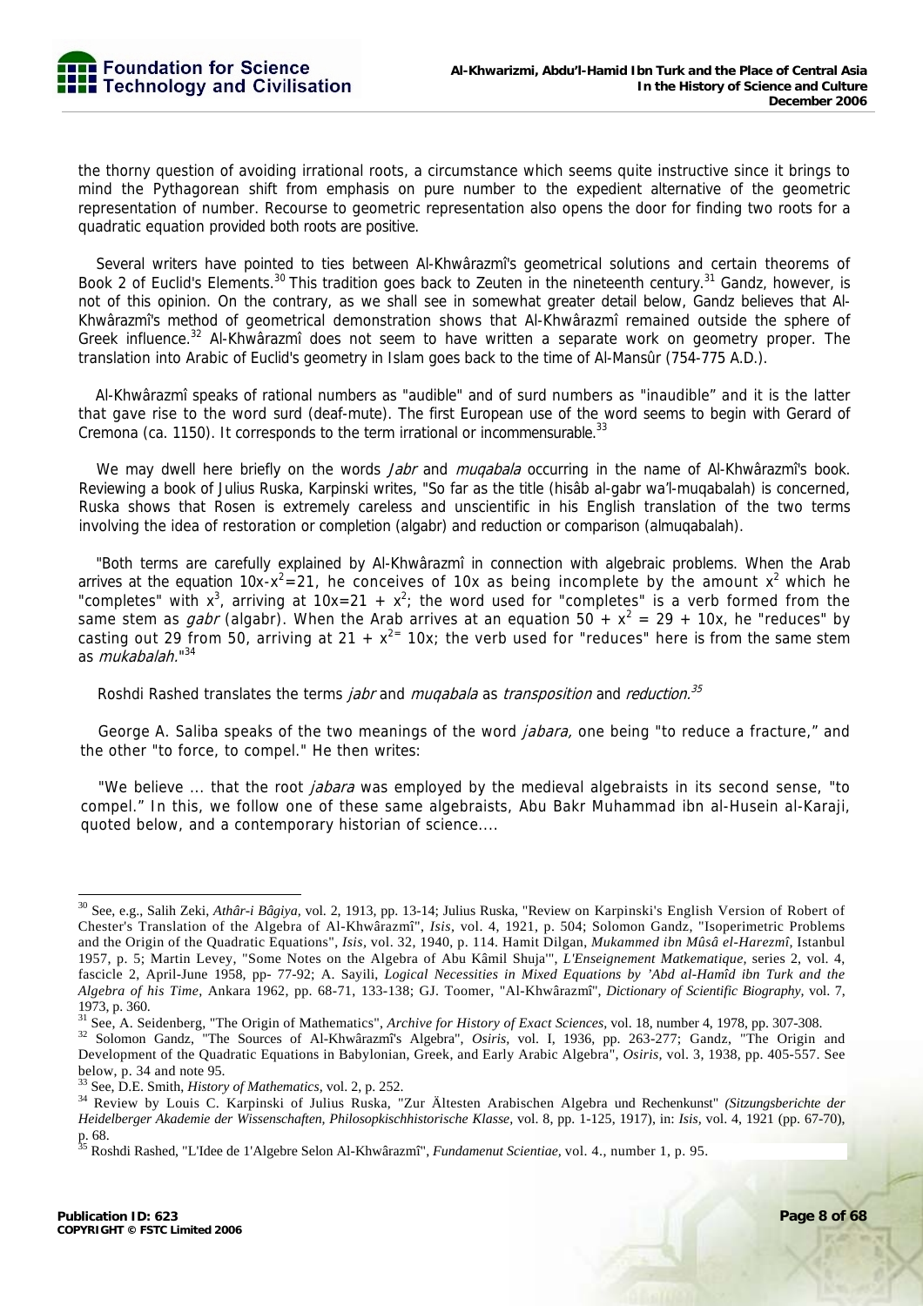the thorny question of avoiding irrational roots, a circumstance which seems quite instructive since it brings to mind the Pythagorean shift from emphasis on pure number to the expedient alternative of the geometric representation of number. Recourse to geometric representation also opens the door for finding two roots for a quadratic equation provided both roots are positive.

Several writers have pointed to ties between Al-Khwârazmî's geometrical solutions and certain theorems of Book 2 of Euclid's Elements.<sup>30</sup> This tradition goes back to Zeuten in the nineteenth century.<sup>31</sup> Gandz, however, is not of this opinion. On the contrary, as we shall see in somewhat greater detail below, Gandz believes that Al-Khwârazmî's method of geometrical demonstration shows that Al-Khwârazmî remained outside the sphere of Greek influence.<sup>32</sup> Al-Khwârazmî does not seem to have written a separate work on geometry proper. The translation into Arabic of Euclid's geometry in Islam goes back to the time of Al-Mansûr (754-775 A.D.).

Al-Khwârazmî speaks of rational numbers as "audible" and of surd numbers as "inaudible" and it is the latter that gave rise to the word surd (deaf-mute). The first European use of the word seems to begin with Gerard of Cremona (ca. 1150). It corresponds to the term irrational or incommensurable. $33$ 

We may dwell here briefly on the words *Jabr* and *mugabala* occurring in the name of Al-Khwârazmî's book. Reviewing a book of Julius Ruska, Karpinski writes, "So far as the title (hisâb al-gabr wa'l-muqabalah) is concerned, Ruska shows that Rosen is extremely careless and unscientific in his English translation of the two terms involving the idea of restoration or completion (algabr) and reduction or comparison (almuqabalah).

"Both terms are carefully explained by Al-Khwârazmî in connection with algebraic problems. When the Arab arrives at the equation 10x-x<sup>2</sup>=21, he conceives of 10x as being incomplete by the amount x<sup>2</sup> which he "completes" with  $x^3$ , arriving at  $10x=21 + x^2$ ; the word used for "completes" is a verb formed from the same stem as *gabr* (algabr). When the Arab arrives at an equation 50 +  $x^2 = 29 + 10x$ , he "reduces" by casting out 29 from 50, arriving at 21 +  $x^{2}$  10x; the verb used for "reduces" here is from the same stem as *mukabalah.*"<sup>34</sup>

# Roshdi Rashed translates the terms *jabr* and *muqabala* as *transposition* and *reduction.*<sup>35</sup>

George A. Saliba speaks of the two meanings of the word *jabara*, one being "to reduce a fracture," and the other "to force, to compel." He then writes:

"We believe ... that the root *jabara* was employed by the medieval algebraists in its second sense, "to compel." In this, we follow one of these same algebraists, Abu Bakr Muhammad ibn al-Husein al-Karaji, quoted below, and a contemporary historian of science....

<sup>30</sup> See, e.g., Salih Zeki, *Athâr-i Bâgiya,* vol. 2, 1913, pp. 13-14; Julius Ruska, "Review on Karpinski's English Version of Robert of Chester's Translation of the Algebra of Al-Khwârazmî", *Isis,* vol. 4, 1921, p. 504; Solomon Gandz, "Isoperimetric Problems and the Origin of the Quadratic Equations", *Isis,* vol. 32, 1940, p. 114. Hamit Dilgan, *Mukammed ibn Mûsâ el-Harezmî,* Istanbul 1957, p. 5; Martin Levey, "Some Notes on the Algebra of Abu Kâmil Shuja'", *L'Enseignement Matkematique,* series 2, vol. 4, fascicle 2, April-June 1958, pp- 77-92; A. Sayili, *Logical Necessities in Mixed Equations by 'Abd al-Hamîd ibn Turk and the Algebra of his Time,* Ankara 1962, pp. 68-71, 133-138; GJ. Toomer, "Al-Khwârazmî", *Dictionary of Scientific Biography,* vol. 7, 1973, p. 360.

<sup>&</sup>lt;sup>31</sup> See, A. Seidenberg, "The Origin of Mathematics", *Archive for History of Exact Sciences*, vol. 18, number 4, 1978, pp. 307-308.<br><sup>32</sup> Solomon Gandz, "The Sources of Al-Khwârazmî's Algebra", *Osiris*, vol. I, 1936, pp.

Development of the Quadratic Equations in Babylonian, Greek, and Early Arabic Algebra", *Osiris,* vol. 3, 1938, pp. 405-557. See below, p. 34 and note 95.<br><sup>33</sup> See, D.E. Smith, *History of Mathematics*, vol. 2, p. 252.

<sup>&</sup>lt;sup>34</sup> Review by Louis C. Karpinski of Julius Ruska, "Zur Ältesten Arabischen Algebra und Rechenkunst" *(Sitzungsberichte der Heidelberger Akademie der Wissenschaften, Philosopkischhistorische Klasse,* vol. 8, pp. 1-125, 1917), in: *Isis,* vol. 4, 1921 (pp. 67-70), p. 68.

<sup>35</sup> Roshdi Rashed, "L'Idee de 1'Algebre Selon Al-Khwârazmî", *Fundamenut Scientiae,* vol. 4., number 1, p. 95.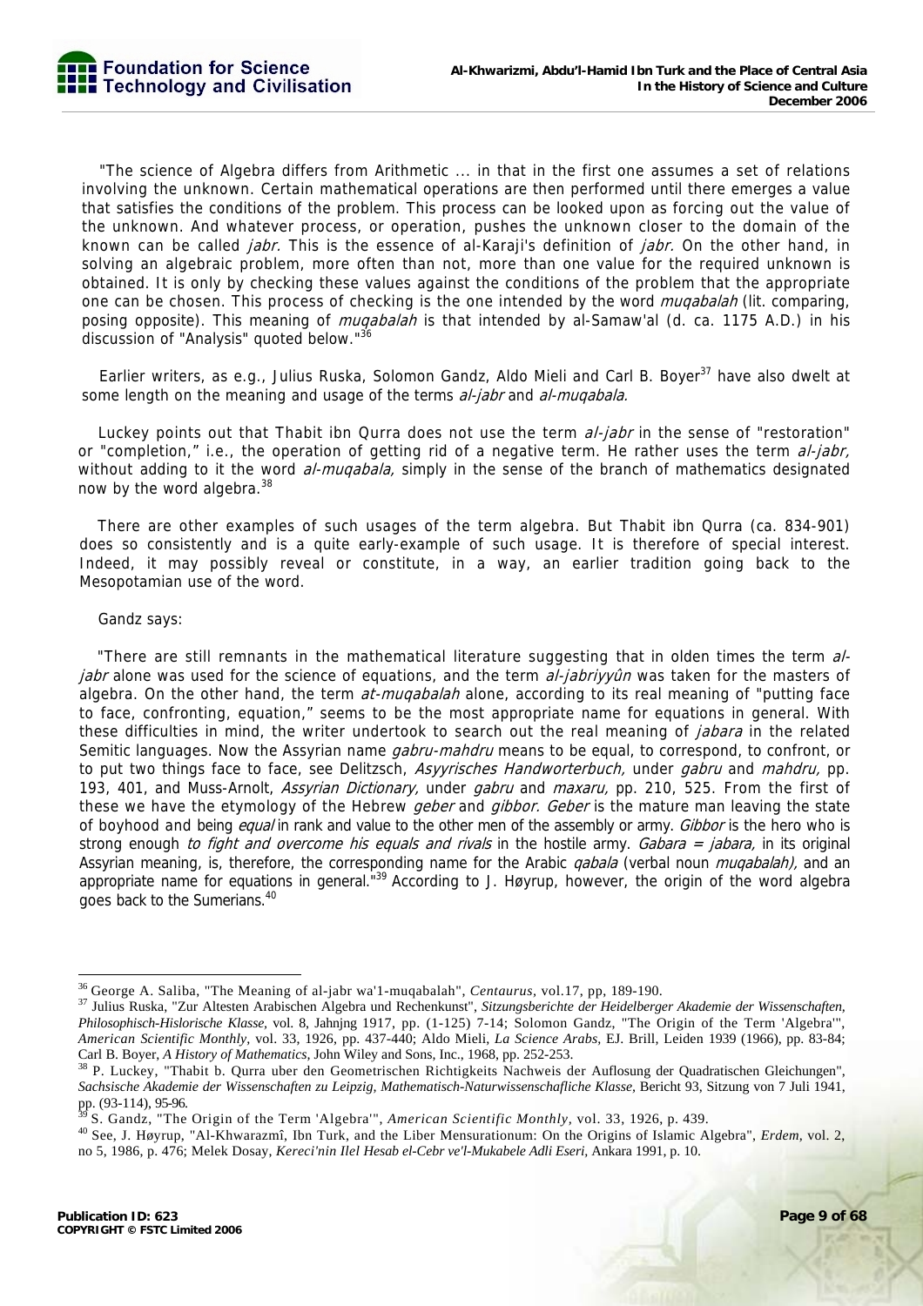"The science of Algebra differs from Arithmetic ... in that in the first one assumes a set of relations involving the unknown. Certain mathematical operations are then performed until there emerges a value that satisfies the conditions of the problem. This process can be looked upon as forcing out the value of the unknown. And whatever process, or operation, pushes the unknown closer to the domain of the known can be called *jabr.* This is the essence of al-Karaji's definition of *jabr.* On the other hand, in solving an algebraic problem, more often than not, more than one value for the required unknown is obtained. It is only by checking these values against the conditions of the problem that the appropriate one can be chosen. This process of checking is the one intended by the word *muqabalah* (lit. comparing, posing opposite). This meaning of *mugabalah* is that intended by al-Samaw'al (d. ca. 1175 A.D.) in his discussion of "Analysis" quoted below."<sup>36</sup>

Earlier writers, as e.g., Julius Ruska, Solomon Gandz, Aldo Mieli and Carl B. Boyer<sup>37</sup> have also dwelt at some length on the meaning and usage of the terms al-jabr and al-muqabala.

Luckey points out that Thabit ibn Qurra does not use the term al-jabr in the sense of "restoration" or "completion," i.e., the operation of getting rid of a negative term. He rather uses the term al-jabr, without adding to it the word al-mugabala, simply in the sense of the branch of mathematics designated now by the word algebra.<sup>38</sup>

There are other examples of such usages of the term algebra. But Thabit ibn Qurra (ca. 834-901) does so consistently and is a quite early-example of such usage. It is therefore of special interest. Indeed, it may possibly reveal or constitute, in a way, an earlier tradition going back to the Mesopotamian use of the word.

#### Gandz says:

"There are still remnants in the mathematical literature suggesting that in olden times the term aljabr alone was used for the science of equations, and the term al-jabriyyûn was taken for the masters of algebra. On the other hand, the term *at-muqabalah* alone, according to its real meaning of "putting face" to face, confronting, equation," seems to be the most appropriate name for equations in general. With these difficulties in mind, the writer undertook to search out the real meaning of *jabara* in the related Semitic languages. Now the Assyrian name *gabru-mahdru* means to be equal, to correspond, to confront, or to put two things face to face, see Delitzsch, Asyyrisches Handworterbuch, under gabru and mahdru, pp. 193, 401, and Muss-Arnolt, *Assyrian Dictionary*, under *gabru* and *maxaru*, pp. 210, 525. From the first of these we have the etymology of the Hebrew *geber* and *gibbor. Geber* is the mature man leaving the state of boyhood and being *equal* in rank and value to the other men of the assembly or army. Gibbor is the hero who is strong enough to fight and overcome his equals and rivals in the hostile army. Gabara = jabara, in its original Assyrian meaning, is, therefore, the corresponding name for the Arabic *qabala* (verbal noun *muqabalah)*, and an appropriate name for equations in general."<sup>39</sup> According to J. Høyrup, however, the origin of the word algebra goes back to the Sumerians.40

<sup>&</sup>lt;sup>36</sup> George A. Saliba, "The Meaning of al-jabr wa'l-muqabalah", Centaurus, vol.17, pp, 189-190.

<sup>37</sup> Julius Ruska, "Zur Altesten Arabischen Algebra und Rechenkunst", Sitzungsberichte der Heidelberger Akademie der Wissenschaften, *Philosophisch-Hislorische Klasse,* vol. 8, Jahnjng 1917, pp. (1-125) 7-14; Solomon Gandz, "The Origin of the Term 'Algebra'", *American Scientific Monthly,* vol. 33, 1926, pp. 437-440; Aldo Mieli, *La Science Arabs,* EJ. Brill, Leiden 1939 (1966), pp. 83-84; Carl B. Boyer, *A History of Mathematics*, John Wiley and Sons, Inc., 1968, pp. 252-253.<br><sup>38</sup> P. Luckey, "Thabit b. Qurra uber den Geometrischen Richtigkeits Nachweis der Auflosung der Quadratischen Gleichungen",

*Sachsische Akademie der Wissenschaften zu Leipzig, Mathematisch-Naturwissenschafliche Klasse,* Bericht 93, Sitzung von 7 Juli 1941, pp. (93-114), 95-96.

<sup>&</sup>lt;sup>39</sup> S. Gandz, "The Origin of the Term 'Algebra'", American Scientific Monthly, vol. 33, 1926, p. 439.<br><sup>40</sup> See, J. Høyrup, "Al-Khwarazmî, Ibn Turk, and the Liber Mensurationum: On the Origins of Islamic Algebra", *Erdem*, no 5, 1986, p. 476; Melek Dosay, *Kereci'nin Ilel Hesab el-Cebr ve'l-Mukabele Adli Eseri,* Ankara 1991, p. 10.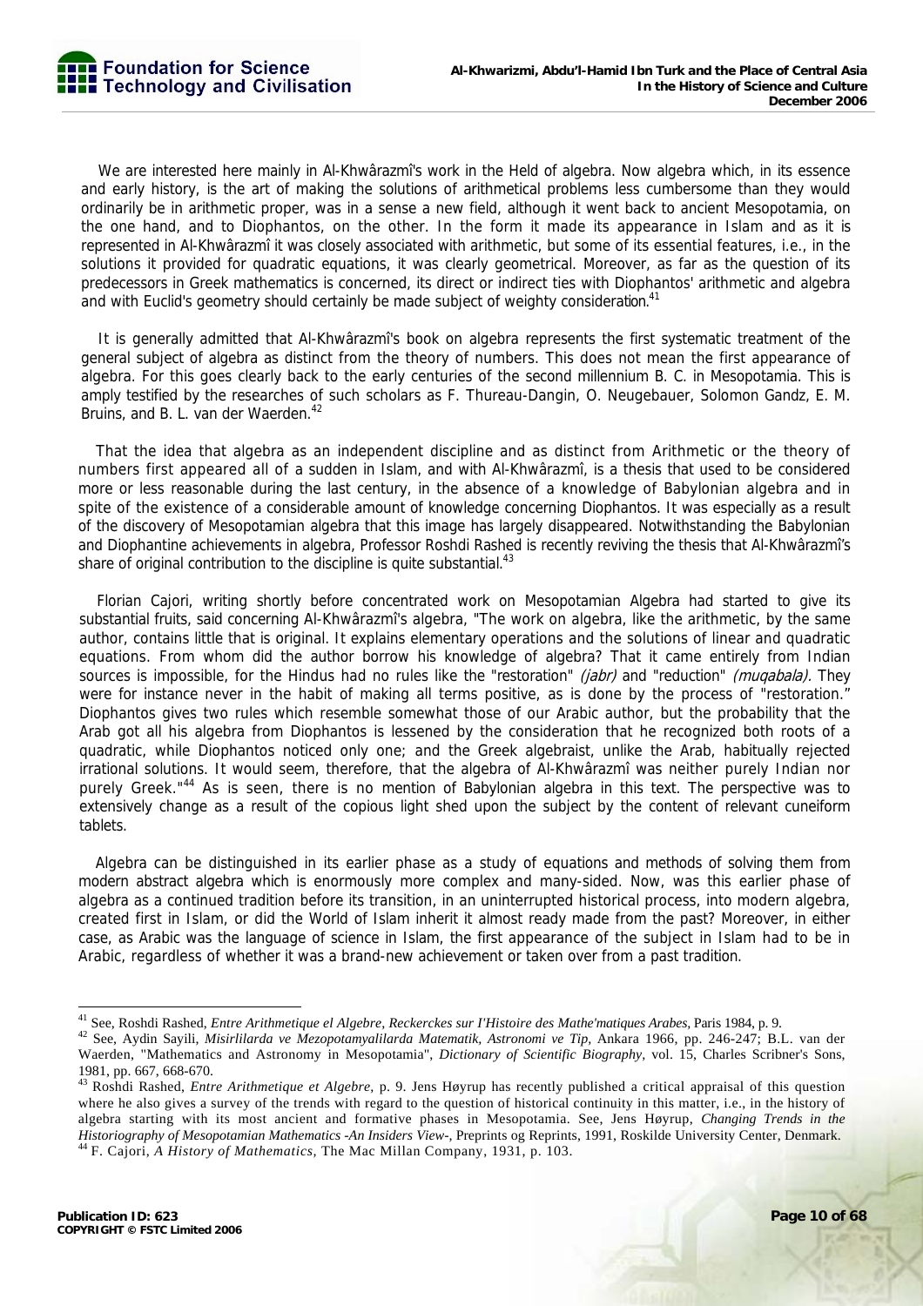We are interested here mainly in Al-Khwârazmî's work in the Held of algebra. Now algebra which, in its essence and early history, is the art of making the solutions of arithmetical problems less cumbersome than they would ordinarily be in arithmetic proper, was in a sense a new field, although it went back to ancient Mesopotamia, on the one hand, and to Diophantos, on the other. In the form it made its appearance in Islam and as it is represented in Al-Khwârazmî it was closely associated with arithmetic, but some of its essential features, i.e., in the solutions it provided for quadratic equations, it was clearly geometrical. Moreover, as far as the question of its predecessors in Greek mathematics is concerned, its direct or indirect ties with Diophantos' arithmetic and algebra and with Euclid's geometry should certainly be made subject of weighty consideration.<sup>41</sup>

It is generally admitted that Al-Khwârazmî's book on algebra represents the first systematic treatment of the general subject of algebra as distinct from the theory of numbers. This does not mean the first appearance of algebra. For this goes clearly back to the early centuries of the second millennium B. C. in Mesopotamia. This is amply testified by the researches of such scholars as F. Thureau-Dangin, O. Neugebauer, Solomon Gandz, E. M. Bruins, and B. L. van der Waerden.<sup>42</sup>

That the idea that algebra as an independent discipline and as distinct from Arithmetic or the theory of numbers first appeared all of a sudden in Islam, and with Al-Khwârazmî, is a thesis that used to be considered more or less reasonable during the last century, in the absence of a knowledge of Babylonian algebra and in spite of the existence of a considerable amount of knowledge concerning Diophantos. It was especially as a result of the discovery of Mesopotamian algebra that this image has largely disappeared. Notwithstanding the Babylonian and Diophantine achievements in algebra, Professor Roshdi Rashed is recently reviving the thesis that Al-Khwârazmî's share of original contribution to the discipline is quite substantial. $43$ 

Florian Cajori, writing shortly before concentrated work on Mesopotamian Algebra had started to give its substantial fruits, said concerning Al-Khwârazmî's algebra, "The work on algebra, like the arithmetic, by the same author, contains little that is original. It explains elementary operations and the solutions of linear and quadratic equations. From whom did the author borrow his knowledge of algebra? That it came entirely from Indian sources is impossible, for the Hindus had no rules like the "restoration" (jabr) and "reduction" (muqabala). They were for instance never in the habit of making all terms positive, as is done by the process of "restoration." Diophantos gives two rules which resemble somewhat those of our Arabic author, but the probability that the Arab got all his algebra from Diophantos is lessened by the consideration that he recognized both roots of a quadratic, while Diophantos noticed only one; and the Greek algebraist, unlike the Arab, habitually rejected irrational solutions. It would seem, therefore, that the algebra of Al-Khwârazmî was neither purely Indian nor purely Greek."<sup>44</sup> As is seen, there is no mention of Babylonian algebra in this text. The perspective was to extensively change as a result of the copious light shed upon the subject by the content of relevant cuneiform tablets.

Algebra can be distinguished in its earlier phase as a study of equations and methods of solving them from modern abstract algebra which is enormously more complex and many-sided. Now, was this earlier phase of algebra as a continued tradition before its transition, in an uninterrupted historical process, into modern algebra, created first in Islam, or did the World of Islam inherit it almost ready made from the past? Moreover, in either case, as Arabic was the language of science in Islam, the first appearance of the subject in Islam had to be in Arabic, regardless of whether it was a brand-new achievement or taken over from a past tradition.

<sup>&</sup>lt;sup>41</sup> See, Roshdi Rashed, Entre Arithmetique el Algebre, Reckerckes sur l'Histoire des Mathe'matiques Arabes, Paris 1984, p. 9.

<sup>&</sup>lt;sup>42</sup> See, Aydin Sayili, Misirlilarda ve Mezopotamyalilarda Matematik, Astronomi ve Tip, Ankara 1966, pp. 246-247; B.L. van der Waerden, "Mathematics and Astronomy in Mesopotamia", *Dictionary of Scientific Biography,* vol. 15, Charles Scribner's Sons, 1981, pp. 667, 668-670.

<sup>43</sup> Roshdi Rashed, *Entre Arithmetique et Algebre,* p. 9. Jens Høyrup has recently published a critical appraisal of this question where he also gives a survey of the trends with regard to the question of historical continuity in this matter, i.e., in the history of algebra starting with its most ancient and formative phases in Mesopotamia. See, Jens Høyrup, *Changing Trends in the Historiography of Mesopotamian Mathematics -An Insiders View-,* Preprints og Reprints, 1991, Roskilde University Center, Denmark. 44 F. Cajori, *A History of Mathematics,* The Mac Millan Company, 1931, p. 103.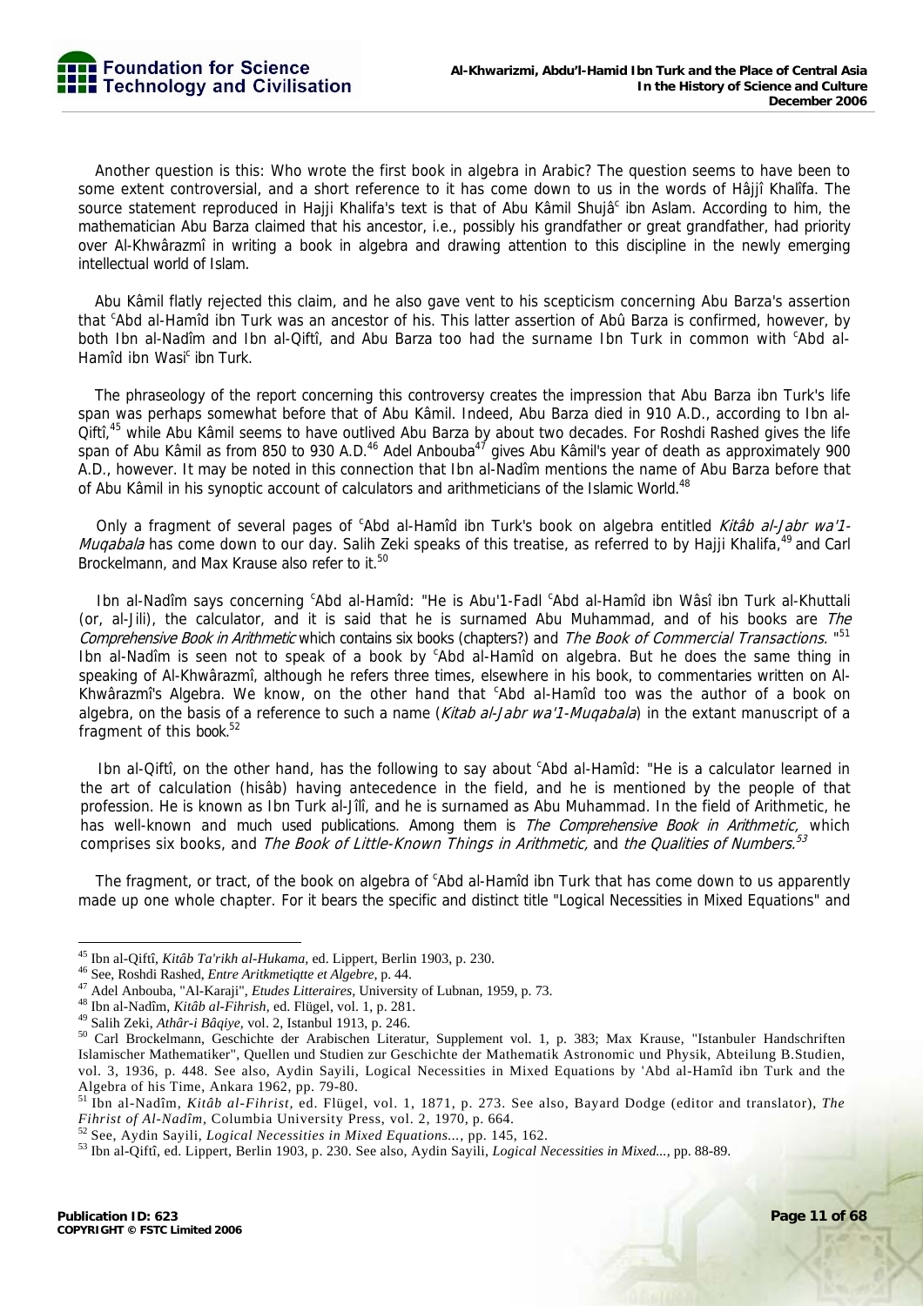Another question is this: Who wrote the first book in algebra in Arabic? The question seems to have been to some extent controversial, and a short reference to it has come down to us in the words of Hâjjî Khalîfa. The source statement reproduced in Hajji Khalifa's text is that of Abu Kâmil Shujâ<sup>c</sup> ibn Aslam. According to him, the mathematician Abu Barza claimed that his ancestor, i.e., possibly his grandfather or great grandfather, had priority over Al-Khwârazmî in writing a book in algebra and drawing attention to this discipline in the newly emerging intellectual world of Islam.

Abu Kâmil flatly rejected this claim, and he also gave vent to his scepticism concerning Abu Barza's assertion that <sup>c</sup>Abd al-Hamîd ibn Turk was an ancestor of his. This latter assertion of Abû Barza is confirmed, however, by both Ibn al-Nadîm and Ibn al-Qiftî, and Abu Barza too had the surname Ibn Turk in common with <sup>c</sup>Abd al-Hamîd ibn Wasi<sup>c</sup> ibn Turk.

The phraseology of the report concerning this controversy creates the impression that Abu Barza ibn Turk's life span was perhaps somewhat before that of Abu Kâmil. Indeed, Abu Barza died in 910 A.D., according to Ibn al-Qiftî,<sup>45</sup> while Abu Kâmil seems to have outlived Abu Barza by about two decades. For Roshdi Rashed gives the life span of Abu Kâmil as from 850 to 930 A.D.<sup>46</sup> Adel Anbouba<sup>47</sup> gives Abu Kâmil's year of death as approximately 900 A.D., however. It may be noted in this connection that Ibn al-Nadîm mentions the name of Abu Barza before that of Abu Kâmil in his synoptic account of calculators and arithmeticians of the Islamic World.<sup>48</sup>

Only a fragment of several pages of <sup>c</sup>Abd al-Hamîd ibn Turk's book on algebra entitled Kitâb al-Jabr wa'1-Muqabala has come down to our day. Salih Zeki speaks of this treatise, as referred to by Hajji Khalifa,<sup>49</sup> and Carl Brockelmann, and Max Krause also refer to it.<sup>50</sup>

Ibn al-Nadîm says concerning 'Abd al-Hamîd: "He is Abu'1-Fadl 'Abd al-Hamîd ibn Wâsî ibn Turk al-Khuttali (or, al-Jili), the calculator, and it is said that he is surnamed Abu Muhammad, and of his books are The Comprehensive Book in Arithmetic which contains six books (chapters?) and The Book of Commercial Transactions. "51 Ibn al-Nadîm is seen not to speak of a book by 'Abd al-Hamîd on algebra. But he does the same thing in speaking of Al-Khwârazmî, although he refers three times, elsewhere in his book, to commentaries written on Al-Khwârazmî's Algebra. We know, on the other hand that 'Abd al-Hamîd too was the author of a book on algebra, on the basis of a reference to such a name (Kitab al-Jabr wa'1-Mugabala) in the extant manuscript of a fragment of this book.<sup>52</sup>

Ibn al-Qiftî, on the other hand, has the following to say about 'Abd al-Hamîd: "He is a calculator learned in the art of calculation (hisâb) having antecedence in the field, and he is mentioned by the people of that profession. He is known as Ibn Turk al-Jîlî, and he is surnamed as Abu Muhammad. In the field of Arithmetic, he has well-known and much used publications. Among them is *The Comprehensive Book in Arithmetic*, which comprises six books, and The Book of Little-Known Things in Arithmetic, and the Qualities of Numbers.<sup>53</sup>

The fragment, or tract, of the book on algebra of <sup>c</sup>Abd al-Hamîd ibn Turk that has come down to us apparently made up one whole chapter. For it bears the specific and distinct title "Logical Necessities in Mixed Equations" and

<sup>&</sup>lt;sup>45</sup> Ibn al-Oiftî, Kitâb Ta'rikh al-Hukama, ed. Lippert, Berlin 1903, p. 230.

<sup>&</sup>lt;sup>46</sup> See, Roshdi Rashed, *Entre Aritkmetiqute et Algebre*, p. 44.<br><sup>47</sup> Adel Anbouba, "Al-Karaji", *Etudes Litteraires*, University of Lubnan, 1959, p. 73.<br><sup>48</sup> Ibn al-Nadîm, *Kitâb al-Fihrish*, ed. Flügel, vol. 1, p. 281. Islamischer Mathematiker", Quellen und Studien zur Geschichte der Mathematik Astronomic und Physik, Abteilung B.Studien, vol. 3, 1936, p. 448. See also, Aydin Sayili, Logical Necessities in Mixed Equations by 'Abd al-Hamîd ibn Turk and the Algebra of his Time, Ankara 1962, pp. 79-80.

<sup>51</sup> Ibn al-Nadîm, *Kitâb al-Fihrist,* ed. Flügel, vol. 1, 1871, p. 273. See also, Bayard Dodge (editor and translator), *The Fihrist of Al-Nadîm*, Columbia University Press, vol. 2, 1970, p. 664.<br><sup>52</sup> See, Aydin Sayili, *Logical Necessities in Mixed Equations...*, pp. 145, 162.<br><sup>53</sup> Ibn al-Qiftî, ed. Lippert, Berlin 1903, p. 230. See also, Aydi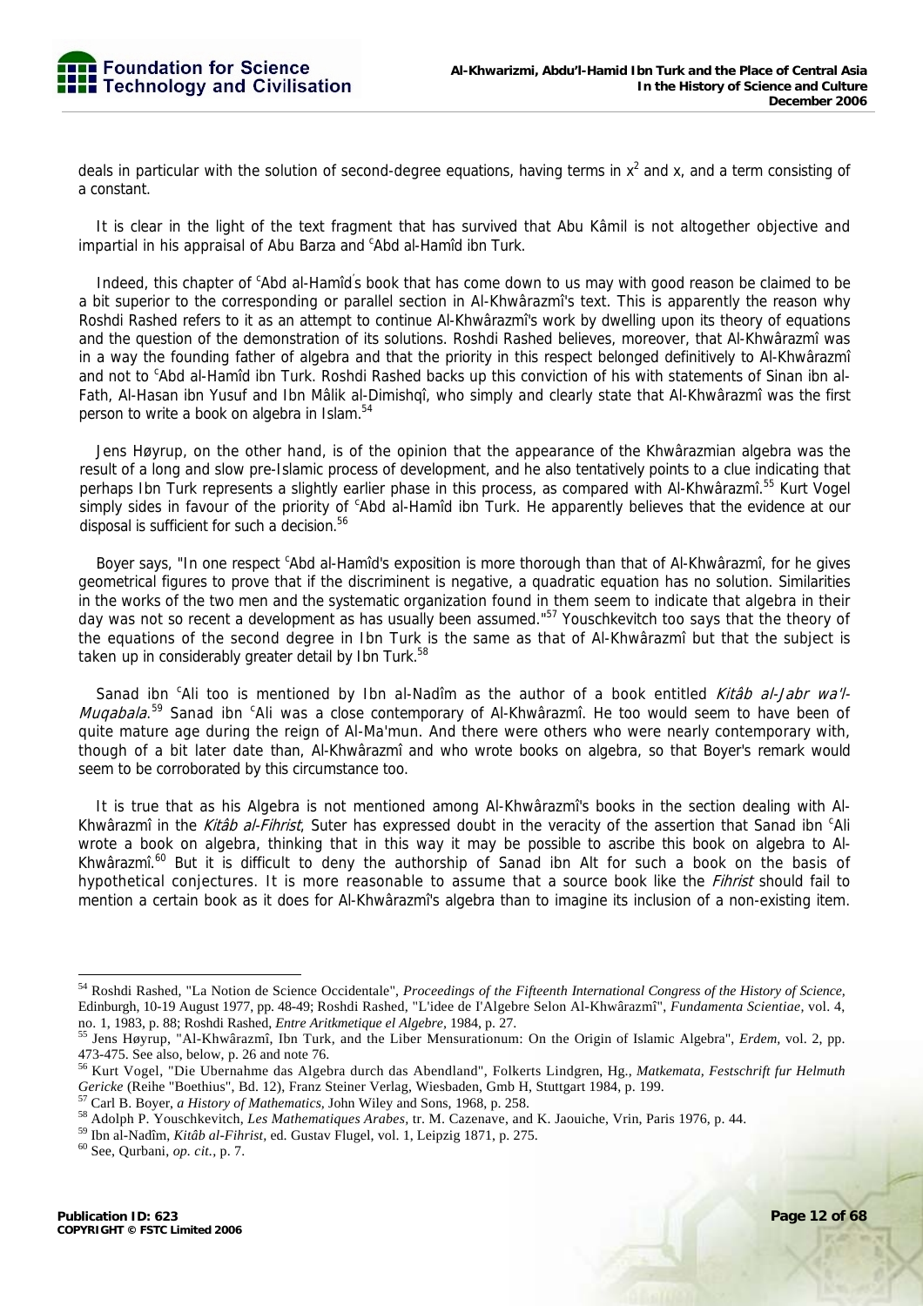

deals in particular with the solution of second-degree equations, having terms in  $x^2$  and x, and a term consisting of a constant.

It is clear in the light of the text fragment that has survived that Abu Kâmil is not altogether objective and impartial in his appraisal of Abu Barza and <sup>c</sup>Abd al-Hamîd ibn Turk.

Indeed, this chapter of <sup>c</sup>Abd al-Hamîd's book that has come down to us may with good reason be claimed to be a bit superior to the corresponding or parallel section in Al-Khwârazmî's text. This is apparently the reason why Roshdi Rashed refers to it as an attempt to continue Al-Khwârazmî's work by dwelling upon its theory of equations and the question of the demonstration of its solutions. Roshdi Rashed believes, moreover, that Al-Khwârazmî was in a way the founding father of algebra and that the priority in this respect belonged definitively to Al-Khwârazmî and not to <sup>c</sup>Abd al-Hamîd ibn Turk. Roshdi Rashed backs up this conviction of his with statements of Sinan ibn al-Fath, Al-Hasan ibn Yusuf and Ibn Mâlik al-Dimishqî, who simply and clearly state that Al-Khwârazmî was the first person to write a book on algebra in Islam.<sup>54</sup>

Jens Høyrup, on the other hand, is of the opinion that the appearance of the Khwârazmian algebra was the result of a long and slow pre-Islamic process of development, and he also tentatively points to a clue indicating that perhaps Ibn Turk represents a slightly earlier phase in this process, as compared with Al-Khwârazmî.<sup>55</sup> Kurt Vogel simply sides in favour of the priority of <sup>c</sup>Abd al-Hamîd ibn Turk. He apparently believes that the evidence at our disposal is sufficient for such a decision.<sup>56</sup>

Boyer says, "In one respect <sup>c</sup>Abd al-Hamîd's exposition is more thorough than that of Al-Khwârazmî, for he gives geometrical figures to prove that if the discriminent is negative, a quadratic equation has no solution. Similarities in the works of the two men and the systematic organization found in them seem to indicate that algebra in their day was not so recent a development as has usually been assumed."<sup>57</sup> Youschkevitch too says that the theory of the equations of the second degree in Ibn Turk is the same as that of Al-Khwârazmî but that the subject is taken up in considerably greater detail by Ibn Turk.<sup>58</sup>

Sanad ibn <sup>c</sup>Ali too is mentioned by Ibn al-Nadîm as the author of a book entitled Kitâb al-Jabr wa'l-*Muqabala*.<sup>59</sup> Sanad ibn <sup>c</sup>Ali was a close contemporary of Al-Khwârazmî. He too would seem to have been of quite mature age during the reign of Al-Ma'mun. And there were others who were nearly contemporary with, though of a bit later date than, Al-Khwârazmî and who wrote books on algebra, so that Boyer's remark would seem to be corroborated by this circumstance too.

It is true that as his Algebra is not mentioned among Al-Khwârazmî's books in the section dealing with Al-Khwârazmî in the Kitâb al-Fihrist, Suter has expressed doubt in the veracity of the assertion that Sanad ibn <sup>c</sup>Ali wrote a book on algebra, thinking that in this way it may be possible to ascribe this book on algebra to Al-Khwârazmî.<sup>60</sup> But it is difficult to deny the authorship of Sanad ibn Alt for such a book on the basis of hypothetical conjectures. It is more reasonable to assume that a source book like the *Fihrist* should fail to mention a certain book as it does for Al-Khwârazmî's algebra than to imagine its inclusion of a non-existing item.

<sup>54</sup> Roshdi Rashed, "La Notion de Science Occidentale", *Proceedings of the Fifteenth International Congress of the History of Science,*  Edinburgh, 10-19 August 1977, pp. 48-49; Roshdi Rashed, "L'idee de I'Algebre Selon Al-Khwârazmî", *Fundamenta Scientiae,* vol. 4,

no. 1, 1983, p. 88; Roshdi Rashed, *Entre Aritkmetique el Algebre,* 1984, p. 27. 55 Jens Høyrup, "Al-Khwârazmî, Ibn Turk, and the Liber Mensurationum: On the Origin of Islamic Algebra", *Erdem,* vol. 2, pp. 473-475. See also, below, p. 26 and note 76.

<sup>56</sup> Kurt Vogel, "Die Ubernahme das Algebra durch das Abendland", Folkerts Lindgren, Hg., *Matkemata, Festschrift fur Helmuth*  Gericke (Reihe "Boethius", Bd. 12), Franz Steiner Verlag, Wiesbaden, Gmb H, Stuttgart 1984, p. 199.<br><sup>57</sup> Carl B. Boyer, *a History of Mathematics*, John Wiley and Sons, 1968, p. 258.<br><sup>58</sup> Adolph P. Youschkevitch, *Les Math*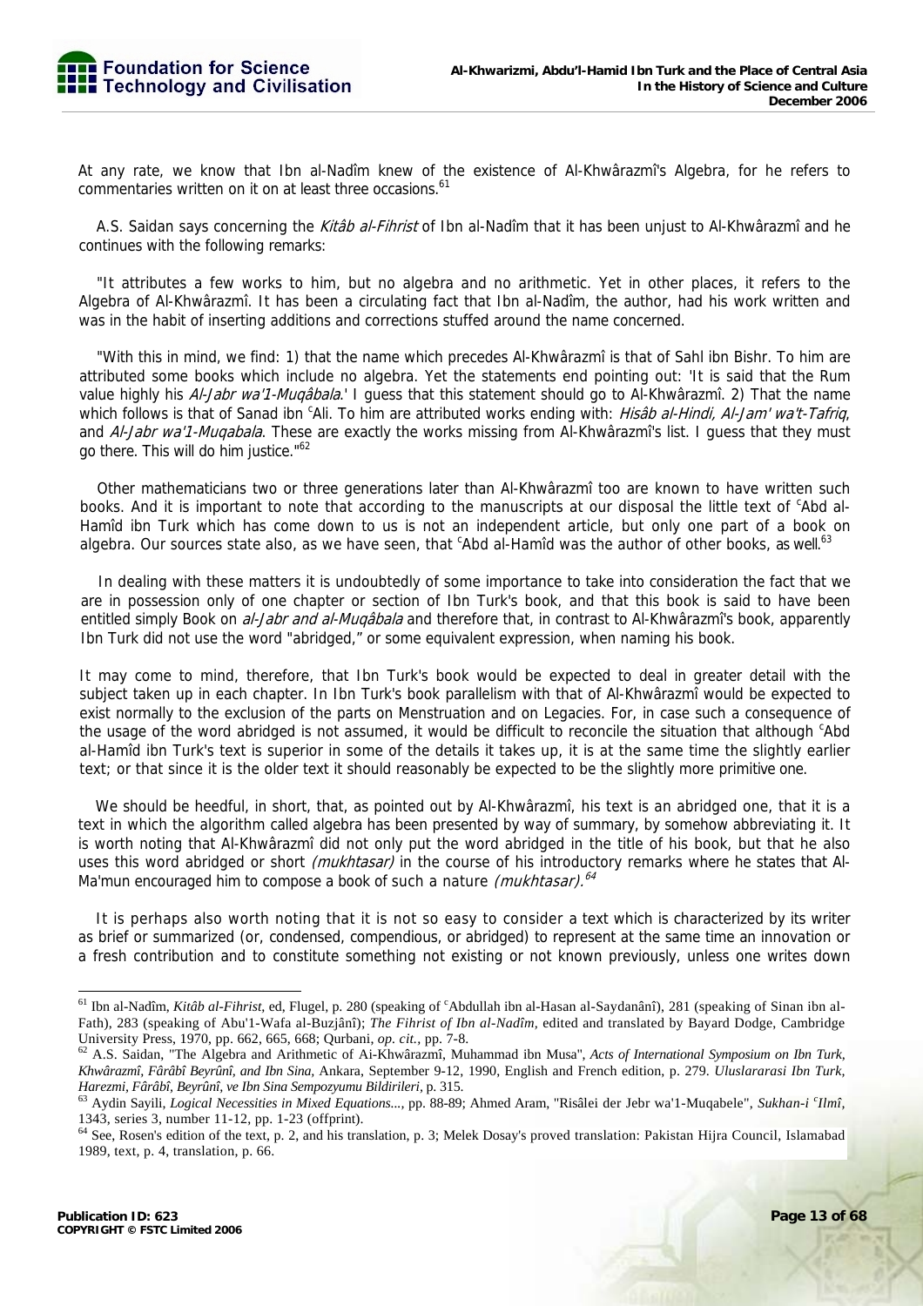At any rate, we know that Ibn al-Nadîm knew of the existence of Al-Khwârazmî's Algebra, for he refers to commentaries written on it on at least three occasions.<sup>61</sup>

A.S. Saidan says concerning the Kitab al-Fihrist of Ibn al-Nadîm that it has been unjust to Al-Khwârazmî and he continues with the following remarks:

"It attributes a few works to him, but no algebra and no arithmetic. Yet in other places, it refers to the Algebra of Al-Khwârazmî. It has been a circulating fact that Ibn al-Nadîm, the author, had his work written and was in the habit of inserting additions and corrections stuffed around the name concerned.

"With this in mind, we find: 1) that the name which precedes Al-Khwârazmî is that of Sahl ibn Bishr. To him are attributed some books which include no algebra. Yet the statements end pointing out: 'It is said that the Rum value highly his Al-Jabr wa'1-Muqâbala.' I guess that this statement should go to Al-Khwârazmî. 2) That the name which follows is that of Sanad ibn <sup>c</sup>Ali. To him are attributed works ending with: Hisab al-Hindi, Al-Jam' wa't-Tafriq, and Al-Jabr wa'1-Muqabala. These are exactly the works missing from Al-Khwârazmî's list. I guess that they must go there. This will do him justice."<sup>62</sup>

Other mathematicians two or three generations later than Al-Khwârazmî too are known to have written such books. And it is important to note that according to the manuscripts at our disposal the little text of <sup>c</sup>Abd al-Hamîd ibn Turk which has come down to us is not an independent article, but only one part of a book on algebra. Our sources state also, as we have seen, that <sup>c</sup>Abd al-Hamîd was the author of other books, as well.<sup>63</sup>

In dealing with these matters it is undoubtedly of some importance to take into consideration the fact that we are in possession only of one chapter or section of Ibn Turk's book, and that this book is said to have been entitled simply Book on *al-Jabr and al-Muqâbala* and therefore that, in contrast to Al-Khwârazmî's book, apparently Ibn Turk did not use the word "abridged," or some equivalent expression, when naming his book.

It may come to mind, therefore, that Ibn Turk's book would be expected to deal in greater detail with the subject taken up in each chapter. In Ibn Turk's book parallelism with that of Al-Khwârazmî would be expected to exist normally to the exclusion of the parts on Menstruation and on Legacies. For, in case such a consequence of the usage of the word abridged is not assumed, it would be difficult to reconcile the situation that although 'Abd al-Hamîd ibn Turk's text is superior in some of the details it takes up, it is at the same time the slightly earlier text; or that since it is the older text it should reasonably be expected to be the slightly more primitive one.

We should be heedful, in short, that, as pointed out by Al-Khwârazmî, his text is an abridged one, that it is a text in which the algorithm called algebra has been presented by way of summary, by somehow abbreviating it. It is worth noting that Al-Khwârazmî did not only put the word abridged in the title of his book, but that he also uses this word abridged or short *(mukhtasar)* in the course of his introductory remarks where he states that Al-Ma'mun encouraged him to compose a book of such a nature (mukhtasar).<sup>64</sup>

It is perhaps also worth noting that it is not so easy to consider a text which is characterized by its writer as brief or summarized (or, condensed, compendious, or abridged) to represent at the same time an innovation or a fresh contribution and to constitute something not existing or not known previously, unless one writes down

<sup>&</sup>lt;sup>61</sup> Ibn al-Nadîm, *Kitâb al-Fihrist*, ed, Flugel, p. 280 (speaking of <sup>c</sup>Abdullah ibn al-Hasan al-Saydanânî), 281 (speaking of Sinan ibn al-Fath), 283 (speaking of Abu'1-Wafa al-Buzjânî); *The Fihrist of Ibn al-Nadîm,* edited and translated by Bayard Dodge, Cambridge University Press, 1970, pp. 662, 665, 668; Qurbani, *op. cit.*, pp. 7-8.<br><sup>62</sup> A.S. Saidan, "The Algebra and Arithmetic of Ai-Khwârazmî, Muhammad ibn Musa", *Acts of International Symposium on Ibn Turk*,

*Khwârazmî, Fârâbî Beyrûnî, and Ibn Sina,* Ankara, September 9-12, 1990, English and French edition, p. 279. *Uluslararasi Ibn Turk, Harezmi, Fârâbî, Beyrûnî, ve Ibn Sina Sempozyumu Bildirileri,* p. 315.<br><sup>63</sup> Aydin Sayili, *Logical Necessities in Mixed Equations*…, pp. 88-89; Ahmed Aram, "Risâlei der Jebr wa'1-Muqabele", *Sukhan-i ʿIlmî,* 

<sup>1343,</sup> series 3, number 11-12, pp. 1-23 (offprint).

<sup>64</sup> See, Rosen's edition of the text, p. 2, and his translation, p. 3; Melek Dosay's proved translation: Pakistan Hijra Council, Islamabad 1989, text, p. 4, translation, p. 66.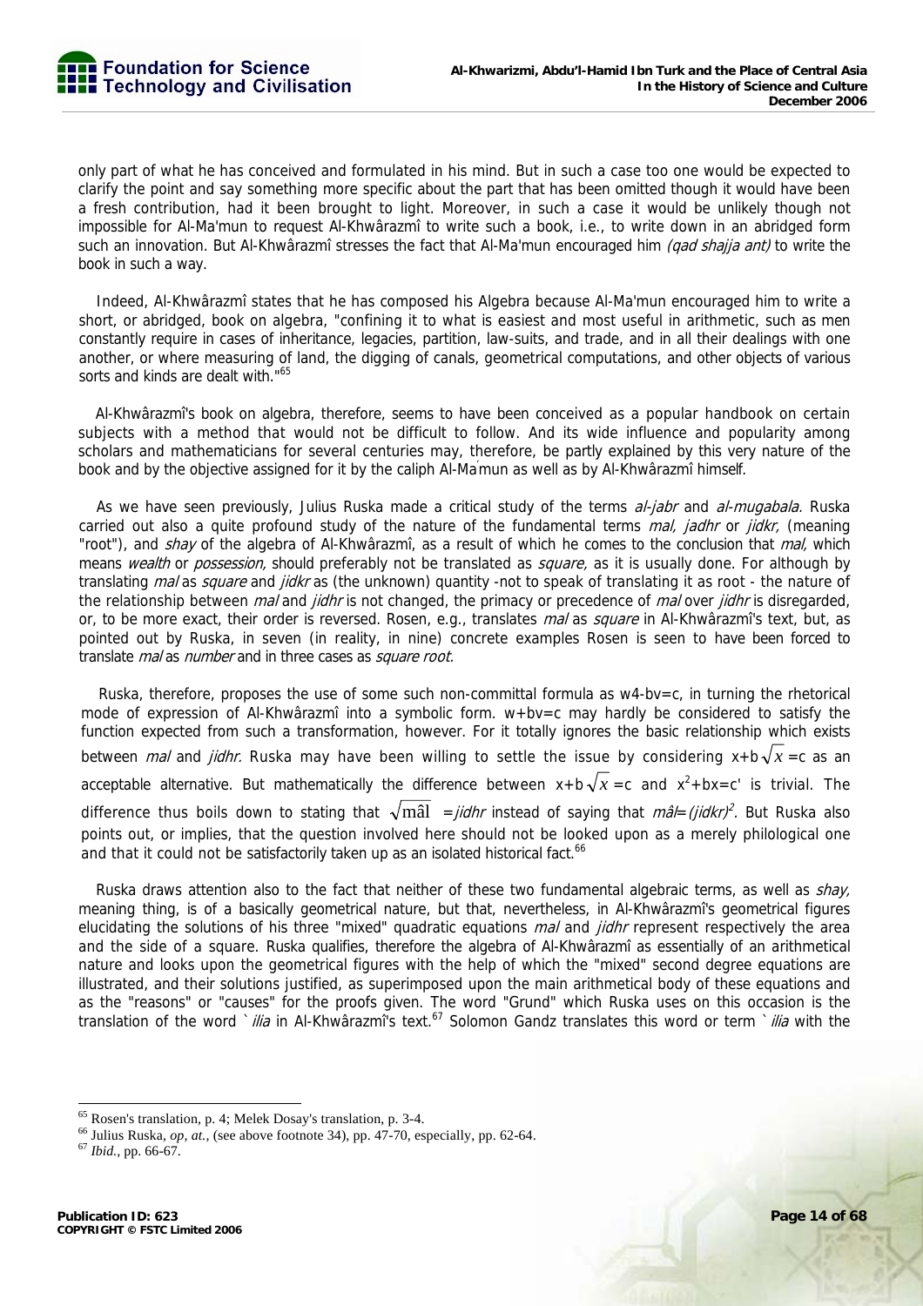only part of what he has conceived and formulated in his mind. But in such a case too one would be expected to clarify the point and say something more specific about the part that has been omitted though it would have been a fresh contribution, had it been brought to light. Moreover, in such a case it would be unlikely though not impossible for Al-Ma'mun to request Al-Khwârazmî to write such a book, i.e., to write down in an abridged form such an innovation. But Al-Khwârazmî stresses the fact that Al-Ma'mun encouraged him (gad shajja ant) to write the book in such a way.

Indeed, Al-Khwârazmî states that he has composed his Algebra because Al-Ma'mun encouraged him to write a short, or abridged, book on algebra, "confining it to what is easiest and most useful in arithmetic, such as men constantly require in cases of inheritance, legacies, partition, law-suits, and trade, and in all their dealings with one another, or where measuring of land, the digging of canals, geometrical computations, and other objects of various sorts and kinds are dealt with."<sup>65</sup>

Al-Khwârazmî's book on algebra, therefore, seems to have been conceived as a popular handbook on certain subjects with a method that would not be difficult to follow. And its wide influence and popularity among scholars and mathematicians for several centuries may, therefore, be partly explained by this very nature of the book and by the objective assigned for it by the caliph Al-Ma' mun as well as by Al-Khwârazmî himself.

As we have seen previously, Julius Ruska made a critical study of the terms al-jabr and al-mugabala. Ruska carried out also a quite profound study of the nature of the fundamental terms *mal, jadhr* or *jidkr*, (meaning "root"), and shay of the algebra of Al-Khwârazmî, as a result of which he comes to the conclusion that mal, which means wealth or possession, should preferably not be translated as square, as it is usually done. For although by translating mal as square and jidkr as (the unknown) quantity -not to speak of translating it as root - the nature of the relationship between *mal* and *jidhr* is not changed, the primacy or precedence of *mal* over *jidhr* is disregarded, or, to be more exact, their order is reversed. Rosen, e.g., translates mal as square in Al-Khwârazmî's text, but, as pointed out by Ruska, in seven (in reality, in nine) concrete examples Rosen is seen to have been forced to translate *mal* as *number* and in three cases as *square root*.

Ruska, therefore, proposes the use of some such non-committal formula as w4-bv=c, in turning the rhetorical mode of expression of Al-Khwârazmî into a symbolic form.  $w+bv=c$  may hardly be considered to satisfy the function expected from such a transformation, however. For it totally ignores the basic relationship which exists between *mal* and *jidhr*. Ruska may have been willing to settle the issue by considering  $x + b\sqrt{x} = c$  as an acceptable alternative. But mathematically the difference between  $x + b\sqrt{x} = c$  and  $x^2 + bx = c'$  is trivial. The difference thus boils down to stating that  $\sqrt{m\hat{a}l}$  = *jidhr* instead of saying that *mâl= (jidkr)*<sup>2</sup>. But Ruska also points out, or implies, that the question involved here should not be looked upon as a merely philological one and that it could not be satisfactorily taken up as an isolated historical fact.<sup>66</sup>

Ruska draws attention also to the fact that neither of these two fundamental algebraic terms, as well as shay, meaning thing, is of a basically geometrical nature, but that, nevertheless, in Al-Khwârazmî's geometrical figures elucidating the solutions of his three "mixed" quadratic equations *mal* and *jidhr* represent respectively the area and the side of a square. Ruska qualifies, therefore the algebra of Al-Khwârazmî as essentially of an arithmetical nature and looks upon the geometrical figures with the help of which the "mixed" second degree equations are illustrated, and their solutions justified, as superimposed upon the main arithmetical body of these equations and as the "reasons" or "causes" for the proofs given. The word "Grund" which Ruska uses on this occasion is the translation of the word `ilia in Al-Khwârazmî's text.<sup>67</sup> Solomon Gandz translates this word or term `ilia with the

<sup>65</sup> Rosen's translation, p. 4; Melek Dosay's translation, p. 3-4. 66 Julius Ruska, *op, at.,* (see above footnote 34), pp. 47-70, especially, pp. 62-64. 67 *Ibid.,* pp. 66-67.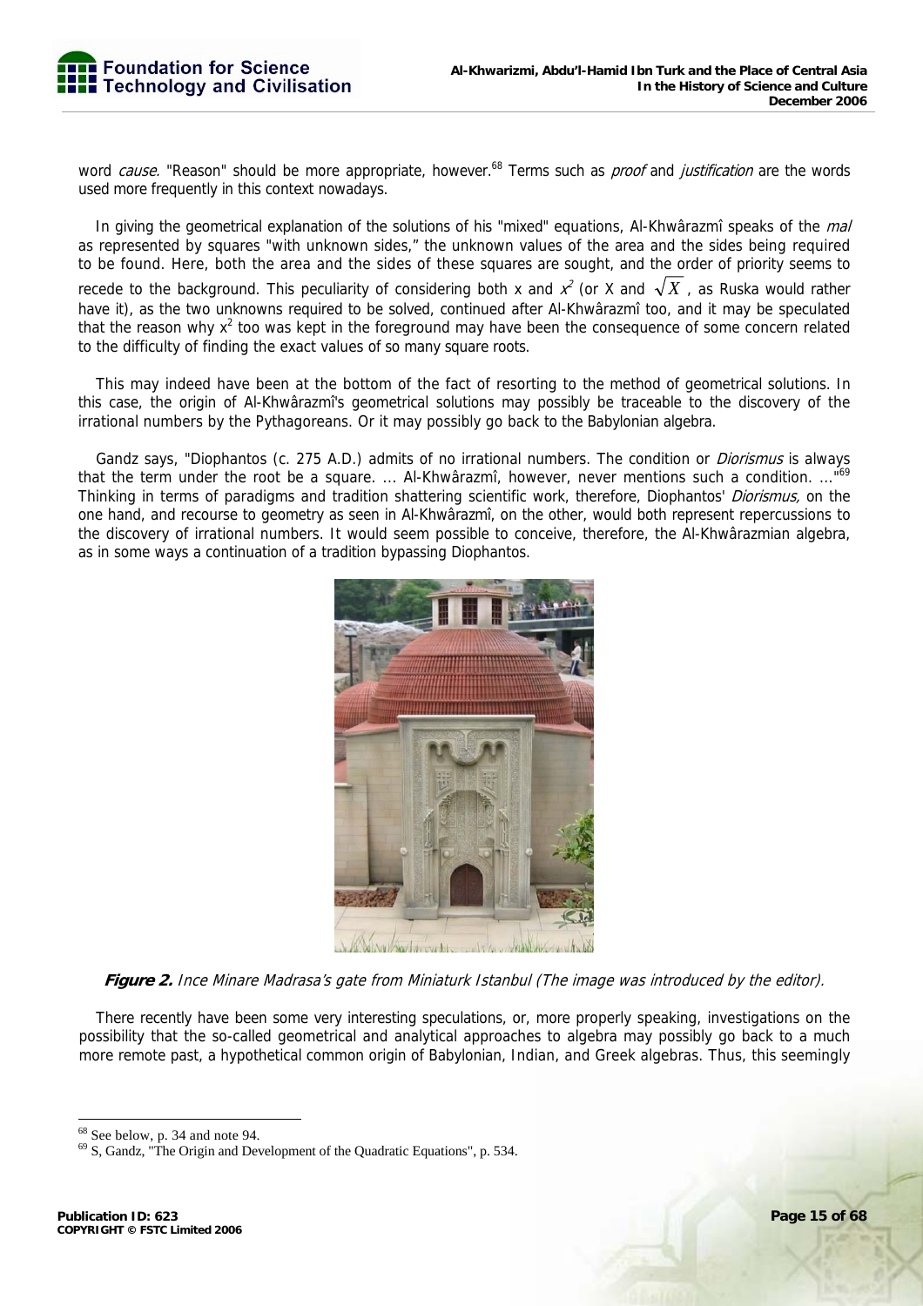

word *cause*. "Reason" should be more appropriate, however.<sup>68</sup> Terms such as *proof* and *justification* are the words used more frequently in this context nowadays.

In giving the geometrical explanation of the solutions of his "mixed" equations, Al-Khwârazmî speaks of the mal as represented by squares "with unknown sides," the unknown values of the area and the sides being required to be found. Here, both the area and the sides of these squares are sought, and the order of priority seems to recede to the background. This peculiarity of considering both x and  $x^2$  (or X and  $\sqrt{X}$  , as Ruska would rather have it), as the two unknowns required to be solved, continued after Al-Khwârazmî too, and it may be speculated that the reason why  $x^2$  too was kept in the foreground may have been the consequence of some concern related to the difficulty of finding the exact values of so many square roots.

This may indeed have been at the bottom of the fact of resorting to the method of geometrical solutions. In this case, the origin of Al-Khwârazmî's geometrical solutions may possibly be traceable to the discovery of the irrational numbers by the Pythagoreans. Or it may possibly go back to the Babylonian algebra.

Gandz says, "Diophantos (c. 275 A.D.) admits of no irrational numbers. The condition or *Diorismus* is always that the term under the root be a square. ... Al-Khwârazmî, however, never mentions such a condition. ..."69 Thinking in terms of paradigms and tradition shattering scientific work, therefore, Diophantos' *Diorismus*, on the one hand, and recourse to geometry as seen in Al-Khwârazmî, on the other, would both represent repercussions to the discovery of irrational numbers. It would seem possible to conceive, therefore, the Al-Khwârazmian algebra, as in some ways a continuation of a tradition bypassing Diophantos.



**Figure 2.** Ince Minare Madrasa's gate from Miniaturk Istanbul (The image was introduced by the editor).

There recently have been some very interesting speculations, or, more properly speaking, investigations on the possibility that the so-called geometrical and analytical approaches to algebra may possibly go back to a much more remote past, a hypothetical common origin of Babylonian, Indian, and Greek algebras. Thus, this seemingly

<sup>68</sup> See below, p. 34 and note 94.

<sup>69</sup> S, Gandz, "The Origin and Development of the Quadratic Equations", p. 534.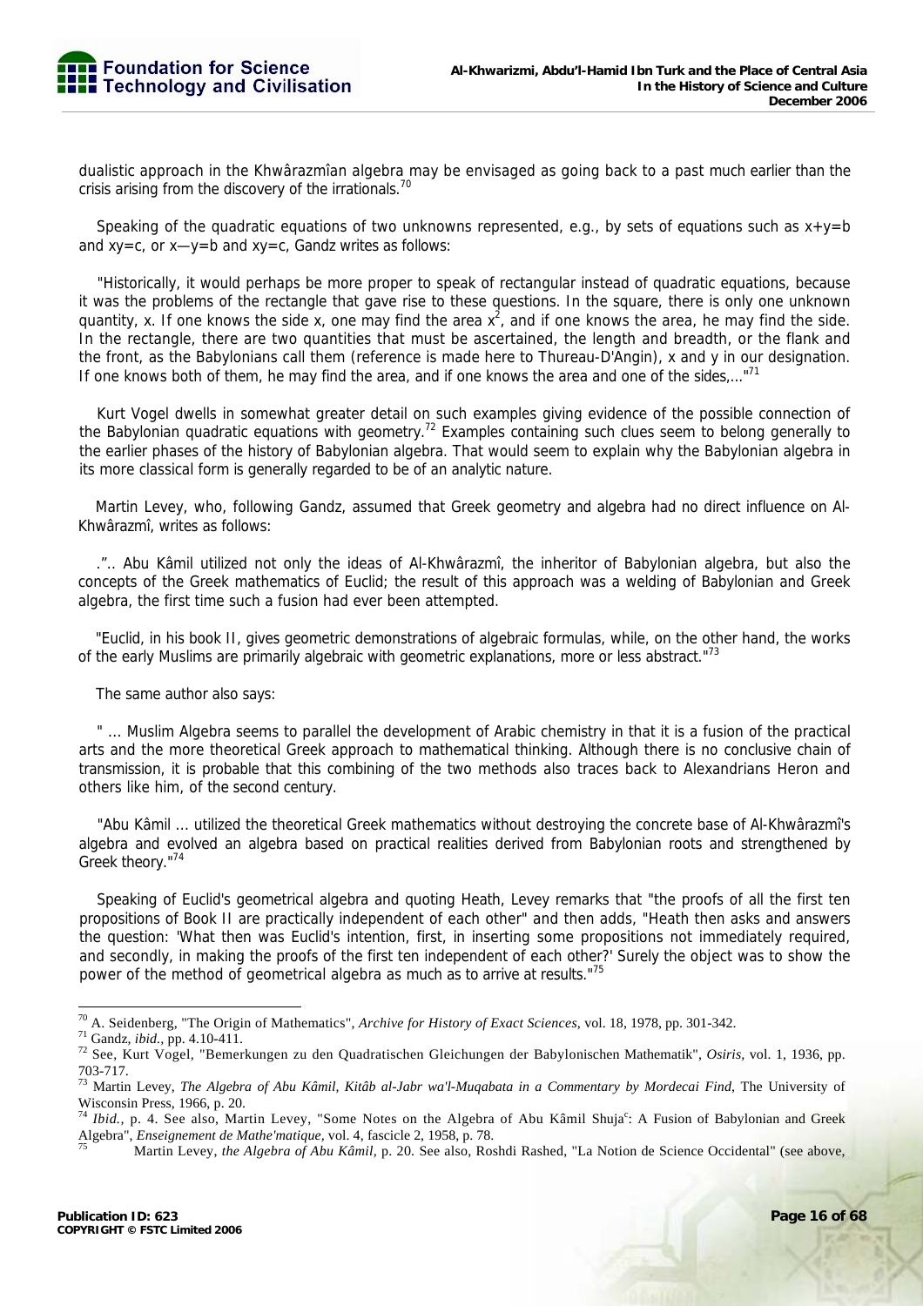

dualistic approach in the Khwârazmîan algebra may be envisaged as going back to a past much earlier than the crisis arising from the discovery of the irrationals.<sup>70</sup>

Speaking of the quadratic equations of two unknowns represented, e.g., by sets of equations such as  $x+y=b$ and xy=c, or x—y=b and xy=c, Gandz writes as follows:

"Historically, it would perhaps be more proper to speak of rectangular instead of quadratic equations, because it was the problems of the rectangle that gave rise to these questions. In the square, there is only one unknown quantity, x. If one knows the side x, one may find the area  $x^2$ , and if one knows the area, he may find the side. In the rectangle, there are two quantities that must be ascertained, the length and breadth, or the flank and the front, as the Babylonians call them (reference is made here to Thureau-D'Angin), x and y in our designation. If one knows both of them, he may find the area, and if one knows the area and one of the sides,..."<sup>71</sup>

Kurt Vogel dwells in somewhat greater detail on such examples giving evidence of the possible connection of the Babylonian quadratic equations with geometry.<sup>72</sup> Examples containing such clues seem to belong generally to the earlier phases of the history of Babylonian algebra. That would seem to explain why the Babylonian algebra in its more classical form is generally regarded to be of an analytic nature.

Martin Levey, who, following Gandz, assumed that Greek geometry and algebra had no direct influence on Al-Khwârazmî, writes as follows:

.".. Abu Kâmil utilized not only the ideas of Al-Khwârazmî, the inheritor of Babylonian algebra, but also the concepts of the Greek mathematics of Euclid; the result of this approach was a welding of Babylonian and Greek algebra, the first time such a fusion had ever been attempted.

"Euclid, in his book II, gives geometric demonstrations of algebraic formulas, while, on the other hand, the works of the early Muslims are primarily algebraic with geometric explanations, more or less abstract."<sup>73</sup>

The same author also says:

" ... Muslim Algebra seems to parallel the development of Arabic chemistry in that it is a fusion of the practical arts and the more theoretical Greek approach to mathematical thinking. Although there is no conclusive chain of transmission, it is probable that this combining of the two methods also traces back to Alexandrians Heron and others like him, of the second century.

"Abu Kâmil ... utilized the theoretical Greek mathematics without destroying the concrete base of Al-Khwârazmî's algebra and evolved an algebra based on practical realities derived from Babylonian roots and strengthened by Greek theory."74

Speaking of Euclid's geometrical algebra and quoting Heath, Levey remarks that "the proofs of all the first ten propositions of Book II are practically independent of each other" and then adds, "Heath then asks and answers the question: 'What then was Euclid's intention, first, in inserting some propositions not immediately required, and secondly, in making the proofs of the first ten independent of each other?' Surely the object was to show the power of the method of geometrical algebra as much as to arrive at results."75

<sup>70</sup> A. Seidenberg, "The Origin of Mathematics", Archive for History of Exact Sciences, vol. 18, 1978, pp. 301-342.

<sup>&</sup>lt;sup>71</sup> Gandz, ibid., pp. 4.10-411.<br><sup>72</sup> See, Kurt Vogel, "Bemerkungen zu den Quadratischen Gleichungen der Babylonischen Mathematik", *Osiris*, vol. 1, 1936, pp. 703-717.

<sup>73</sup> Martin Levey, *The Algebra of Abu Kâmil, Kitâb al-Jabr wa'l-Muqabata in a Commentary by Mordecai Find*, The University of Wisconsin Press, 1966, p. 20.

<sup>&</sup>lt;sup>74</sup> Ibid., p. 4. See also, Martin Levey, "Some Notes on the Algebra of Abu Kâmil Shuja<sup>c</sup>: A Fusion of Babylonian and Greek Algebra", *Enseignement de Mathe'matique*, vol. 4, fascicle 2, 1958, p. 78.<br><sup>75</sup> Martin Levey, *the Algebra of Abu Kâmil*, p. 20. See also, Roshdi Rashed, "La Notion de Science Occidental" (see above,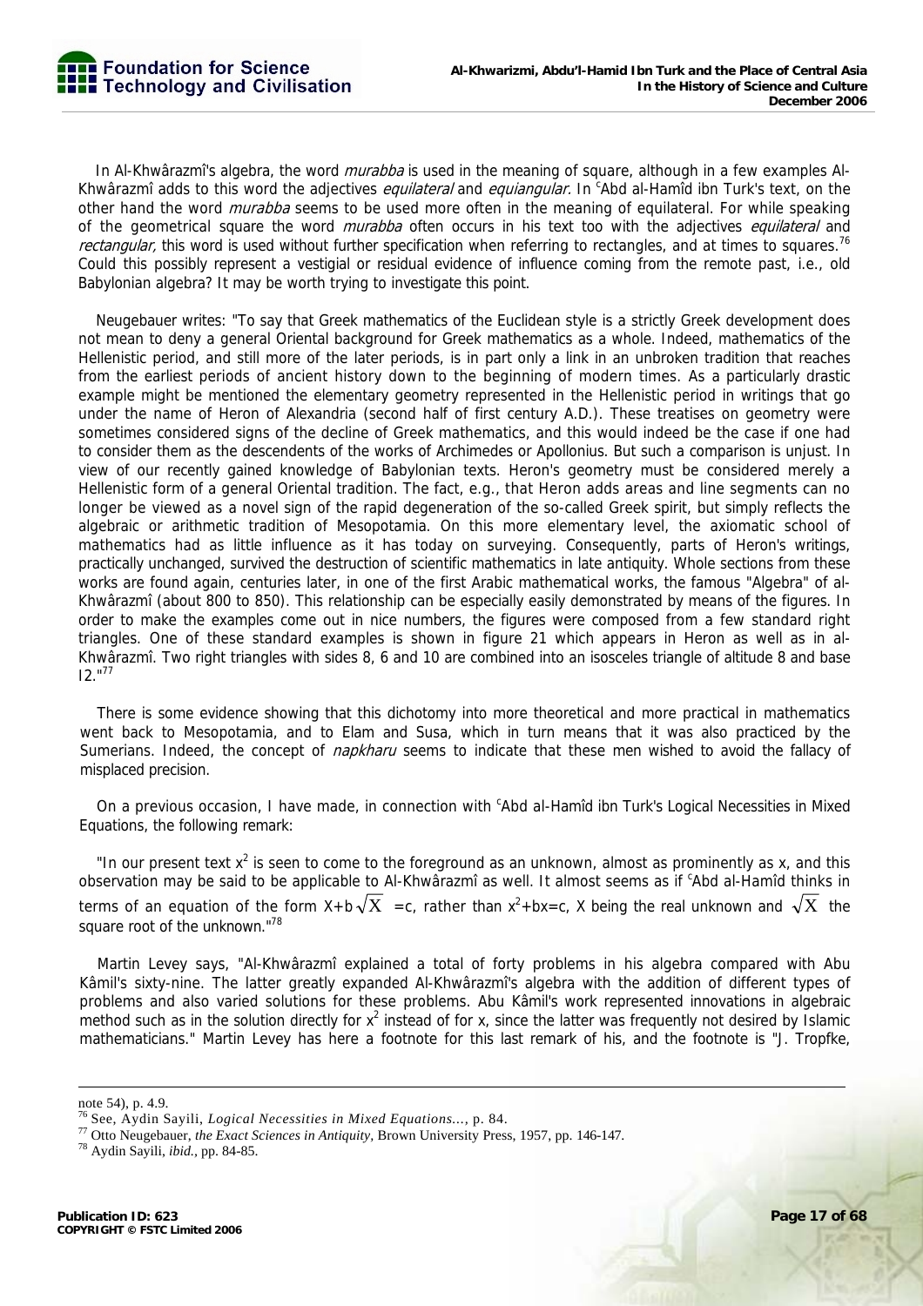In Al-Khwârazmî's algebra, the word *murabba* is used in the meaning of square, although in a few examples Al-Khwârazmî adds to this word the adjectives *equilateral* and *equiangular.* In <sup>c</sup>Abd al-Hamîd ibn Turk's text, on the other hand the word *murabba* seems to be used more often in the meaning of equilateral. For while speaking of the geometrical square the word *murabba* often occurs in his text too with the adjectives *equilateral* and rectangular, this word is used without further specification when referring to rectangles, and at times to squares.<sup>76</sup> Could this possibly represent a vestigial or residual evidence of influence coming from the remote past, i.e., old Babylonian algebra? It may be worth trying to investigate this point.

Neugebauer writes: "To say that Greek mathematics of the Euclidean style is a strictly Greek development does not mean to deny a general Oriental background for Greek mathematics as a whole. Indeed, mathematics of the Hellenistic period, and still more of the later periods, is in part only a link in an unbroken tradition that reaches from the earliest periods of ancient history down to the beginning of modern times. As a particularly drastic example might be mentioned the elementary geometry represented in the Hellenistic period in writings that go under the name of Heron of Alexandria (second half of first century A.D.). These treatises on geometry were sometimes considered signs of the decline of Greek mathematics, and this would indeed be the case if one had to consider them as the descendents of the works of Archimedes or Apollonius. But such a comparison is unjust. In view of our recently gained knowledge of Babylonian texts. Heron's geometry must be considered merely a Hellenistic form of a general Oriental tradition. The fact, e.g., that Heron adds areas and line segments can no longer be viewed as a novel sign of the rapid degeneration of the so-called Greek spirit, but simply reflects the algebraic or arithmetic tradition of Mesopotamia. On this more elementary level, the axiomatic school of mathematics had as little influence as it has today on surveying. Consequently, parts of Heron's writings, practically unchanged, survived the destruction of scientific mathematics in late antiquity. Whole sections from these works are found again, centuries later, in one of the first Arabic mathematical works, the famous "Algebra" of al-Khwârazmî (about 800 to 850). This relationship can be especially easily demonstrated by means of the figures. In order to make the examples come out in nice numbers, the figures were composed from a few standard right triangles. One of these standard examples is shown in figure 21 which appears in Heron as well as in al-Khwârazmî. Two right triangles with sides 8, 6 and 10 are combined into an isosceles triangle of altitude 8 and base I2."77

There is some evidence showing that this dichotomy into more theoretical and more practical in mathematics went back to Mesopotamia, and to Elam and Susa, which in turn means that it was also practiced by the Sumerians. Indeed, the concept of *napkharu* seems to indicate that these men wished to avoid the fallacy of misplaced precision.

On a previous occasion, I have made, in connection with 'Abd al-Hamîd ibn Turk's Logical Necessities in Mixed Equations, the following remark:

"In our present text  $x^2$  is seen to come to the foreground as an unknown, almost as prominently as x, and this observation may be said to be applicable to Al-Khwârazmî as well. It almost seems as if <sup>c</sup>Abd al-Hamîd thinks in terms of an equation of the form X+b $\sqrt{X}$  =c, rather than x<sup>2</sup>+bx=c, X being the real unknown and  $\sqrt{X}$  the square root of the unknown."<sup>78</sup>

Martin Levey says, "Al-Khwârazmî explained a total of forty problems in his algebra compared with Abu Kâmil's sixty-nine. The latter greatly expanded Al-Khwârazmî's algebra with the addition of different types of problems and also varied solutions for these problems. Abu Kâmil's work represented innovations in algebraic method such as in the solution directly for  $x^2$  instead of for x, since the latter was frequently not desired by Islamic mathematicians." Martin Levey has here a footnote for this last remark of his, and the footnote is "J. Tropfke,

note 54), p. 4.9.

<sup>76</sup> See, Aydin Sayili, *Logical Necessities in Mixed Equations...,* p. 84. 77 Otto Neugebauer, *the Exact Sciences in Antiquity,* Brown University Press, 1957, pp. 146-147. 78 Aydin Sayili, *ibid.,* pp. 84-85.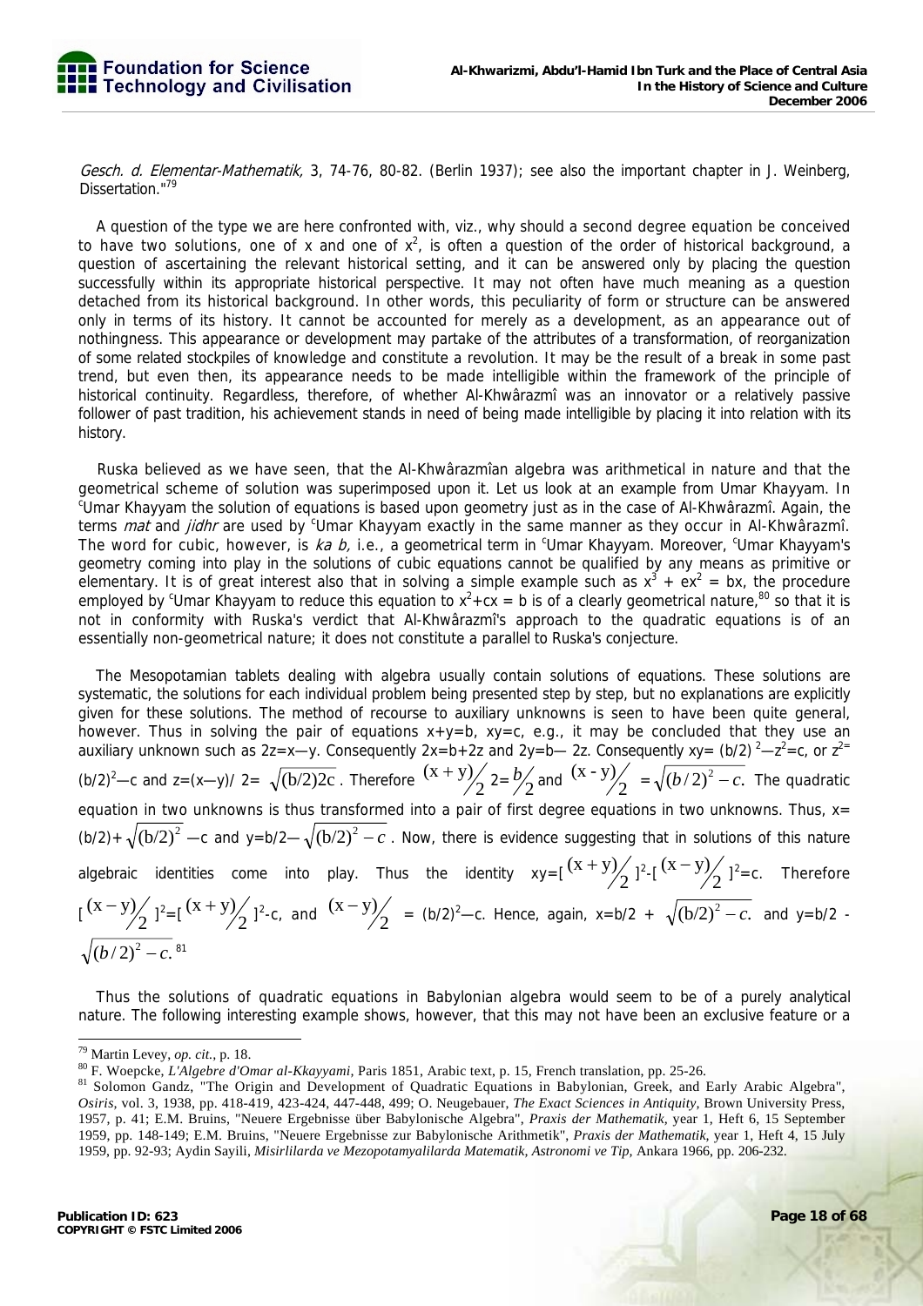

Gesch. d. Elementar-Mathematik, 3, 74-76, 80-82. (Berlin 1937); see also the important chapter in J. Weinberg, Dissertation."<sup>79</sup>

A question of the type we are here confronted with, viz., why should a second degree equation be conceived to have two solutions, one of x and one of  $x^2$ , is often a question of the order of historical background, a question of ascertaining the relevant historical setting, and it can be answered only by placing the question successfully within its appropriate historical perspective. It may not often have much meaning as a question detached from its historical background. In other words, this peculiarity of form or structure can be answered only in terms of its history. It cannot be accounted for merely as a development, as an appearance out of nothingness. This appearance or development may partake of the attributes of a transformation, of reorganization of some related stockpiles of knowledge and constitute a revolution. It may be the result of a break in some past trend, but even then, its appearance needs to be made intelligible within the framework of the principle of historical continuity. Regardless, therefore, of whether Al-Khwârazmî was an innovator or a relatively passive follower of past tradition, his achievement stands in need of being made intelligible by placing it into relation with its history.

Ruska believed as we have seen, that the Al-Khwârazmîan algebra was arithmetical in nature and that the geometrical scheme of solution was superimposed upon it. Let us look at an example from Umar Khayyam. In Umar Khayyam the solution of equations is based upon geometry just as in the case of Al-Khwârazmî. Again, the terms *mat* and *jidhr* are used by <sup>c</sup>Umar Khayyam exactly in the same manner as they occur in Al-Khwârazmî. The word for cubic, however, is ka b, i.e., a geometrical term in <sup>c</sup>Umar Khayyam. Moreover, <sup>c</sup>Umar Khayyam's geometry coming into play in the solutions of cubic equations cannot be qualified by any means as primitive or elementary. It is of great interest also that in solving a simple example such as  $x^3 + ex^2 = bx$ , the procedure employed by <sup>c</sup>Umar Khayyam to reduce this equation to  $x^2$ +cx = b is of a clearly geometrical nature,<sup>80</sup> so that it is not in conformity with Ruska's verdict that Al-Khwârazmî's approach to the quadratic equations is of an essentially non-geometrical nature; it does not constitute a parallel to Ruska's conjecture.

The Mesopotamian tablets dealing with algebra usually contain solutions of equations. These solutions are systematic, the solutions for each individual problem being presented step by step, but no explanations are explicitly given for these solutions. The method of recourse to auxiliary unknowns is seen to have been quite general, however. Thus in solving the pair of equations  $x+y=b$ ,  $xy=c$ , e.g., it may be concluded that they use an auxiliary unknown such as 2z=x—y. Consequently  $2x = b + 2z$  and  $2y = b - 2z$ . Consequently  $xy = (b/2)^2 - z^2 = c$ , or  $z^2 = c$ (b/2)<sup>2</sup>—c and z=(x—y)/ 2=  $\sqrt{(b/2)2c}$ . Therefore  $\frac{(x+y)}{2}$  2=  $\frac{b}{2}$  and  $\frac{(x-y)}{2}$  =  $\sqrt{(b/2)^2 - c}$ . The quadratic equation in two unknowns is thus transformed into a pair of first degree equations in two unknowns. Thus, x=  $(b/2) + \sqrt{(b/2)^2}$  —c and y=b/2— $\sqrt{(b/2)^2} - c$ . Now, there is evidence suggesting that in solutions of this nature algebraic identities come into play. Thus the identity  $xy=[(x+y)/2]^{2}-(x-y)/2]^{2}=c$ . Therefore  $\left[\frac{(x-y)}{2}\right]^{2}=\left[\frac{(x+y)}{2}\right]^{2}-c$ , and  $\left(\frac{(x-y)}{2}\right)=-c$ . Hence, again,  $x=b/2 + \sqrt{(b/2)^{2}-c}$ , and  $y=b/2$ .  $\sqrt{(h/2)^2-c}$  <sup>81</sup>

Thus the solutions of quadratic equations in Babylonian algebra would seem to be of a purely analytical nature. The following interesting example shows, however, that this may not have been an exclusive feature or a

 $79$  Martin Levey, op. cit., p. 18.

<sup>&</sup>lt;sup>80</sup> F. Woepcke, L'Algebre d'Omar al-Kkayyami, Paris 1851, Arabic text, p. 15, French translation, pp. 25-26.<br><sup>81</sup> Solomon Gandz, "The Origin and Development of Quadratic Equations in Babylonian, Greek, and Early Arabic Al *Osiris,* vol. 3, 1938, pp. 418-419, 423-424, 447-448, 499; O. Neugebauer, *The Exact Sciences in Antiquity,* Brown University Press, 1957, p. 41; E.M. Bruins, "Neuere Ergebnisse über Babylonische Algebra", *Praxis der Mathematik,* year 1, Heft 6, 15 September 1959, pp. 148-149; E.M. Bruins, "Neuere Ergebnisse zur Babylonische Arithmetik", *Praxis der Mathematik,* year 1, Heft 4, 15 July 1959, pp. 92-93; Aydin Sayili, *Misirlilarda ve Mezopotamyalilarda Matematik, Astronomi ve Tip,* Ankara 1966, pp. 206-232.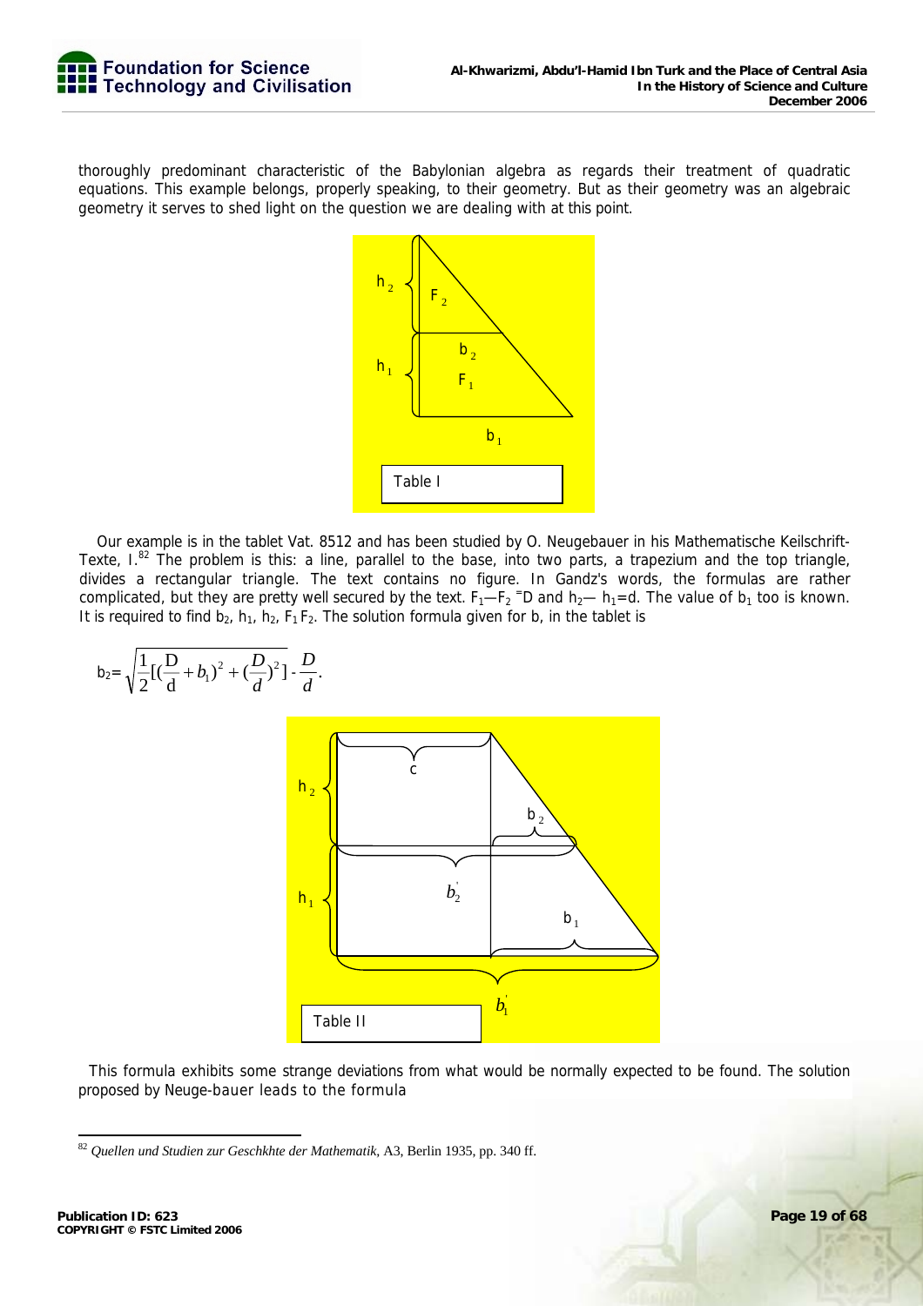

thoroughly predominant characteristic of the Babylonian algebra as regards their treatment of quadratic equations. This example belongs, properly speaking, to their geometry. But as their geometry was an algebraic geometry it serves to shed light on the question we are dealing with at this point.



Our example is in the tablet Vat. 8512 and has been studied by O. Neugebauer in his Mathematische Keilschrift-Texte,  $I^{82}$  The problem is this: a line, parallel to the base, into two parts, a trapezium and the top triangle, divides a rectangular triangle. The text contains no figure. In Gandz's words, the formulas are rather complicated, but they are pretty well secured by the text.  $F_1-F_2$  =D and  $h_2$ —  $h_1$ =d. The value of  $b_1$  too is known. It is required to find  $b_2$ ,  $h_1$ ,  $h_2$ ,  $F_1F_2$ . The solution formula given for b, in the tablet is

$$
b_{2} = \sqrt{\frac{1}{2}[(\frac{D}{d} + b_{1})^{2} + (\frac{D}{d})^{2}] \cdot \frac{D}{d}}.
$$

This formula exhibits some strange deviations from what would be normally expected to be found. The solution proposed by Neuge-bauer leads to the formula

-

 $\sqrt{1-\sqrt{2}}$ 

*D*

<sup>82</sup> *Quellen und Studien zur Geschkhte der Mathematik,* A3, Berlin 1935, pp. 340 ff.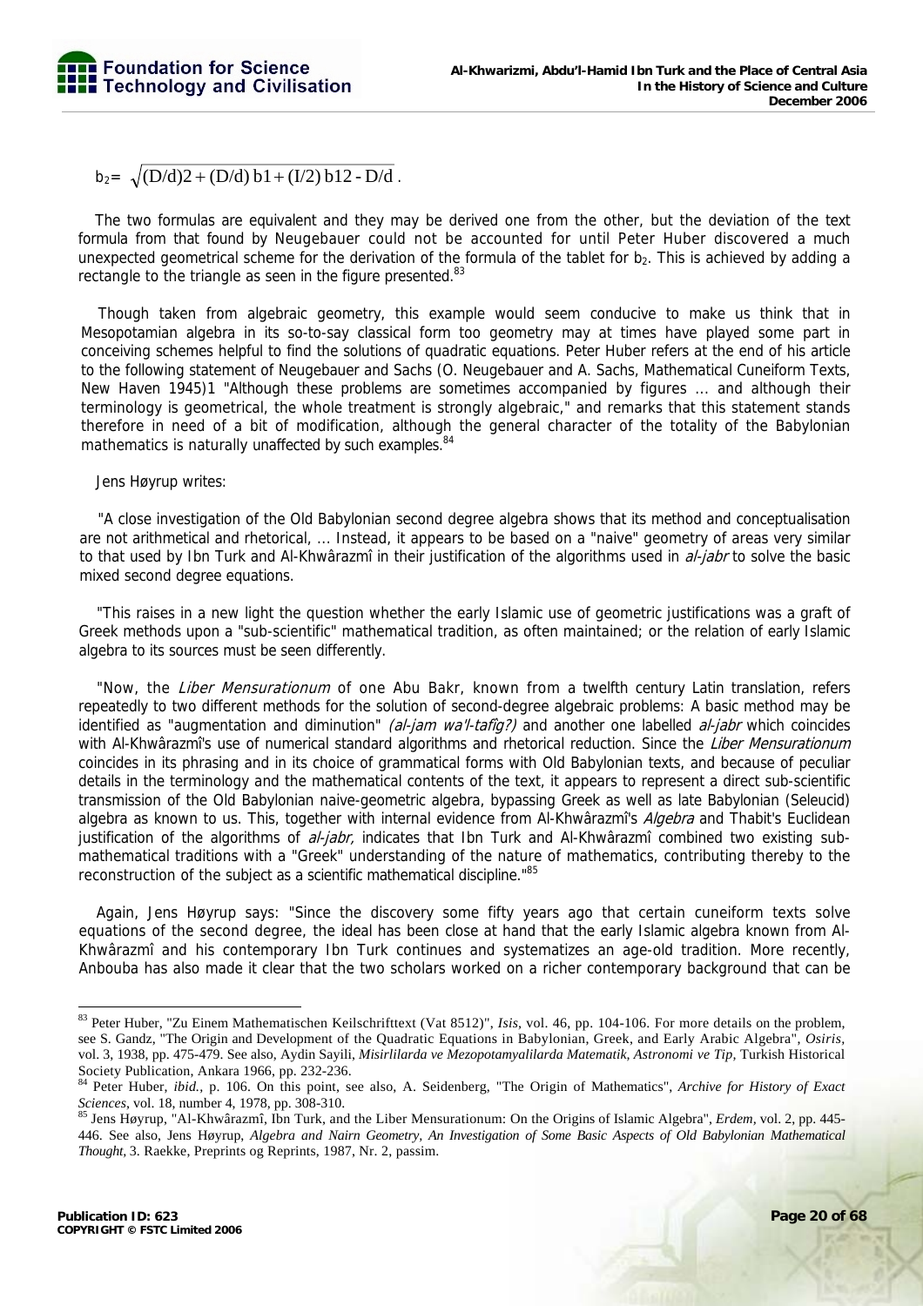$b_2 = \sqrt{(D/d)2 + (D/d) b1 + (I/2) b12 - D/d}$ .

The two formulas are equivalent and they may be derived one from the other, but the deviation of the text formula from that found by Neugebauer could not be accounted for until Peter Huber discovered a much unexpected geometrical scheme for the derivation of the formula of the tablet for b<sub>2</sub>. This is achieved by adding a rectangle to the triangle as seen in the figure presented.<sup>83</sup>

Though taken from algebraic geometry, this example would seem conducive to make us think that in Mesopotamian algebra in its so-to-say classical form too geometry may at times have played some part in conceiving schemes helpful to find the solutions of quadratic equations. Peter Huber refers at the end of his article to the following statement of Neugebauer and Sachs (O. Neugebauer and A. Sachs, Mathematical Cuneiform Texts, New Haven 1945)1 "Although these problems are sometimes accompanied by figures ... and although their terminology is geometrical, the whole treatment is strongly algebraic," and remarks that this statement stands therefore in need of a bit of modification, although the general character of the totality of the Babylonian mathematics is naturally unaffected by such examples.<sup>84</sup>

Jens Høyrup writes:

"A close investigation of the Old Babylonian second degree algebra shows that its method and conceptualisation are not arithmetical and rhetorical, ... Instead, it appears to be based on a "naive" geometry of areas very similar to that used by Ibn Turk and Al-Khwârazmî in their justification of the algorithms used in *al-jabr* to solve the basic mixed second degree equations.

"This raises in a new light the question whether the early Islamic use of geometric justifications was a graft of Greek methods upon a "sub-scientific" mathematical tradition, as often maintained; or the relation of early Islamic algebra to its sources must be seen differently.

"Now, the Liber Mensurationum of one Abu Bakr, known from a twelfth century Latin translation, refers repeatedly to two different methods for the solution of second-degree algebraic problems: A basic method may be identified as "augmentation and diminution" (al-jam wa'l-tafig?) and another one labelled al-jabr which coincides with Al-Khwârazmî's use of numerical standard algorithms and rhetorical reduction. Since the Liber Mensurationum coincides in its phrasing and in its choice of grammatical forms with Old Babylonian texts, and because of peculiar details in the terminology and the mathematical contents of the text, it appears to represent a direct sub-scientific transmission of the Old Babylonian naive-geometric algebra, bypassing Greek as well as late Babylonian (Seleucid) algebra as known to us. This, together with internal evidence from Al-Khwârazmî's Algebra and Thabit's Euclidean justification of the algorithms of *al-jabr*, indicates that Ibn Turk and Al-Khwârazmî combined two existing submathematical traditions with a "Greek" understanding of the nature of mathematics, contributing thereby to the reconstruction of the subject as a scientific mathematical discipline."85

Again, Jens Høyrup says: "Since the discovery some fifty years ago that certain cuneiform texts solve equations of the second degree, the ideal has been close at hand that the early Islamic algebra known from Al-Khwârazmî and his contemporary Ibn Turk continues and systematizes an age-old tradition. More recently, Anbouba has also made it clear that the two scholars worked on a richer contemporary background that can be

<sup>83</sup> Peter Huber, "Zu Einem Mathematischen Keilschrifttext (Vat 8512)", *Isis,* vol. 46, pp. 104-106. For more details on the problem, see S. Gandz, "The Origin and Development of the Quadratic Equations in Babylonian, Greek, and Early Arabic Algebra", *Osiris,*  vol. 3, 1938, pp. 475-479. See also, Aydin Sayili, *Misirlilarda ve Mezopotamyalilarda Matematik, Astronomi ve Tip*, Turkish Historical Society Publication, Ankara 1966, pp. 232-236.<br> $84$  Peter Huber,  $242$ ,  $252$ 

<sup>84</sup> Peter Huber, *ibid.,* p. 106. On this point, see also, A. Seidenberg, "The Origin of Mathematics", *Archive for History of Exact Sciences,* vol. 18, number 4, 1978, pp. 308-310. 85 Jens Høyrup, "Al-Khwârazmî, Ibn Turk, and the Liber Mensurationum: On the Origins of Islamic Algebra", *Erdem,* vol. 2, pp. 445-

<sup>446.</sup> See also, Jens Høyrup, *Algebra and Nairn Geometry, An Investigation of Some Basic Aspects of Old Babylonian Mathematical Thought,* 3. Raekke, Preprints og Reprints, 1987, Nr. 2, passim.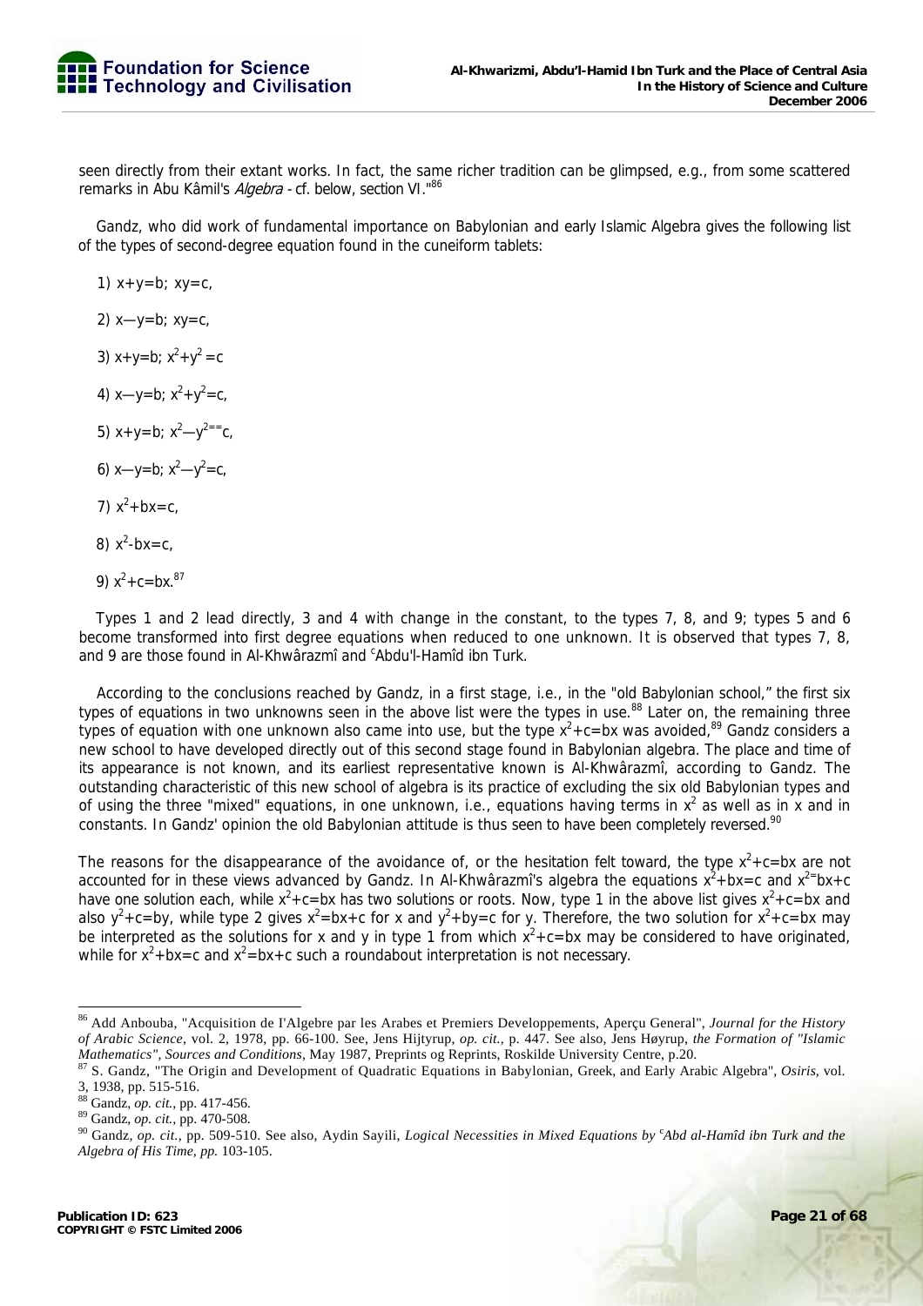seen directly from their extant works. In fact, the same richer tradition can be glimpsed, e.g., from some scattered remarks in Abu Kâmil's Algebra - cf. below, section VI."86

Gandz, who did work of fundamental importance on Babylonian and early Islamic Algebra gives the following list of the types of second-degree equation found in the cuneiform tablets:

1)  $x+y=b$ ;  $xy=c$ , 2) x—y=b; xy=c, 3)  $x+y=b$ ;  $x^2+y^2=c$ 4)  $x-y=b$ ;  $x^2+y^2=c$ , 5)  $x+y=b$ ;  $x^2-y^{2}=-c$ , 6) x—y=b;  $x^2-y^2$ =c, 7)  $x^2 + bx = c$ , 8)  $x^2-bx=c$ , 9)  $x^2$ +c=bx.<sup>87</sup>

Types 1 and 2 lead directly, 3 and 4 with change in the constant, to the types 7, 8, and 9; types 5 and 6 become transformed into first degree equations when reduced to one unknown. It is observed that types 7, 8, and 9 are those found in Al-Khwârazmî and <sup>c</sup>Abdu'l-Hamîd ibn Turk.

According to the conclusions reached by Gandz, in a first stage, i.e., in the "old Babylonian school," the first six types of equations in two unknowns seen in the above list were the types in use.<sup>88</sup> Later on, the remaining three types of equation with one unknown also came into use, but the type  $x^2+c=bx$  was avoided,<sup>89</sup> Gandz considers a new school to have developed directly out of this second stage found in Babylonian algebra. The place and time of its appearance is not known, and its earliest representative known is Al-Khwârazmî, according to Gandz. The outstanding characteristic of this new school of algebra is its practice of excluding the six old Babylonian types and of using the three "mixed" equations, in one unknown, i.e., equations having terms in  $x^2$  as well as in x and in constants. In Gandz' opinion the old Babylonian attitude is thus seen to have been completely reversed.<sup>90</sup>

The reasons for the disappearance of the avoidance of, or the hesitation felt toward, the type  $x^2+c=bx$  are not accounted for in these views advanced by Gandz. In Al-Khwârazmî's algebra the equations  $x^2 + bx = c$  and  $x^{2} = bx + c$ have one solution each, while  $x^2$ +c=bx has two solutions or roots. Now, type 1 in the above list gives  $x^2$ +c=bx and also y<sup>2</sup>+c=by, while type 2 gives x<sup>2</sup>=bx+c for x and y<sup>2</sup>+by=c for y. Therefore, the two solution for x<sup>2</sup>+c=bx may be interpreted as the solutions for x and y in type 1 from which  $x^2+c=bx$  may be considered to have originated, while for  $x^2 + bx = c$  and  $x^2 = bx + c$  such a roundabout interpretation is not necessary.

<sup>-</sup>86 Add Anbouba, "Acquisition de I'Algebre par les Arabes et Premiers Developpements, Aperçu General", *Journal for the History of Arabic Science,* vol. 2, 1978, pp. 66-100. See, Jens Hijtyrup, *op. cit.,* p. 447. See also, Jens Høyrup, *the Formation of "Islamic* 

<sup>87</sup> S. Gandz, "The Origin and Development of Quadratic Equations in Babylonian, Greek, and Early Arabic Algebra", Osiris, vol. 3, 1938, pp. 515-516.<br><sup>88</sup> Gandz, *op. cit.*, pp. 417-456.

<sup>&</sup>lt;sup>88</sup> Gandz, *op. cit.*, pp. 417-456.<br><sup>89</sup> Gandz, *op. cit.*, pp. 470-508.<br><sup>90</sup> Gandz, *op. cit.,* pp. 509-510. See also, Aydin Sayili, *Logical Necessities in Mixed Equations by <sup>c</sup>Abd al-Hamîd ibn Turk and the Algebra of His Time, pp.* 103-105.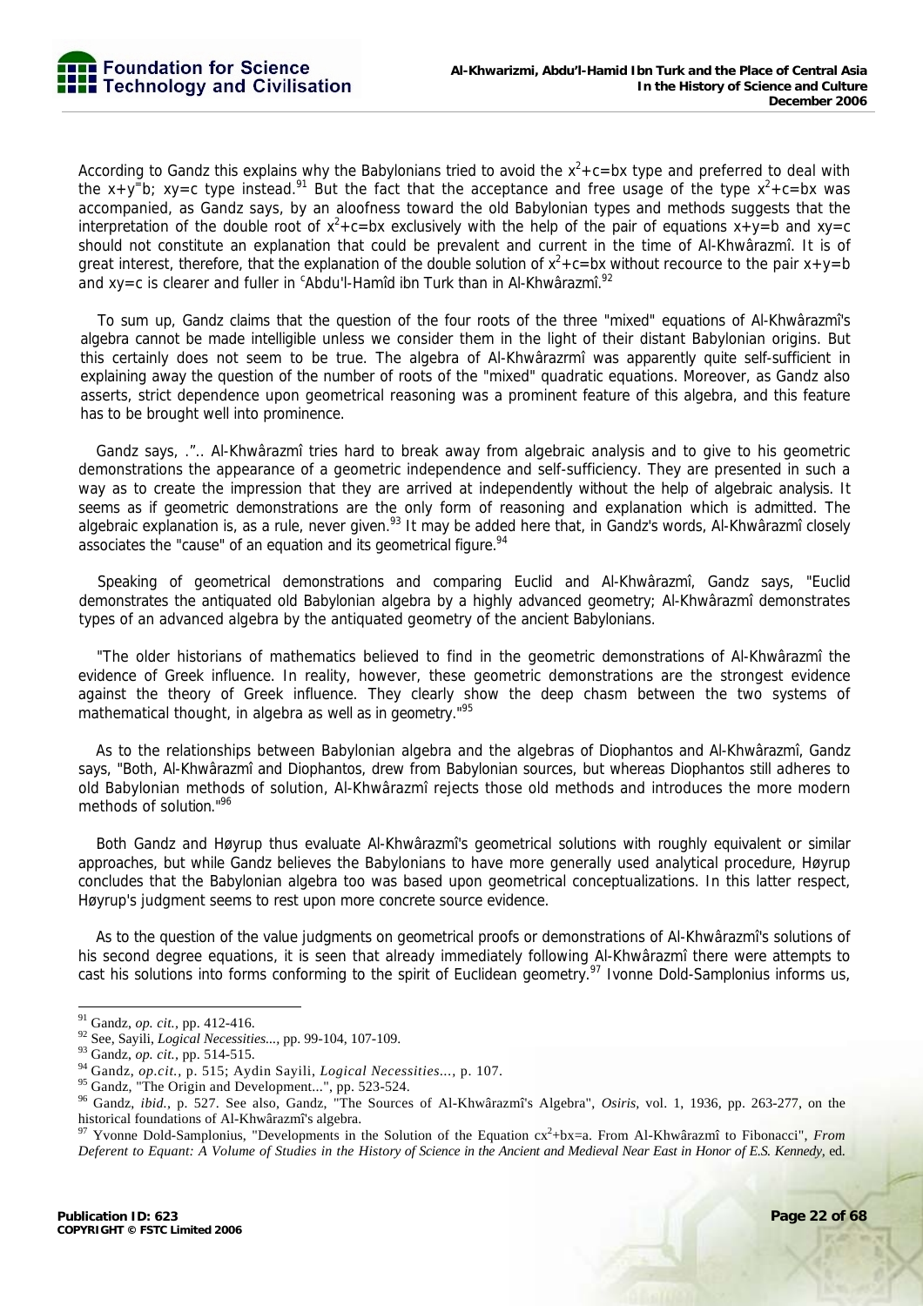

According to Gandz this explains why the Babylonians tried to avoid the  $x^2+c=bx$  type and preferred to deal with the  $x+y^-$ b;  $xy=c$  type instead.<sup>91</sup> But the fact that the acceptance and free usage of the type  $x^2+c=bx$  was accompanied, as Gandz says, by an aloofness toward the old Babylonian types and methods suggests that the interpretation of the double root of  $x^2+c=bx$  exclusively with the help of the pair of equations  $x+y=b$  and  $xy=c$ should not constitute an explanation that could be prevalent and current in the time of Al-Khwârazmî. It is of great interest, therefore, that the explanation of the double solution of  $x^2+c=bx$  without recource to the pair  $x+y=b$ and xy=c is clearer and fuller in  $\mathrm{c}$ Abdu'l-Hamîd ibn Turk than in Al-Khwârazmî. $^{92}$ 

To sum up, Gandz claims that the question of the four roots of the three "mixed" equations of Al-Khwârazmî's algebra cannot be made intelligible unless we consider them in the light of their distant Babylonian origins. But this certainly does not seem to be true. The algebra of Al-Khwârazrmî was apparently quite self-sufficient in explaining away the question of the number of roots of the "mixed" quadratic equations. Moreover, as Gandz also asserts, strict dependence upon geometrical reasoning was a prominent feature of this algebra, and this feature has to be brought well into prominence.

Gandz says, .".. Al-Khwârazmî tries hard to break away from algebraic analysis and to give to his geometric demonstrations the appearance of a geometric independence and self-sufficiency. They are presented in such a way as to create the impression that they are arrived at independently without the help of algebraic analysis. It seems as if geometric demonstrations are the only form of reasoning and explanation which is admitted. The algebraic explanation is, as a rule, never given.<sup>93</sup> It may be added here that, in Gandz's words, Al-Khwârazmî closely associates the "cause" of an equation and its geometrical figure.<sup>94</sup>

Speaking of geometrical demonstrations and comparing Euclid and Al-Khwârazmî, Gandz says, "Euclid demonstrates the antiquated old Babylonian algebra by a highly advanced geometry; Al-Khwârazmî demonstrates types of an advanced algebra by the antiquated geometry of the ancient Babylonians.

"The older historians of mathematics believed to find in the geometric demonstrations of Al-Khwârazmî the evidence of Greek influence. In reality, however, these geometric demonstrations are the strongest evidence against the theory of Greek influence. They clearly show the deep chasm between the two systems of mathematical thought, in algebra as well as in geometry."95

As to the relationships between Babylonian algebra and the algebras of Diophantos and Al-Khwârazmî, Gandz says, "Both, Al-Khwârazmî and Diophantos, drew from Babylonian sources, but whereas Diophantos still adheres to old Babylonian methods of solution, Al-Khwârazmî rejects those old methods and introduces the more modern methods of solution."96

Both Gandz and Høyrup thus evaluate Al-Khwârazmî's geometrical solutions with roughly equivalent or similar approaches, but while Gandz believes the Babylonians to have more generally used analytical procedure, Høyrup concludes that the Babylonian algebra too was based upon geometrical conceptualizations. In this latter respect, Høyrup's judgment seems to rest upon more concrete source evidence.

As to the question of the value judgments on geometrical proofs or demonstrations of Al-Khwârazmî's solutions of his second degree equations, it is seen that already immediately following Al-Khwârazmî there were attempts to cast his solutions into forms conforming to the spirit of Euclidean geometry.<sup>97</sup> Ivonne Dold-Samplonius informs us,

 $91$  Gandz, op. cit., pp. 412-416.

<sup>&</sup>lt;sup>92</sup> See, Sayili, *Logical Necessities...*, pp. 99-104, 107-109.<br><sup>93</sup> Gandz, *op. cit.*, pp. 514-515.<br><sup>94</sup> Gandz, *op. cit.*, p. 515; Aydin Sayili, *Logical Necessities...*, p. 107.<br><sup>95</sup> Gandz, "The Origin and Development

<sup>96</sup> Gandz, *ibid.,* p. 527. See also, Gandz, "The Sources of Al-Khwârazmî's Algebra", *Osiris,* vol. 1, 1936, pp. 263-277, on the historical foundations of Al-Khwârazmî's algebra.<br><sup>97</sup> Yvonne Dold-Samplonius, "Developments in the Solution of the Equation cx<sup>2</sup>+bx=a. From Al-Khwârazmî to Fibonacci", *From* 

*Deferent to Equant: A Volume of Studies in the History of Science in the Ancient and Medieval Near East in Honor of E.S. Kennedy,* ed.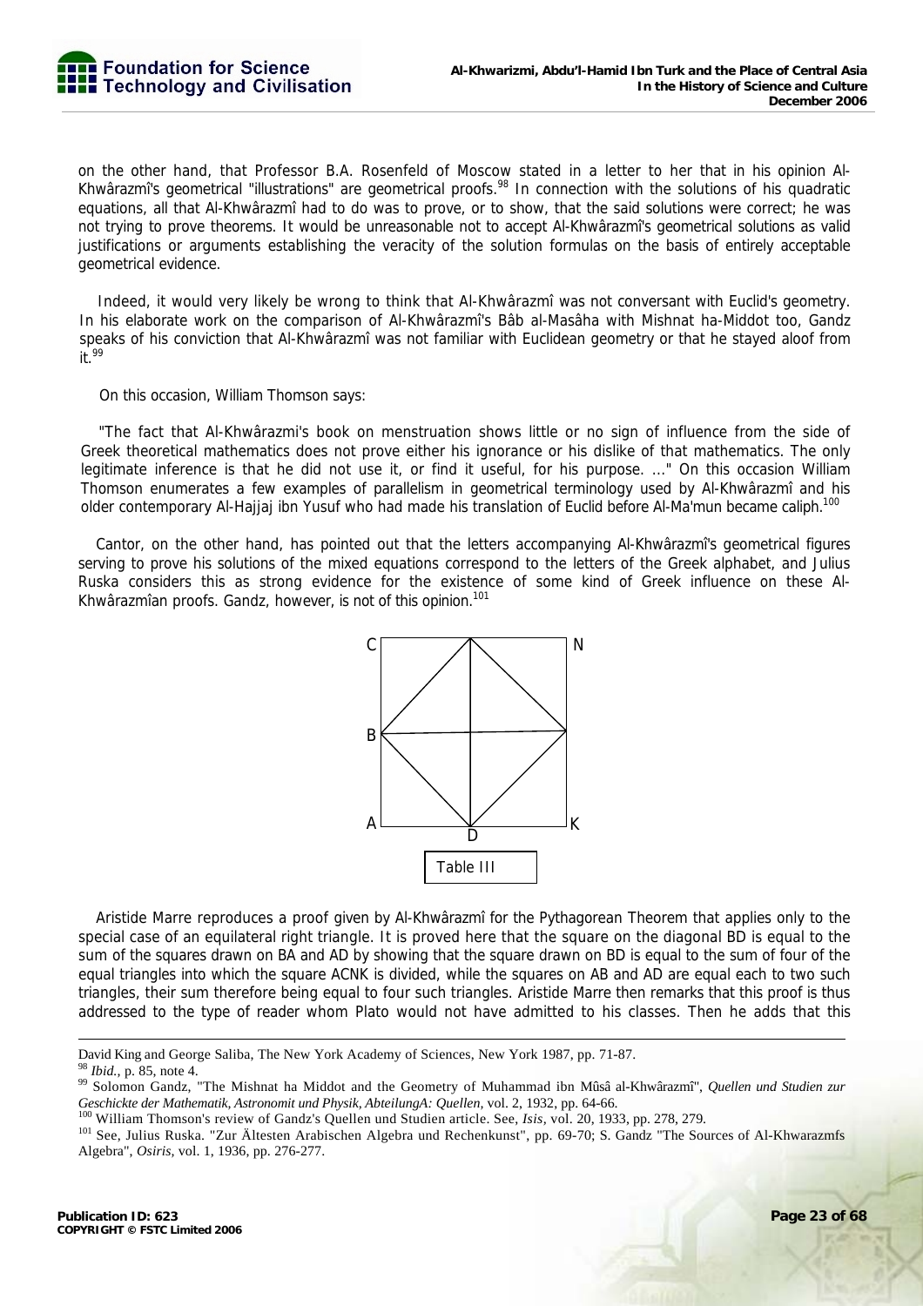on the other hand, that Professor B.A. Rosenfeld of Moscow stated in a letter to her that in his opinion Al-Khwârazmî's geometrical "illustrations" are geometrical proofs.<sup>98</sup> In connection with the solutions of his quadratic equations, all that Al-Khwârazmî had to do was to prove, or to show, that the said solutions were correct; he was not trying to prove theorems. It would be unreasonable not to accept Al-Khwârazmî's geometrical solutions as valid justifications or arguments establishing the veracity of the solution formulas on the basis of entirely acceptable geometrical evidence.

Indeed, it would very likely be wrong to think that Al-Khwârazmî was not conversant with Euclid's geometry. In his elaborate work on the comparison of Al-Khwârazmî's Bâb al-Masâha with Mishnat ha-Middot too, Gandz speaks of his conviction that Al-Khwârazmî was not familiar with Euclidean geometry or that he stayed aloof from  $it.<sup>99</sup>$ 

On this occasion, William Thomson says:

"The fact that Al-Khwârazmi's book on menstruation shows little or no sign of influence from the side of Greek theoretical mathematics does not prove either his ignorance or his dislike of that mathematics. The only legitimate inference is that he did not use it, or find it useful, for his purpose. ..." On this occasion William Thomson enumerates a few examples of parallelism in geometrical terminology used by Al-Khwârazmî and his older contemporary Al-Hajjaj ibn Yusuf who had made his translation of Euclid before Al-Ma'mun became caliph.<sup>100</sup>

Cantor, on the other hand, has pointed out that the letters accompanying Al-Khwârazmî's geometrical figures serving to prove his solutions of the mixed equations correspond to the letters of the Greek alphabet, and Julius Ruska considers this as strong evidence for the existence of some kind of Greek influence on these Al-Khwârazmîan proofs. Gandz, however, is not of this opinion.<sup>101</sup>



Aristide Marre reproduces a proof given by Al-Khwârazmî for the Pythagorean Theorem that applies only to the special case of an equilateral right triangle. It is proved here that the square on the diagonal BD is equal to the sum of the squares drawn on BA and AD by showing that the square drawn on BD is equal to the sum of four of the equal triangles into which the square ACNK is divided, while the squares on AB and AD are equal each to two such triangles, their sum therefore being equal to four such triangles. Aristide Marre then remarks that this proof is thus addressed to the type of reader whom Plato would not have admitted to his classes. Then he adds that this

David King and George Saliba, The New York Academy of Sciences, New York 1987, pp. 71-87.

<sup>&</sup>lt;sup>98</sup> *Ibid.*, p. 85, note 4.<br><sup>99</sup> Solomon Gandz, "The Mishnat ha Middot and the Geometry of Muhammad ibn Mûsâ al-Khwârazmî", *Quellen und Studien zur* Geschickte der Mathematik, Astronomit und Physik, AbteilungA: Quellen, vol. 2, 1932, pp. 64-66.<br><sup>100</sup> William Thomson's review of Gandz's Quellen und Studien article. See, *Isis*, vol. 20, 1933, pp. 278, 279.<br><sup>101</sup> See, Ju

Algebra", *Osiris,* vol. 1, 1936, pp. 276-277.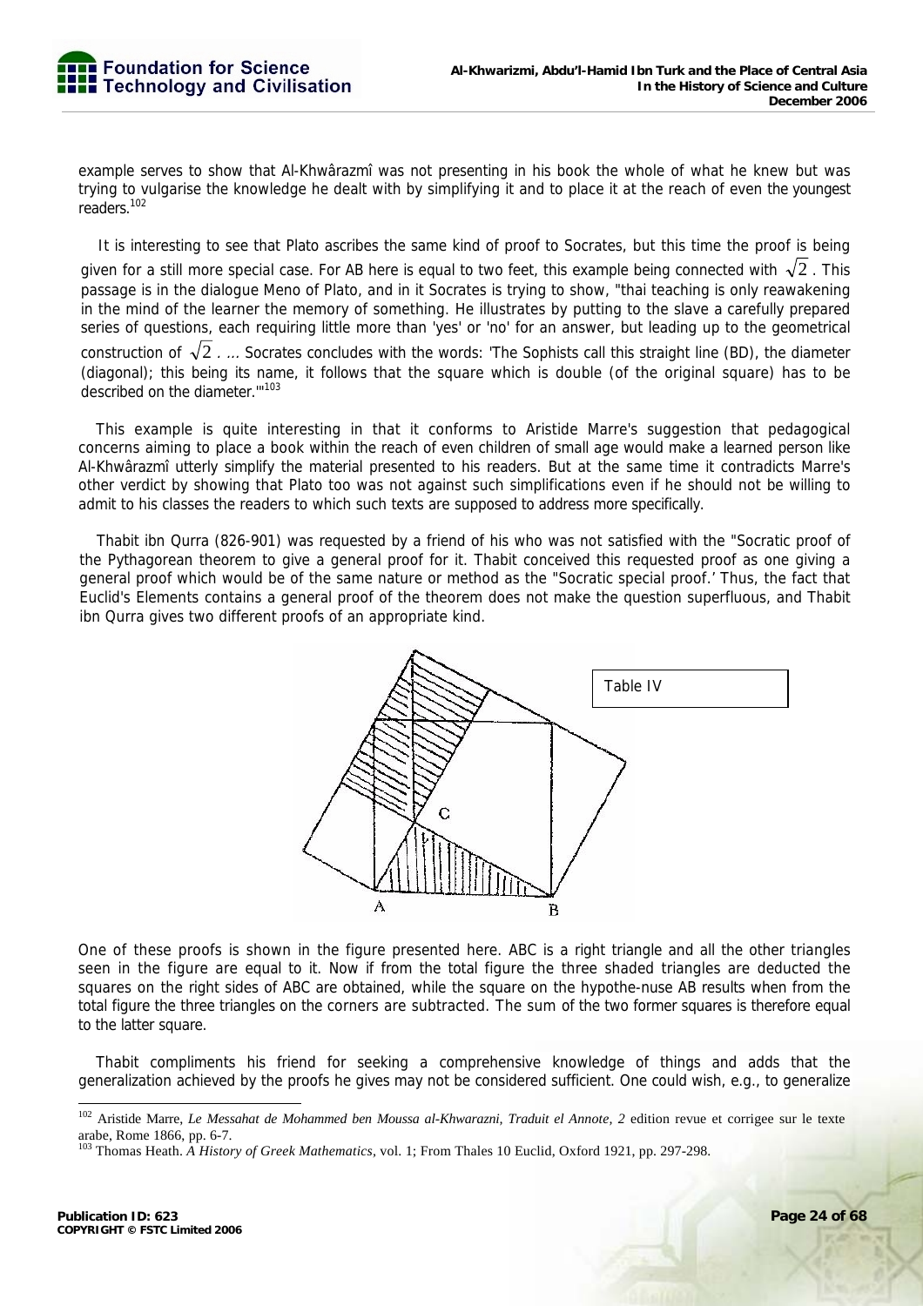example serves to show that Al-Khwârazmî was not presenting in his book the whole of what he knew but was trying to vulgarise the knowledge he dealt with by simplifying it and to place it at the reach of even the youngest readers.102

It is interesting to see that Plato ascribes the same kind of proof to Socrates, but this time the proof is being given for a still more special case. For AB here is equal to two feet, this example being connected with  $\sqrt{2}$ . This passage is in the dialogue Meno of Plato, and in it Socrates is trying to show, "thai teaching is only reawakening in the mind of the learner the memory of something. He illustrates by putting to the slave a carefully prepared series of questions, each requiring little more than 'yes' or 'no' for an answer, but leading up to the geometrical construction of  $\sqrt{2}$  . ... Socrates concludes with the words: 'The Sophists call this straight line (BD), the diameter (diagonal); this being its name, it follows that the square which is double (of the original square) has to be described on the diameter."<sup>103</sup>

This example is quite interesting in that it conforms to Aristide Marre's suggestion that pedagogical concerns aiming to place a book within the reach of even children of small age would make a learned person like Al-Khwârazmî utterly simplify the material presented to his readers. But at the same time it contradicts Marre's other verdict by showing that Plato too was not against such simplifications even if he should not be willing to admit to his classes the readers to which such texts are supposed to address more specifically.

Thabit ibn Qurra (826-901) was requested by a friend of his who was not satisfied with the "Socratic proof of the Pythagorean theorem to give a general proof for it. Thabit conceived this requested proof as one giving a general proof which would be of the same nature or method as the "Socratic special proof.' Thus, the fact that Euclid's Elements contains a general proof of the theorem does not make the question superfluous, and Thabit ibn Qurra gives two different proofs of an appropriate kind.



One of these proofs is shown in the figure presented here. ABC is a right triangle and all the other triangles seen in the figure are equal to it. Now if from the total figure the three shaded triangles are deducted the squares on the right sides of ABC are obtained, while the square on the hypothe-nuse AB results when from the total figure the three triangles on the corners are subtracted. The sum of the two former squares is therefore equal to the latter square.

Thabit compliments his friend for seeking a comprehensive knowledge of things and adds that the generalization achieved by the proofs he gives may not be considered sufficient. One could wish, e.g., to generalize

<sup>&</sup>lt;sup>102</sup> Aristide Marre, *Le Messahat de Mohammed ben Moussa al-Khwarazni, Traduit el Annote, 2* edition revue et corrigee sur le texte arabe, Rome 1866, pp. 6-7.

<sup>103</sup> Thomas Heath. *A History of Greek Mathematics,* vol. 1; From Thales 10 Euclid, Oxford 1921, pp. 297-298.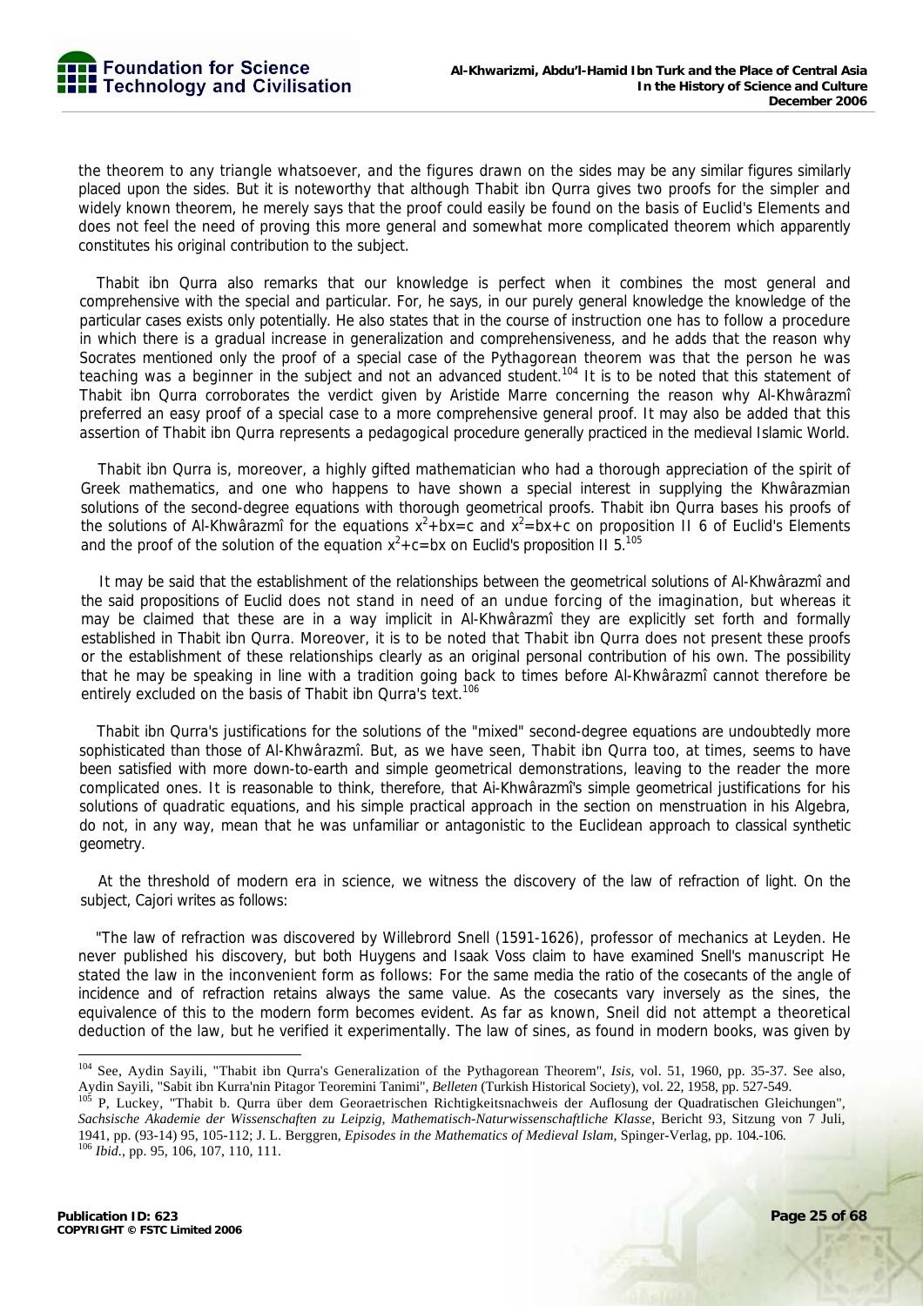the theorem to any triangle whatsoever, and the figures drawn on the sides may be any similar figures similarly placed upon the sides. But it is noteworthy that although Thabit ibn Qurra gives two proofs for the simpler and widely known theorem, he merely says that the proof could easily be found on the basis of Euclid's Elements and does not feel the need of proving this more general and somewhat more complicated theorem which apparently constitutes his original contribution to the subject.

Thabit ibn Qurra also remarks that our knowledge is perfect when it combines the most general and comprehensive with the special and particular. For, he says, in our purely general knowledge the knowledge of the particular cases exists only potentially. He also states that in the course of instruction one has to follow a procedure in which there is a gradual increase in generalization and comprehensiveness, and he adds that the reason why Socrates mentioned only the proof of a special case of the Pythagorean theorem was that the person he was teaching was a beginner in the subject and not an advanced student.<sup>104</sup> It is to be noted that this statement of Thabit ibn Qurra corroborates the verdict given by Aristide Marre concerning the reason why Al-Khwârazmî preferred an easy proof of a special case to a more comprehensive general proof. It may also be added that this assertion of Thabit ibn Qurra represents a pedagogical procedure generally practiced in the medieval Islamic World.

Thabit ibn Qurra is, moreover, a highly gifted mathematician who had a thorough appreciation of the spirit of Greek mathematics, and one who happens to have shown a special interest in supplying the Khwârazmian solutions of the second-degree equations with thorough geometrical proofs. Thabit ibn Qurra bases his proofs of the solutions of Al-Khwârazmî for the equations  $x^2 + bx = c$  and  $x^2 = bx + c$  on proposition II 6 of Euclid's Elements and the proof of the solution of the equation  $x^2+c=bx$  on Euclid's proposition II 5.<sup>105</sup>

It may be said that the establishment of the relationships between the geometrical solutions of Al-Khwârazmî and the said propositions of Euclid does not stand in need of an undue forcing of the imagination, but whereas it may be claimed that these are in a way implicit in Al-Khwârazmî they are explicitly set forth and formally established in Thabit ibn Qurra. Moreover, it is to be noted that Thabit ibn Qurra does not present these proofs or the establishment of these relationships clearly as an original personal contribution of his own. The possibility that he may be speaking in line with a tradition going back to times before Al-Khwârazmî cannot therefore be entirely excluded on the basis of Thabit ibn Qurra's text.<sup>106</sup>

Thabit ibn Qurra's justifications for the solutions of the "mixed" second-degree equations are undoubtedly more sophisticated than those of Al-Khwârazmî. But, as we have seen, Thabit ibn Qurra too, at times, seems to have been satisfied with more down-to-earth and simple geometrical demonstrations, leaving to the reader the more complicated ones. It is reasonable to think, therefore, that Ai-Khwârazmî's simple geometrical justifications for his solutions of quadratic equations, and his simple practical approach in the section on menstruation in his Algebra, do not, in any way, mean that he was unfamiliar or antagonistic to the Euclidean approach to classical synthetic geometry.

At the threshold of modern era in science, we witness the discovery of the law of refraction of light. On the subject, Cajori writes as follows:

"The law of refraction was discovered by Willebrord Snell (1591-1626), professor of mechanics at Leyden. He never published his discovery, but both Huygens and Isaak Voss claim to have examined Snell's manuscript He stated the law in the inconvenient form as follows: For the same media the ratio of the cosecants of the angle of incidence and of refraction retains always the same value. As the cosecants vary inversely as the sines, the equivalence of this to the modern form becomes evident. As far as known, Sneil did not attempt a theoretical deduction of the law, but he verified it experimentally. The law of sines, as found in modern books, was given by

<sup>104</sup> See, Aydin Sayili, "Thabit ibn Qurra's Generalization of the Pythagorean Theorem", *Isis,* vol. 51, 1960, pp. 35-37. See also, Aydin Sayili, "Sabit ibn Kurra'nin Pitagor Teoremini Tanimi", *Belleten* (Turkish Historical Society), vol. 31, 1900, pp. 35-31. See also,<br><sup>105</sup> P, Luckey, "Thabit b. Qurra über dem Georaetrischen Richtigkeitsnachweis der

*Sachsische Akademie der Wissenschaften zu Leipzig, Mathematisch-Naturwissenschaftliche Klasse,* Bericht 93, Sitzung von 7 Juli, 1941, pp. (93-14) 95, 105-112; J. L. Berggren, *Episodes in the Mathematics of Medieval Islam,* Spinger-Verlag, pp. 104.-106. 106 *Ibid.,* pp. 95, 106, 107, 110, 111.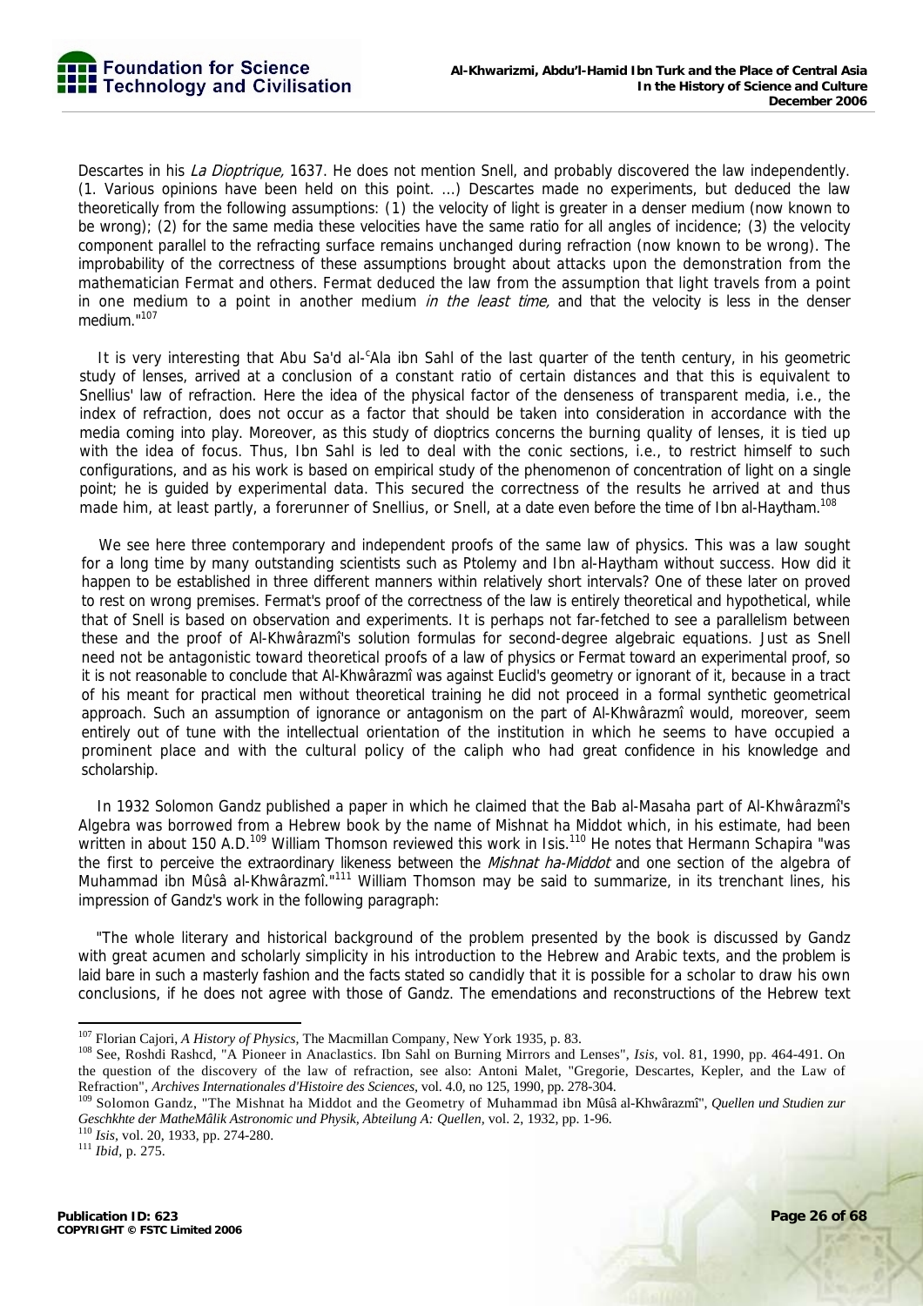Descartes in his *La Dioptrique*, 1637. He does not mention Snell, and probably discovered the law independently. (1. Various opinions have been held on this point. ...) Descartes made no experiments, but deduced the law theoretically from the following assumptions: (1) the velocity of light is greater in a denser medium (now known to be wrong); (2) for the same media these velocities have the same ratio for all angles of incidence; (3) the velocity component parallel to the refracting surface remains unchanged during refraction (now known to be wrong). The improbability of the correctness of these assumptions brought about attacks upon the demonstration from the mathematician Fermat and others. Fermat deduced the law from the assumption that light travels from a point in one medium to a point in another medium in the least time, and that the velocity is less in the denser medium."107

It is very interesting that Abu Sa'd al-<sup>c</sup>Ala ibn Sahl of the last quarter of the tenth century, in his geometric study of lenses, arrived at a conclusion of a constant ratio of certain distances and that this is equivalent to Snellius' law of refraction. Here the idea of the physical factor of the denseness of transparent media, i.e., the index of refraction, does not occur as a factor that should be taken into consideration in accordance with the media coming into play. Moreover, as this study of dioptrics concerns the burning quality of lenses, it is tied up with the idea of focus. Thus, Ibn Sahl is led to deal with the conic sections, i.e., to restrict himself to such configurations, and as his work is based on empirical study of the phenomenon of concentration of light on a single point; he is guided by experimental data. This secured the correctness of the results he arrived at and thus made him, at least partly, a forerunner of Snellius, or Snell, at a date even before the time of Ibn al-Haytham.<sup>108</sup>

We see here three contemporary and independent proofs of the same law of physics. This was a law sought for a long time by many outstanding scientists such as Ptolemy and Ibn al-Haytham without success. How did it happen to be established in three different manners within relatively short intervals? One of these later on proved to rest on wrong premises. Fermat's proof of the correctness of the law is entirely theoretical and hypothetical, while that of Snell is based on observation and experiments. It is perhaps not far-fetched to see a parallelism between these and the proof of Al-Khwârazmî's solution formulas for second-degree algebraic equations. Just as Snell need not be antagonistic toward theoretical proofs of a law of physics or Fermat toward an experimental proof, so it is not reasonable to conclude that Al-Khwârazmî was against Euclid's geometry or ignorant of it, because in a tract of his meant for practical men without theoretical training he did not proceed in a formal synthetic geometrical approach. Such an assumption of ignorance or antagonism on the part of Al-Khwârazmî would, moreover, seem entirely out of tune with the intellectual orientation of the institution in which he seems to have occupied a prominent place and with the cultural policy of the caliph who had great confidence in his knowledge and scholarship.

In 1932 Solomon Gandz published a paper in which he claimed that the Bab al-Masaha part of Al-Khwârazmî's Algebra was borrowed from a Hebrew book by the name of Mishnat ha Middot which, in his estimate, had been written in about 150 A.D.<sup>109</sup> William Thomson reviewed this work in Isis.<sup>110</sup> He notes that Hermann Schapira "was the first to perceive the extraordinary likeness between the *Mishnat ha-Middot* and one section of the algebra of Muhammad ibn Mûsâ al-Khwârazmî."111 William Thomson may be said to summarize, in its trenchant lines, his impression of Gandz's work in the following paragraph:

"The whole literary and historical background of the problem presented by the book is discussed by Gandz with great acumen and scholarly simplicity in his introduction to the Hebrew and Arabic texts, and the problem is laid bare in such a masterly fashion and the facts stated so candidly that it is possible for a scholar to draw his own conclusions, if he does not agree with those of Gandz. The emendations and reconstructions of the Hebrew text

<sup>&</sup>lt;sup>107</sup> Florian Cajori, A History of Physics, The Macmillan Company, New York 1935, p. 83.

<sup>&</sup>lt;sup>108</sup> See, Roshdi Rashcd, "A Pioneer in Anaclastics. Ibn Sahl on Burning Mirrors and Lenses", Isis, vol. 81, 1990, pp. 464-491. On the question of the discovery of the law of refraction, see also: Antoni Malet, "Gregorie, Descartes, Kepler, and the Law of

Refraction", Archives Internationales d'Histoire des Sciences, vol. 4.0, no 125, 1990, pp. 278-304.<br><sup>109</sup> Solomon Gandz, "The Mishnat ha Middot and the Geometry of Muhammad ibn Mûsâ al-Khwârazmî", Quellen und Studien zur *Geschkhte der MatheMâlik Astronomic und Physik, Abteilung A: Quellen,* vol. 2, 1932, pp. 1-96. 110 *Isis,* vol. 20, 1933, pp. 274-280. 111 *Ibid,* p. 275.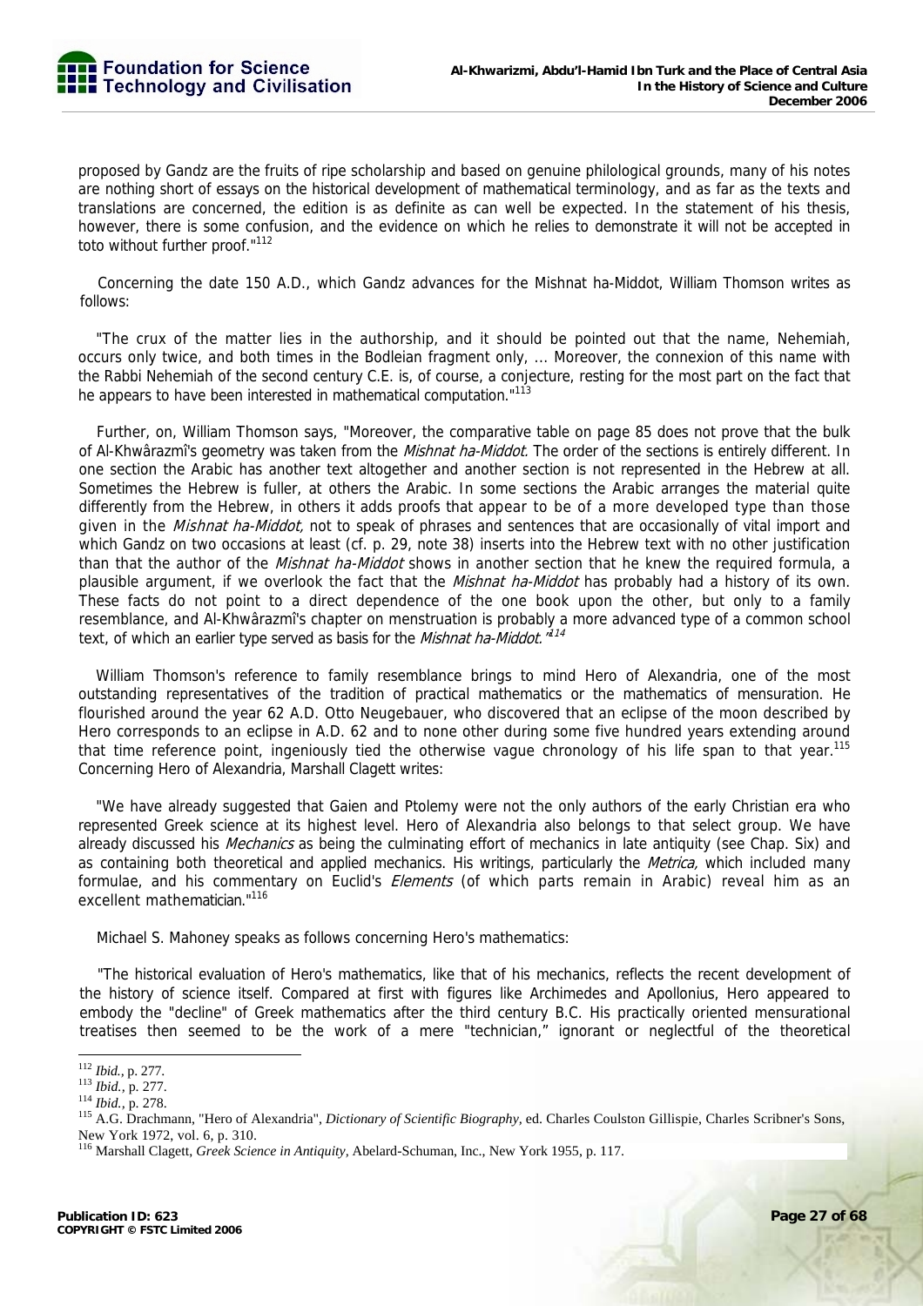proposed by Gandz are the fruits of ripe scholarship and based on genuine philological grounds, many of his notes are nothing short of essays on the historical development of mathematical terminology, and as far as the texts and translations are concerned, the edition is as definite as can well be expected. In the statement of his thesis, however, there is some confusion, and the evidence on which he relies to demonstrate it will not be accepted in toto without further proof."112

Concerning the date 150 A.D., which Gandz advances for the Mishnat ha-Middot, William Thomson writes as follows:

"The crux of the matter lies in the authorship, and it should be pointed out that the name, Nehemiah, occurs only twice, and both times in the Bodleian fragment only, ... Moreover, the connexion of this name with the Rabbi Nehemiah of the second century C.E. is, of course, a conjecture, resting for the most part on the fact that he appears to have been interested in mathematical computation."<sup>113</sup>

Further, on, William Thomson says, "Moreover, the comparative table on page 85 does not prove that the bulk of Al-Khwârazmî's geometry was taken from the *Mishnat ha-Middot*. The order of the sections is entirely different. In one section the Arabic has another text altogether and another section is not represented in the Hebrew at all. Sometimes the Hebrew is fuller, at others the Arabic. In some sections the Arabic arranges the material quite differently from the Hebrew, in others it adds proofs that appear to be of a more developed type than those given in the *Mishnat ha-Middot*, not to speak of phrases and sentences that are occasionally of vital import and which Gandz on two occasions at least (cf. p. 29, note 38) inserts into the Hebrew text with no other justification than that the author of the *Mishnat ha-Middot* shows in another section that he knew the required formula, a plausible argument, if we overlook the fact that the *Mishnat ha-Middot* has probably had a history of its own. These facts do not point to a direct dependence of the one book upon the other, but only to a family resemblance, and Al-Khwârazmî's chapter on menstruation is probably a more advanced type of a common school text, of which an earlier type served as basis for the Mishnat ha-Middot."<sup>114</sup>

William Thomson's reference to family resemblance brings to mind Hero of Alexandria, one of the most outstanding representatives of the tradition of practical mathematics or the mathematics of mensuration. He flourished around the year 62 A.D. Otto Neugebauer, who discovered that an eclipse of the moon described by Hero corresponds to an eclipse in A.D. 62 and to none other during some five hundred years extending around that time reference point, ingeniously tied the otherwise vague chronology of his life span to that year.<sup>115</sup> Concerning Hero of Alexandria, Marshall Clagett writes:

"We have already suggested that Gaien and Ptolemy were not the only authors of the early Christian era who represented Greek science at its highest level. Hero of Alexandria also belongs to that select group. We have already discussed his *Mechanics* as being the culminating effort of mechanics in late antiquity (see Chap. Six) and as containing both theoretical and applied mechanics. His writings, particularly the Metrica, which included many formulae, and his commentary on Euclid's *Elements* (of which parts remain in Arabic) reveal him as an excellent mathematician."<sup>116</sup>

Michael S. Mahoney speaks as follows concerning Hero's mathematics:

"The historical evaluation of Hero's mathematics, like that of his mechanics, reflects the recent development of the history of science itself. Compared at first with figures like Archimedes and Apollonius, Hero appeared to embody the "decline" of Greek mathematics after the third century B.C. His practically oriented mensurational treatises then seemed to be the work of a mere "technician," ignorant or neglectful of the theoretical

<sup>&</sup>lt;sup>112</sup> Ibid., p. 277.

<sup>113</sup> *Ibid.*, p. 277.<br><sup>114</sup> *Ibid.*, p. 278.<br><sup>115</sup> A.G. Drachmann, "Hero of Alexandria", *Dictionary of Scientific Biography*, ed. Charles Coulston Gillispie, Charles Scribner's Sons, New York 1972, vol. 6, p. 310.

<sup>116</sup> Marshall Clagett, *Greek Science in Antiquity,* Abelard-Schuman, Inc., New York 1955, p. 117.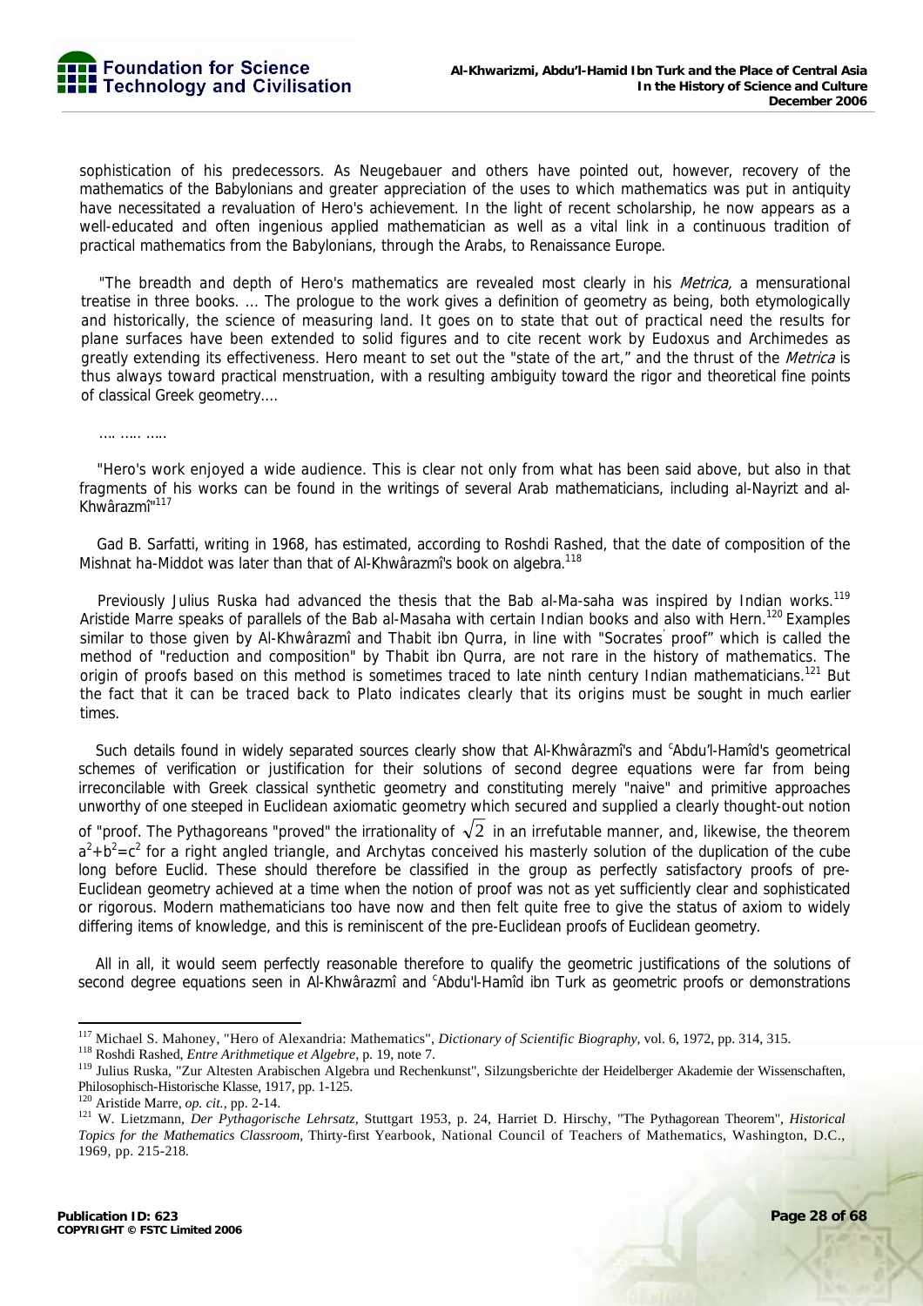sophistication of his predecessors. As Neugebauer and others have pointed out, however, recovery of the mathematics of the Babylonians and greater appreciation of the uses to which mathematics was put in antiquity have necessitated a revaluation of Hero's achievement. In the light of recent scholarship, he now appears as a well-educated and often ingenious applied mathematician as well as a vital link in a continuous tradition of practical mathematics from the Babylonians, through the Arabs, to Renaissance Europe.

"The breadth and depth of Hero's mathematics are revealed most clearly in his *Metrica*, a mensurational treatise in three books. ... The prologue to the work gives a definition of geometry as being, both etymologically and historically, the science of measuring land. It goes on to state that out of practical need the results for plane surfaces have been extended to solid figures and to cite recent work by Eudoxus and Archimedes as greatly extending its effectiveness. Hero meant to set out the "state of the art," and the thrust of the Metrica is thus always toward practical menstruation, with a resulting ambiguity toward the rigor and theoretical fine points of classical Greek geometry....

……………

"Hero's work enjoyed a wide audience. This is clear not only from what has been said above, but also in that fragments of his works can be found in the writings of several Arab mathematicians, including al-Nayrizt and al-Khwârazmî"117

Gad B. Sarfatti, writing in 1968, has estimated, according to Roshdi Rashed, that the date of composition of the Mishnat ha-Middot was later than that of Al-Khwârazmî's book on algebra.<sup>118</sup>

Previously Julius Ruska had advanced the thesis that the Bab al-Ma-saha was inspired by Indian works.<sup>119</sup> Aristide Marre speaks of parallels of the Bab al-Masaha with certain Indian books and also with Hern.<sup>120</sup> Examples similar to those given by Al-Khwârazmî and Thabit ibn Qurra, in line with "Socrates' proof" which is called the method of "reduction and composition" by Thabit ibn Qurra, are not rare in the history of mathematics. The origin of proofs based on this method is sometimes traced to late ninth century Indian mathematicians.<sup>121</sup> But the fact that it can be traced back to Plato indicates clearly that its origins must be sought in much earlier times.

Such details found in widely separated sources clearly show that Al-Khwârazmî's and <sup>c</sup>Abdu'l-Hamîd's geometrical schemes of verification or justification for their solutions of second degree equations were far from being irreconcilable with Greek classical synthetic geometry and constituting merely "naive" and primitive approaches unworthy of one steeped in Euclidean axiomatic geometry which secured and supplied a clearly thought-out notion of "proof. The Pythagoreans "proved" the irrationality of  $\sqrt{2}$  in an irrefutable manner, and, likewise, the theorem  $a^2+b^2=c^2$  for a right angled triangle, and Archytas conceived his masterly solution of the duplication of the cube long before Euclid. These should therefore be classified in the group as perfectly satisfactory proofs of pre-Euclidean geometry achieved at a time when the notion of proof was not as yet sufficiently clear and sophisticated or rigorous. Modern mathematicians too have now and then felt quite free to give the status of axiom to widely differing items of knowledge, and this is reminiscent of the pre-Euclidean proofs of Euclidean geometry.

All in all, it would seem perfectly reasonable therefore to qualify the geometric justifications of the solutions of second degree equations seen in Al-Khwârazmî and <sup>c</sup>Abdu'l-Hamîd ibn Turk as geometric proofs or demonstrations

<sup>&</sup>lt;sup>117</sup> Michael S. Mahoney, "Hero of Alexandria: Mathematics", *Dictionary of Scientific Biography*, vol. 6, 1972, pp. 314, 315.<br><sup>118</sup> Roshdi Rashed, *Entre Arithmetique et Algebre*, p. 19, note 7.<br><sup>119</sup> Julius Ruska, "Zur A Philosophisch-Historische Klasse, 1917, pp. 1-125.<br><sup>120</sup> Aristide Marre, *op. cit.*, pp. 2-14.

<sup>121</sup> W. Lietzmann, *Der Pythagorische Lehrsatz*, Stuttgart 1953, p. 24, Harriet D. Hirschy, "The Pythagorean Theorem", *Historical Topics for the Mathematics Classroom,* Thirty-first Yearbook, National Council of Teachers of Mathematics, Washington, D.C., 1969, pp. 215-218.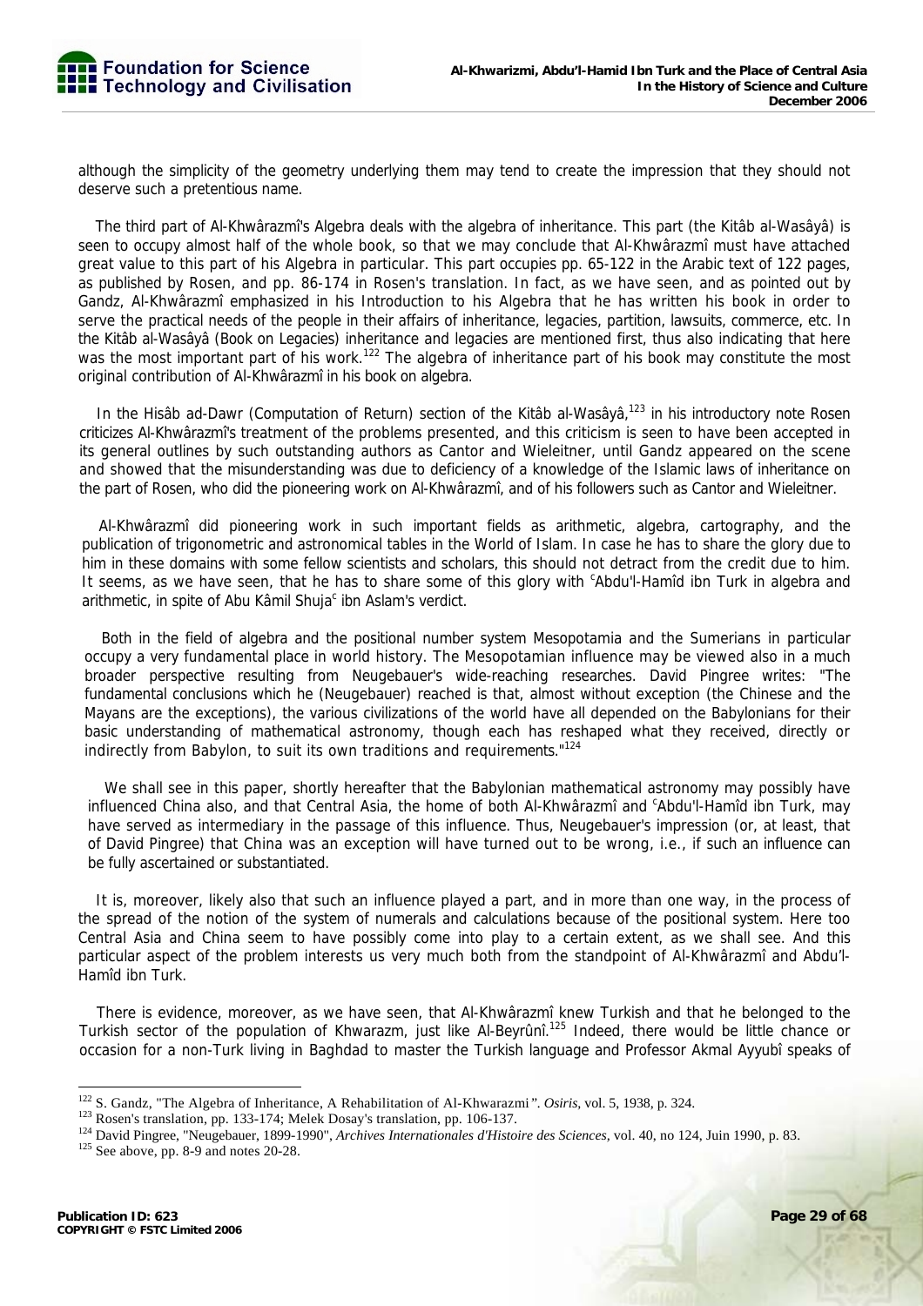although the simplicity of the geometry underlying them may tend to create the impression that they should not deserve such a pretentious name.

The third part of Al-Khwârazmî's Algebra deals with the algebra of inheritance. This part (the Kitâb al-Wasâyâ) is seen to occupy almost half of the whole book, so that we may conclude that Al-Khwârazmî must have attached great value to this part of his Algebra in particular. This part occupies pp. 65-122 in the Arabic text of 122 pages, as published by Rosen, and pp. 86-174 in Rosen's translation. In fact, as we have seen, and as pointed out by Gandz, Al-Khwârazmî emphasized in his Introduction to his Algebra that he has written his book in order to serve the practical needs of the people in their affairs of inheritance, legacies, partition, lawsuits, commerce, etc. In the Kitâb al-Wasâyâ (Book on Legacies) inheritance and legacies are mentioned first, thus also indicating that here was the most important part of his work.<sup>122</sup> The algebra of inheritance part of his book may constitute the most original contribution of Al-Khwârazmî in his book on algebra.

In the Hisâb ad-Dawr (Computation of Return) section of the Kitâb al-Wasâyâ,<sup>123</sup> in his introductory note Rosen criticizes Al-Khwârazmî's treatment of the problems presented, and this criticism is seen to have been accepted in its general outlines by such outstanding authors as Cantor and Wieleitner, until Gandz appeared on the scene and showed that the misunderstanding was due to deficiency of a knowledge of the Islamic laws of inheritance on the part of Rosen, who did the pioneering work on Al-Khwârazmî, and of his followers such as Cantor and Wieleitner.

Al-Khwârazmî did pioneering work in such important fields as arithmetic, algebra, cartography, and the publication of trigonometric and astronomical tables in the World of Islam. In case he has to share the glory due to him in these domains with some fellow scientists and scholars, this should not detract from the credit due to him. It seems, as we have seen, that he has to share some of this glory with 'Abdu'l-Hamid ibn Turk in algebra and arithmetic, in spite of Abu Kâmil Shuja<sup>c</sup> ibn Aslam's verdict.

Both in the field of algebra and the positional number system Mesopotamia and the Sumerians in particular occupy a very fundamental place in world history. The Mesopotamian influence may be viewed also in a much broader perspective resulting from Neugebauer's wide-reaching researches. David Pingree writes: "The fundamental conclusions which he (Neugebauer) reached is that, almost without exception (the Chinese and the Mayans are the exceptions), the various civilizations of the world have all depended on the Babylonians for their basic understanding of mathematical astronomy, though each has reshaped what they received, directly or indirectly from Babylon, to suit its own traditions and requirements."<sup>124</sup>

We shall see in this paper, shortly hereafter that the Babylonian mathematical astronomy may possibly have influenced China also, and that Central Asia, the home of both Al-Khwârazmî and <sup>c</sup>Abdu'l-Hamîd ibn Turk, may have served as intermediary in the passage of this influence. Thus, Neugebauer's impression (or, at least, that of David Pingree) that China was an exception will have turned out to be wrong, i.e., if such an influence can be fully ascertained or substantiated.

It is, moreover, likely also that such an influence played a part, and in more than one way, in the process of the spread of the notion of the system of numerals and calculations because of the positional system. Here too Central Asia and China seem to have possibly come into play to a certain extent, as we shall see. And this particular aspect of the problem interests us very much both from the standpoint of Al-Khwârazmî and Abdu'l-Hamîd ibn Turk.

There is evidence, moreover, as we have seen, that Al-Khwârazmî knew Turkish and that he belonged to the Turkish sector of the population of Khwarazm, just like Al-Beyrûnî.125 Indeed, there would be little chance or occasion for a non-Turk living in Baghdad to master the Turkish language and Professor Akmal Ayyubî speaks of

<sup>&</sup>lt;sup>122</sup> S. Gandz, "The Algebra of Inheritance, A Rehabilitation of Al-Khwarazmi". *Osiris*, vol. 5, 1938, p. 324.<br><sup>123</sup> Rosen's translation, pp. 133-174; Melek Dosay's translation, pp. 106-137.<br><sup>124</sup> David Pingree, "Neugeba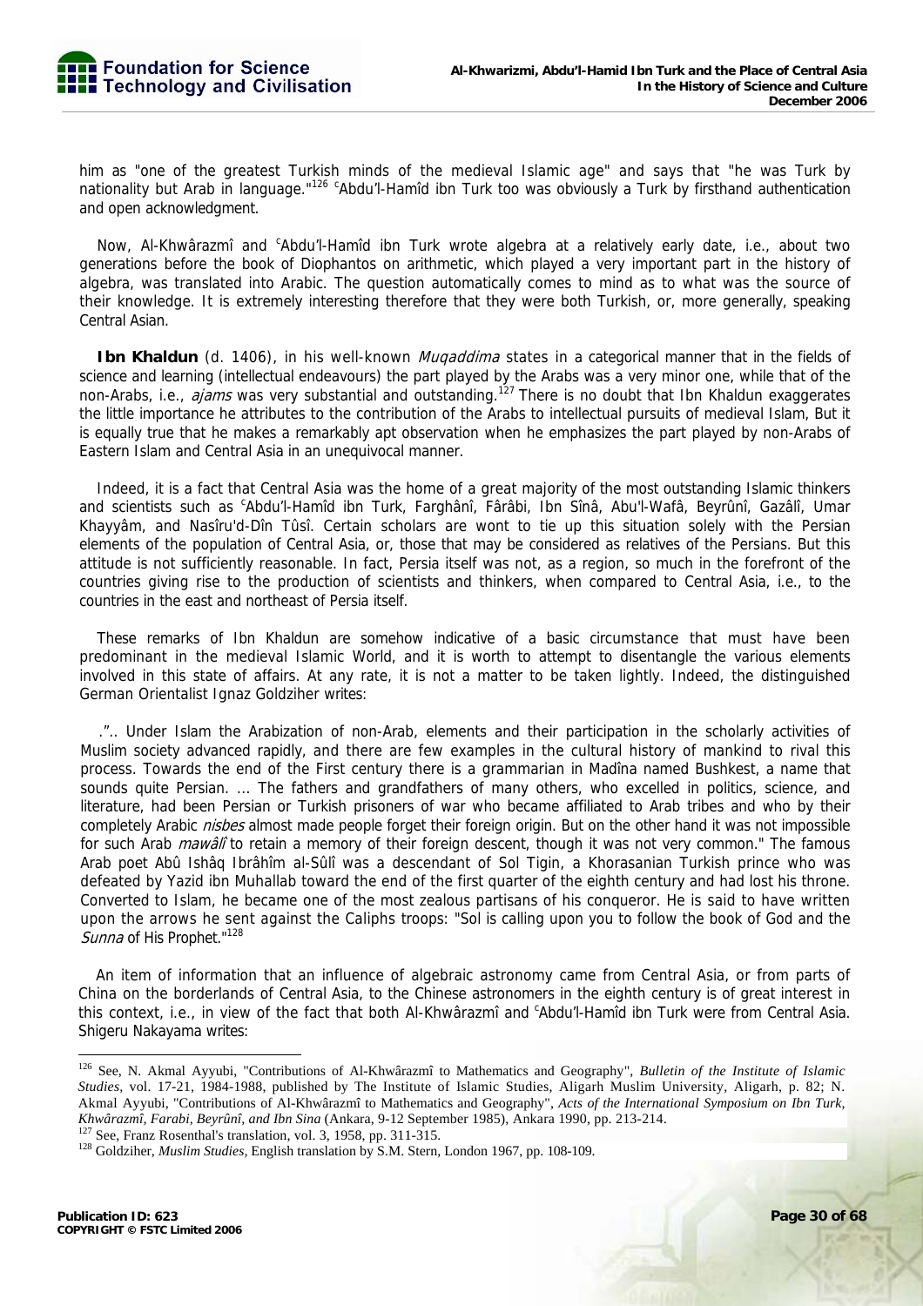him as "one of the greatest Turkish minds of the medieval Islamic age" and says that "he was Turk by nationality but Arab in language."<sup>126 c</sup>Abdu'l-Hamîd ibn Turk too was obviously a Turk by firsthand authentication and open acknowledgment.

Now, Al-Khwârazmî and <sup>c</sup>Abdu'l-Hamîd ibn Turk wrote algebra at a relatively early date, i.e., about two generations before the book of Diophantos on arithmetic, which played a very important part in the history of algebra, was translated into Arabic. The question automatically comes to mind as to what was the source of their knowledge. It is extremely interesting therefore that they were both Turkish, or, more generally, speaking Central Asian.

**Ibn Khaldun** (d. 1406), in his well-known *Muqaddima* states in a categorical manner that in the fields of science and learning (intellectual endeavours) the part played by the Arabs was a very minor one, while that of the non-Arabs, i.e., *ajams* was very substantial and outstanding.<sup>127</sup> There is no doubt that Ibn Khaldun exaggerates the little importance he attributes to the contribution of the Arabs to intellectual pursuits of medieval Islam, But it is equally true that he makes a remarkably apt observation when he emphasizes the part played by non-Arabs of Eastern Islam and Central Asia in an unequivocal manner.

Indeed, it is a fact that Central Asia was the home of a great majority of the most outstanding Islamic thinkers and scientists such as <sup>c</sup>Abdu'l-Hamîd ibn Turk, Farghânî, Fârâbi, Ibn Sînâ, Abu'l-Wafâ, Beyrûnî, Gazâlî, Umar Khayyâm, and Nasîru'd-Dîn Tûsî. Certain scholars are wont to tie up this situation solely with the Persian elements of the population of Central Asia, or, those that may be considered as relatives of the Persians. But this attitude is not sufficiently reasonable. In fact, Persia itself was not, as a region, so much in the forefront of the countries giving rise to the production of scientists and thinkers, when compared to Central Asia, i.e., to the countries in the east and northeast of Persia itself.

These remarks of Ibn Khaldun are somehow indicative of a basic circumstance that must have been predominant in the medieval Islamic World, and it is worth to attempt to disentangle the various elements involved in this state of affairs. At any rate, it is not a matter to be taken lightly. Indeed, the distinguished German Orientalist Ignaz Goldziher writes:

.".. Under Islam the Arabization of non-Arab, elements and their participation in the scholarly activities of Muslim society advanced rapidly, and there are few examples in the cultural history of mankind to rival this process. Towards the end of the First century there is a grammarian in Madîna named Bushkest, a name that sounds quite Persian. ... The fathers and grandfathers of many others, who excelled in politics, science, and literature, had been Persian or Turkish prisoners of war who became affiliated to Arab tribes and who by their completely Arabic *nisbes* almost made people forget their foreign origin. But on the other hand it was not impossible for such Arab *mawâlî* to retain a memory of their foreign descent, though it was not very common." The famous Arab poet Abû Ishâq Ibrâhîm al-Sûlî was a descendant of Sol Tigin, a Khorasanian Turkish prince who was defeated by Yazid ibn Muhallab toward the end of the first quarter of the eighth century and had lost his throne. Converted to Islam, he became one of the most zealous partisans of his conqueror. He is said to have written upon the arrows he sent against the Caliphs troops: "Sol is calling upon you to follow the book of God and the Sunna of His Prophet."128

An item of information that an influence of algebraic astronomy came from Central Asia, or from parts of China on the borderlands of Central Asia, to the Chinese astronomers in the eighth century is of great interest in this context, i.e., in view of the fact that both Al-Khwârazmî and <sup>c</sup>Abdu'l-Hamîd ibn Turk were from Central Asia. Shigeru Nakayama writes:

<sup>126</sup> See, N. Akmal Ayyubi, "Contributions of Al-Khwârazmî to Mathematics and Geography", *Bulletin of the Institute of Islamic Studies,* vol. 17-21, 1984-1988, published by The Institute of Islamic Studies, Aligarh Muslim University, Aligarh, p. 82; N. Akmal Ayyubi, "Contributions of Al-Khwârazmî to Mathematics and Geography", *Acts of the International Symposium on Ibn Turk,* 

 $^{127}$  See, Franz Rosenthal's translation, vol. 3, 1958, pp. 311-315.<br> $^{128}$  Goldziher, *Muslim Studies*, English translation by S.M. Stern, London 1967, pp. 108-109.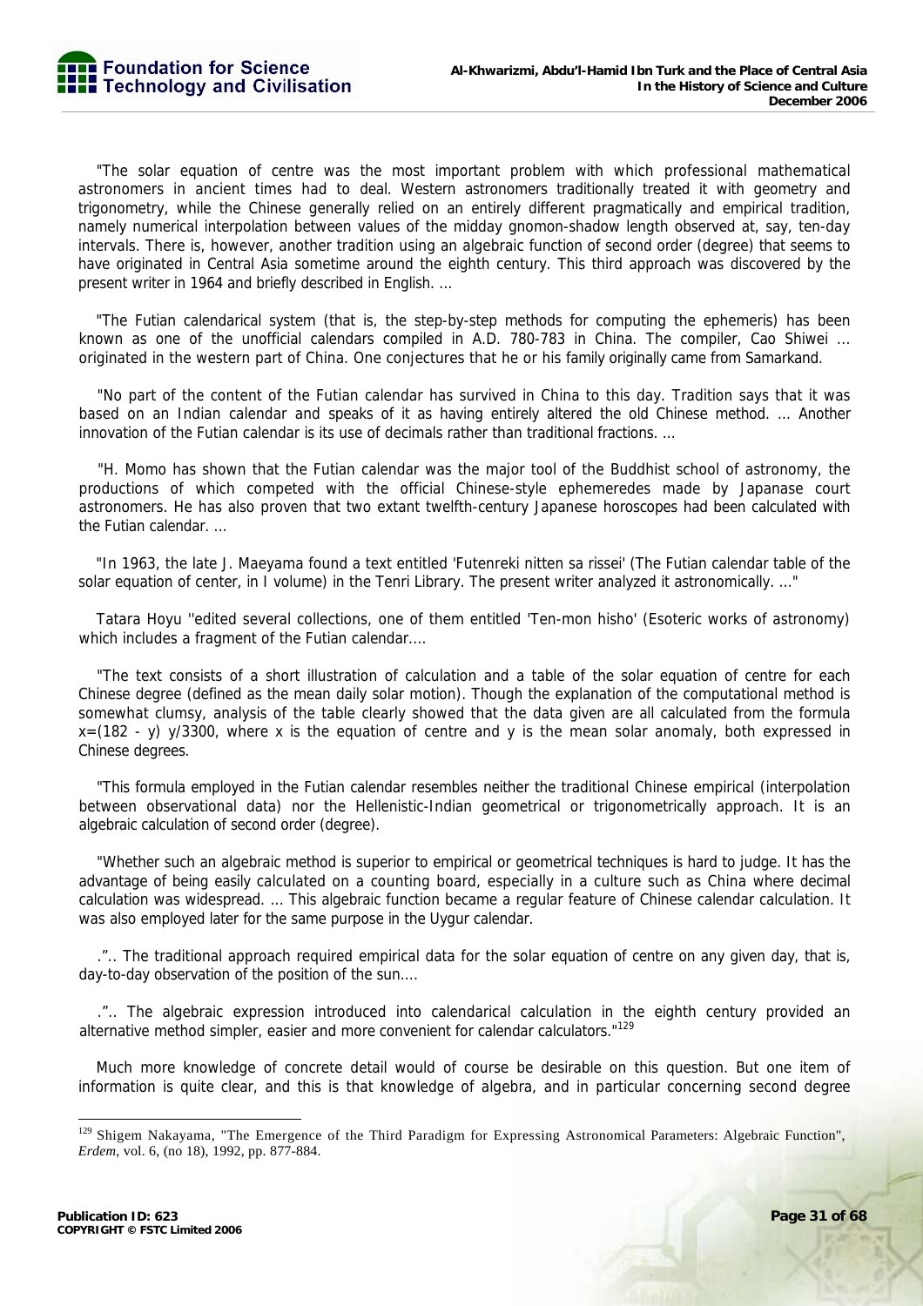"The solar equation of centre was the most important problem with which professional mathematical astronomers in ancient times had to deal. Western astronomers traditionally treated it with geometry and trigonometry, while the Chinese generally relied on an entirely different pragmatically and empirical tradition, namely numerical interpolation between values of the midday gnomon-shadow length observed at, say, ten-day intervals. There is, however, another tradition using an algebraic function of second order (degree) that seems to have originated in Central Asia sometime around the eighth century. This third approach was discovered by the present writer in 1964 and briefly described in English. ...

"The Futian calendarical system (that is, the step-by-step methods for computing the ephemeris) has been known as one of the unofficial calendars compiled in A.D. 780-783 in China. The compiler, Cao Shiwei ... originated in the western part of China. One conjectures that he or his family originally came from Samarkand.

"No part of the content of the Futian calendar has survived in China to this day. Tradition says that it was based on an Indian calendar and speaks of it as having entirely altered the old Chinese method. ... Another innovation of the Futian calendar is its use of decimals rather than traditional fractions. ...

"H. Momo has shown that the Futian calendar was the major tool of the Buddhist school of astronomy, the productions of which competed with the official Chinese-style ephemeredes made by Japanase court astronomers. He has also proven that two extant twelfth-century Japanese horoscopes had been calculated with the Futian calendar. ...

"In 1963, the late J. Maeyama found a text entitled 'Futenreki nitten sa rissei' (The Futian calendar table of the solar equation of center, in I volume) in the Tenri Library. The present writer analyzed it astronomically. ..."

Tatara Hoyu ''edited several collections, one of them entitled 'Ten-mon hisho' (Esoteric works of astronomy) which includes a fragment of the Futian calendar....

"The text consists of a short illustration of calculation and a table of the solar equation of centre for each Chinese degree (defined as the mean daily solar motion). Though the explanation of the computational method is somewhat clumsy, analysis of the table clearly showed that the data given are all calculated from the formula x=(182 - y) y/3300, where x is the equation of centre and y is the mean solar anomaly, both expressed in Chinese degrees.

"This formula employed in the Futian calendar resembles neither the traditional Chinese empirical (interpolation between observational data) nor the Hellenistic-Indian geometrical or trigonometrically approach. It is an algebraic calculation of second order (degree).

"Whether such an algebraic method is superior to empirical or geometrical techniques is hard to judge. It has the advantage of being easily calculated on a counting board, especially in a culture such as China where decimal calculation was widespread. ... This algebraic function became a regular feature of Chinese calendar calculation. It was also employed later for the same purpose in the Uygur calendar.

.".. The traditional approach required empirical data for the solar equation of centre on any given day, that is, day-to-day observation of the position of the sun....

.".. The algebraic expression introduced into calendarical calculation in the eighth century provided an alternative method simpler, easier and more convenient for calendar calculators."<sup>129</sup>

Much more knowledge of concrete detail would of course be desirable on this question. But one item of information is quite clear, and this is that knowledge of algebra, and in particular concerning second degree

<sup>&</sup>lt;sup>129</sup> Shigem Nakayama, "The Emergence of the Third Paradigm for Expressing Astronomical Parameters: Algebraic Function", *Erdem,* vol. 6, (no 18), 1992, pp. 877-884.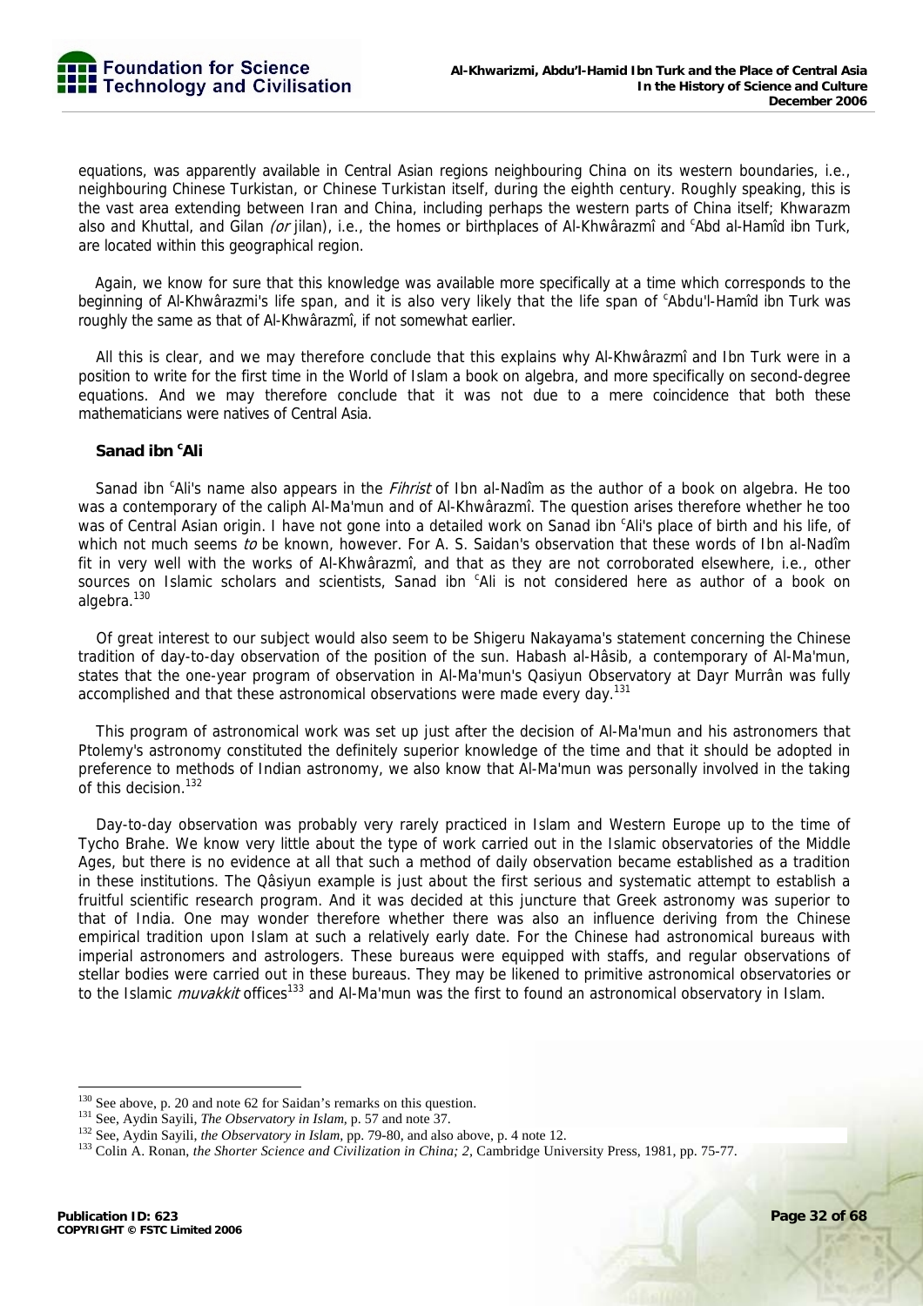equations, was apparently available in Central Asian regions neighbouring China on its western boundaries, i.e., neighbouring Chinese Turkistan, or Chinese Turkistan itself, during the eighth century. Roughly speaking, this is the vast area extending between Iran and China, including perhaps the western parts of China itself; Khwarazm also and Khuttal, and Gilan (or jilan), i.e., the homes or birthplaces of Al-Khwârazmî and <sup>c</sup>Abd al-Hamîd ibn Turk, are located within this geographical region.

Again, we know for sure that this knowledge was available more specifically at a time which corresponds to the beginning of Al-Khwârazmi's life span, and it is also very likely that the life span of <sup>c</sup>Abdu'l-Hamîd ibn Turk was roughly the same as that of Al-Khwârazmî, if not somewhat earlier.

All this is clear, and we may therefore conclude that this explains why Al-Khwârazmî and Ibn Turk were in a position to write for the first time in the World of Islam a book on algebra, and more specifically on second-degree equations. And we may therefore conclude that it was not due to a mere coincidence that both these mathematicians were natives of Central Asia.

# **Sanad ibn <sup>c</sup> Ali**

Sanad ibn <sup>c</sup>Ali's name also appears in the *Fihrist* of Ibn al-Nadîm as the author of a book on algebra. He too was a contemporary of the caliph Al-Ma'mun and of Al-Khwârazmî. The question arises therefore whether he too was of Central Asian origin. I have not gone into a detailed work on Sanad ibn <sup>c</sup>Ali's place of birth and his life, of which not much seems to be known, however. For A. S. Saidan's observation that these words of Ibn al-Nadîm fit in very well with the works of Al-Khwârazmî, and that as they are not corroborated elsewhere, i.e., other sources on Islamic scholars and scientists, Sanad ibn 'Ali is not considered here as author of a book on algebra.<sup>130</sup>

Of great interest to our subject would also seem to be Shigeru Nakayama's statement concerning the Chinese tradition of day-to-day observation of the position of the sun. Habash al-Hâsib, a contemporary of Al-Ma'mun, states that the one-year program of observation in Al-Ma'mun's Qasiyun Observatory at Dayr Murrân was fully accomplished and that these astronomical observations were made every day.<sup>131</sup>

This program of astronomical work was set up just after the decision of Al-Ma'mun and his astronomers that Ptolemy's astronomy constituted the definitely superior knowledge of the time and that it should be adopted in preference to methods of Indian astronomy, we also know that Al-Ma'mun was personally involved in the taking of this decision.<sup>132</sup>

Day-to-day observation was probably very rarely practiced in Islam and Western Europe up to the time of Tycho Brahe. We know very little about the type of work carried out in the Islamic observatories of the Middle Ages, but there is no evidence at all that such a method of daily observation became established as a tradition in these institutions. The Qâsiyun example is just about the first serious and systematic attempt to establish a fruitful scientific research program. And it was decided at this juncture that Greek astronomy was superior to that of India. One may wonder therefore whether there was also an influence deriving from the Chinese empirical tradition upon Islam at such a relatively early date. For the Chinese had astronomical bureaus with imperial astronomers and astrologers. These bureaus were equipped with staffs, and regular observations of stellar bodies were carried out in these bureaus. They may be likened to primitive astronomical observatories or to the Islamic *muvakkit* offices<sup>133</sup> and Al-Ma'mun was the first to found an astronomical observatory in Islam.

<sup>&</sup>lt;sup>130</sup> See above, p. 20 and note 62 for Saidan's remarks on this question.<br><sup>131</sup> See, Aydin Sayili, *The Observatory in Islam*, p. 57 and note 37.<br><sup>132</sup> See, Aydin Sayili, *the Observatory in Islam*, pp. 79-80, and also ab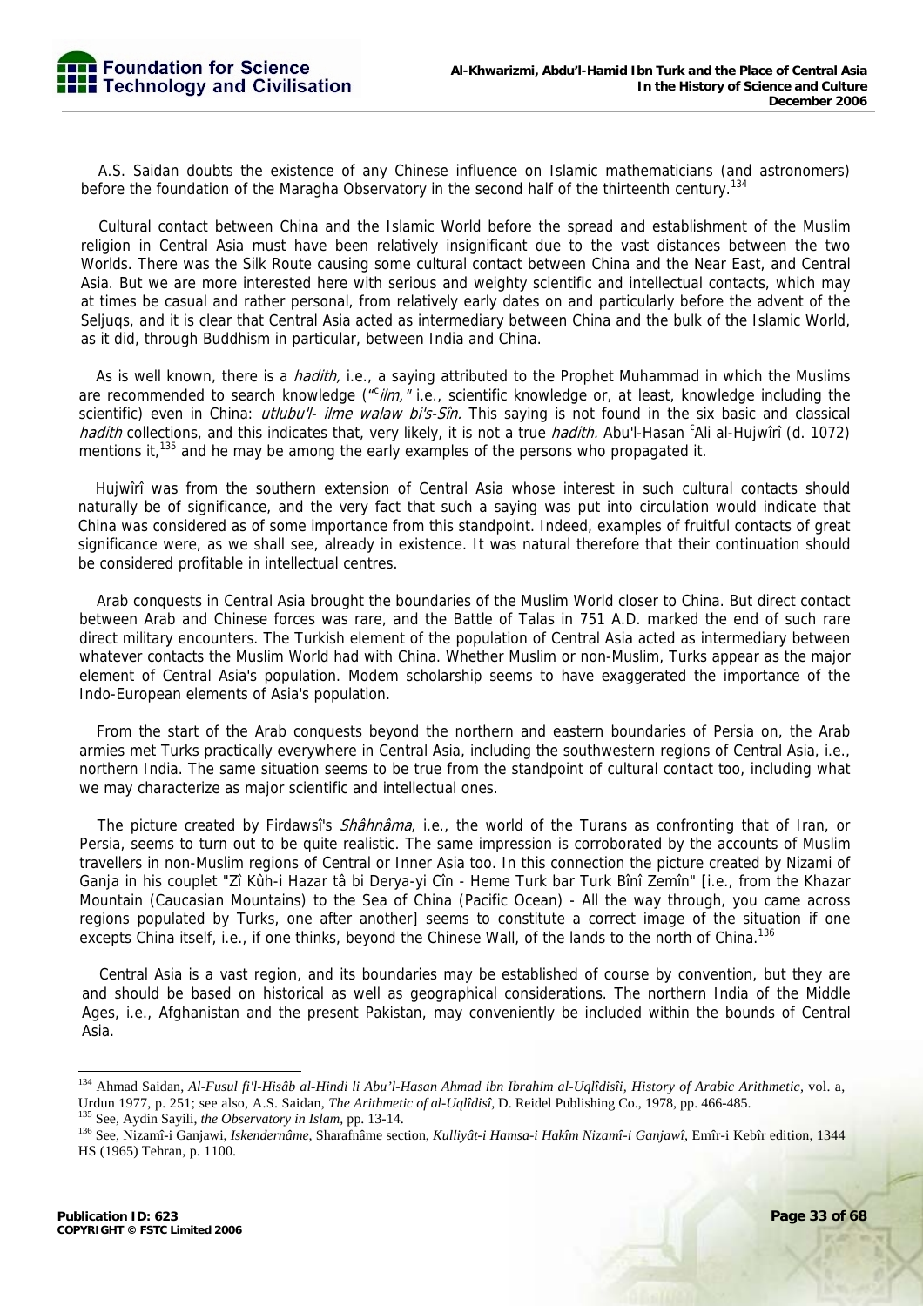A.S. Saidan doubts the existence of any Chinese influence on Islamic mathematicians (and astronomers) before the foundation of the Maragha Observatory in the second half of the thirteenth century.<sup>134</sup>

Cultural contact between China and the Islamic World before the spread and establishment of the Muslim religion in Central Asia must have been relatively insignificant due to the vast distances between the two Worlds. There was the Silk Route causing some cultural contact between China and the Near East, and Central Asia. But we are more interested here with serious and weighty scientific and intellectual contacts, which may at times be casual and rather personal, from relatively early dates on and particularly before the advent of the Seljuqs, and it is clear that Central Asia acted as intermediary between China and the bulk of the Islamic World, as it did, through Buddhism in particular, between India and China.

As is well known, there is a *hadith*, i.e., a saying attributed to the Prophet Muhammad in which the Muslims are recommended to search knowledge ("Cilm," i.e., scientific knowledge or, at least, knowledge including the scientific) even in China: *utlubu'l- ilme walaw bi's-Sîn*. This saying is not found in the six basic and classical hadith collections, and this indicates that, very likely, it is not a true hadith. Abu'l-Hasan <sup>c</sup>Ali al-Hujwîrî (d. 1072) mentions it,<sup>135</sup> and he may be among the early examples of the persons who propagated it.

Hujwîrî was from the southern extension of Central Asia whose interest in such cultural contacts should naturally be of significance, and the very fact that such a saying was put into circulation would indicate that China was considered as of some importance from this standpoint. Indeed, examples of fruitful contacts of great significance were, as we shall see, already in existence. It was natural therefore that their continuation should be considered profitable in intellectual centres.

Arab conquests in Central Asia brought the boundaries of the Muslim World closer to China. But direct contact between Arab and Chinese forces was rare, and the Battle of Talas in 751 A.D. marked the end of such rare direct military encounters. The Turkish element of the population of Central Asia acted as intermediary between whatever contacts the Muslim World had with China. Whether Muslim or non-Muslim, Turks appear as the major element of Central Asia's population. Modem scholarship seems to have exaggerated the importance of the Indo-European elements of Asia's population.

From the start of the Arab conquests beyond the northern and eastern boundaries of Persia on, the Arab armies met Turks practically everywhere in Central Asia, including the southwestern regions of Central Asia, i.e., northern India. The same situation seems to be true from the standpoint of cultural contact too, including what we may characterize as major scientific and intellectual ones.

The picture created by Firdawsi's *Shâhnâma*, i.e., the world of the Turans as confronting that of Iran, or Persia, seems to turn out to be quite realistic. The same impression is corroborated by the accounts of Muslim travellers in non-Muslim regions of Central or Inner Asia too. In this connection the picture created by Nizami of Ganja in his couplet "Zî Kûh-i Hazar tâ bi Derya-yi Cîn - Heme Turk bar Turk Bînî Zemîn" [i.e., from the Khazar Mountain (Caucasian Mountains) to the Sea of China (Pacific Ocean) - All the way through, you came across regions populated by Turks, one after another] seems to constitute a correct image of the situation if one excepts China itself, i.e., if one thinks, beyond the Chinese Wall, of the lands to the north of China.<sup>136</sup>

Central Asia is a vast region, and its boundaries may be established of course by convention, but they are and should be based on historical as well as geographical considerations. The northern India of the Middle Ages, i.e., Afghanistan and the present Pakistan, may conveniently be included within the bounds of Central Asia.

<sup>134</sup> Ahmad Saidan, *Al-Fusul fi'l-Hisâb al-Hindi li Abu'l-Hasan Ahmad ibn Ibrahim al-Uqlîdisîi, History of Arabic Arithmetic,* vol. a, Urdun 1977, p. 251; see also, A.S. Saidan, *The Arithmetic of al-Uqlîdisî*, D. Reidel Publishing Co., 1978, pp. 466-485.<br><sup>135</sup> See, Aydin Sayili, *the Observatory in Islam*, pp. 13-14.<br><sup>136</sup> See, Nizamî-i Ganjawi, *Iskende* 

HS (1965) Tehran, p. 1100.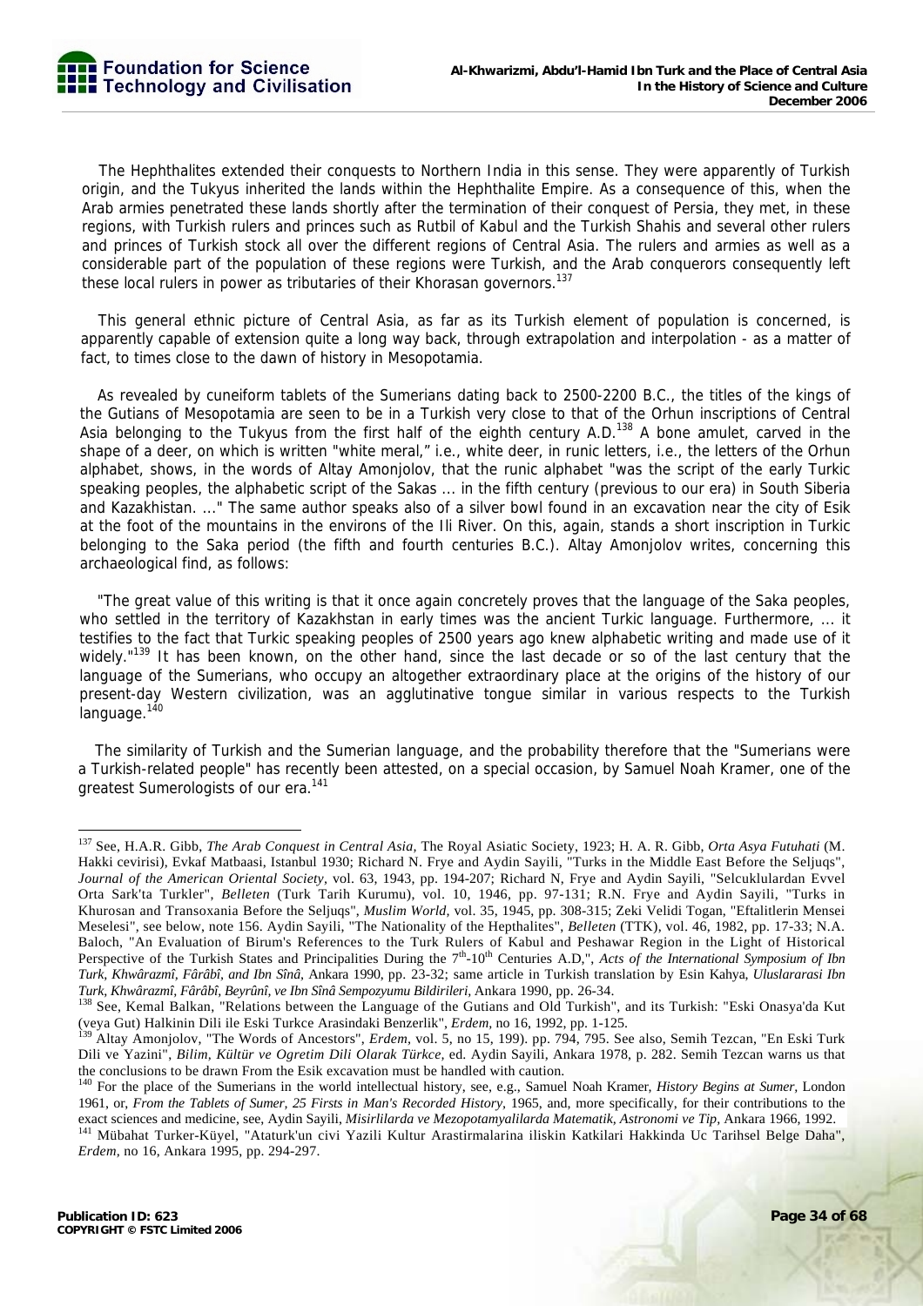The Hephthalites extended their conquests to Northern India in this sense. They were apparently of Turkish origin, and the Tukyus inherited the lands within the Hephthalite Empire. As a consequence of this, when the Arab armies penetrated these lands shortly after the termination of their conquest of Persia, they met, in these regions, with Turkish rulers and princes such as Rutbil of Kabul and the Turkish Shahis and several other rulers and princes of Turkish stock all over the different regions of Central Asia. The rulers and armies as well as a considerable part of the population of these regions were Turkish, and the Arab conquerors consequently left these local rulers in power as tributaries of their Khorasan governors.<sup>137</sup>

This general ethnic picture of Central Asia, as far as its Turkish element of population is concerned, is apparently capable of extension quite a long way back, through extrapolation and interpolation - as a matter of fact, to times close to the dawn of history in Mesopotamia.

As revealed by cuneiform tablets of the Sumerians dating back to 2500-2200 B.C., the titles of the kings of the Gutians of Mesopotamia are seen to be in a Turkish very close to that of the Orhun inscriptions of Central Asia belonging to the Tukyus from the first half of the eighth century A.D.<sup>138</sup> A bone amulet, carved in the shape of a deer, on which is written "white meral," i.e., white deer, in runic letters, i.e., the letters of the Orhun alphabet, shows, in the words of Altay Amonjolov, that the runic alphabet "was the script of the early Turkic speaking peoples, the alphabetic script of the Sakas ... in the fifth century (previous to our era) in South Siberia and Kazakhistan. ..." The same author speaks also of a silver bowl found in an excavation near the city of Esik at the foot of the mountains in the environs of the Ili River. On this, again, stands a short inscription in Turkic belonging to the Saka period (the fifth and fourth centuries B.C.). Altay Amonjolov writes, concerning this archaeological find, as follows:

"The great value of this writing is that it once again concretely proves that the language of the Saka peoples, who settled in the territory of Kazakhstan in early times was the ancient Turkic language. Furthermore, ... it testifies to the fact that Turkic speaking peoples of 2500 years ago knew alphabetic writing and made use of it widely."<sup>139</sup> It has been known, on the other hand, since the last decade or so of the last century that the language of the Sumerians, who occupy an altogether extraordinary place at the origins of the history of our present-day Western civilization, was an agglutinative tongue similar in various respects to the Turkish language.<sup>140</sup>

The similarity of Turkish and the Sumerian language, and the probability therefore that the "Sumerians were a Turkish-related people" has recently been attested, on a special occasion, by Samuel Noah Kramer, one of the greatest Sumerologists of our era.<sup>141</sup>

<sup>-</sup>137 See, H.A.R. Gibb, *The Arab Conquest in Central Asia,* The Royal Asiatic Society, 1923; H. A. R. Gibb, *Orta Asya Futuhati* (M. Hakki cevirisi), Evkaf Matbaasi, Istanbul 1930; Richard N. Frye and Aydin Sayili, "Turks in the Middle East Before the Seljuqs", *Journal of the American Oriental Society,* vol. 63, 1943, pp. 194-207; Richard N, Frye and Aydin Sayili, "Selcuklulardan Evvel Orta Sark'ta Turkler", *Belleten* (Turk Tarih Kurumu), vol. 10, 1946, pp. 97-131; R.N. Frye and Aydin Sayili, "Turks in Khurosan and Transoxania Before the Seljuqs", *Muslim World,* vol. 35, 1945, pp. 308-315; Zeki Velidi Togan, "Eftalitlerin Mensei Meselesi", see below, note 156. Aydin Sayili, "The Nationality of the Hepthalites", *Belleten* (TTK), vol. 46, 1982, pp. 17-33; N.A. Baloch, "An Evaluation of Birum's References to the Turk Rulers of Kabul and Peshawar Region in the Light of Historical Perspective of the Turkish States and Principalities During the 7<sup>th</sup>-10<sup>th</sup> Centuries A.D,", *Acts of the International Symposium of Ibn Turk, Khwârazmî, Fârâbî, and Ibn Sînâ,* Ankara 1990, pp. 23-32; same article in Turkish translation by Esin Kahya, *Uluslararasi Ibn* 

Turk, Khwârazmî, Fârâbî, Beyrûnî, ve Ibn Sînâ Sempozyumu Bildirileri, Ankara 1990, pp. 26-34.<br><sup>138</sup> See, Kemal Balkan, "Relations between the Language of the Gutians and Old Turkish", and its Turkish: "Eski Onasya'da Kut

<sup>(</sup>veya Gut) Halkinin Dili ile Eski Turkce Arasindaki Benzerlik", *Erdem*, no 16, 1992, pp. 1-125.<br><sup>139</sup> Altay Amonjolov, "The Words of Ancestors", *Erdem*, vol. 5, no 15, 199). pp. 794, 795. See also, Semih Tezcan, "En Eski Dili ve Yazini", *Bilim, Kültür ve Ogretim Dili Olarak Türkce,* ed. Aydin Sayili, Ankara 1978, p. 282. Semih Tezcan warns us that the conclusions to be drawn From the Esik excavation must be handled with caution.

<sup>140</sup> For the place of the Sumerians in the world intellectual history, see, e.g., Samuel Noah Kramer, *History Begins at Sumer,* London 1961, or, *From the Tablets of Sumer, 25 Firsts in Man's Recorded History,* 1965, and, more specifically, for their contributions to the exact sciences and medicine, see, Aydin Sayili, Misirlilarda ve Mezopotamyalilarda Matematik, Astronomi ve Tip, Ankara 1966, 1992.<br><sup>141</sup> Mübahat Turker-Küyel, "Ataturk'un civi Yazili Kultur Arastirmalarina iliskin Katkilar

*Erdem,* no 16, Ankara 1995, pp. 294-297.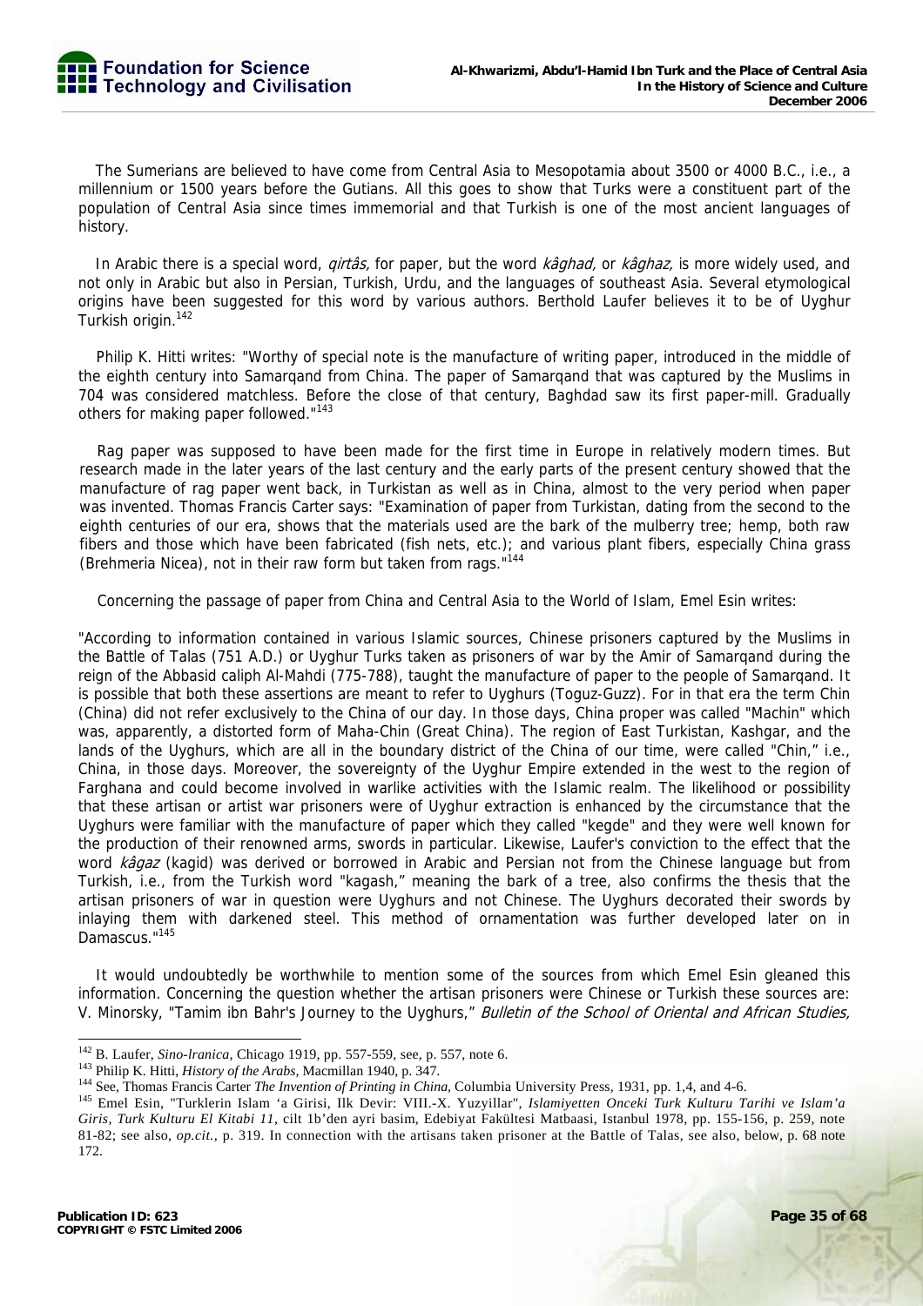The Sumerians are believed to have come from Central Asia to Mesopotamia about 3500 or 4000 B.C., i.e., a millennium or 1500 years before the Gutians. All this goes to show that Turks were a constituent part of the population of Central Asia since times immemorial and that Turkish is one of the most ancient languages of history.

In Arabic there is a special word, *girtâs*, for paper, but the word *kâghad*, or kâghaz, is more widely used, and not only in Arabic but also in Persian, Turkish, Urdu, and the languages of southeast Asia. Several etymological origins have been suggested for this word by various authors. Berthold Laufer believes it to be of Uyghur Turkish origin.142

Philip K. Hitti writes: "Worthy of special note is the manufacture of writing paper, introduced in the middle of the eighth century into Samarqand from China. The paper of Samarqand that was captured by the Muslims in 704 was considered matchless. Before the close of that century, Baghdad saw its first paper-mill. Gradually others for making paper followed."<sup>143</sup>

Rag paper was supposed to have been made for the first time in Europe in relatively modern times. But research made in the later years of the last century and the early parts of the present century showed that the manufacture of rag paper went back, in Turkistan as well as in China, almost to the very period when paper was invented. Thomas Francis Carter says: "Examination of paper from Turkistan, dating from the second to the eighth centuries of our era, shows that the materials used are the bark of the mulberry tree; hemp, both raw fibers and those which have been fabricated (fish nets, etc.); and various plant fibers, especially China grass (Brehmeria Nicea), not in their raw form but taken from rags."<sup>144</sup>

Concerning the passage of paper from China and Central Asia to the World of Islam, Emel Esin writes:

"According to information contained in various Islamic sources, Chinese prisoners captured by the Muslims in the Battle of Talas (751 A.D.) or Uyghur Turks taken as prisoners of war by the Amir of Samarqand during the reign of the Abbasid caliph Al-Mahdi (775-788), taught the manufacture of paper to the people of Samarqand. It is possible that both these assertions are meant to refer to Uyghurs (Toguz-Guzz). For in that era the term Chin (China) did not refer exclusively to the China of our day. In those days, China proper was called "Machin" which was, apparently, a distorted form of Maha-Chin (Great China). The region of East Turkistan, Kashgar, and the lands of the Uyghurs, which are all in the boundary district of the China of our time, were called "Chin," i.e., China, in those days. Moreover, the sovereignty of the Uyghur Empire extended in the west to the region of Farghana and could become involved in warlike activities with the Islamic realm. The likelihood or possibility that these artisan or artist war prisoners were of Uyghur extraction is enhanced by the circumstance that the Uyghurs were familiar with the manufacture of paper which they called "kegde" and they were well known for the production of their renowned arms, swords in particular. Likewise, Laufer's conviction to the effect that the word kâgaz (kagid) was derived or borrowed in Arabic and Persian not from the Chinese language but from Turkish, i.e., from the Turkish word "kagash," meaning the bark of a tree, also confirms the thesis that the artisan prisoners of war in question were Uyghurs and not Chinese. The Uyghurs decorated their swords by inlaying them with darkened steel. This method of ornamentation was further developed later on in Damascus."145

It would undoubtedly be worthwhile to mention some of the sources from which Emel Esin gleaned this information. Concerning the question whether the artisan prisoners were Chinese or Turkish these sources are: V. Minorsky, "Tamim ibn Bahr's Journey to the Uyghurs," Bulletin of the School of Oriental and African Studies,

<sup>&</sup>lt;sup>142</sup> B. Laufer, Sino-Iranica, Chicago 1919, pp. 557-559, see, p. 557, note 6.

<sup>&</sup>lt;sup>143</sup> Philip K. Hitti, *History of the Arabs*, Macmillan 1940, p. 347.<br><sup>144</sup> See, Thomas Francis Carter *The Invention of Printing in China*, Columbia University Press, 1931, pp. 1,4, and 4-6.<br><sup>145</sup> Emel Esin, "Turklerin *Giris, Turk Kulturu El Kitabi 11*, cilt 1b'den ayri basim, Edebiyat Fakültesi Matbaasi, Istanbul 1978, pp. 155-156, p. 259, note 81-82; see also, *op.cit.,* p. 319. In connection with the artisans taken prisoner at the Battle of Talas, see also, below, p. 68 note 172.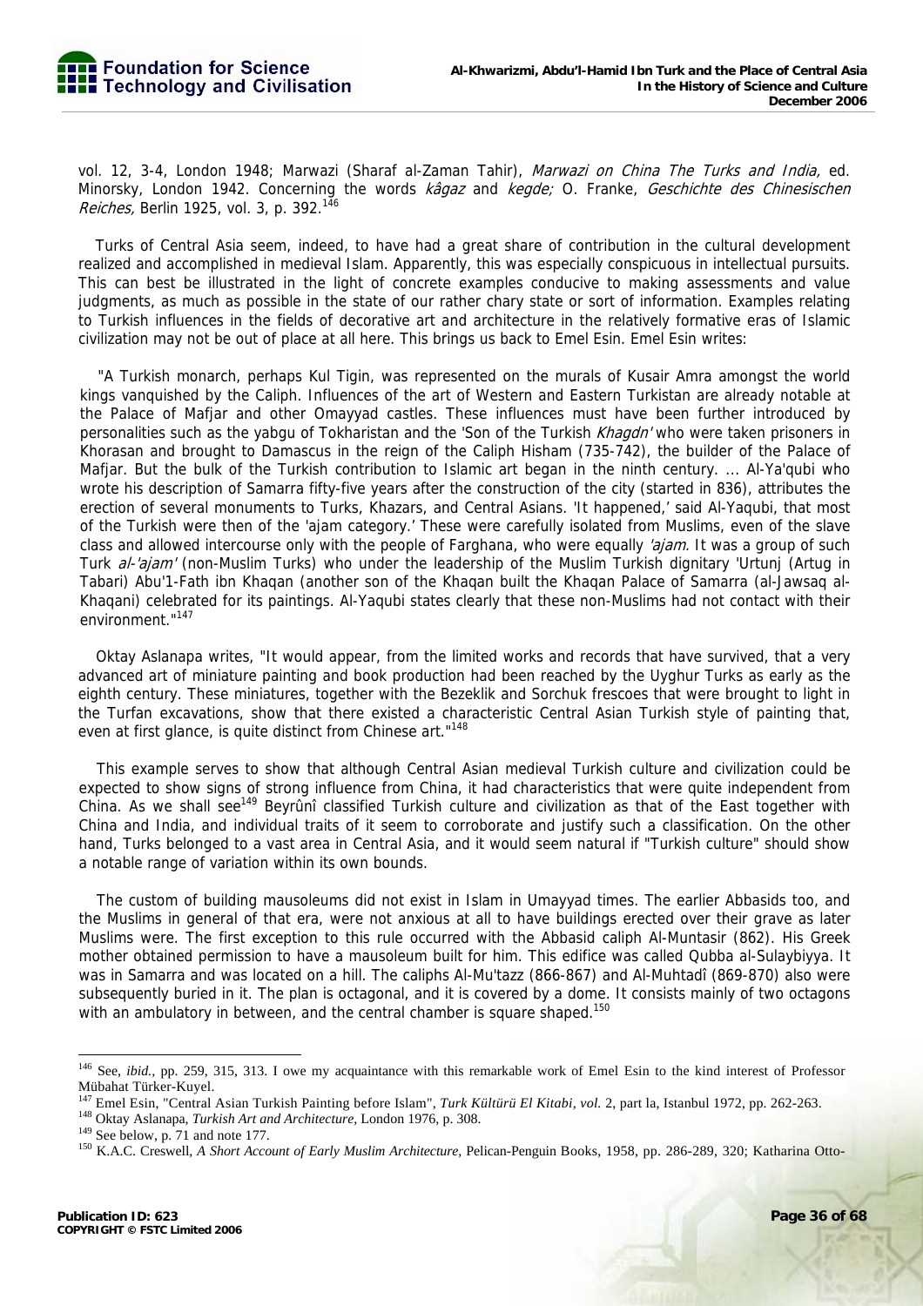

vol. 12, 3-4, London 1948; Marwazi (Sharaf al-Zaman Tahir), Marwazi on China The Turks and India, ed. Minorsky, London 1942. Concerning the words kâgaz and kegde; O. Franke, Geschichte des Chinesischen Reiches, Berlin 1925, vol. 3, p. 392.<sup>146</sup>

Turks of Central Asia seem, indeed, to have had a great share of contribution in the cultural development realized and accomplished in medieval Islam. Apparently, this was especially conspicuous in intellectual pursuits. This can best be illustrated in the light of concrete examples conducive to making assessments and value judgments, as much as possible in the state of our rather chary state or sort of information. Examples relating to Turkish influences in the fields of decorative art and architecture in the relatively formative eras of Islamic civilization may not be out of place at all here. This brings us back to Emel Esin. Emel Esin writes:

"A Turkish monarch, perhaps Kul Tigin, was represented on the murals of Kusair Amra amongst the world kings vanquished by the Caliph. Influences of the art of Western and Eastern Turkistan are already notable at the Palace of Mafjar and other Omayyad castles. These influences must have been further introduced by personalities such as the yabgu of Tokharistan and the 'Son of the Turkish Khagdn' who were taken prisoners in Khorasan and brought to Damascus in the reign of the Caliph Hisham (735-742), the builder of the Palace of Mafjar. But the bulk of the Turkish contribution to Islamic art began in the ninth century. ... Al-Ya'qubi who wrote his description of Samarra fifty-five years after the construction of the city (started in 836), attributes the erection of several monuments to Turks, Khazars, and Central Asians. 'It happened,' said Al-Yaqubi, that most of the Turkish were then of the 'ajam category.' These were carefully isolated from Muslims, even of the slave class and allowed intercourse only with the people of Farghana, who were equally *'ajam*. It was a group of such Turk al-'ajam' (non-Muslim Turks) who under the leadership of the Muslim Turkish dignitary 'Urtunj (Artug in Tabari) Abu'1-Fath ibn Khaqan (another son of the Khaqan built the Khaqan Palace of Samarra (al-Jawsaq al-Khaqani) celebrated for its paintings. Al-Yaqubi states clearly that these non-Muslims had not contact with their environment."<sup>147</sup>

Oktay Aslanapa writes, "It would appear, from the limited works and records that have survived, that a very advanced art of miniature painting and book production had been reached by the Uyghur Turks as early as the eighth century. These miniatures, together with the Bezeklik and Sorchuk frescoes that were brought to light in the Turfan excavations, show that there existed a characteristic Central Asian Turkish style of painting that, even at first glance, is quite distinct from Chinese art."<sup>148</sup>

This example serves to show that although Central Asian medieval Turkish culture and civilization could be expected to show signs of strong influence from China, it had characteristics that were quite independent from China. As we shall see<sup>149</sup> Beyruni classified Turkish culture and civilization as that of the East together with China and India, and individual traits of it seem to corroborate and justify such a classification. On the other hand, Turks belonged to a vast area in Central Asia, and it would seem natural if "Turkish culture" should show a notable range of variation within its own bounds.

The custom of building mausoleums did not exist in Islam in Umayyad times. The earlier Abbasids too, and the Muslims in general of that era, were not anxious at all to have buildings erected over their grave as later Muslims were. The first exception to this rule occurred with the Abbasid caliph Al-Muntasir (862). His Greek mother obtained permission to have a mausoleum built for him. This edifice was called Qubba al-Sulaybiyya. It was in Samarra and was located on a hill. The caliphs Al-Mu'tazz (866-867) and Al-Muhtadî (869-870) also were subsequently buried in it. The plan is octagonal, and it is covered by a dome. It consists mainly of two octagons with an ambulatory in between, and the central chamber is square shaped.<sup>150</sup>

<sup>&</sup>lt;sup>146</sup> See, *ibid.*, pp. 259, 315, 313. I owe my acquaintance with this remarkable work of Emel Esin to the kind interest of Professor Mübahat Türker-Kuyel.

<sup>&</sup>lt;sup>147</sup> Emel Esin, "Central Asian Turkish Painting before Islam", *Turk Kültürü El Kitabi, vol.* 2, part la, Istanbul 1972, pp. 262-263.<br><sup>148</sup> Oktay Aslanapa, *Turkish Art and Architecture*, London 1976, p. 308.<br><sup>149</sup> See b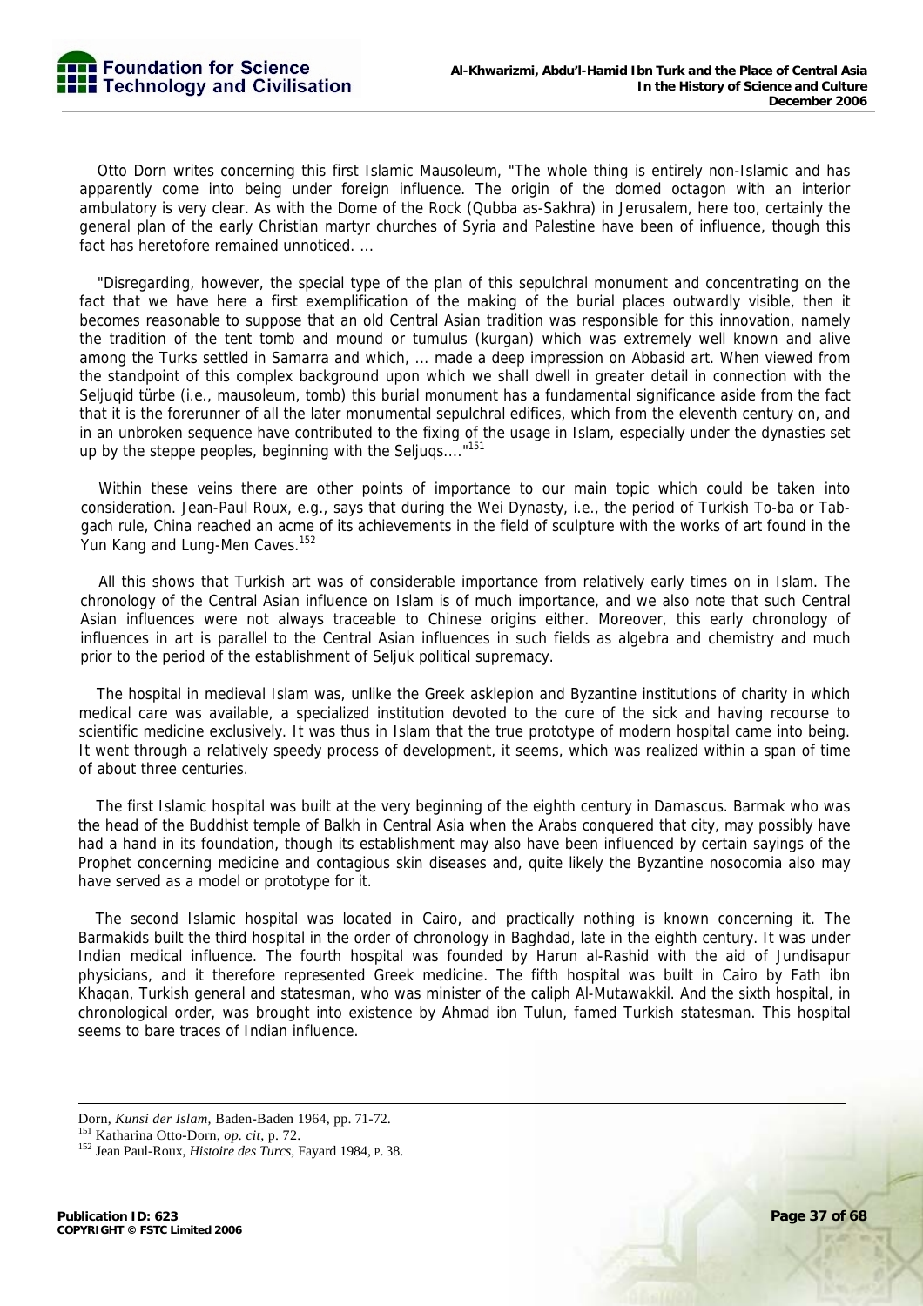

Otto Dorn writes concerning this first Islamic Mausoleum, "The whole thing is entirely non-Islamic and has apparently come into being under foreign influence. The origin of the domed octagon with an interior ambulatory is very clear. As with the Dome of the Rock (Qubba as-Sakhra) in Jerusalem, here too, certainly the general plan of the early Christian martyr churches of Syria and Palestine have been of influence, though this fact has heretofore remained unnoticed...

"Disregarding, however, the special type of the plan of this sepulchral monument and concentrating on the fact that we have here a first exemplification of the making of the burial places outwardly visible, then it becomes reasonable to suppose that an old Central Asian tradition was responsible for this innovation, namely the tradition of the tent tomb and mound or tumulus (kurgan) which was extremely well known and alive among the Turks settled in Samarra and which, ... made a deep impression on Abbasid art. When viewed from the standpoint of this complex background upon which we shall dwell in greater detail in connection with the Seljuqid türbe (i.e., mausoleum, tomb) this burial monument has a fundamental significance aside from the fact that it is the forerunner of all the later monumental sepulchral edifices, which from the eleventh century on, and in an unbroken sequence have contributed to the fixing of the usage in Islam, especially under the dynasties set up by the steppe peoples, beginning with the Seljuqs...."151

Within these veins there are other points of importance to our main topic which could be taken into consideration. Jean-Paul Roux, e.g., says that during the Wei Dynasty, i.e., the period of Turkish To-ba or Tabgach rule, China reached an acme of its achievements in the field of sculpture with the works of art found in the Yun Kang and Lung-Men Caves.<sup>152</sup>

All this shows that Turkish art was of considerable importance from relatively early times on in Islam. The chronology of the Central Asian influence on Islam is of much importance, and we also note that such Central Asian influences were not always traceable to Chinese origins either. Moreover, this early chronology of influences in art is parallel to the Central Asian influences in such fields as algebra and chemistry and much prior to the period of the establishment of Seljuk political supremacy.

The hospital in medieval Islam was, unlike the Greek asklepion and Byzantine institutions of charity in which medical care was available, a specialized institution devoted to the cure of the sick and having recourse to scientific medicine exclusively. It was thus in Islam that the true prototype of modern hospital came into being. It went through a relatively speedy process of development, it seems, which was realized within a span of time of about three centuries.

The first Islamic hospital was built at the very beginning of the eighth century in Damascus. Barmak who was the head of the Buddhist temple of Balkh in Central Asia when the Arabs conquered that city, may possibly have had a hand in its foundation, though its establishment may also have been influenced by certain sayings of the Prophet concerning medicine and contagious skin diseases and, quite likely the Byzantine nosocomia also may have served as a model or prototype for it.

The second Islamic hospital was located in Cairo, and practically nothing is known concerning it. The Barmakids built the third hospital in the order of chronology in Baghdad, late in the eighth century. It was under Indian medical influence. The fourth hospital was founded by Harun al-Rashid with the aid of Jundisapur physicians, and it therefore represented Greek medicine. The fifth hospital was built in Cairo by Fath ibn Khaqan, Turkish general and statesman, who was minister of the caliph Al-Mutawakkil. And the sixth hospital, in chronological order, was brought into existence by Ahmad ibn Tulun, famed Turkish statesman. This hospital seems to bare traces of Indian influence.

Dorn, *Kunsi der Islam*, Baden-Baden 1964, pp. 71-72.<br><sup>151</sup> Katharina Otto-Dorn, *op. cit*, p. 72.<br><sup>152</sup> Jean Paul-Roux, *Histoire des Turcs*, Fayard 1984, P. 38.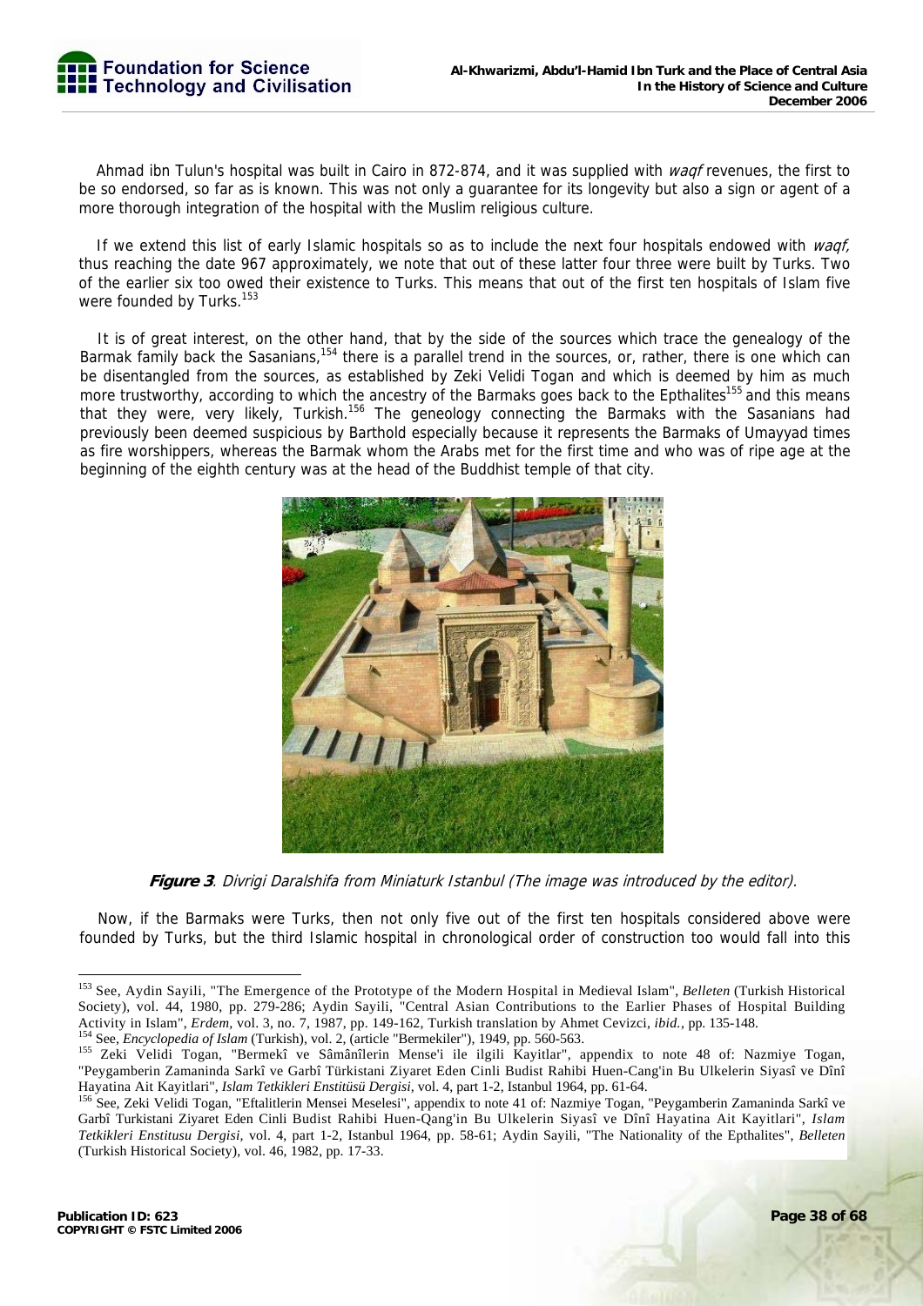

Ahmad ibn Tulun's hospital was built in Cairo in 872-874, and it was supplied with *wagf* revenues, the first to be so endorsed, so far as is known. This was not only a guarantee for its longevity but also a sign or agent of a more thorough integration of the hospital with the Muslim religious culture.

If we extend this list of early Islamic hospitals so as to include the next four hospitals endowed with waqf, thus reaching the date 967 approximately, we note that out of these latter four three were built by Turks. Two of the earlier six too owed their existence to Turks. This means that out of the first ten hospitals of Islam five were founded by Turks.<sup>153</sup>

It is of great interest, on the other hand, that by the side of the sources which trace the genealogy of the Barmak family back the Sasanians,<sup>154</sup> there is a parallel trend in the sources, or, rather, there is one which can be disentangled from the sources, as established by Zeki Velidi Togan and which is deemed by him as much more trustworthy, according to which the ancestry of the Barmaks goes back to the Epthalites<sup>155</sup> and this means that they were, very likely, Turkish.<sup>156</sup> The geneology connecting the Barmaks with the Sasanians had previously been deemed suspicious by Barthold especially because it represents the Barmaks of Umayyad times as fire worshippers, whereas the Barmak whom the Arabs met for the first time and who was of ripe age at the beginning of the eighth century was at the head of the Buddhist temple of that city.



**Figure 3**. Divrigi Daralshifa from Miniaturk Istanbul (The image was introduced by the editor).

Now, if the Barmaks were Turks, then not only five out of the first ten hospitals considered above were founded by Turks, but the third Islamic hospital in chronological order of construction too would fall into this

<sup>-</sup>153 See, Aydin Sayili, "The Emergence of the Prototype of the Modern Hospital in Medieval Islam", *Belleten* (Turkish Historical Society), vol. 44, 1980, pp. 279-286; Aydin Sayili, "Central Asian Contributions to the Earlier Phases of Hospital Building Activity in Islam", *Erdem*, vol. 3, no. 7, 1987, pp. 149-162, Turkish translation by Ahmet Cevizci, *ibid.*, pp. 135-148.<br><sup>154</sup> See, *Encyclopedia of Islam* (Turkish), vol. 2, (article "Bermekiler"), 1949, pp. 560-563.<br><sup>1</sup>

<sup>&</sup>quot;Peygamberin Zamaninda Sarkî ve Garbî Türkistani Ziyaret Eden Cinli Budist Rahibi Huen-Cang'in Bu Ulkelerin Siyasî ve Dînî Hayatina Ait Kayitlari", *Islam Tetkikleri Enstitüsü Dergisi*, vol. 4, part 1-2, Istanbul 1964, pp. 61-64.<br><sup>156</sup> See, Zeki Velidi Togan, "Eftalitlerin Mensei Meselesi", appendix to note 41 of: Nazmiye Togan, "Peygamberin Z

Garbî Turkistani Ziyaret Eden Cinli Budist Rahibi Huen-Qang'in Bu Ulkelerin Siyasî ve Dînî Hayatina Ait Kayitlari", *Islam Tetkikleri Enstitusu Dergisi,* vol. 4, part 1-2, Istanbul 1964, pp. 58-61; Aydin Sayili, "The Nationality of the Epthalites", *Belleten*  (Turkish Historical Society), vol. 46, 1982, pp. 17-33.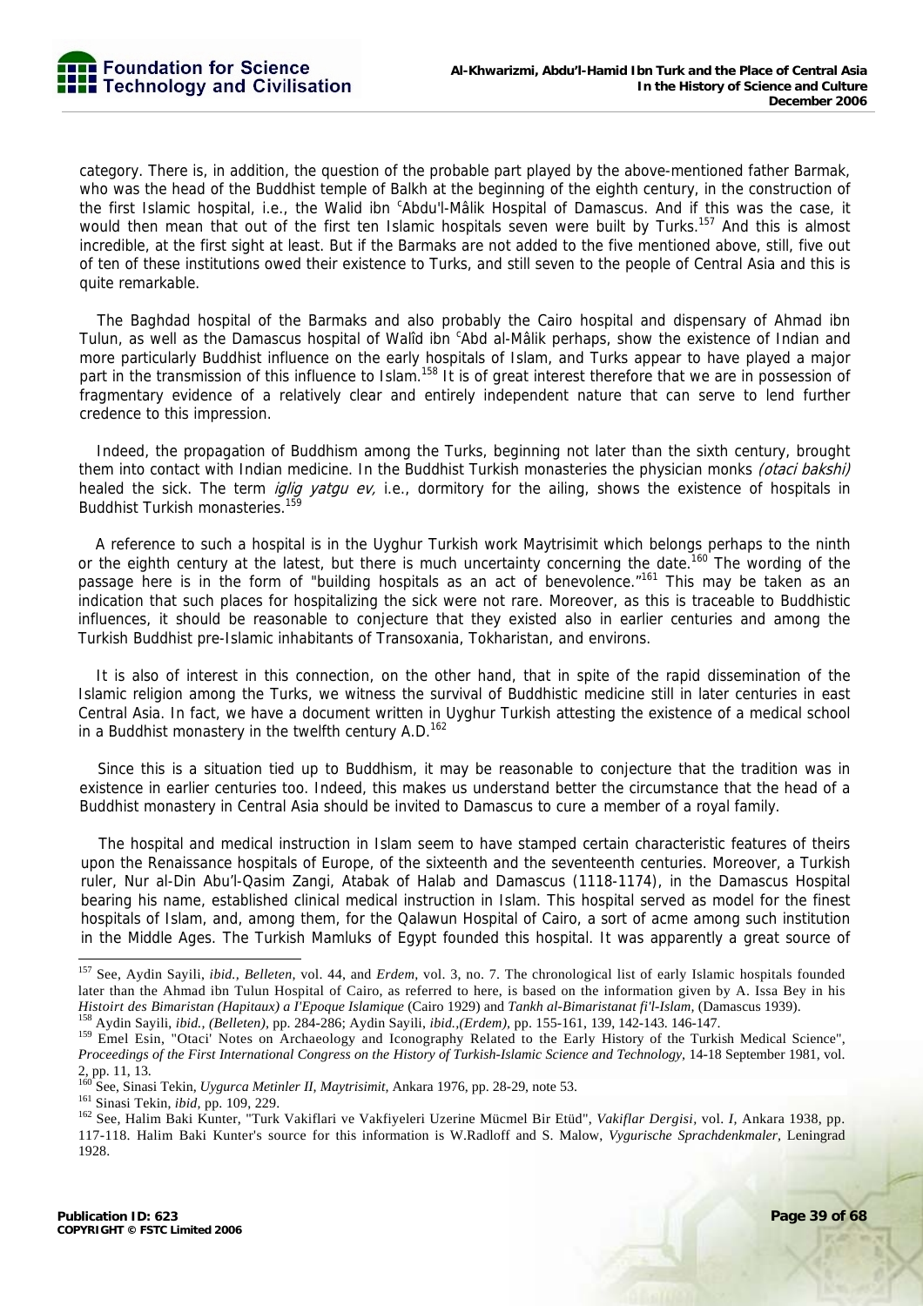category. There is, in addition, the question of the probable part played by the above-mentioned father Barmak, who was the head of the Buddhist temple of Balkh at the beginning of the eighth century, in the construction of the first Islamic hospital, i.e., the Walid ibn 'Abdu'l-Mâlik Hospital of Damascus. And if this was the case, it would then mean that out of the first ten Islamic hospitals seven were built by Turks.<sup>157</sup> And this is almost incredible, at the first sight at least. But if the Barmaks are not added to the five mentioned above, still, five out of ten of these institutions owed their existence to Turks, and still seven to the people of Central Asia and this is quite remarkable.

The Baghdad hospital of the Barmaks and also probably the Cairo hospital and dispensary of Ahmad ibn Tulun, as well as the Damascus hospital of Walîd ibn <sup>c</sup>Abd al-Mâlik perhaps, show the existence of Indian and more particularly Buddhist influence on the early hospitals of Islam, and Turks appear to have played a major part in the transmission of this influence to Islam.<sup>158</sup> It is of great interest therefore that we are in possession of fragmentary evidence of a relatively clear and entirely independent nature that can serve to lend further credence to this impression.

Indeed, the propagation of Buddhism among the Turks, beginning not later than the sixth century, brought them into contact with Indian medicine. In the Buddhist Turkish monasteries the physician monks *(otaci bakshi)* healed the sick. The term *iglig yatgu ev*, i.e., dormitory for the ailing, shows the existence of hospitals in Buddhist Turkish monasteries.<sup>15</sup>

A reference to such a hospital is in the Uyghur Turkish work Maytrisimit which belongs perhaps to the ninth or the eighth century at the latest, but there is much uncertainty concerning the date.<sup>160</sup> The wording of the passage here is in the form of "building hospitals as an act of benevolence."<sup>161</sup> This may be taken as an indication that such places for hospitalizing the sick were not rare. Moreover, as this is traceable to Buddhistic influences, it should be reasonable to conjecture that they existed also in earlier centuries and among the Turkish Buddhist pre-Islamic inhabitants of Transoxania, Tokharistan, and environs.

It is also of interest in this connection, on the other hand, that in spite of the rapid dissemination of the Islamic religion among the Turks, we witness the survival of Buddhistic medicine still in later centuries in east Central Asia. In fact, we have a document written in Uyghur Turkish attesting the existence of a medical school in a Buddhist monastery in the twelfth century  $A.D.^{162}$ 

Since this is a situation tied up to Buddhism, it may be reasonable to conjecture that the tradition was in existence in earlier centuries too. Indeed, this makes us understand better the circumstance that the head of a Buddhist monastery in Central Asia should be invited to Damascus to cure a member of a royal family.

The hospital and medical instruction in Islam seem to have stamped certain characteristic features of theirs upon the Renaissance hospitals of Europe, of the sixteenth and the seventeenth centuries. Moreover, a Turkish ruler, Nur al-Din Abu'l-Qasim Zangi, Atabak of Halab and Damascus (1118-1174), in the Damascus Hospital bearing his name, established clinical medical instruction in Islam. This hospital served as model for the finest hospitals of Islam, and, among them, for the Qalawun Hospital of Cairo, a sort of acme among such institution in the Middle Ages. The Turkish Mamluks of Egypt founded this hospital. It was apparently a great source of

<sup>157</sup> See, Aydin Sayili, *ibid., Belleten,* vol. 44, and *Erdem,* vol. 3, no. 7. The chronological list of early Islamic hospitals founded later than the Ahmad ibn Tulun Hospital of Cairo, as referred to here, is based on the information given by A. Issa Bey in his Histoirt des Bimaristan (Hapitaux) a l'Epoque Islamique (Cairo 1929) and Tankh al-Bimaristanat fi'l-Islam, (Damascus 1939).<br><sup>158</sup> Aydin Sayili, *ibid.*, (Belleten), pp. 284-286; Aydin Sayili, *ibid.*, (Erdem), pp. 155-161,

*Proceedings of the First International Congress on the History of Turkish-Islamic Science and Technology,* 14-18 September 1981, vol. 2, pp. 11, 13.

<sup>&</sup>lt;sup>160</sup> See, Sinasi Tekin, *Uygurca Metinler II, Maytrisimit,* Ankara 1976, pp. 28-29, note 53.<br><sup>161</sup> Sinasi Tekin, *ibid*, pp. 109, 229.<br><sup>162</sup> See, Halim Baki Kunter, "Turk Vakiflari ve Vakfiyeleri Uzerine Mücmel Bir Etüd", 117-118. Halim Baki Kunter's source for this information is W.Radloff and S. Malow, *Vygurische Sprachdenkmaler,* Leningrad 1928.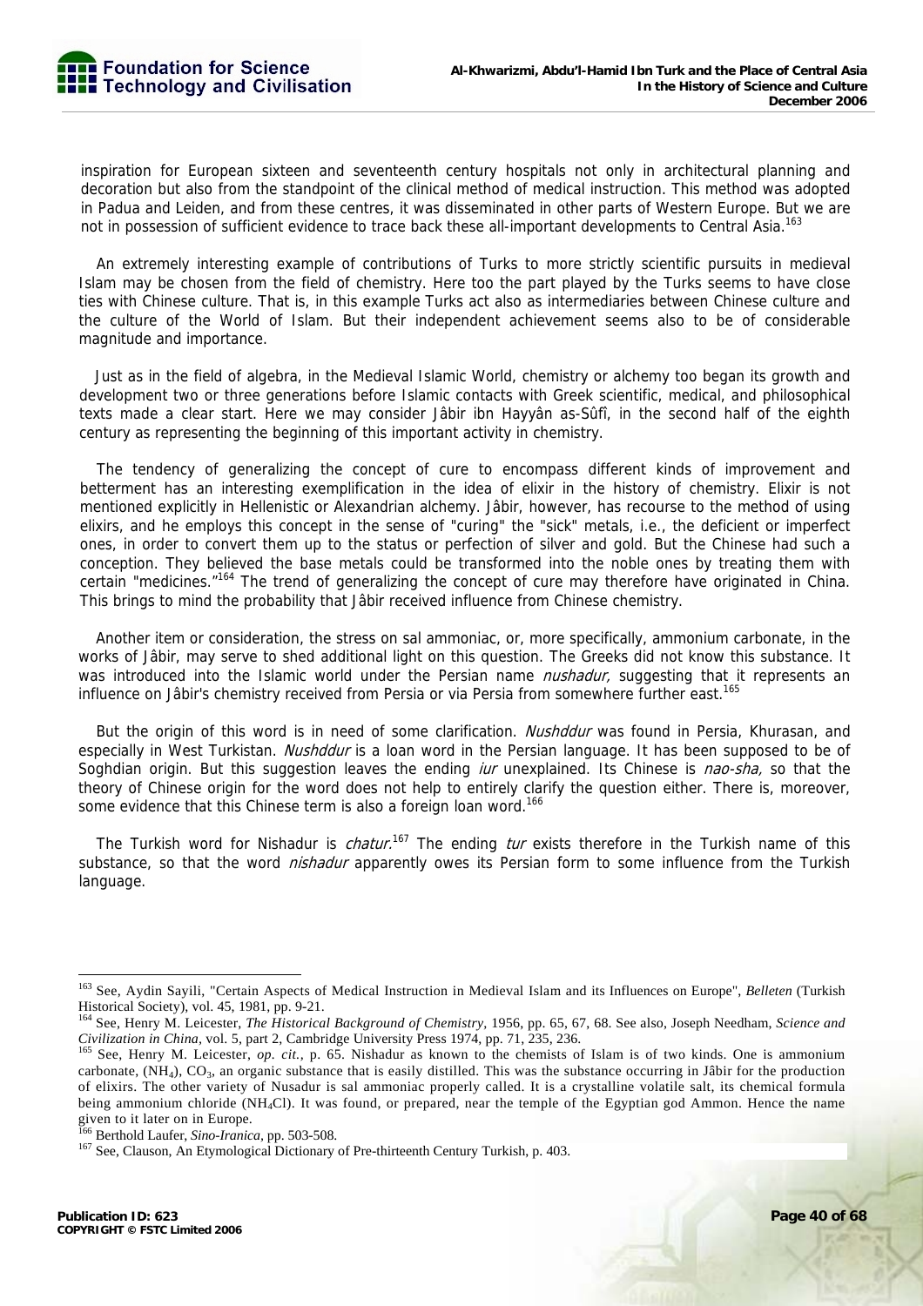inspiration for European sixteen and seventeenth century hospitals not only in architectural planning and decoration but also from the standpoint of the clinical method of medical instruction. This method was adopted in Padua and Leiden, and from these centres, it was disseminated in other parts of Western Europe. But we are not in possession of sufficient evidence to trace back these all-important developments to Central Asia.<sup>163</sup>

An extremely interesting example of contributions of Turks to more strictly scientific pursuits in medieval Islam may be chosen from the field of chemistry. Here too the part played by the Turks seems to have close ties with Chinese culture. That is, in this example Turks act also as intermediaries between Chinese culture and the culture of the World of Islam. But their independent achievement seems also to be of considerable magnitude and importance.

Just as in the field of algebra, in the Medieval Islamic World, chemistry or alchemy too began its growth and development two or three generations before Islamic contacts with Greek scientific, medical, and philosophical texts made a clear start. Here we may consider Jâbir ibn Hayyân as-Sûfî, in the second half of the eighth century as representing the beginning of this important activity in chemistry.

The tendency of generalizing the concept of cure to encompass different kinds of improvement and betterment has an interesting exemplification in the idea of elixir in the history of chemistry. Elixir is not mentioned explicitly in Hellenistic or Alexandrian alchemy. Jâbir, however, has recourse to the method of using elixirs, and he employs this concept in the sense of "curing" the "sick" metals, i.e., the deficient or imperfect ones, in order to convert them up to the status or perfection of silver and gold. But the Chinese had such a conception. They believed the base metals could be transformed into the noble ones by treating them with certain "medicines.<sup>"164</sup> The trend of generalizing the concept of cure may therefore have originated in China. This brings to mind the probability that Jâbir received influence from Chinese chemistry.

Another item or consideration, the stress on sal ammoniac, or, more specifically, ammonium carbonate, in the works of Jâbir, may serve to shed additional light on this question. The Greeks did not know this substance. It was introduced into the Islamic world under the Persian name *nushadur*, suggesting that it represents an influence on Jâbir's chemistry received from Persia or via Persia from somewhere further east.<sup>165</sup>

But the origin of this word is in need of some clarification. Nushddur was found in Persia, Khurasan, and especially in West Turkistan. Nushddur is a loan word in the Persian language. It has been supposed to be of Soghdian origin. But this suggestion leaves the ending *iur* unexplained. Its Chinese is nao-sha, so that the theory of Chinese origin for the word does not help to entirely clarify the question either. There is, moreover, some evidence that this Chinese term is also a foreign loan word.<sup>166</sup>

The Turkish word for Nishadur is *chatur*.<sup>167</sup> The ending *tur* exists therefore in the Turkish name of this substance, so that the word *nishadur* apparently owes its Persian form to some influence from the Turkish language.

<sup>-</sup>163 See, Aydin Sayili, "Certain Aspects of Medical Instruction in Medieval Islam and its Influences on Europe", *Belleten* (Turkish Historical Society), vol. 45, 1981, pp. 9-21.

<sup>164</sup> See, Henry M. Leicester, *The Historical Background of Chemistry,* 1956, pp. 65, 67, 68. See also, Joseph Needham, *Science and* 

Civilization in China, vol. 5, part 2, Cambridge University Press 1974, pp. 71, 235, 236.<br><sup>165</sup> See, Henry M. Leicester, op. cit., p. 65. Nishadur as known to the chemists of Islam is of two kinds. One is ammonium carbonate,  $(NH_4)$ ,  $CO_3$ , an organic substance that is easily distilled. This was the substance occurring in Jâbir for the production of elixirs. The other variety of Nusadur is sal ammoniac properly called. It is a crystalline volatile salt, its chemical formula being ammonium chloride (NH<sub>4</sub>Cl). It was found, or prepared, near the temple of the Egyptian god Ammon. Hence the name given to it later on in Europe.<br><sup>166</sup> Berthold Laufer, *Sino-Iranica*, pp. 503-508.

<sup>&</sup>lt;sup>167</sup> See, Clauson, An Etymological Dictionary of Pre-thirteenth Century Turkish, p. 403.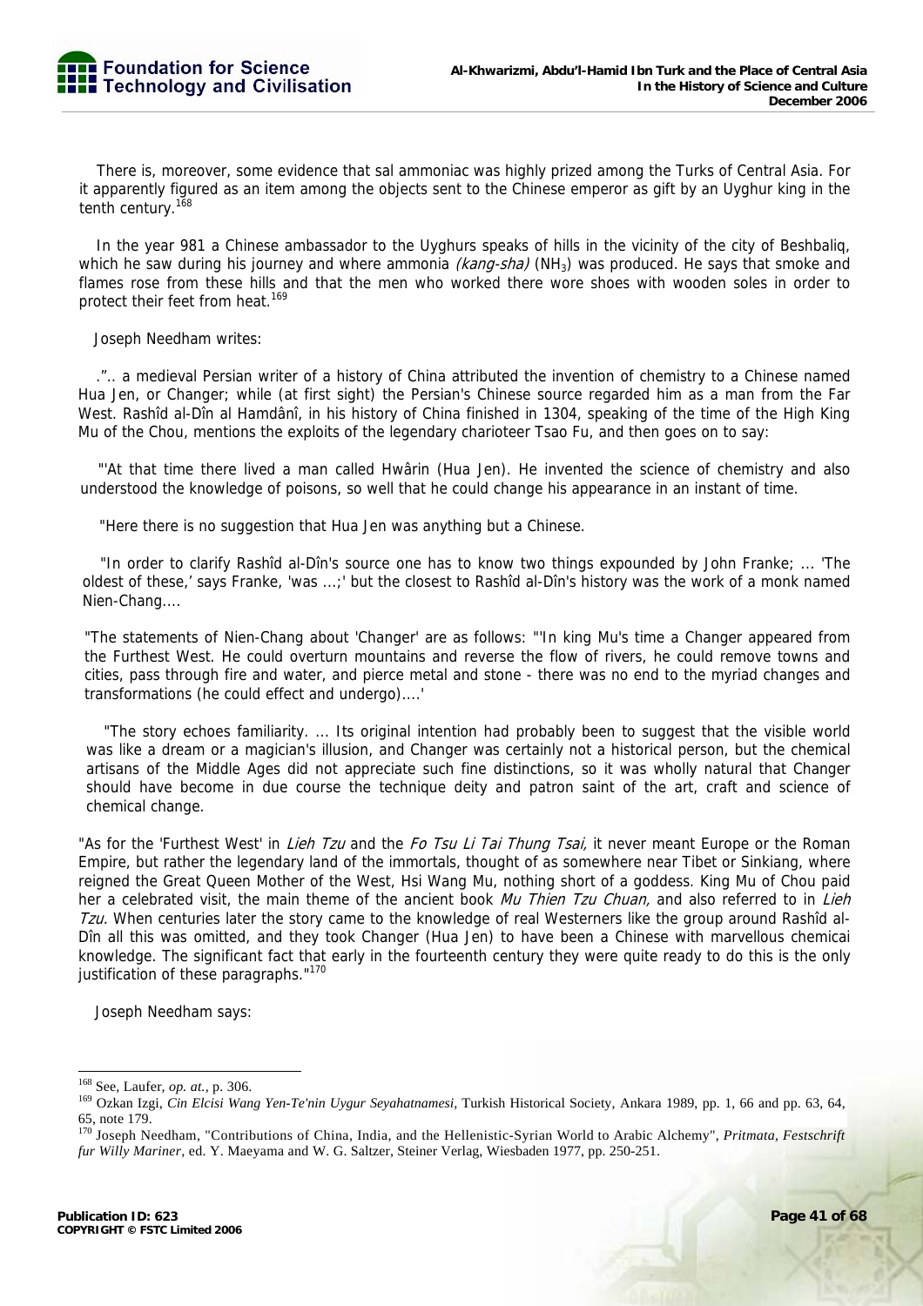There is, moreover, some evidence that sal ammoniac was highly prized among the Turks of Central Asia. For it apparently figured as an item among the objects sent to the Chinese emperor as gift by an Uyghur king in the tenth century.<sup>168</sup>

In the year 981 a Chinese ambassador to the Uyghurs speaks of hills in the vicinity of the city of Beshbaliq, which he saw during his journey and where ammonia *(kang-sha)* (NH<sub>3</sub>) was produced. He says that smoke and flames rose from these hills and that the men who worked there wore shoes with wooden soles in order to protect their feet from heat.<sup>169</sup>

Joseph Needham writes:

.".. a medieval Persian writer of a history of China attributed the invention of chemistry to a Chinese named Hua Jen, or Changer; while (at first sight) the Persian's Chinese source regarded him as a man from the Far West. Rashîd al-Dîn al Hamdânî, in his history of China finished in 1304, speaking of the time of the High King Mu of the Chou, mentions the exploits of the legendary charioteer Tsao Fu, and then goes on to say:

"'At that time there lived a man called Hwârin (Hua Jen). He invented the science of chemistry and also understood the knowledge of poisons, so well that he could change his appearance in an instant of time.

"Here there is no suggestion that Hua Jen was anything but a Chinese.

"In order to clarify Rashîd al-Dîn's source one has to know two things expounded by John Franke; ... 'The oldest of these,' says Franke, 'was ...;' but the closest to Rashîd al-Dîn's history was the work of a monk named Nien-Chang....

"The statements of Nien-Chang about 'Changer' are as follows: "'In king Mu's time a Changer appeared from the Furthest West. He could overturn mountains and reverse the flow of rivers, he could remove towns and cities, pass through fire and water, and pierce metal and stone - there was no end to the myriad changes and transformations (he could effect and undergo)....'

"The story echoes familiarity. ... Its original intention had probably been to suggest that the visible world was like a dream or a magician's illusion, and Changer was certainly not a historical person, but the chemical artisans of the Middle Ages did not appreciate such fine distinctions, so it was wholly natural that Changer should have become in due course the technique deity and patron saint of the art, craft and science of chemical change.

"As for the 'Furthest West' in *Lieh Tzu* and the Fo Tsu Li Tai Thung Tsai, it never meant Europe or the Roman Empire, but rather the legendary land of the immortals, thought of as somewhere near Tibet or Sinkiang, where reigned the Great Queen Mother of the West, Hsi Wang Mu, nothing short of a goddess. King Mu of Chou paid her a celebrated visit, the main theme of the ancient book Mu Thien Tzu Chuan, and also referred to in Lieh Tzu. When centuries later the story came to the knowledge of real Westerners like the group around Rashîd al-Dîn all this was omitted, and they took Changer (Hua Jen) to have been a Chinese with marvellous chemicai knowledge. The significant fact that early in the fourteenth century they were quite ready to do this is the only justification of these paragraphs."<sup>170</sup>

Joseph Needham says:

<sup>&</sup>lt;sup>168</sup> See, Laufer, op. at., p. 306.

<sup>&</sup>lt;sup>169</sup> Ozkan Izgi, *Cin Elcisi Wang Yen-Te'nin Uygur Seyahatnamesi*, Turkish Historical Society, Ankara 1989, pp. 1, 66 and pp. 63, 64, 65, note 179.

<sup>&</sup>lt;sup>170</sup> Joseph Needham, "Contributions of China, India, and the Hellenistic-Syrian World to Arabic Alchemy", *Pritmata, Festschrift fur Willy Mariner,* ed. Y. Maeyama and W. G. Saltzer, Steiner Verlag, Wiesbaden 1977, pp. 250-251.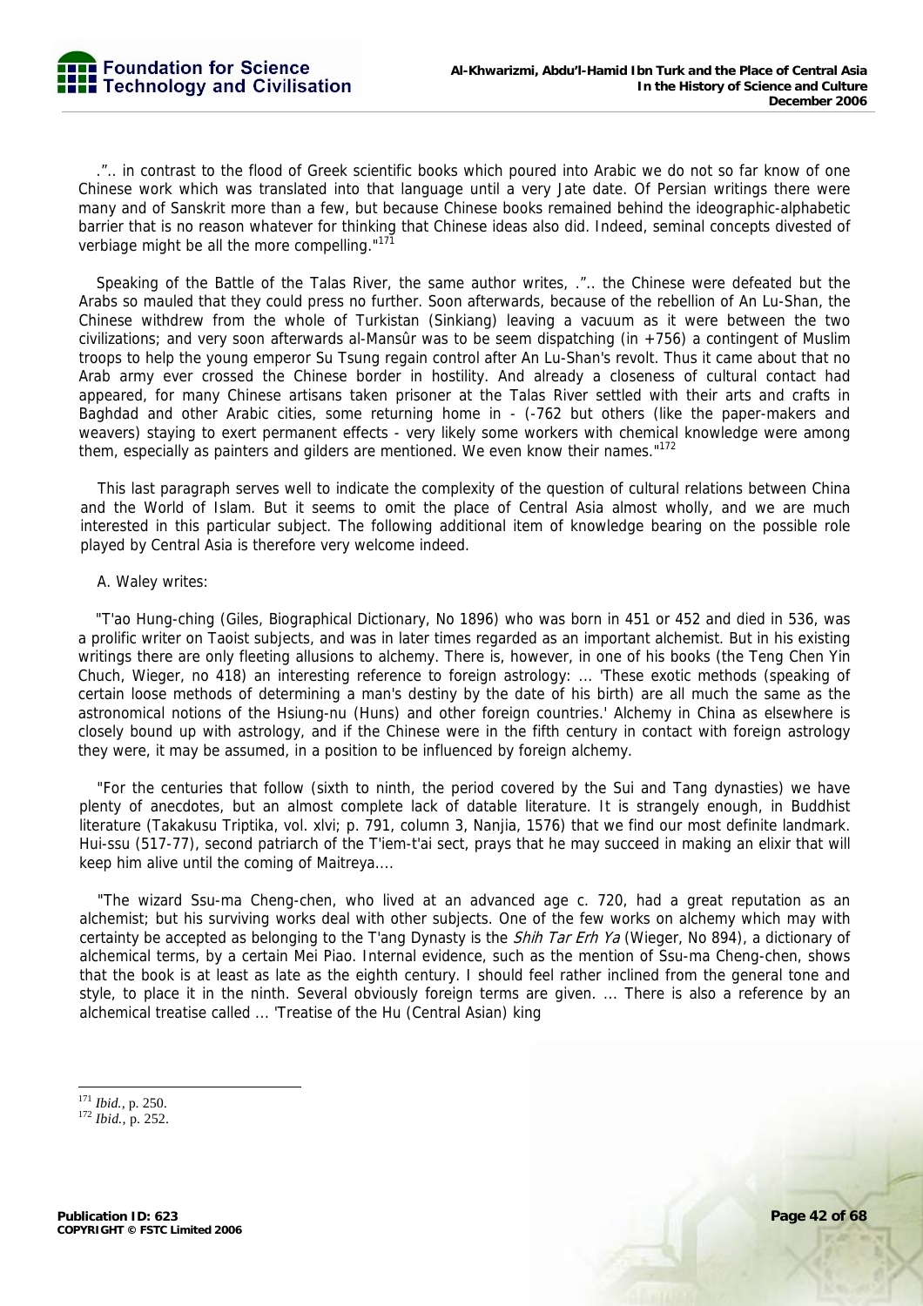

.".. in contrast to the flood of Greek scientific books which poured into Arabic we do not so far know of one Chinese work which was translated into that language until a very Jate date. Of Persian writings there were many and of Sanskrit more than a few, but because Chinese books remained behind the ideographic-alphabetic barrier that is no reason whatever for thinking that Chinese ideas also did. Indeed, seminal concepts divested of verbiage might be all the more compelling."<sup>171</sup>

Speaking of the Battle of the Talas River, the same author writes, .".. the Chinese were defeated but the Arabs so mauled that they could press no further. Soon afterwards, because of the rebellion of An Lu-Shan, the Chinese withdrew from the whole of Turkistan (Sinkiang) leaving a vacuum as it were between the two civilizations; and very soon afterwards al-Mansûr was to be seem dispatching (in  $+756$ ) a contingent of Muslim troops to help the young emperor Su Tsung regain control after An Lu-Shan's revolt. Thus it came about that no Arab army ever crossed the Chinese border in hostility. And already a closeness of cultural contact had appeared, for many Chinese artisans taken prisoner at the Talas River settled with their arts and crafts in Baghdad and other Arabic cities, some returning home in - (-762 but others (like the paper-makers and weavers) staying to exert permanent effects - very likely some workers with chemical knowledge were among them, especially as painters and gilders are mentioned. We even know their names."<sup>172</sup>

This last paragraph serves well to indicate the complexity of the question of cultural relations between China and the World of Islam. But it seems to omit the place of Central Asia almost wholly, and we are much interested in this particular subject. The following additional item of knowledge bearing on the possible role played by Central Asia is therefore very welcome indeed.

#### A. Waley writes:

"T'ao Hung-ching (Giles, Biographical Dictionary, No 1896) who was born in 451 or 452 and died in 536, was a prolific writer on Taoist subjects, and was in later times regarded as an important alchemist. But in his existing writings there are only fleeting allusions to alchemy. There is, however, in one of his books (the Teng Chen Yin Chuch, Wieger, no 418) an interesting reference to foreign astrology: ... 'These exotic methods (speaking of certain loose methods of determining a man's destiny by the date of his birth) are all much the same as the astronomical notions of the Hsiung-nu (Huns) and other foreign countries.' Alchemy in China as elsewhere is closely bound up with astrology, and if the Chinese were in the fifth century in contact with foreign astrology they were, it may be assumed, in a position to be influenced by foreign alchemy.

"For the centuries that follow (sixth to ninth, the period covered by the Sui and Tang dynasties) we have plenty of anecdotes, but an almost complete lack of datable literature. It is strangely enough, in Buddhist literature (Takakusu Triptika, vol. xlvi; p. 791, column 3, Nanjia, 1576) that we find our most definite landmark. Hui-ssu (517-77), second patriarch of the T'iem-t'ai sect, prays that he may succeed in making an elixir that will keep him alive until the coming of Maitreya....

"The wizard Ssu-ma Cheng-chen, who lived at an advanced age c. 720, had a great reputation as an alchemist; but his surviving works deal with other subjects. One of the few works on alchemy which may with certainty be accepted as belonging to the T'ang Dynasty is the *Shih Tar Erh Ya* (Wieger, No 894), a dictionary of alchemical terms, by a certain Mei Piao. Internal evidence, such as the mention of Ssu-ma Cheng-chen, shows that the book is at least as late as the eighth century. I should feel rather inclined from the general tone and style, to place it in the ninth. Several obviously foreign terms are given. ... There is also a reference by an alchemical treatise called ... 'Treatise of the Hu (Central Asian) king

<sup>&</sup>lt;sup>171</sup> Ibid., p. 250.

<sup>171</sup> *Ibid.,* p. 250. 172 *Ibid.,* p. 252.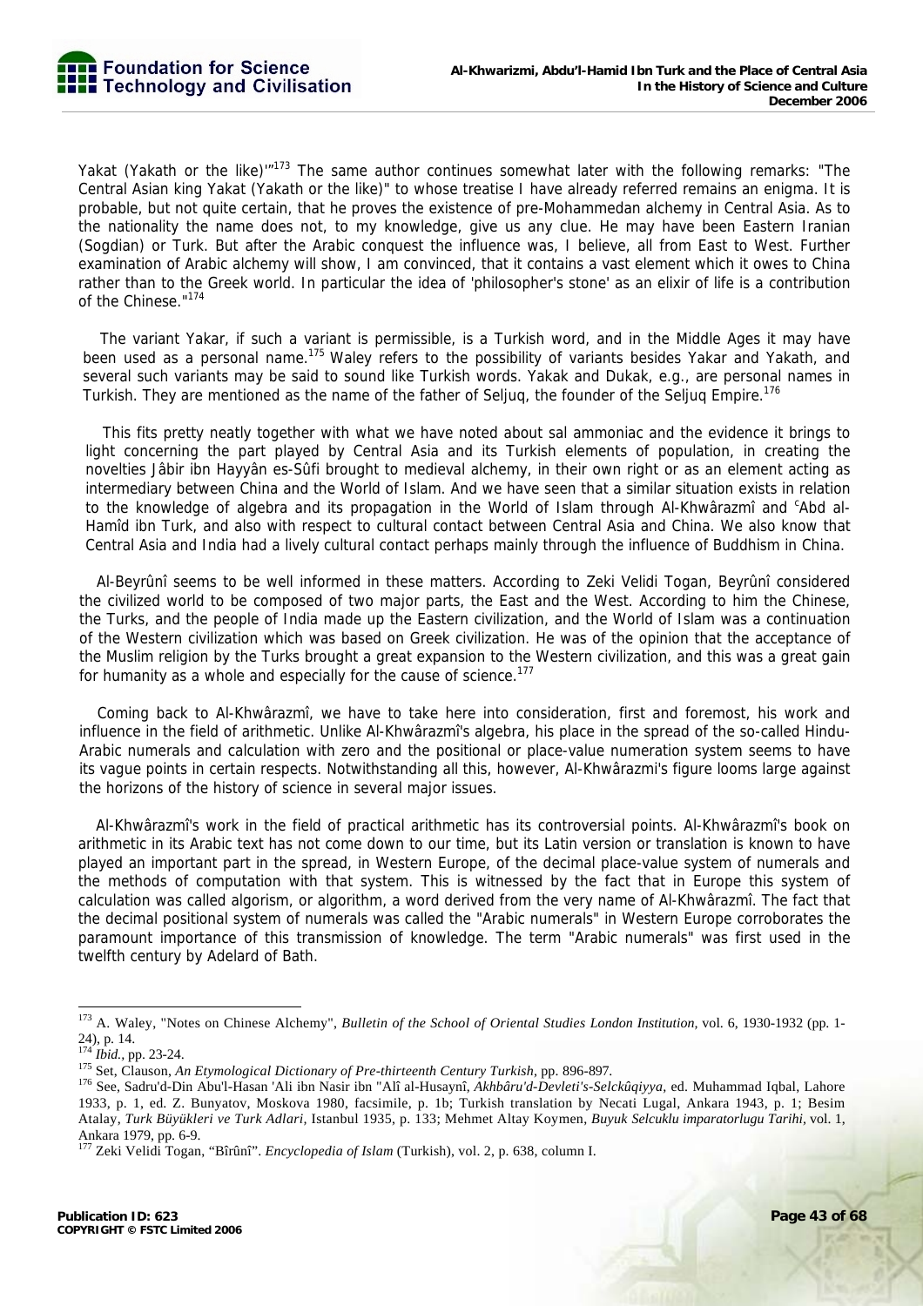Yakat (Yakath or the like)'<sup>"173</sup> The same author continues somewhat later with the following remarks: "The Central Asian king Yakat (Yakath or the like)" to whose treatise I have already referred remains an enigma. It is probable, but not quite certain, that he proves the existence of pre-Mohammedan alchemy in Central Asia. As to the nationality the name does not, to my knowledge, give us any clue. He may have been Eastern Iranian (Sogdian) or Turk. But after the Arabic conquest the influence was, I believe, all from East to West. Further examination of Arabic alchemy will show, I am convinced, that it contains a vast element which it owes to China rather than to the Greek world. In particular the idea of 'philosopher's stone' as an elixir of life is a contribution of the Chinese."174

The variant Yakar, if such a variant is permissible, is a Turkish word, and in the Middle Ages it may have been used as a personal name.<sup>175</sup> Waley refers to the possibility of variants besides Yakar and Yakath, and several such variants may be said to sound like Turkish words. Yakak and Dukak, e.g., are personal names in Turkish. They are mentioned as the name of the father of Seljuq, the founder of the Seljuq Empire.<sup>176</sup>

This fits pretty neatly together with what we have noted about sal ammoniac and the evidence it brings to light concerning the part played by Central Asia and its Turkish elements of population, in creating the novelties Jâbir ibn Hayyân es-Sûfi brought to medieval alchemy, in their own right or as an element acting as intermediary between China and the World of Islam. And we have seen that a similar situation exists in relation to the knowledge of algebra and its propagation in the World of Islam through Al-Khwârazmî and <sup>c</sup>Abd al-Hamîd ibn Turk, and also with respect to cultural contact between Central Asia and China. We also know that Central Asia and India had a lively cultural contact perhaps mainly through the influence of Buddhism in China.

Al-Beyrûnî seems to be well informed in these matters. According to Zeki Velidi Togan, Beyrûnî considered the civilized world to be composed of two major parts, the East and the West. According to him the Chinese, the Turks, and the people of India made up the Eastern civilization, and the World of Islam was a continuation of the Western civilization which was based on Greek civilization. He was of the opinion that the acceptance of the Muslim religion by the Turks brought a great expansion to the Western civilization, and this was a great gain for humanity as a whole and especially for the cause of science.<sup>177</sup>

Coming back to Al-Khwârazmî, we have to take here into consideration, first and foremost, his work and influence in the field of arithmetic. Unlike Al-Khwârazmî's algebra, his place in the spread of the so-called Hindu-Arabic numerals and calculation with zero and the positional or place-value numeration system seems to have its vague points in certain respects. Notwithstanding all this, however, Al-Khwârazmi's figure looms large against the horizons of the history of science in several major issues.

Al-Khwârazmî's work in the field of practical arithmetic has its controversial points. Al-Khwârazmî's book on arithmetic in its Arabic text has not come down to our time, but its Latin version or translation is known to have played an important part in the spread, in Western Europe, of the decimal place-value system of numerals and the methods of computation with that system. This is witnessed by the fact that in Europe this system of calculation was called algorism, or algorithm, a word derived from the very name of Al-Khwârazmî. The fact that the decimal positional system of numerals was called the "Arabic numerals" in Western Europe corroborates the paramount importance of this transmission of knowledge. The term "Arabic numerals" was first used in the twelfth century by Adelard of Bath.

<sup>173</sup> A. Waley, "Notes on Chinese Alchemy", *Bulletin of the School of Oriental Studies London Institution,* vol. 6, 1930-1932 (pp. 1- 24), p. 14.<br><sup>174</sup> *Ibid.*, pp. 23-24.

<sup>&</sup>lt;sup>175</sup> Set, Clauson, An Etymological Dictionary of Pre-thirteenth Century Turkish, pp. 896-897.<br><sup>176</sup> See, Sadru'd-Din Abu'l-Hasan 'Ali ibn Nasir ibn "Alî al-Husaynî, Akhbâru'd-Devleti's-Selckûqiyya, ed. Muhammad Iqbal, Lah 1933, p. 1, ed. Z. Bunyatov, Moskova 1980, facsimile, p. 1b; Turkish translation by Necati Lugal, Ankara 1943, p. 1; Besim Atalay, *Turk Büyükleri ve Turk Adlari,* Istanbul 1935, p. 133; Mehmet Altay Koymen, *Buyuk Selcuklu imparatorlugu Tarihi,* vol. 1, Ankara 1979, pp. 6-9.

<sup>177</sup> Zeki Velidi Togan, "Bîrûnî". *Encyclopedia of Islam* (Turkish), vol. 2, p. 638, column I.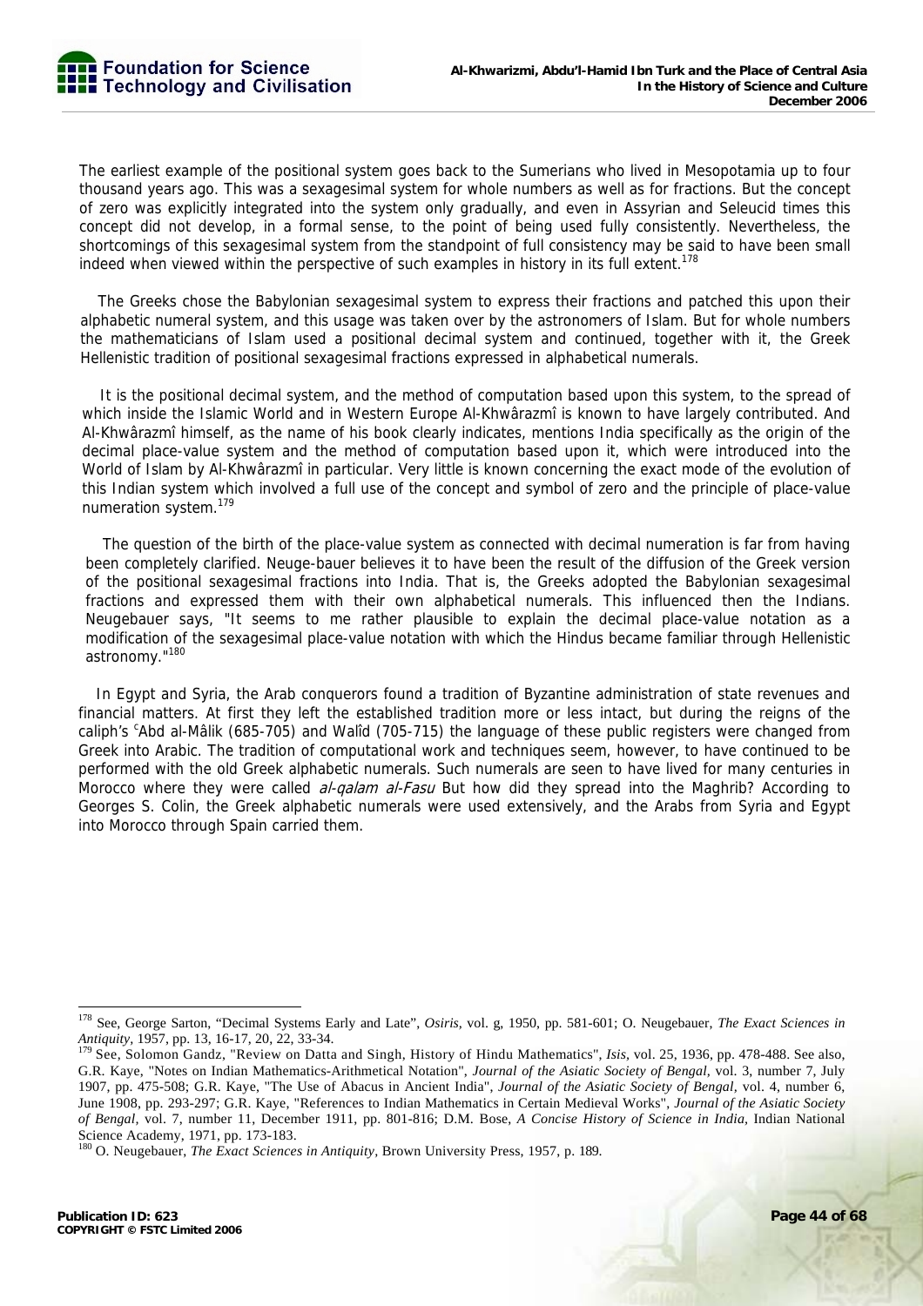The earliest example of the positional system goes back to the Sumerians who lived in Mesopotamia up to four thousand years ago. This was a sexagesimal system for whole numbers as well as for fractions. But the concept of zero was explicitly integrated into the system only gradually, and even in Assyrian and Seleucid times this concept did not develop, in a formal sense, to the point of being used fully consistently. Nevertheless, the shortcomings of this sexagesimal system from the standpoint of full consistency may be said to have been small indeed when viewed within the perspective of such examples in history in its full extent.<sup>178</sup>

The Greeks chose the Babylonian sexagesimal system to express their fractions and patched this upon their alphabetic numeral system, and this usage was taken over by the astronomers of Islam. But for whole numbers the mathematicians of Islam used a positional decimal system and continued, together with it, the Greek Hellenistic tradition of positional sexagesimal fractions expressed in alphabetical numerals.

It is the positional decimal system, and the method of computation based upon this system, to the spread of which inside the Islamic World and in Western Europe Al-Khwârazmî is known to have largely contributed. And Al-Khwârazmî himself, as the name of his book clearly indicates, mentions India specifically as the origin of the decimal place-value system and the method of computation based upon it, which were introduced into the World of Islam by Al-Khwârazmî in particular. Very little is known concerning the exact mode of the evolution of this Indian system which involved a full use of the concept and symbol of zero and the principle of place-value numeration system.179

The question of the birth of the place-value system as connected with decimal numeration is far from having been completely clarified. Neuge-bauer believes it to have been the result of the diffusion of the Greek version of the positional sexagesimal fractions into India. That is, the Greeks adopted the Babylonian sexagesimal fractions and expressed them with their own alphabetical numerals. This influenced then the Indians. Neugebauer says, "It seems to me rather plausible to explain the decimal place-value notation as a modification of the sexagesimal place-value notation with which the Hindus became familiar through Hellenistic astronomy."180

In Egypt and Syria, the Arab conquerors found a tradition of Byzantine administration of state revenues and financial matters. At first they left the established tradition more or less intact, but during the reigns of the caliph's <sup>c</sup>Abd al-Mâlik (685-705) and Walîd (705-715) the language of these public registers were changed from Greek into Arabic. The tradition of computational work and techniques seem, however, to have continued to be performed with the old Greek alphabetic numerals. Such numerals are seen to have lived for many centuries in Morocco where they were called *al-galam al-Fasu* But how did they spread into the Maghrib? According to Georges S. Colin, the Greek alphabetic numerals were used extensively, and the Arabs from Syria and Egypt into Morocco through Spain carried them.

<sup>-</sup>178 See, George Sarton, "Decimal Systems Early and Late", *Osiris,* vol. g, 1950, pp. 581-601; O. Neugebauer, *The Exact Sciences in* 

*Antiquity*, 1957, pp. 13, 16-17, 20, 22, 33-34.<br><sup>179</sup> See, Solomon Gandz, "Review on Datta and Singh, History of Hindu Mathematics", *Isis*, vol. 25, 1936, pp. 478-488. See also, G.R. Kaye, "Notes on Indian Mathematics-Arithmetical Notation", *Journal of the Asiatic Society of Bengal,* vol. 3, number 7, July 1907, pp. 475-508; G.R. Kaye, "The Use of Abacus in Ancient India", *Journal of the Asiatic Society of Bengal,* vol. 4, number 6, June 1908, pp. 293-297; G.R. Kaye, "References to Indian Mathematics in Certain Medieval Works", *Journal of the Asiatic Society of Bengal,* vol. 7, number 11, December 1911, pp. 801-816; D.M. Bose, *A Concise History of Science in India,* Indian National Science Academy, 1971, pp. 173-183.

<sup>180</sup> O. Neugebauer, *The Exact Sciences in Antiquity,* Brown University Press, 1957, p. 189.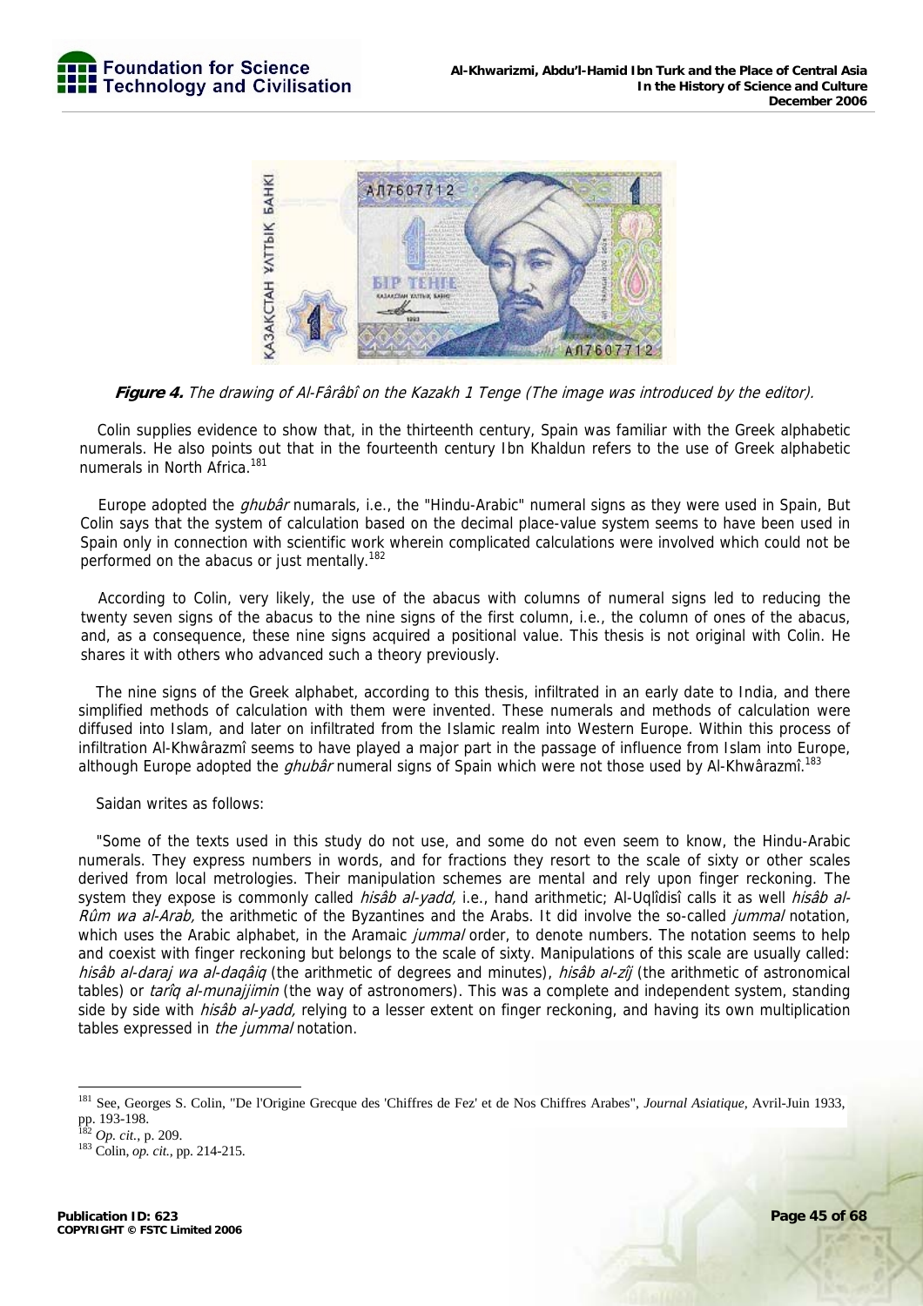

**Figure 4.** The drawing of Al-Fârâbî on the Kazakh 1 Tenge (The image was introduced by the editor).

Colin supplies evidence to show that, in the thirteenth century, Spain was familiar with the Greek alphabetic numerals. He also points out that in the fourteenth century Ibn Khaldun refers to the use of Greek alphabetic numerals in North Africa.<sup>181</sup>

Europe adopted the *ghubâr* numarals, i.e., the "Hindu-Arabic" numeral signs as they were used in Spain, But Colin says that the system of calculation based on the decimal place-value system seems to have been used in Spain only in connection with scientific work wherein complicated calculations were involved which could not be performed on the abacus or just mentally.<sup>182</sup>

According to Colin, very likely, the use of the abacus with columns of numeral signs led to reducing the twenty seven signs of the abacus to the nine signs of the first column, i.e., the column of ones of the abacus, and, as a consequence, these nine signs acquired a positional value. This thesis is not original with Colin. He shares it with others who advanced such a theory previously.

The nine signs of the Greek alphabet, according to this thesis, infiltrated in an early date to India, and there simplified methods of calculation with them were invented. These numerals and methods of calculation were diffused into Islam, and later on infiltrated from the Islamic realm into Western Europe. Within this process of infiltration Al-Khwârazmî seems to have played a major part in the passage of influence from Islam into Europe, although Europe adopted the *ghubâr* numeral signs of Spain which were not those used by Al-Khwârazmî.<sup>183</sup>

Saidan writes as follows:

"Some of the texts used in this study do not use, and some do not even seem to know, the Hindu-Arabic numerals. They express numbers in words, and for fractions they resort to the scale of sixty or other scales derived from local metrologies. Their manipulation schemes are mental and rely upon finger reckoning. The system they expose is commonly called *hisâb al-yadd*, i.e., hand arithmetic; Al-Uqlîdisî calls it as well *hisâb al-*Rûm wa al-Arab, the arithmetic of the Byzantines and the Arabs. It did involve the so-called jummal notation, which uses the Arabic alphabet, in the Aramaic *jummal* order, to denote numbers. The notation seems to help and coexist with finger reckoning but belongs to the scale of sixty. Manipulations of this scale are usually called: hisâb al-daraj wa al-daqâiq (the arithmetic of degrees and minutes), hisâb al-zîj (the arithmetic of astronomical tables) or tariq al-munajjimin (the way of astronomers). This was a complete and independent system, standing side by side with *hisâb al-yadd*, relying to a lesser extent on finger reckoning, and having its own multiplication tables expressed in the jummal notation.

<sup>181</sup> See, Georges S. Colin, "De l'Origine Grecque des 'Chiffres de Fez' et de Nos Chiffres Arabes", *Journal Asiatique,* Avril-Juin 1933, pp. 193-198.<br><sup>182</sup> *Op. cit.*, p. 209.

<sup>&</sup>lt;sup>183</sup> Colin, *op. cit.*, pp. 214-215.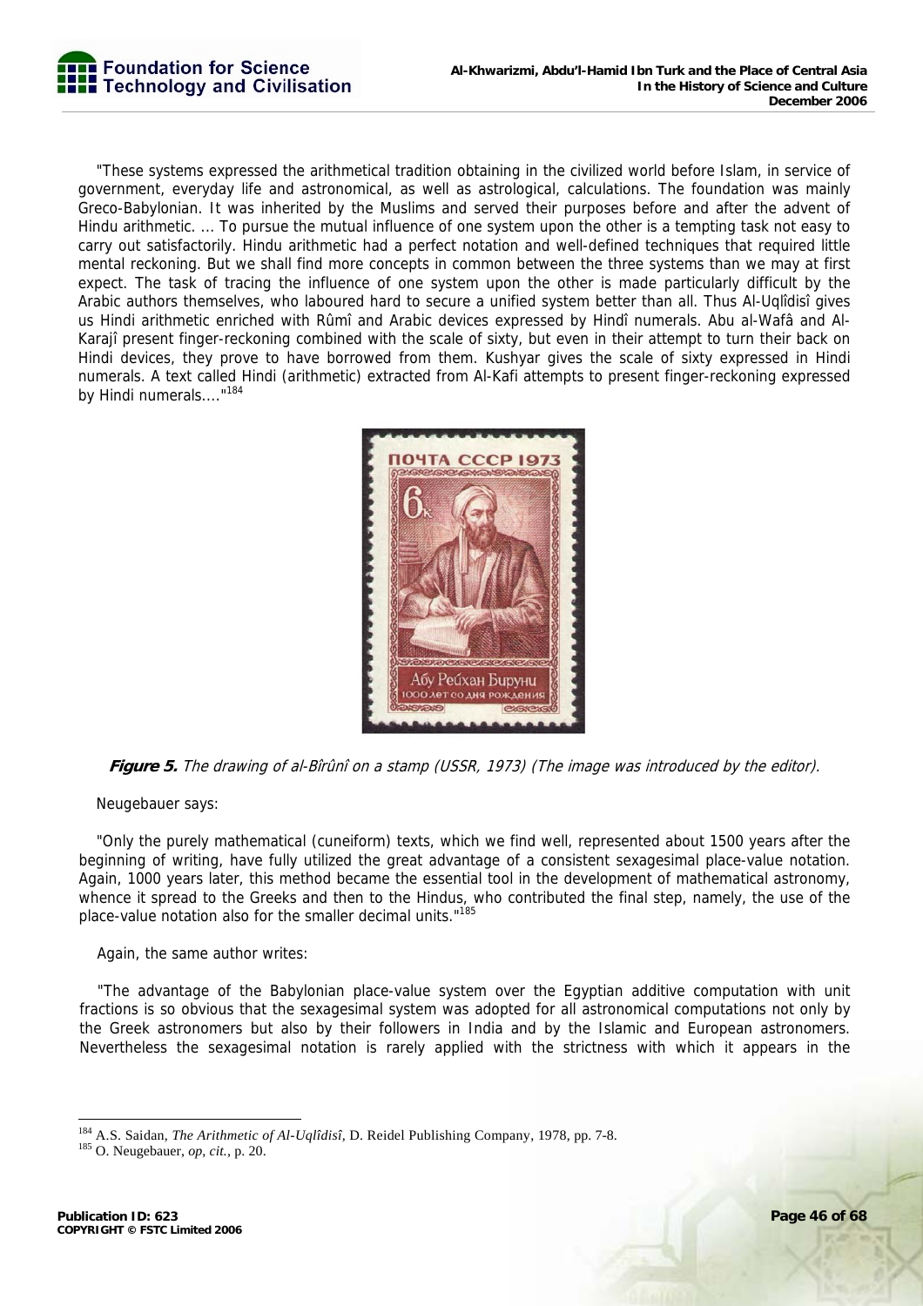

"These systems expressed the arithmetical tradition obtaining in the civilized world before Islam, in service of government, everyday life and astronomical, as well as astrological, calculations. The foundation was mainly Greco-Babylonian. It was inherited by the Muslims and served their purposes before and after the advent of Hindu arithmetic. ... To pursue the mutual influence of one system upon the other is a tempting task not easy to carry out satisfactorily. Hindu arithmetic had a perfect notation and well-defined techniques that required little mental reckoning. But we shall find more concepts in common between the three systems than we may at first expect. The task of tracing the influence of one system upon the other is made particularly difficult by the Arabic authors themselves, who laboured hard to secure a unified system better than all. Thus Al-Uqlîdisî gives us Hindi arithmetic enriched with Rûmî and Arabic devices expressed by Hindî numerals. Abu al-Wafâ and Al-Karajî present finger-reckoning combined with the scale of sixty, but even in their attempt to turn their back on Hindi devices, they prove to have borrowed from them. Kushyar gives the scale of sixty expressed in Hindi numerals. A text called Hindi (arithmetic) extracted from Al-Kafi attempts to present finger-reckoning expressed by Hindi numerals...."<sup>184</sup>



**Figure 5.** The drawing of al-Bîrûnî on a stamp (USSR, 1973) (The image was introduced by the editor).

Neugebauer says:

"Only the purely mathematical (cuneiform) texts, which we find well, represented about 1500 years after the beginning of writing, have fully utilized the great advantage of a consistent sexagesimal place-value notation. Again, 1000 years later, this method became the essential tool in the development of mathematical astronomy, whence it spread to the Greeks and then to the Hindus, who contributed the final step, namely, the use of the place-value notation also for the smaller decimal units."185

Again, the same author writes:

"The advantage of the Babylonian place-value system over the Egyptian additive computation with unit fractions is so obvious that the sexagesimal system was adopted for all astronomical computations not only by the Greek astronomers but also by their followers in India and by the Islamic and European astronomers. Nevertheless the sexagesimal notation is rarely applied with the strictness with which it appears in the

<sup>-</sup>184 A.S. Saidan, *The Arithmetic of Al-Uqlîdisî,* D. Reidel Publishing Company, 1978, pp. 7-8. 185 O. Neugebauer, *op, cit.,* p. 20.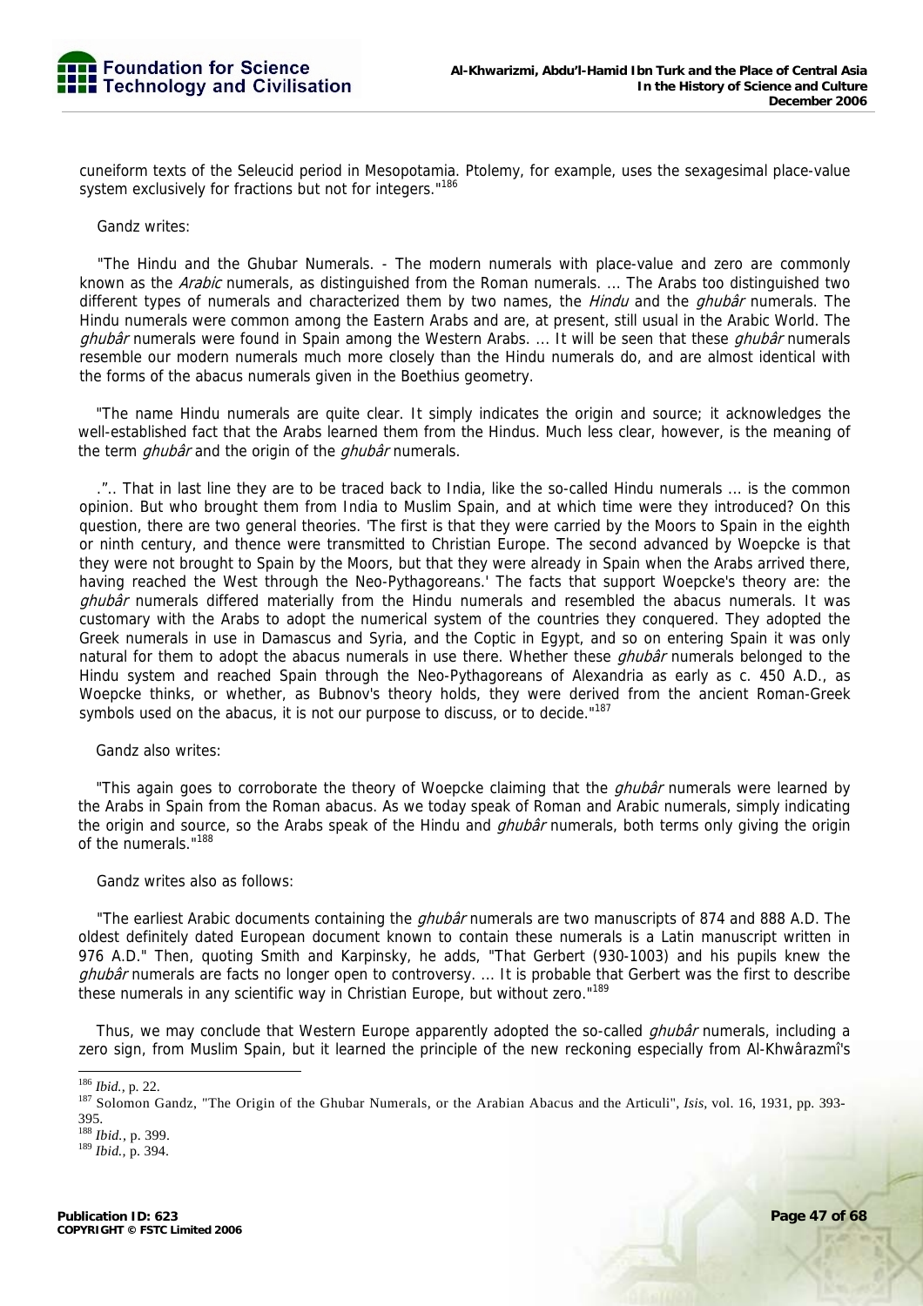cuneiform texts of the Seleucid period in Mesopotamia. Ptolemy, for example, uses the sexagesimal place-value system exclusively for fractions but not for integers."<sup>186</sup>

#### Gandz writes:

"The Hindu and the Ghubar Numerals. - The modern numerals with place-value and zero are commonly known as the *Arabic* numerals, as distinguished from the Roman numerals. ... The Arabs too distinguished two different types of numerals and characterized them by two names, the *Hindu* and the *ghubâr* numerals. The Hindu numerals were common among the Eastern Arabs and are, at present, still usual in the Arabic World. The *ghubâr* numerals were found in Spain among the Western Arabs. ... It will be seen that these *ghubâr* numerals resemble our modern numerals much more closely than the Hindu numerals do, and are almost identical with the forms of the abacus numerals given in the Boethius geometry.

"The name Hindu numerals are quite clear. It simply indicates the origin and source; it acknowledges the well-established fact that the Arabs learned them from the Hindus. Much less clear, however, is the meaning of the term *ghubâr* and the origin of the *ghubâr* numerals.

.".. That in last line they are to be traced back to India, like the so-called Hindu numerals ... is the common opinion. But who brought them from India to Muslim Spain, and at which time were they introduced? On this question, there are two general theories. 'The first is that they were carried by the Moors to Spain in the eighth or ninth century, and thence were transmitted to Christian Europe. The second advanced by Woepcke is that they were not brought to Spain by the Moors, but that they were already in Spain when the Arabs arrived there, having reached the West through the Neo-Pythagoreans.' The facts that support Woepcke's theory are: the ghubâr numerals differed materially from the Hindu numerals and resembled the abacus numerals. It was customary with the Arabs to adopt the numerical system of the countries they conquered. They adopted the Greek numerals in use in Damascus and Syria, and the Coptic in Egypt, and so on entering Spain it was only natural for them to adopt the abacus numerals in use there. Whether these *ghubâr* numerals belonged to the Hindu system and reached Spain through the Neo-Pythagoreans of Alexandria as early as c. 450 A.D., as Woepcke thinks, or whether, as Bubnov's theory holds, they were derived from the ancient Roman-Greek symbols used on the abacus, it is not our purpose to discuss, or to decide."<sup>187</sup>

Gandz also writes:

"This again goes to corroborate the theory of Woepcke claiming that the *ghubâr* numerals were learned by the Arabs in Spain from the Roman abacus. As we today speak of Roman and Arabic numerals, simply indicating the origin and source, so the Arabs speak of the Hindu and *ghubâr* numerals, both terms only giving the origin of the numerals."188

#### Gandz writes also as follows:

"The earliest Arabic documents containing the *ghubâr* numerals are two manuscripts of 874 and 888 A.D. The oldest definitely dated European document known to contain these numerals is a Latin manuscript written in 976 A.D." Then, quoting Smith and Karpinsky, he adds, "That Gerbert (930-1003) and his pupils knew the ghubâr numerals are facts no longer open to controversy. ... It is probable that Gerbert was the first to describe these numerals in any scientific way in Christian Europe, but without zero."<sup>189</sup>

Thus, we may conclude that Western Europe apparently adopted the so-called *ghubâr* numerals, including a zero sign, from Muslim Spain, but it learned the principle of the new reckoning especially from Al-Khwârazmî's

<sup>&</sup>lt;sup>186</sup> Ibid., p. 22.

<sup>187</sup> Solomon Gandz, "The Origin of the Ghubar Numerals, or the Arabian Abacus and the Articuli", *Isis*, vol. 16, 1931, pp. 393-395.

<sup>188</sup> *Ibid.,* p. 399. 189 *Ibid.,* p. 394.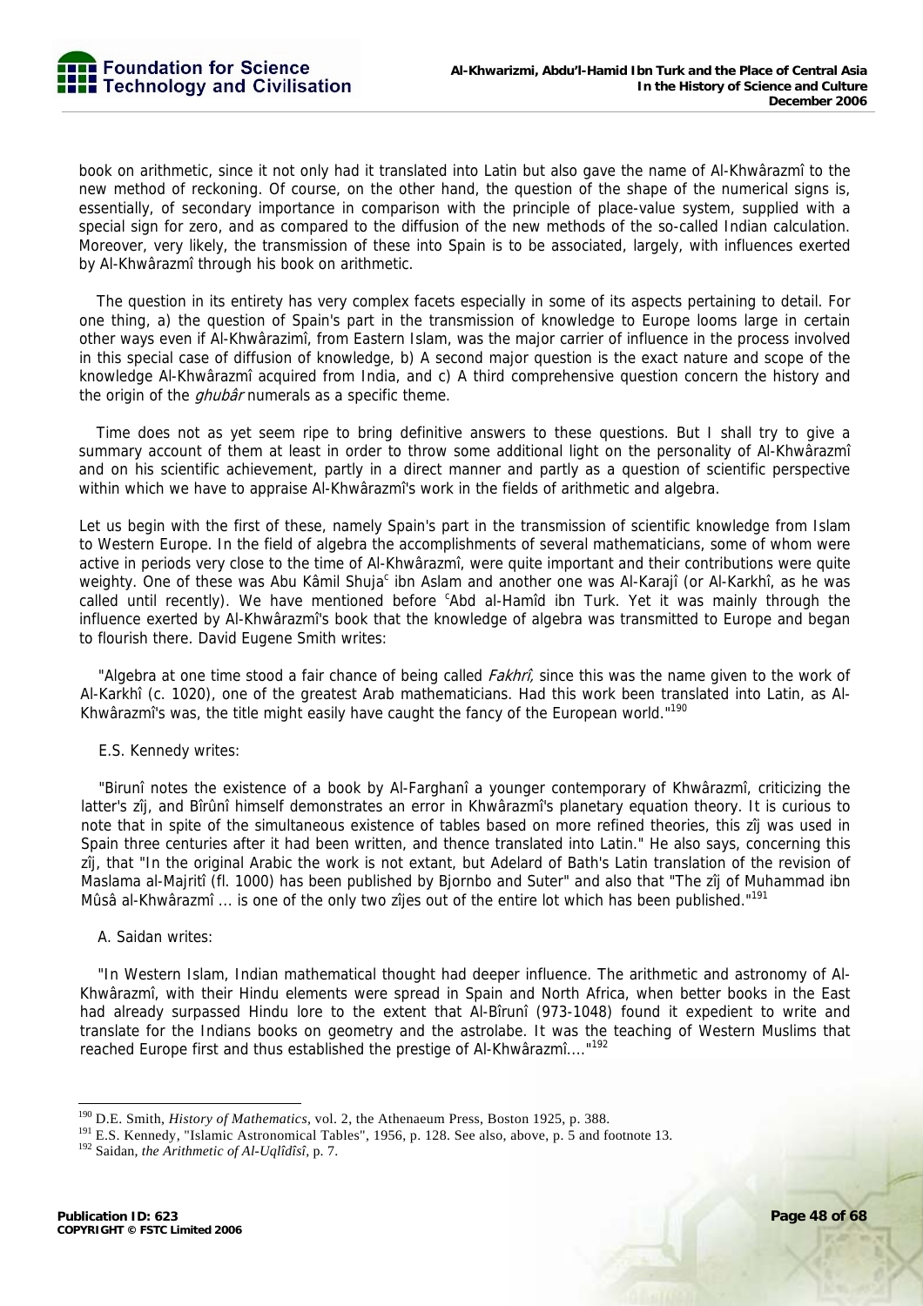book on arithmetic, since it not only had it translated into Latin but also gave the name of Al-Khwârazmî to the new method of reckoning. Of course, on the other hand, the question of the shape of the numerical signs is, essentially, of secondary importance in comparison with the principle of place-value system, supplied with a special sign for zero, and as compared to the diffusion of the new methods of the so-called Indian calculation. Moreover, very likely, the transmission of these into Spain is to be associated, largely, with influences exerted by Al-Khwârazmî through his book on arithmetic.

The question in its entirety has very complex facets especially in some of its aspects pertaining to detail. For one thing, a) the question of Spain's part in the transmission of knowledge to Europe looms large in certain other ways even if Al-Khwârazimî, from Eastern Islam, was the major carrier of influence in the process involved in this special case of diffusion of knowledge, b) A second major question is the exact nature and scope of the knowledge Al-Khwârazmî acquired from India, and c) A third comprehensive question concern the history and the origin of the *ghubâr* numerals as a specific theme.

Time does not as yet seem ripe to bring definitive answers to these questions. But I shall try to give a summary account of them at least in order to throw some additional light on the personality of Al-Khwârazmî and on his scientific achievement, partly in a direct manner and partly as a question of scientific perspective within which we have to appraise Al-Khwârazmî's work in the fields of arithmetic and algebra.

Let us begin with the first of these, namely Spain's part in the transmission of scientific knowledge from Islam to Western Europe. In the field of algebra the accomplishments of several mathematicians, some of whom were active in periods very close to the time of Al-Khwârazmî, were quite important and their contributions were quite weighty. One of these was Abu Kâmil Shuja<sup>c</sup> ibn Aslam and another one was Al-Karajî (or Al-Karkhî, as he was called until recently). We have mentioned before <sup>c</sup>Abd al-Hamîd ibn Turk. Yet it was mainly through the influence exerted by Al-Khwârazmî's book that the knowledge of algebra was transmitted to Europe and began to flourish there. David Eugene Smith writes:

"Algebra at one time stood a fair chance of being called *Fakhrî*, since this was the name given to the work of Al-Karkhî (c. 1020), one of the greatest Arab mathematicians. Had this work been translated into Latin, as Al-Khwârazmî's was, the title might easily have caught the fancy of the European world."<sup>190</sup>

#### E.S. Kennedy writes:

"Birunî notes the existence of a book by Al-Farghanî a younger contemporary of Khwârazmî, criticizing the latter's zîj, and Bîrûnî himself demonstrates an error in Khwârazmî's planetary equation theory. It is curious to note that in spite of the simultaneous existence of tables based on more refined theories, this zîj was used in Spain three centuries after it had been written, and thence translated into Latin." He also says, concerning this zîj, that "In the original Arabic the work is not extant, but Adelard of Bath's Latin translation of the revision of Maslama al-Majritî (fl. 1000) has been published by Bjornbo and Suter" and also that "The zîj of Muhammad ibn Mûsâ al-Khwârazmî ... is one of the only two zîjes out of the entire lot which has been published."<sup>191</sup>

#### A. Saidan writes:

"In Western Islam, Indian mathematical thought had deeper influence. The arithmetic and astronomy of Al-Khwârazmî, with their Hindu elements were spread in Spain and North Africa, when better books in the East had already surpassed Hindu lore to the extent that Al-Bîrunî (973-1048) found it expedient to write and translate for the Indians books on geometry and the astrolabe. It was the teaching of Western Muslims that reached Europe first and thus established the prestige of Al-Khwârazmî...."<sup>192</sup>

<sup>&</sup>lt;sup>190</sup> D.E. Smith, *History of Mathematics*, vol. 2, the Athenaeum Press, Boston 1925, p. 388.<br><sup>191</sup> E.S. Kennedy, "Islamic Astronomical Tables", 1956, p. 128. See also, above, p. 5 and footnote 13.<br><sup>192</sup> Saidan, *the Arit*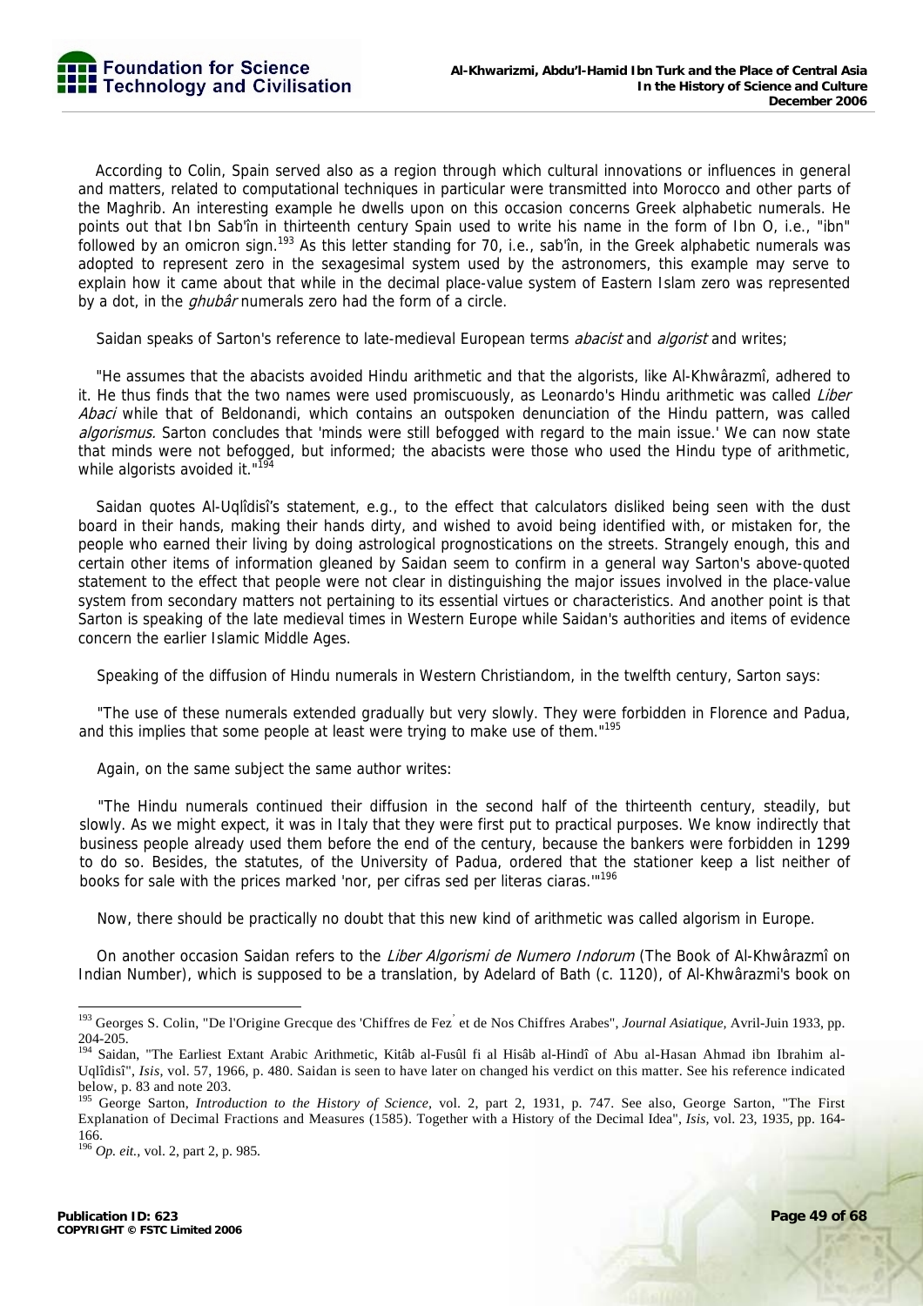According to Colin, Spain served also as a region through which cultural innovations or influences in general and matters, related to computational techniques in particular were transmitted into Morocco and other parts of the Maghrib. An interesting example he dwells upon on this occasion concerns Greek alphabetic numerals. He points out that Ibn Sab'în in thirteenth century Spain used to write his name in the form of Ibn O, i.e., "ibn" followed by an omicron sign.<sup>193</sup> As this letter standing for 70, i.e., sab'în, in the Greek alphabetic numerals was adopted to represent zero in the sexagesimal system used by the astronomers, this example may serve to explain how it came about that while in the decimal place-value system of Eastern Islam zero was represented by a dot, in the *ghubâr* numerals zero had the form of a circle.

Saidan speaks of Sarton's reference to late-medieval European terms *abacist* and *algorist* and writes;

"He assumes that the abacists avoided Hindu arithmetic and that the algorists, like Al-Khwârazmî, adhered to it. He thus finds that the two names were used promiscuously, as Leonardo's Hindu arithmetic was called Liber Abaci while that of Beldonandi, which contains an outspoken denunciation of the Hindu pattern, was called algorismus. Sarton concludes that 'minds were still befogged with regard to the main issue.' We can now state that minds were not befogged, but informed; the abacists were those who used the Hindu type of arithmetic, while algorists avoided it."<sup>194</sup>

Saidan quotes Al-Uqlîdisî's statement, e.g., to the effect that calculators disliked being seen with the dust board in their hands, making their hands dirty, and wished to avoid being identified with, or mistaken for, the people who earned their living by doing astrological prognostications on the streets. Strangely enough, this and certain other items of information gleaned by Saidan seem to confirm in a general way Sarton's above-quoted statement to the effect that people were not clear in distinguishing the major issues involved in the place-value system from secondary matters not pertaining to its essential virtues or characteristics. And another point is that Sarton is speaking of the late medieval times in Western Europe while Saidan's authorities and items of evidence concern the earlier Islamic Middle Ages.

Speaking of the diffusion of Hindu numerals in Western Christiandom, in the twelfth century, Sarton says:

"The use of these numerals extended gradually but very slowly. They were forbidden in Florence and Padua, and this implies that some people at least were trying to make use of them."195

Again, on the same subject the same author writes:

"The Hindu numerals continued their diffusion in the second half of the thirteenth century, steadily, but slowly. As we might expect, it was in Italy that they were first put to practical purposes. We know indirectly that business people already used them before the end of the century, because the bankers were forbidden in 1299 to do so. Besides, the statutes, of the University of Padua, ordered that the stationer keep a list neither of books for sale with the prices marked 'nor, per cifras sed per literas ciaras."<sup>196</sup>

Now, there should be practically no doubt that this new kind of arithmetic was called algorism in Europe.

On another occasion Saidan refers to the Liber Algorismi de Numero Indorum (The Book of Al-Khwârazmî on Indian Number), which is supposed to be a translation, by Adelard of Bath (c. 1120), of Al-Khwârazmi's book on

<sup>&</sup>lt;sup>193</sup> Georges S. Colin, "De l'Origine Grecque des 'Chiffres de Fez<sup>'</sup> et de Nos Chiffres Arabes", *Journal Asiatique*, Avril-Juin 1933, pp.  $204-205$ .<br> $194$  Soider

<sup>194</sup> Saidan, "The Earliest Extant Arabic Arithmetic, Kitâb al-Fusûl fi al Hisâb al-Hindî of Abu al-Hasan Ahmad ibn Ibrahim al-Uqlîdisî", *Isis,* vol. 57, 1966, p. 480. Saidan is seen to have later on changed his verdict on this matter. See his reference indicated below, p. 83 and note 203.

<sup>&</sup>lt;sup>195</sup> George Sarton, *Introduction to the History of Science*, vol. 2, part 2, 1931, p. 747. See also, George Sarton, "The First Explanation of Decimal Fractions and Measures (1585). Together with a History of the Decimal Idea", *Isis,* vol. 23, 1935, pp. 164- 166.

<sup>196</sup> *Op. eit.,* vol. 2, part 2, p. 985.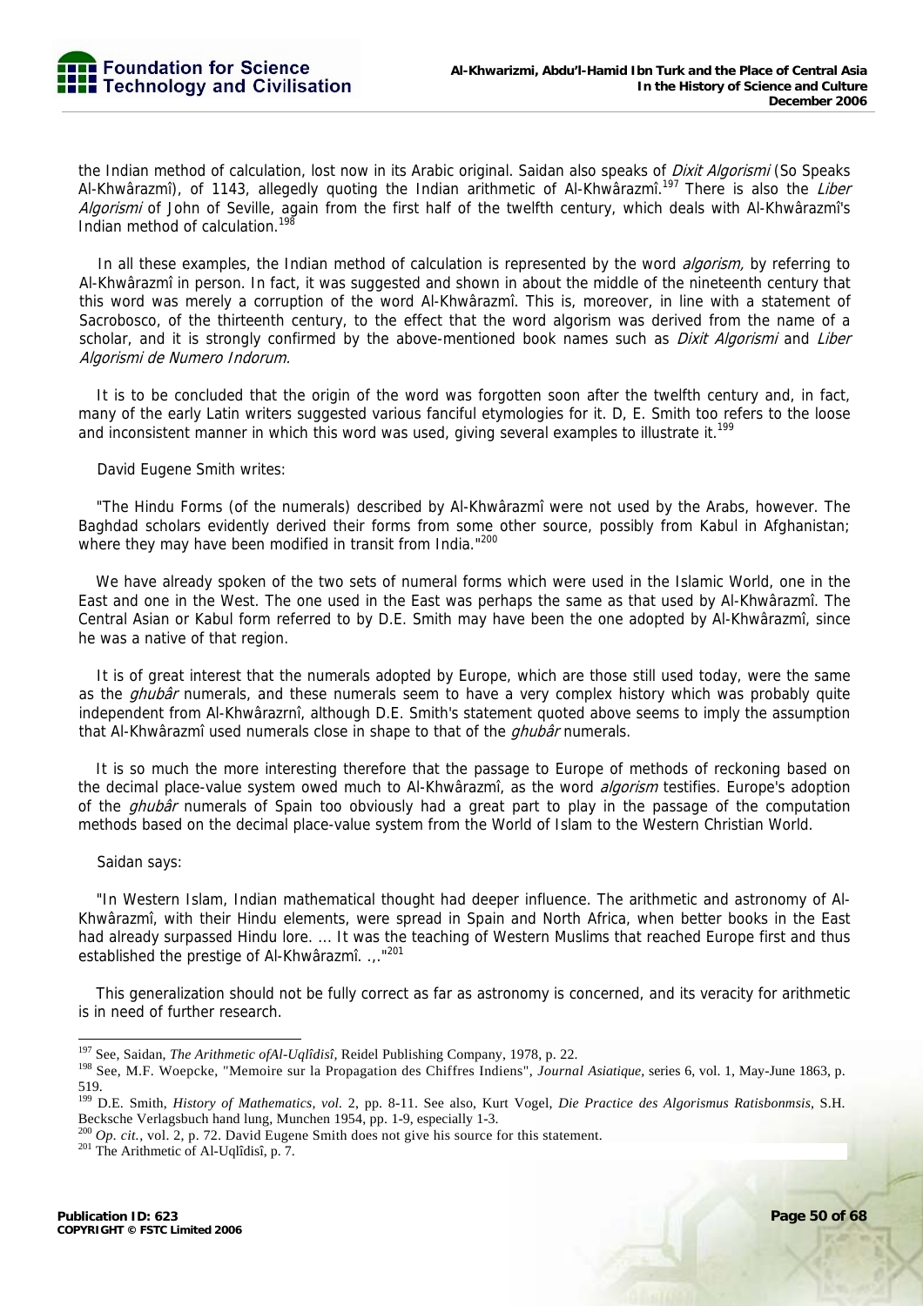

the Indian method of calculation, lost now in its Arabic original. Saidan also speaks of *Dixit Algorismi* (So Speaks Al-Khwârazmî), of 1143, allegedly quoting the Indian arithmetic of Al-Khwârazmî.<sup>197</sup> There is also the *Liber* Algorismi of John of Seville, again from the first half of the twelfth century, which deals with Al-Khwârazmî's Indian method of calculation.<sup>198</sup>

In all these examples, the Indian method of calculation is represented by the word *algorism*, by referring to Al-Khwârazmî in person. In fact, it was suggested and shown in about the middle of the nineteenth century that this word was merely a corruption of the word Al-Khwârazmî. This is, moreover, in line with a statement of Sacrobosco, of the thirteenth century, to the effect that the word algorism was derived from the name of a scholar, and it is strongly confirmed by the above-mentioned book names such as *Dixit Algorismi* and Liber Algorismi de Numero Indorum.

It is to be concluded that the origin of the word was forgotten soon after the twelfth century and, in fact, many of the early Latin writers suggested various fanciful etymologies for it. D, E. Smith too refers to the loose and inconsistent manner in which this word was used, giving several examples to illustrate it.<sup>199</sup>

David Eugene Smith writes:

"The Hindu Forms (of the numerals) described by Al-Khwârazmî were not used by the Arabs, however. The Baghdad scholars evidently derived their forms from some other source, possibly from Kabul in Afghanistan; where they may have been modified in transit from India."200

We have already spoken of the two sets of numeral forms which were used in the Islamic World, one in the East and one in the West. The one used in the East was perhaps the same as that used by Al-Khwârazmî. The Central Asian or Kabul form referred to by D.E. Smith may have been the one adopted by Al-Khwârazmî, since he was a native of that region.

It is of great interest that the numerals adopted by Europe, which are those still used today, were the same as the *ghubâr* numerals, and these numerals seem to have a very complex history which was probably quite independent from Al-Khwârazrnî, although D.E. Smith's statement quoted above seems to imply the assumption that Al-Khwârazmî used numerals close in shape to that of the *ghubâr* numerals.

It is so much the more interesting therefore that the passage to Europe of methods of reckoning based on the decimal place-value system owed much to Al-Khwârazmî, as the word *algorism* testifies. Europe's adoption of the *ghubâr* numerals of Spain too obviously had a great part to play in the passage of the computation methods based on the decimal place-value system from the World of Islam to the Western Christian World.

#### Saidan says:

"In Western Islam, Indian mathematical thought had deeper influence. The arithmetic and astronomy of Al-Khwârazmî, with their Hindu elements, were spread in Spain and North Africa, when better books in the East had already surpassed Hindu lore. ... It was the teaching of Western Muslims that reached Europe first and thus established the prestige of Al-Khwârazmî. ..."<sup>201</sup>

This generalization should not be fully correct as far as astronomy is concerned, and its veracity for arithmetic is in need of further research.

<sup>&</sup>lt;sup>197</sup> See, Saidan, *The Arithmetic of Al-Uqlîdisî*, Reidel Publishing Company, 1978, p. 22.

<sup>&</sup>lt;sup>198</sup> See, M.F. Woepcke, "Memoire sur la Propagation des Chiffres Indiens", Journal Asiatique, series 6, vol. 1, May-June 1863, p. 519.

<sup>199</sup> D.E. Smith, *History of Mathematics, vol.* 2, pp. 8-11. See also, Kurt Vogel, *Die Practice des Algorismus Ratisbonmsis,* S.H. Becksche Verlagsbuch hand lung, Munchen 1954, pp. 1-9, especially 1-3.

<sup>&</sup>lt;sup>200</sup> *Op. cit.*, vol. 2, p. 72. David Eugene Smith does not give his source for this statement. <sup>201</sup> The Arithmetic of Al-Uqlîdisî, p. 7.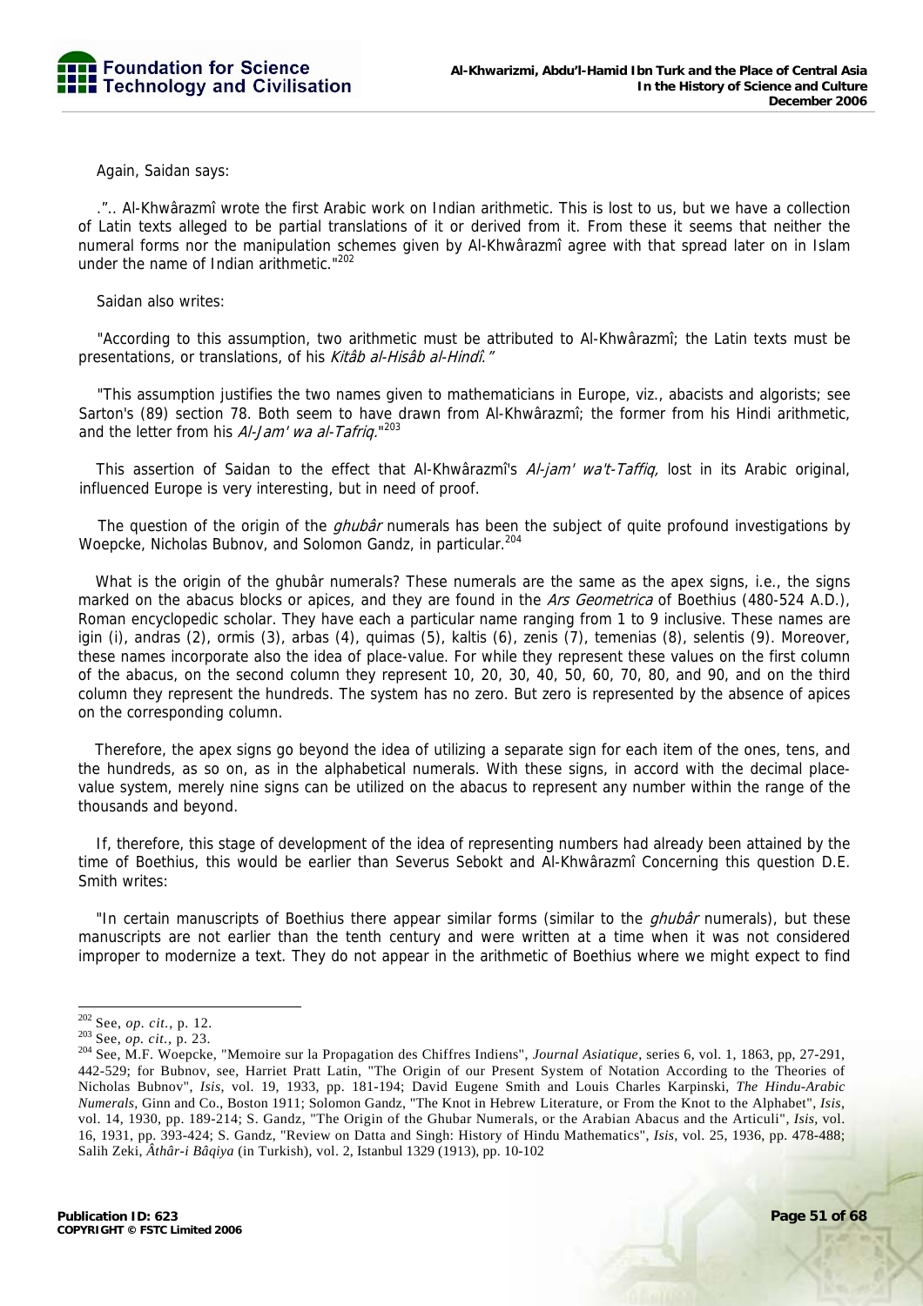Again, Saidan says:

.".. Al-Khwârazmî wrote the first Arabic work on Indian arithmetic. This is lost to us, but we have a collection of Latin texts alleged to be partial translations of it or derived from it. From these it seems that neither the numeral forms nor the manipulation schemes given by Al-Khwârazmî agree with that spread later on in Islam under the name of Indian arithmetic."<sup>202</sup>

Saidan also writes:

"According to this assumption, two arithmetic must be attributed to Al-Khwârazmî; the Latin texts must be presentations, or translations, of his Kitâb al-Hisâb al-Hindî."

"This assumption justifies the two names given to mathematicians in Europe, viz., abacists and algorists; see Sarton's (89) section 78. Both seem to have drawn from Al-Khwârazmî; the former from his Hindi arithmetic, and the letter from his Al-Jam' wa al-Tafriq."<sup>203</sup>

This assertion of Saidan to the effect that Al-Khwârazmî's Al-jam' wa't-Taffiq, lost in its Arabic original, influenced Europe is very interesting, but in need of proof.

The question of the origin of the *ghubâr* numerals has been the subject of quite profound investigations by Woepcke, Nicholas Bubnov, and Solomon Gandz, in particular.204

What is the origin of the ghubâr numerals? These numerals are the same as the apex signs, i.e., the signs marked on the abacus blocks or apices, and they are found in the Ars Geometrica of Boethius (480-524 A.D.), Roman encyclopedic scholar. They have each a particular name ranging from 1 to 9 inclusive. These names are igin (i), andras (2), ormis (3), arbas (4), quimas (5), kaltis (6), zenis (7), temenias (8), selentis (9). Moreover, these names incorporate also the idea of place-value. For while they represent these values on the first column of the abacus, on the second column they represent 10, 20, 30, 40, 50, 60, 70, 80, and 90, and on the third column they represent the hundreds. The system has no zero. But zero is represented by the absence of apices on the corresponding column.

Therefore, the apex signs go beyond the idea of utilizing a separate sign for each item of the ones, tens, and the hundreds, as so on, as in the alphabetical numerals. With these signs, in accord with the decimal placevalue system, merely nine signs can be utilized on the abacus to represent any number within the range of the thousands and beyond.

If, therefore, this stage of development of the idea of representing numbers had already been attained by the time of Boethius, this would be earlier than Severus Sebokt and Al-Khwârazmî Concerning this question D.E. Smith writes:

"In certain manuscripts of Boethius there appear similar forms (similar to the *ahubâr* numerals), but these manuscripts are not earlier than the tenth century and were written at a time when it was not considered improper to modernize a text. They do not appear in the arithmetic of Boethius where we might expect to find

 $202$  See, op. cit., p. 12.

<sup>202</sup> See, *op. cit.,* p. 12. 203 See, *op. cit.,* p. 23. 204 See, M.F. Woepcke, "Memoire sur la Propagation des Chiffres Indiens", *Journal Asiatique,* series 6, vol. 1, 1863, pp, 27-291, 442-529; for Bubnov, see, Harriet Pratt Latin, "The Origin of our Present System of Notation According to the Theories of Nicholas Bubnov", *Isis,* vol. 19, 1933, pp. 181-194; David Eugene Smith and Louis Charles Karpinski, *The Hindu-Arabic Numerals,* Ginn and Co., Boston 1911; Solomon Gandz, "The Knot in Hebrew Literature, or From the Knot to the Alphabet", *Isis,*  vol. 14, 1930, pp. 189-214; S. Gandz, "The Origin of the Ghubar Numerals, or the Arabian Abacus and the Articuli", *Isis,* vol. 16, 1931, pp. 393-424; S. Gandz, "Review on Datta and Singh: History of Hindu Mathematics", *Isis,* vol. 25, 1936, pp. 478-488; Salih Zeki, *Âthâr-i Bâqiya* (in Turkish), vol. 2, Istanbul 1329 (1913), pp. 10-102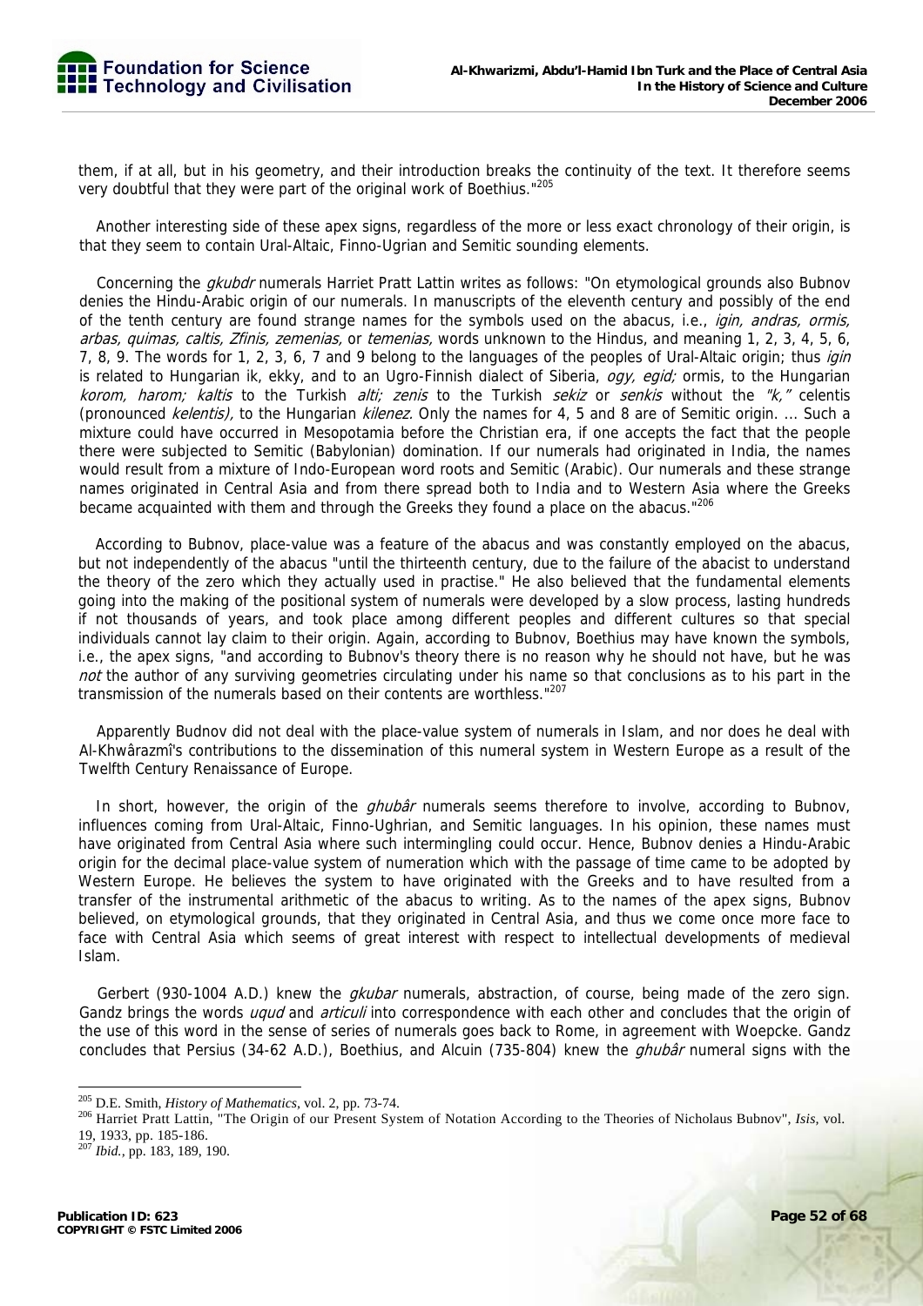

them, if at all, but in his geometry, and their introduction breaks the continuity of the text. It therefore seems very doubtful that they were part of the original work of Boethius."<sup>205</sup>

Another interesting side of these apex signs, regardless of the more or less exact chronology of their origin, is that they seem to contain Ural-Altaic, Finno-Ugrian and Semitic sounding elements.

Concerning the *akubdr* numerals Harriet Pratt Lattin writes as follows: "On etymological grounds also Bubnov denies the Hindu-Arabic origin of our numerals. In manuscripts of the eleventh century and possibly of the end of the tenth century are found strange names for the symbols used on the abacus, i.e., *igin, andras, ormis,* arbas, quimas, caltis, Zfinis, zemenias, or temenias, words unknown to the Hindus, and meaning 1, 2, 3, 4, 5, 6, 7, 8, 9. The words for 1, 2, 3, 6, 7 and 9 belong to the languages of the peoples of Ural-Altaic origin; thus igin is related to Hungarian ik, ekky, and to an Ugro-Finnish dialect of Siberia, *ogy, egid;* ormis, to the Hungarian korom, harom; kaltis to the Turkish alti; zenis to the Turkish sekiz or senkis without the "k," celentis (pronounced kelentis), to the Hungarian kilenez. Only the names for 4, 5 and 8 are of Semitic origin. ... Such a mixture could have occurred in Mesopotamia before the Christian era, if one accepts the fact that the people there were subjected to Semitic (Babylonian) domination. If our numerals had originated in India, the names would result from a mixture of Indo-European word roots and Semitic (Arabic). Our numerals and these strange names originated in Central Asia and from there spread both to India and to Western Asia where the Greeks became acquainted with them and through the Greeks they found a place on the abacus."<sup>206</sup>

According to Bubnov, place-value was a feature of the abacus and was constantly employed on the abacus, but not independently of the abacus "until the thirteenth century, due to the failure of the abacist to understand the theory of the zero which they actually used in practise." He also believed that the fundamental elements going into the making of the positional system of numerals were developed by a slow process, lasting hundreds if not thousands of years, and took place among different peoples and different cultures so that special individuals cannot lay claim to their origin. Again, according to Bubnov, Boethius may have known the symbols, i.e., the apex signs, "and according to Bubnov's theory there is no reason why he should not have, but he was not the author of any surviving geometries circulating under his name so that conclusions as to his part in the transmission of the numerals based on their contents are worthless."207

Apparently Budnov did not deal with the place-value system of numerals in Islam, and nor does he deal with Al-Khwârazmî's contributions to the dissemination of this numeral system in Western Europe as a result of the Twelfth Century Renaissance of Europe.

In short, however, the origin of the *ghubâr* numerals seems therefore to involve, according to Bubnov, influences coming from Ural-Altaic, Finno-Ughrian, and Semitic languages. In his opinion, these names must have originated from Central Asia where such intermingling could occur. Hence, Bubnov denies a Hindu-Arabic origin for the decimal place-value system of numeration which with the passage of time came to be adopted by Western Europe. He believes the system to have originated with the Greeks and to have resulted from a transfer of the instrumental arithmetic of the abacus to writing. As to the names of the apex signs, Bubnov believed, on etymological grounds, that they originated in Central Asia, and thus we come once more face to face with Central Asia which seems of great interest with respect to intellectual developments of medieval Islam.

Gerbert (930-1004 A.D.) knew the *gkubar* numerals, abstraction, of course, being made of the zero sign. Gandz brings the words *uqud* and *articuli* into correspondence with each other and concludes that the origin of the use of this word in the sense of series of numerals goes back to Rome, in agreement with Woepcke. Gandz concludes that Persius (34-62 A.D.), Boethius, and Alcuin (735-804) knew the *ahubâr* numeral signs with the

<sup>&</sup>lt;sup>205</sup> D.E. Smith, *History of Mathematics*, vol. 2, pp. 73-74.

<sup>&</sup>lt;sup>206</sup> Harriet Pratt Lattin, "The Origin of our Present System of Notation According to the Theories of Nicholaus Bubnov", *Isis*, vol. 19, 1933, pp. 185-186.

<sup>207</sup> *Ibid.,* pp. 183, 189, 190.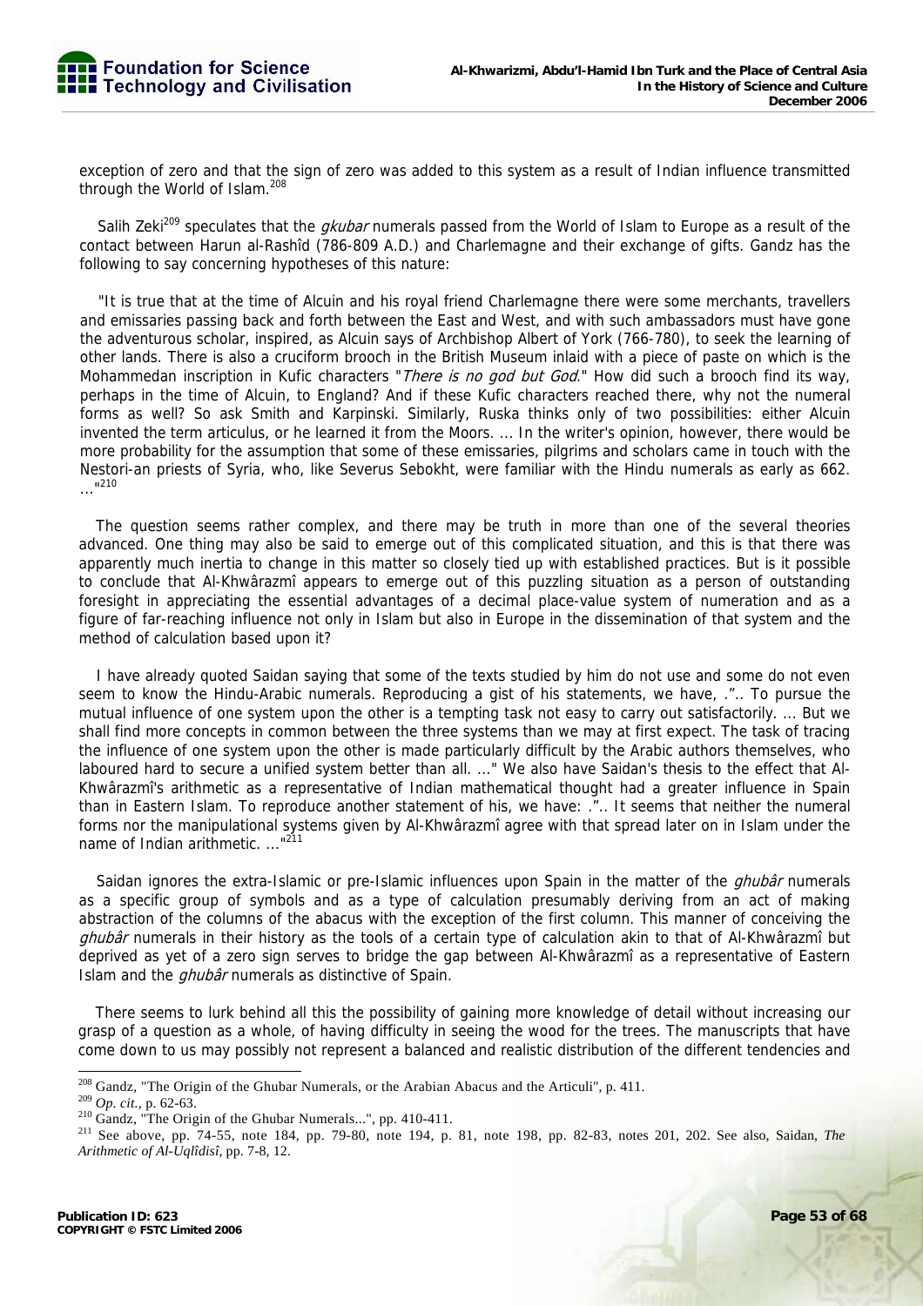exception of zero and that the sign of zero was added to this system as a result of Indian influence transmitted through the World of Islam.<sup>208</sup>

Salih Zeki<sup>209</sup> speculates that the *gkubar* numerals passed from the World of Islam to Europe as a result of the contact between Harun al-Rashîd (786-809 A.D.) and Charlemagne and their exchange of gifts. Gandz has the following to say concerning hypotheses of this nature:

"It is true that at the time of Alcuin and his royal friend Charlemagne there were some merchants, travellers and emissaries passing back and forth between the East and West, and with such ambassadors must have gone the adventurous scholar, inspired, as Alcuin says of Archbishop Albert of York (766-780), to seek the learning of other lands. There is also a cruciform brooch in the British Museum inlaid with a piece of paste on which is the Mohammedan inscription in Kufic characters "There is no god but God." How did such a brooch find its way, perhaps in the time of Alcuin, to England? And if these Kufic characters reached there, why not the numeral forms as well? So ask Smith and Karpinski. Similarly, Ruska thinks only of two possibilities: either Alcuin invented the term articulus, or he learned it from the Moors. ... In the writer's opinion, however, there would be more probability for the assumption that some of these emissaries, pilgrims and scholars came in touch with the Nestori-an priests of Syria, who, like Severus Sebokht, were familiar with the Hindu numerals as early as 662.  $\frac{1}{210}$ ..."

The question seems rather complex, and there may be truth in more than one of the several theories advanced. One thing may also be said to emerge out of this complicated situation, and this is that there was apparently much inertia to change in this matter so closely tied up with established practices. But is it possible to conclude that Al-Khwârazmî appears to emerge out of this puzzling situation as a person of outstanding foresight in appreciating the essential advantages of a decimal place-value system of numeration and as a figure of far-reaching influence not only in Islam but also in Europe in the dissemination of that system and the method of calculation based upon it?

I have already quoted Saidan saying that some of the texts studied by him do not use and some do not even seem to know the Hindu-Arabic numerals. Reproducing a gist of his statements, we have, .".. To pursue the mutual influence of one system upon the other is a tempting task not easy to carry out satisfactorily. ... But we shall find more concepts in common between the three systems than we may at first expect. The task of tracing the influence of one system upon the other is made particularly difficult by the Arabic authors themselves, who laboured hard to secure a unified system better than all. ..." We also have Saidan's thesis to the effect that Al-Khwârazmî's arithmetic as a representative of Indian mathematical thought had a greater influence in Spain than in Eastern Islam. To reproduce another statement of his, we have: .".. It seems that neither the numeral forms nor the manipulational systems given by Al-Khwârazmî agree with that spread later on in Islam under the name of Indian arithmetic. ..."<sup>211</sup>

Saidan ignores the extra-Islamic or pre-Islamic influences upon Spain in the matter of the *ghubâr* numerals as a specific group of symbols and as a type of calculation presumably deriving from an act of making abstraction of the columns of the abacus with the exception of the first column. This manner of conceiving the ghubâr numerals in their history as the tools of a certain type of calculation akin to that of Al-Khwârazmî but deprived as yet of a zero sign serves to bridge the gap between Al-Khwârazmî as a representative of Eastern Islam and the *ghubâr* numerals as distinctive of Spain.

There seems to lurk behind all this the possibility of gaining more knowledge of detail without increasing our grasp of a question as a whole, of having difficulty in seeing the wood for the trees. The manuscripts that have come down to us may possibly not represent a balanced and realistic distribution of the different tendencies and

<sup>&</sup>lt;sup>208</sup> Gandz, "The Origin of the Ghubar Numerals, or the Arabian Abacus and the Articuli", p. 411.

<sup>&</sup>lt;sup>209</sup> *Op. cit.*, p. 62-63.<br><sup>210</sup> Gandz, "The Origin of the Ghubar Numerals...", pp. 410-411.<br><sup>210</sup> Gandz, "The Origin of the Ghubar Numerals...", pp. 410-411.<br><sup>211</sup> See above, pp. 74-55, note 184, pp. 79-80, note 194, p. *Arithmetic of Al-Uqlîdisî,* pp. 7-8, 12.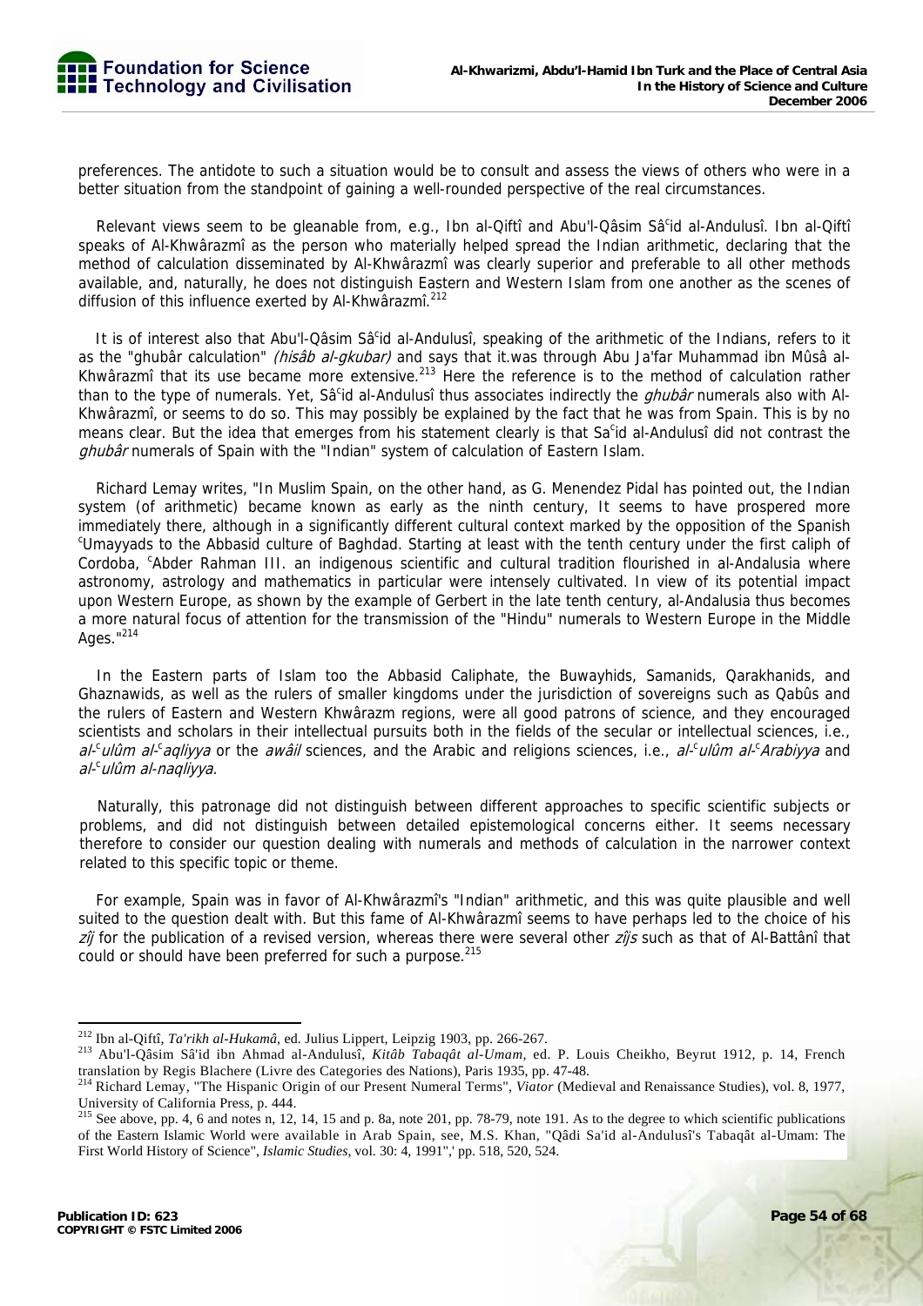preferences. The antidote to such a situation would be to consult and assess the views of others who were in a better situation from the standpoint of gaining a well-rounded perspective of the real circumstances.

Relevant views seem to be gleanable from, e.g., Ibn al-Qiftî and Abu'l-Qâsim Sâ<sup>c</sup>id al-Andulusî. Ibn al-Qiftî speaks of Al-Khwârazmî as the person who materially helped spread the Indian arithmetic, declaring that the method of calculation disseminated by Al-Khwârazmî was clearly superior and preferable to all other methods available, and, naturally, he does not distinguish Eastern and Western Islam from one another as the scenes of diffusion of this influence exerted by Al-Khwârazmî.<sup>212</sup>

It is of interest also that Abu'l-Qâsim Sâ<sup>c</sup>id al-Andulusî, speaking of the arithmetic of the Indians, refers to it as the "ghubâr calculation" (hisâb al-gkubar) and says that it.was through Abu Ja'far Muhammad ibn Mûsâ al-Khwârazmî that its use became more extensive.<sup>213</sup> Here the reference is to the method of calculation rather than to the type of numerals. Yet, Sâ<sup>c</sup>id al-Andulusî thus associates indirectly the *ghubâr* numerals also with Al-Khwârazmî, or seems to do so. This may possibly be explained by the fact that he was from Spain. This is by no means clear. But the idea that emerges from his statement clearly is that Sa<sup>c</sup>id al-Andulusî did not contrast the ghubâr numerals of Spain with the "Indian" system of calculation of Eastern Islam.

Richard Lemay writes, "In Muslim Spain, on the other hand, as G. Menendez Pidal has pointed out, the Indian system (of arithmetic) became known as early as the ninth century, It seems to have prospered more immediately there, although in a significantly different cultural context marked by the opposition of the Spanish <sup>c</sup>Umayyads to the Abbasid culture of Baghdad. Starting at least with the tenth century under the first caliph of Cordoba, <sup>c</sup>Abder Rahman III. an indigenous scientific and cultural tradition flourished in al-Andalusia where astronomy, astrology and mathematics in particular were intensely cultivated. In view of its potential impact upon Western Europe, as shown by the example of Gerbert in the late tenth century, al-Andalusia thus becomes a more natural focus of attention for the transmission of the "Hindu" numerals to Western Europe in the Middle Ages."214

In the Eastern parts of Islam too the Abbasid Caliphate, the Buwayhids, Samanids, Qarakhanids, and Ghaznawids, as well as the rulers of smaller kingdoms under the jurisdiction of sovereigns such as Qabûs and the rulers of Eastern and Western Khwârazm regions, were all good patrons of science, and they encouraged scientists and scholars in their intellectual pursuits both in the fields of the secular or intellectual sciences, i.e., al-culum al-caqliyya or the awail sciences, and the Arabic and religions sciences, i.e., al-culum al-cArabiyya and al-<sup>c</sup>ulûm al-naqliyya.

Naturally, this patronage did not distinguish between different approaches to specific scientific subjects or problems, and did not distinguish between detailed epistemological concerns either. It seems necessary therefore to consider our question dealing with numerals and methods of calculation in the narrower context related to this specific topic or theme.

For example, Spain was in favor of Al-Khwârazmî's "Indian" arithmetic, and this was quite plausible and well suited to the question dealt with. But this fame of Al-Khwârazmî seems to have perhaps led to the choice of his zij for the publication of a revised version, whereas there were several other zijs such as that of Al-Battânî that could or should have been preferred for such a purpose.<sup>215</sup>

<sup>&</sup>lt;sup>212</sup> Ibn al-Qiftî, Ta'rikh al-Hukamâ, ed. Julius Lippert, Leipzig 1903, pp. 266-267.

<sup>&</sup>lt;sup>213</sup> Abu'l-Qâsim Sâ'id ibn Ahmad al-Andulusî, *Kitâb Tabaqât al-Umam*, ed. P. Louis Cheikho, Beyrut 1912, p. 14, French translation by Regis Blachere (Livre des Categories des Nations), Paris 1935, pp. 47-48.

<sup>214</sup> Richard Lemay, "The Hispanic Origin of our Present Numeral Terms", *Viator* (Medieval and Renaissance Studies), vol. 8, 1977, University of California Press, p. 444.  $\frac{125}{15}$  See above, pp. 4, 6 and notes n, 12, 14, 15 and p. 8a, note 201, pp. 78-79, note 191. As to the degree to which scientific publications

of the Eastern Islamic World were available in Arab Spain, see, M.S. Khan, "Qâdi Sa'id al-Andulusî's Tabaqât al-Umam: The First World History of Science", *Islamic Studies,* vol. 30: 4, 1991",' pp. 518, 520, 524.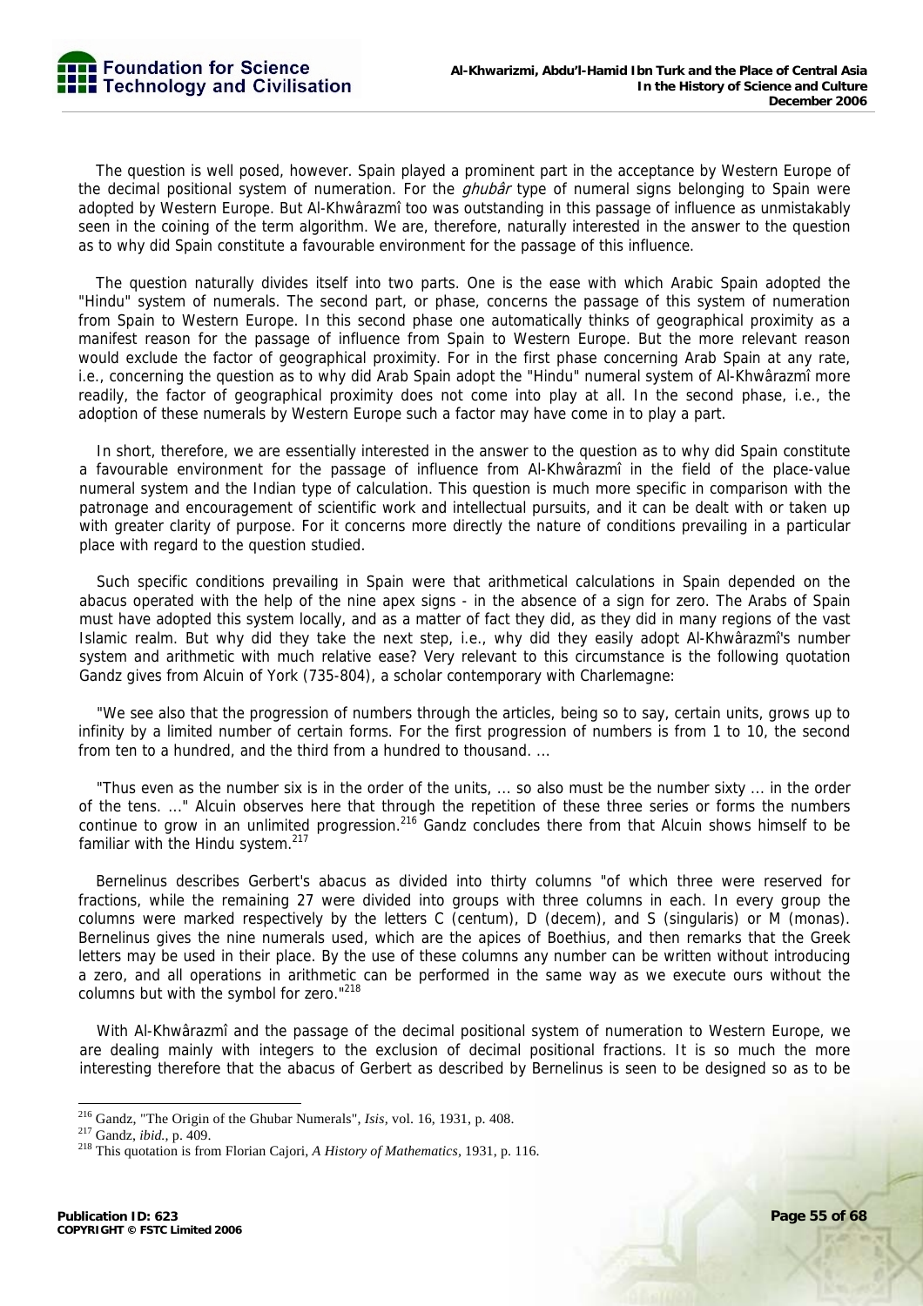

The question is well posed, however. Spain played a prominent part in the acceptance by Western Europe of the decimal positional system of numeration. For the *ghubâr* type of numeral signs belonging to Spain were adopted by Western Europe. But Al-Khwârazmî too was outstanding in this passage of influence as unmistakably seen in the coining of the term algorithm. We are, therefore, naturally interested in the answer to the question as to why did Spain constitute a favourable environment for the passage of this influence.

The question naturally divides itself into two parts. One is the ease with which Arabic Spain adopted the "Hindu" system of numerals. The second part, or phase, concerns the passage of this system of numeration from Spain to Western Europe. In this second phase one automatically thinks of geographical proximity as a manifest reason for the passage of influence from Spain to Western Europe. But the more relevant reason would exclude the factor of geographical proximity. For in the first phase concerning Arab Spain at any rate, i.e., concerning the question as to why did Arab Spain adopt the "Hindu" numeral system of Al-Khwârazmî more readily, the factor of geographical proximity does not come into play at all. In the second phase, i.e., the adoption of these numerals by Western Europe such a factor may have come in to play a part.

In short, therefore, we are essentially interested in the answer to the question as to why did Spain constitute a favourable environment for the passage of influence from Al-Khwârazmî in the field of the place-value numeral system and the Indian type of calculation. This question is much more specific in comparison with the patronage and encouragement of scientific work and intellectual pursuits, and it can be dealt with or taken up with greater clarity of purpose. For it concerns more directly the nature of conditions prevailing in a particular place with regard to the question studied.

Such specific conditions prevailing in Spain were that arithmetical calculations in Spain depended on the abacus operated with the help of the nine apex signs - in the absence of a sign for zero. The Arabs of Spain must have adopted this system locally, and as a matter of fact they did, as they did in many regions of the vast Islamic realm. But why did they take the next step, i.e., why did they easily adopt Al-Khwârazmî's number system and arithmetic with much relative ease? Very relevant to this circumstance is the following quotation Gandz gives from Alcuin of York (735-804), a scholar contemporary with Charlemagne:

"We see also that the progression of numbers through the articles, being so to say, certain units, grows up to infinity by a limited number of certain forms. For the first progression of numbers is from 1 to 10, the second from ten to a hundred, and the third from a hundred to thousand. ...

"Thus even as the number six is in the order of the units, ... so also must be the number sixty ... in the order of the tens. ..." Alcuin observes here that through the repetition of these three series or forms the numbers continue to grow in an unlimited progression.<sup>216</sup> Gandz concludes there from that Alcuin shows himself to be familiar with the Hindu system. $217$ 

Bernelinus describes Gerbert's abacus as divided into thirty columns "of which three were reserved for fractions, while the remaining 27 were divided into groups with three columns in each. In every group the columns were marked respectively by the letters C (centum), D (decem), and S (singularis) or M (monas). Bernelinus gives the nine numerals used, which are the apices of Boethius, and then remarks that the Greek letters may be used in their place. By the use of these columns any number can be written without introducing a zero, and all operations in arithmetic can be performed in the same way as we execute ours without the columns but with the symbol for zero."<sup>218</sup>

With Al-Khwârazmî and the passage of the decimal positional system of numeration to Western Europe, we are dealing mainly with integers to the exclusion of decimal positional fractions. It is so much the more interesting therefore that the abacus of Gerbert as described by Bernelinus is seen to be designed so as to be

<sup>&</sup>lt;sup>216</sup> Gandz, "The Origin of the Ghubar Numerals", *Isis*, vol. 16, 1931, p. 408.<br><sup>217</sup> Gandz, *ibid.*, p. 409.<br><sup>218</sup> This quotation is from Florian Cajori, *A History of Mathematics*, 1931, p. 116.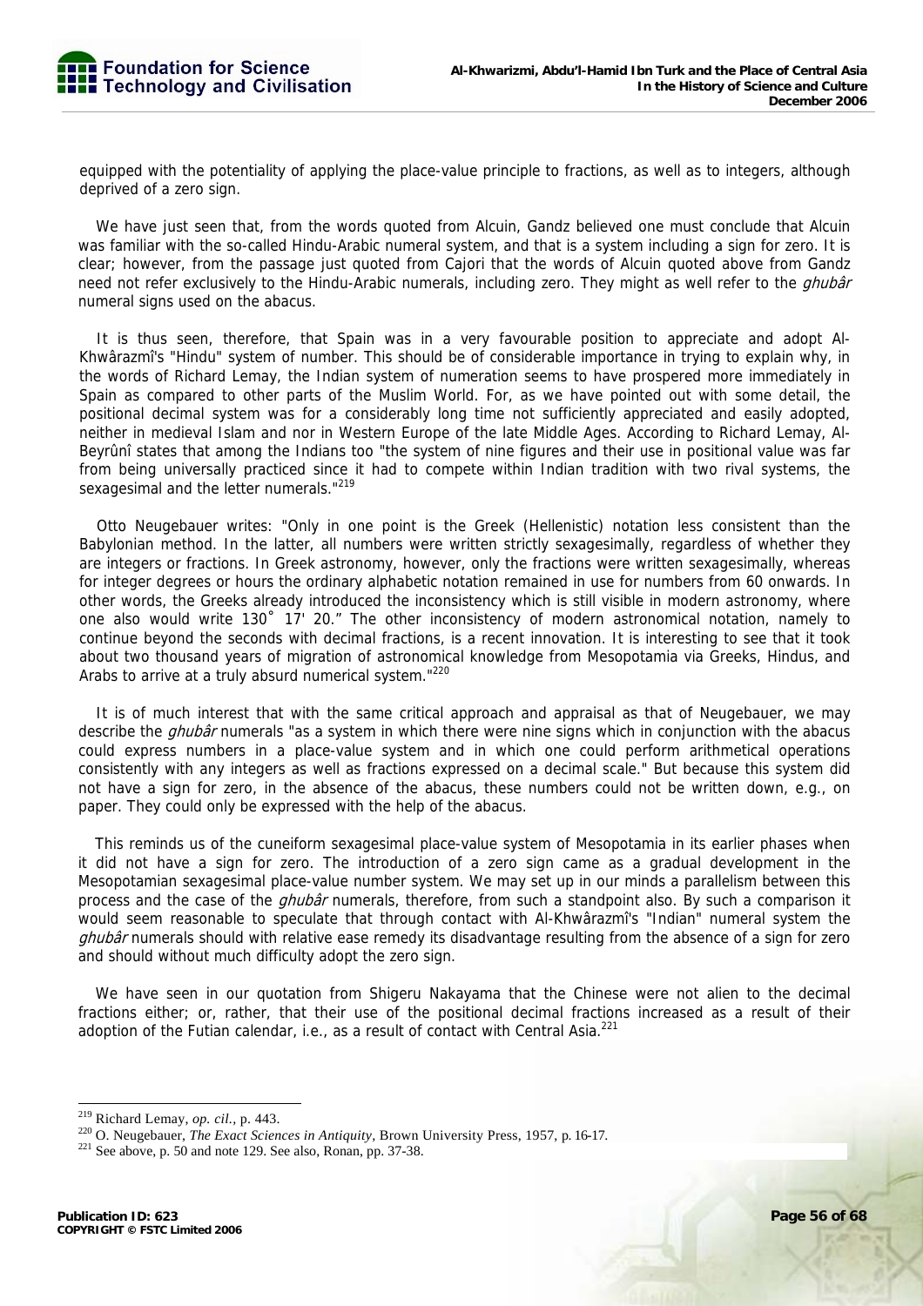equipped with the potentiality of applying the place-value principle to fractions, as well as to integers, although deprived of a zero sign.

We have just seen that, from the words quoted from Alcuin, Gandz believed one must conclude that Alcuin was familiar with the so-called Hindu-Arabic numeral system, and that is a system including a sign for zero. It is clear; however, from the passage just quoted from Cajori that the words of Alcuin quoted above from Gandz need not refer exclusively to the Hindu-Arabic numerals, including zero. They might as well refer to the *ghubâr* numeral signs used on the abacus.

It is thus seen, therefore, that Spain was in a very favourable position to appreciate and adopt Al-Khwârazmî's "Hindu" system of number. This should be of considerable importance in trying to explain why, in the words of Richard Lemay, the Indian system of numeration seems to have prospered more immediately in Spain as compared to other parts of the Muslim World. For, as we have pointed out with some detail, the positional decimal system was for a considerably long time not sufficiently appreciated and easily adopted, neither in medieval Islam and nor in Western Europe of the late Middle Ages. According to Richard Lemay, Al-Beyrûnî states that among the Indians too "the system of nine figures and their use in positional value was far from being universally practiced since it had to compete within Indian tradition with two rival systems, the sexagesimal and the letter numerals."<sup>219</sup>

Otto Neugebauer writes: "Only in one point is the Greek (Hellenistic) notation less consistent than the Babylonian method. In the latter, all numbers were written strictly sexagesimally, regardless of whether they are integers or fractions. In Greek astronomy, however, only the fractions were written sexagesimally, whereas for integer degrees or hours the ordinary alphabetic notation remained in use for numbers from 60 onwards. In other words, the Greeks already introduced the inconsistency which is still visible in modern astronomy, where one also would write 130˚ 17' 20." The other inconsistency of modern astronomical notation, namely to continue beyond the seconds with decimal fractions, is a recent innovation. It is interesting to see that it took about two thousand years of migration of astronomical knowledge from Mesopotamia via Greeks, Hindus, and Arabs to arrive at a truly absurd numerical system."<sup>220</sup>

It is of much interest that with the same critical approach and appraisal as that of Neugebauer, we may describe the *ghubâr* numerals "as a system in which there were nine signs which in conjunction with the abacus could express numbers in a place-value system and in which one could perform arithmetical operations consistently with any integers as well as fractions expressed on a decimal scale." But because this system did not have a sign for zero, in the absence of the abacus, these numbers could not be written down, e.g., on paper. They could only be expressed with the help of the abacus.

This reminds us of the cuneiform sexagesimal place-value system of Mesopotamia in its earlier phases when it did not have a sign for zero. The introduction of a zero sign came as a gradual development in the Mesopotamian sexagesimal place-value number system. We may set up in our minds a parallelism between this process and the case of the *ghubâr* numerals, therefore, from such a standpoint also. By such a comparison it would seem reasonable to speculate that through contact with Al-Khwârazmî's "Indian" numeral system the ghubâr numerals should with relative ease remedy its disadvantage resulting from the absence of a sign for zero and should without much difficulty adopt the zero sign.

We have seen in our quotation from Shigeru Nakayama that the Chinese were not alien to the decimal fractions either; or, rather, that their use of the positional decimal fractions increased as a result of their adoption of the Futian calendar, i.e., as a result of contact with Central Asia.<sup>221</sup>

 $^{219}$  Richard Lemay, op. cil., p. 443.

<sup>&</sup>lt;sup>220</sup> O. Neugebauer, *The Exact Sciences in Antiquity*, Brown University Press, 1957, p. 16-17.<br><sup>221</sup> See above, p. 50 and note 129. See also, Ronan, pp. 37-38.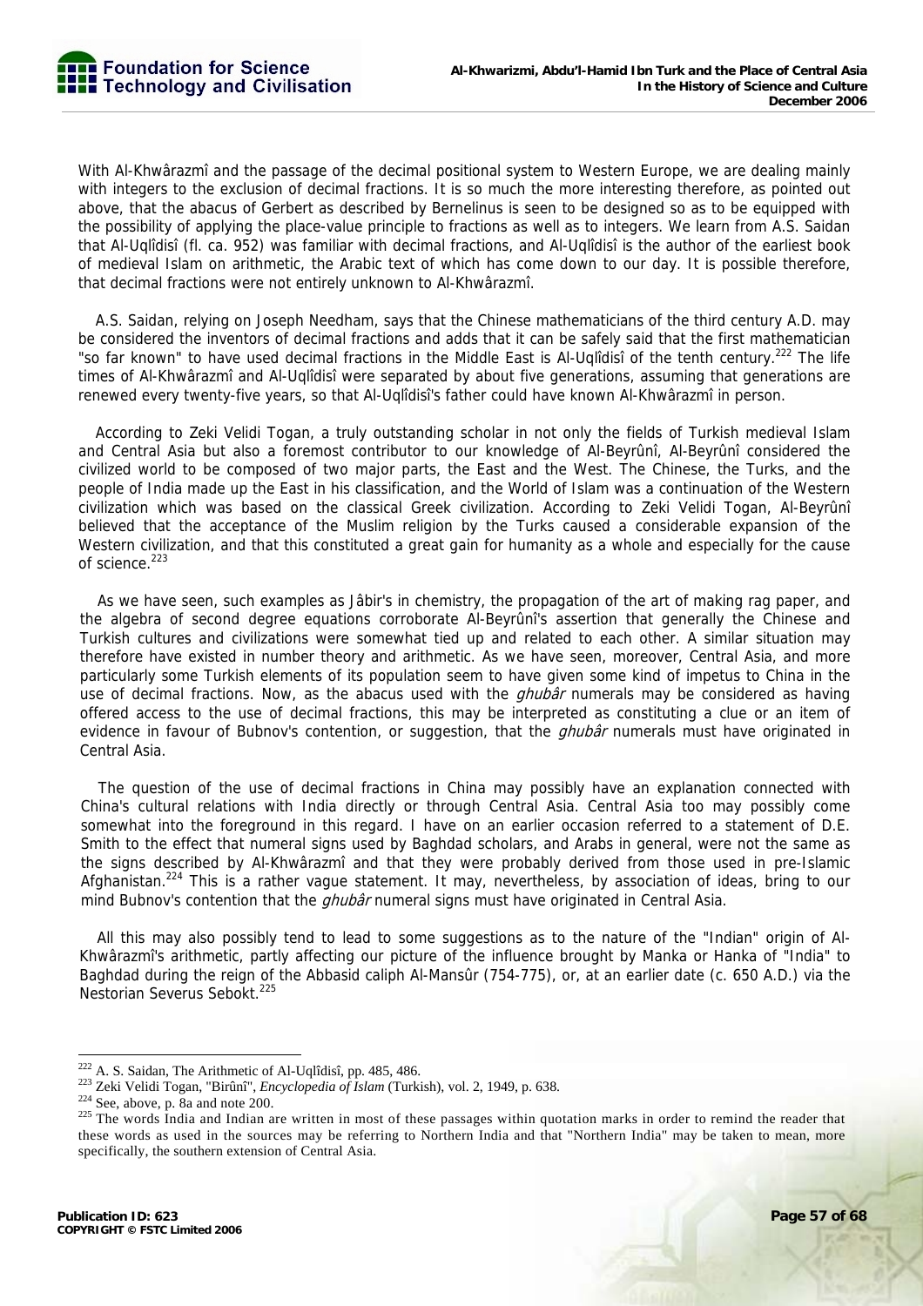With Al-Khwârazmî and the passage of the decimal positional system to Western Europe, we are dealing mainly with integers to the exclusion of decimal fractions. It is so much the more interesting therefore, as pointed out above, that the abacus of Gerbert as described by Bernelinus is seen to be designed so as to be equipped with the possibility of applying the place-value principle to fractions as well as to integers. We learn from A.S. Saidan that Al-Uqlîdisî (fl. ca. 952) was familiar with decimal fractions, and Al-Uqlîdisî is the author of the earliest book of medieval Islam on arithmetic, the Arabic text of which has come down to our day. It is possible therefore, that decimal fractions were not entirely unknown to Al-Khwârazmî.

A.S. Saidan, relying on Joseph Needham, says that the Chinese mathematicians of the third century A.D. may be considered the inventors of decimal fractions and adds that it can be safely said that the first mathematician "so far known" to have used decimal fractions in the Middle East is Al-Uqlîdisî of the tenth century.<sup>222</sup> The life times of Al-Khwârazmî and Al-Uqlîdisî were separated by about five generations, assuming that generations are renewed every twenty-five years, so that Al-Uqlîdisî's father could have known Al-Khwârazmî in person.

According to Zeki Velidi Togan, a truly outstanding scholar in not only the fields of Turkish medieval Islam and Central Asia but also a foremost contributor to our knowledge of Al-Beyrûnî, Al-Beyrûnî considered the civilized world to be composed of two major parts, the East and the West. The Chinese, the Turks, and the people of India made up the East in his classification, and the World of Islam was a continuation of the Western civilization which was based on the classical Greek civilization. According to Zeki Velidi Togan, Al-Beyrûnî believed that the acceptance of the Muslim religion by the Turks caused a considerable expansion of the Western civilization, and that this constituted a great gain for humanity as a whole and especially for the cause of science.<sup>223</sup>

As we have seen, such examples as Jâbir's in chemistry, the propagation of the art of making rag paper, and the algebra of second degree equations corroborate Al-Beyrûnî's assertion that generally the Chinese and Turkish cultures and civilizations were somewhat tied up and related to each other. A similar situation may therefore have existed in number theory and arithmetic. As we have seen, moreover, Central Asia, and more particularly some Turkish elements of its population seem to have given some kind of impetus to China in the use of decimal fractions. Now, as the abacus used with the *ghubâr* numerals may be considered as having offered access to the use of decimal fractions, this may be interpreted as constituting a clue or an item of evidence in favour of Bubnov's contention, or suggestion, that the *ghubâr* numerals must have originated in Central Asia.

The question of the use of decimal fractions in China may possibly have an explanation connected with China's cultural relations with India directly or through Central Asia. Central Asia too may possibly come somewhat into the foreground in this regard. I have on an earlier occasion referred to a statement of D.E. Smith to the effect that numeral signs used by Baghdad scholars, and Arabs in general, were not the same as the signs described by Al-Khwârazmî and that they were probably derived from those used in pre-Islamic Afghanistan.<sup>224</sup> This is a rather vague statement. It may, nevertheless, by association of ideas, bring to our mind Bubnov's contention that the *ghubâr* numeral signs must have originated in Central Asia.

All this may also possibly tend to lead to some suggestions as to the nature of the "Indian" origin of Al-Khwârazmî's arithmetic, partly affecting our picture of the influence brought by Manka or Hanka of "India" to Baghdad during the reign of the Abbasid caliph Al-Mansûr (754-775), or, at an earlier date (c. 650 A.D.) via the Nestorian Severus Sebokt.<sup>225</sup>

<sup>&</sup>lt;sup>222</sup> A. S. Saidan, The Arithmetic of Al-Uqlîdisî, pp. 485, 486.

<sup>223</sup> Zeki Velidi Togan, "Birûnî", *Encyclopedia of Islam* (Turkish), vol. 2, 1949, p. 638.<br><sup>224</sup> See, above, p. 8a and note 200.<br><sup>225</sup> The words India and Indian are written in most of these passages within quotation marks these words as used in the sources may be referring to Northern India and that "Northern India" may be taken to mean, more specifically, the southern extension of Central Asia.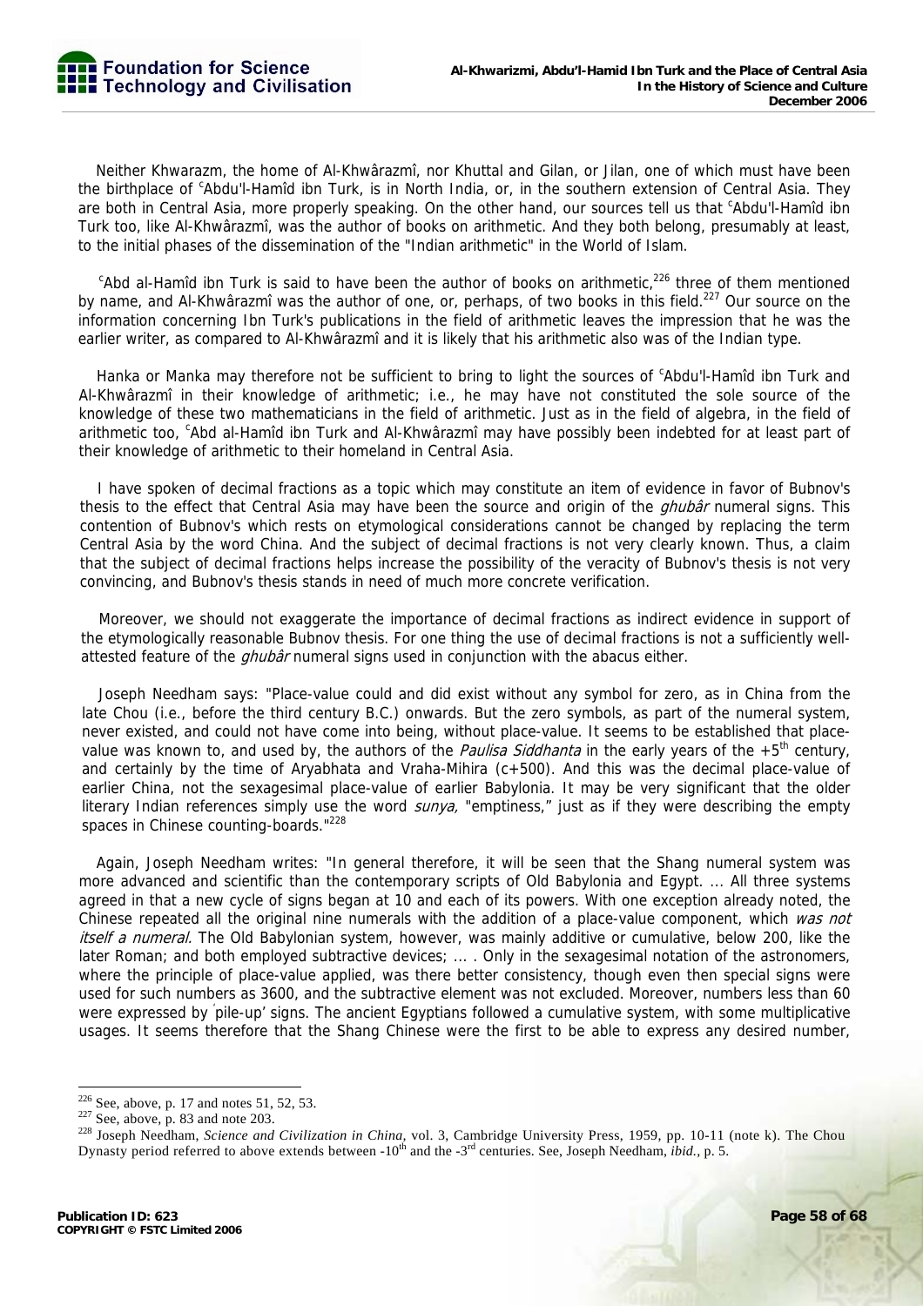Neither Khwarazm, the home of Al-Khwârazmî, nor Khuttal and Gilan, or Jilan, one of which must have been the birthplace of <sup>c</sup>Abdu'l-Hamîd ibn Turk, is in North India, or, in the southern extension of Central Asia. They are both in Central Asia, more properly speaking. On the other hand, our sources tell us that <sup>c</sup>Abdu'l-Hamîd ibn Turk too, like Al-Khwârazmî, was the author of books on arithmetic. And they both belong, presumably at least, to the initial phases of the dissemination of the "Indian arithmetic" in the World of Islam.

<sup>c</sup>Abd al-Hamîd ibn Turk is said to have been the author of books on arithmetic,<sup>226</sup> three of them mentioned by name, and Al-Khwârazmî was the author of one, or, perhaps, of two books in this field.<sup>227</sup> Our source on the information concerning Ibn Turk's publications in the field of arithmetic leaves the impression that he was the earlier writer, as compared to Al-Khwârazmî and it is likely that his arithmetic also was of the Indian type.

Hanka or Manka may therefore not be sufficient to bring to light the sources of <sup>c</sup>Abdu'l-Hamîd ibn Turk and Al-Khwârazmî in their knowledge of arithmetic; i.e., he may have not constituted the sole source of the knowledge of these two mathematicians in the field of arithmetic. Just as in the field of algebra, in the field of arithmetic too, <sup>c</sup>Abd al-Hamîd ibn Turk and Al-Khwârazmî may have possibly been indebted for at least part of their knowledge of arithmetic to their homeland in Central Asia.

I have spoken of decimal fractions as a topic which may constitute an item of evidence in favor of Bubnov's thesis to the effect that Central Asia may have been the source and origin of the *ghubâr* numeral signs. This contention of Bubnov's which rests on etymological considerations cannot be changed by replacing the term Central Asia by the word China. And the subject of decimal fractions is not very clearly known. Thus, a claim that the subject of decimal fractions helps increase the possibility of the veracity of Bubnov's thesis is not very convincing, and Bubnov's thesis stands in need of much more concrete verification.

Moreover, we should not exaggerate the importance of decimal fractions as indirect evidence in support of the etymologically reasonable Bubnov thesis. For one thing the use of decimal fractions is not a sufficiently wellattested feature of the *ghubâr* numeral signs used in conjunction with the abacus either.

Joseph Needham says: "Place-value could and did exist without any symbol for zero, as in China from the late Chou (i.e., before the third century B.C.) onwards. But the zero symbols, as part of the numeral system, never existed, and could not have come into being, without place-value. It seems to be established that placevalue was known to, and used by, the authors of the *Paulisa Siddhanta* in the early years of the  $+5^{th}$  century, and certainly by the time of Aryabhata and Vraha-Mihira (c+500). And this was the decimal place-value of earlier China, not the sexagesimal place-value of earlier Babylonia. It may be very significant that the older literary Indian references simply use the word *sunya*, "emptiness," just as if they were describing the empty spaces in Chinese counting-boards."<sup>228</sup>

Again, Joseph Needham writes: "In general therefore, it will be seen that the Shang numeral system was more advanced and scientific than the contemporary scripts of Old Babylonia and Egypt. ... All three systems agreed in that a new cycle of signs began at 10 and each of its powers. With one exception already noted, the Chinese repeated all the original nine numerals with the addition of a place-value component, which was not itself a numeral. The Old Babylonian system, however, was mainly additive or cumulative, below 200, like the later Roman; and both employed subtractive devices; ... . Only in the sexagesimal notation of the astronomers, where the principle of place-value applied, was there better consistency, though even then special signs were used for such numbers as 3600, and the subtractive element was not excluded. Moreover, numbers less than 60 were expressed by pile-up' signs. The ancient Egyptians followed a cumulative system, with some multiplicative usages. It seems therefore that the Shang Chinese were the first to be able to express any desired number,

 $226$  See, above, p. 17 and notes 51, 52, 53.

<sup>&</sup>lt;sup>227</sup> See, above, p. 83 and note 203.<br><sup>228</sup> Joseph Needham, *Science and Civilization in China*, vol. 3, Cambridge University Press, 1959, pp. 10-11 (note k). The Chou Dynasty period referred to above extends between -10<sup>th</sup> and the -3<sup>rd</sup> centuries. See, Joseph Needham, *ibid.*, p. 5.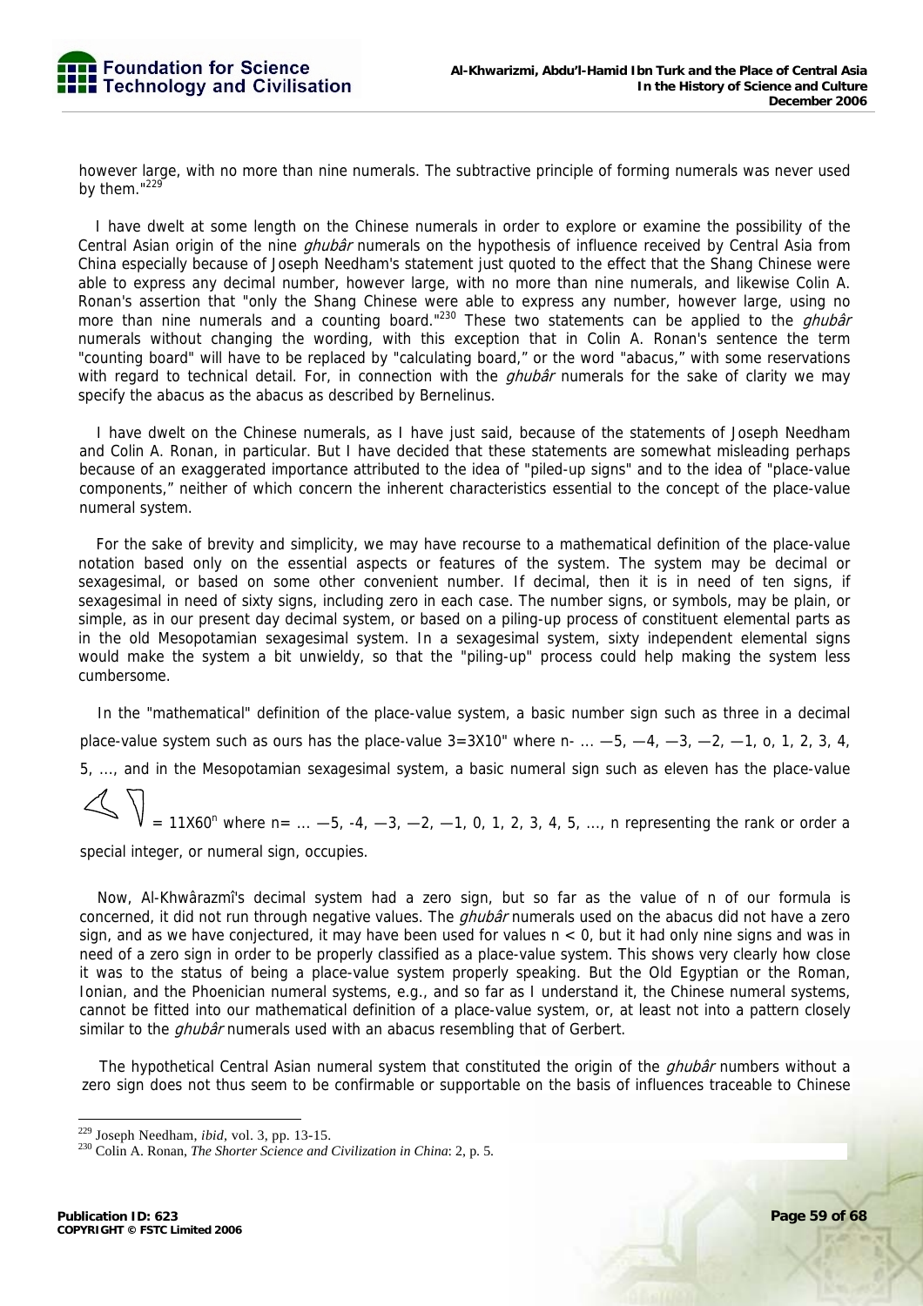

however large, with no more than nine numerals. The subtractive principle of forming numerals was never used by them."229

I have dwelt at some length on the Chinese numerals in order to explore or examine the possibility of the Central Asian origin of the nine ghubar numerals on the hypothesis of influence received by Central Asia from China especially because of Joseph Needham's statement just quoted to the effect that the Shang Chinese were able to express any decimal number, however large, with no more than nine numerals, and likewise Colin A. Ronan's assertion that "only the Shang Chinese were able to express any number, however large, using no more than nine numerals and a counting board."<sup>230</sup> These two statements can be applied to the *ghubâr* numerals without changing the wording, with this exception that in Colin A. Ronan's sentence the term "counting board" will have to be replaced by "calculating board," or the word "abacus," with some reservations with regard to technical detail. For, in connection with the  $q$ hubâr numerals for the sake of clarity we may specify the abacus as the abacus as described by Bernelinus.

I have dwelt on the Chinese numerals, as I have just said, because of the statements of Joseph Needham and Colin A. Ronan, in particular. But I have decided that these statements are somewhat misleading perhaps because of an exaggerated importance attributed to the idea of "piled-up signs" and to the idea of "place-value components," neither of which concern the inherent characteristics essential to the concept of the place-value numeral system.

For the sake of brevity and simplicity, we may have recourse to a mathematical definition of the place-value notation based only on the essential aspects or features of the system. The system may be decimal or sexagesimal, or based on some other convenient number. If decimal, then it is in need of ten signs, if sexagesimal in need of sixty signs, including zero in each case. The number signs, or symbols, may be plain, or simple, as in our present day decimal system, or based on a piling-up process of constituent elemental parts as in the old Mesopotamian sexagesimal system. In a sexagesimal system, sixty independent elemental signs would make the system a bit unwieldy, so that the "piling-up" process could help making the system less cumbersome.

In the "mathematical" definition of the place-value system, a basic number sign such as three in a decimal place-value system such as ours has the place-value  $3=3x10$ " where n- ...  $-5$ ,  $-4$ ,  $-3$ ,  $-2$ ,  $-1$ , o, 1, 2, 3, 4, 5, ..., and in the Mesopotamian sexagesimal system, a basic numeral sign such as eleven has the place-value

 $= 11X60^{n}$  where n= ...  $-5$ ,  $-4$ ,  $-3$ ,  $-2$ ,  $-1$ , 0, 1, 2, 3, 4, 5, ..., n representing the rank or order a special integer, or numeral sign, occupies.

Now, Al-Khwârazmî's decimal system had a zero sign, but so far as the value of n of our formula is concerned, it did not run through negative values. The *ghubâr* numerals used on the abacus did not have a zero sign, and as we have conjectured, it may have been used for values n < 0, but it had only nine signs and was in need of a zero sign in order to be properly classified as a place-value system. This shows very clearly how close it was to the status of being a place-value system properly speaking. But the Old Egyptian or the Roman, Ionian, and the Phoenician numeral systems, e.g., and so far as I understand it, the Chinese numeral systems, cannot be fitted into our mathematical definition of a place-value system, or, at least not into a pattern closely similar to the *ghubâr* numerals used with an abacus resembling that of Gerbert.

The hypothetical Central Asian numeral system that constituted the origin of the *ghubâr* numbers without a zero sign does not thus seem to be confirmable or supportable on the basis of influences traceable to Chinese

<sup>&</sup>lt;sup>229</sup> Joseph Needham, *ibid*, vol. 3, pp. 13-15.

<sup>&</sup>lt;sup>230</sup> Colin A. Ronan, *The Shorter Science and Civilization in China*: 2, p. 5.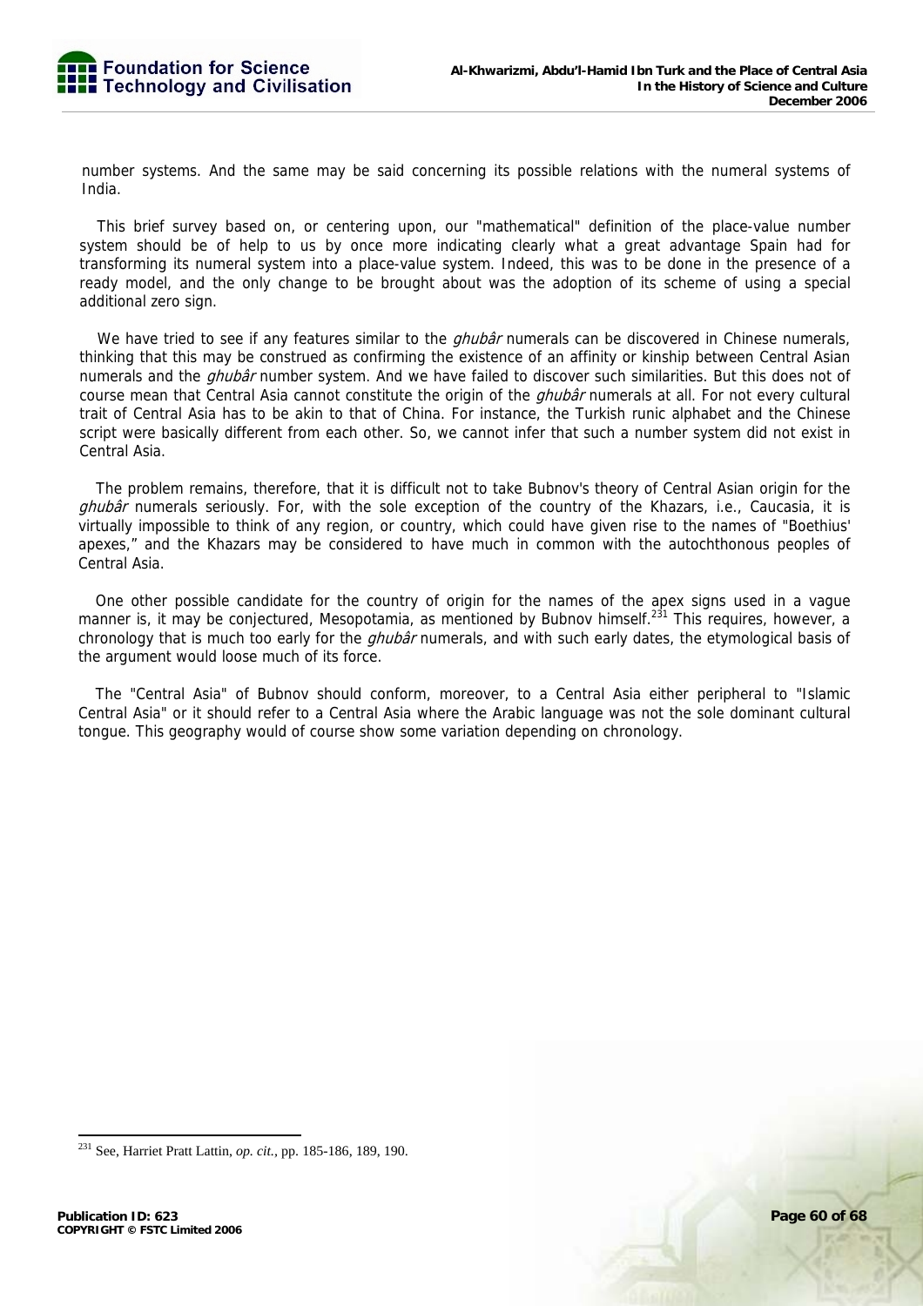

number systems. And the same may be said concerning its possible relations with the numeral systems of India.

This brief survey based on, or centering upon, our "mathematical" definition of the place-value number system should be of help to us by once more indicating clearly what a great advantage Spain had for transforming its numeral system into a place-value system. Indeed, this was to be done in the presence of a ready model, and the only change to be brought about was the adoption of its scheme of using a special additional zero sign.

We have tried to see if any features similar to the *ghubâr* numerals can be discovered in Chinese numerals, thinking that this may be construed as confirming the existence of an affinity or kinship between Central Asian numerals and the *ghubâr* number system. And we have failed to discover such similarities. But this does not of course mean that Central Asia cannot constitute the origin of the *ghubâr* numerals at all. For not every cultural trait of Central Asia has to be akin to that of China. For instance, the Turkish runic alphabet and the Chinese script were basically different from each other. So, we cannot infer that such a number system did not exist in Central Asia.

The problem remains, therefore, that it is difficult not to take Bubnov's theory of Central Asian origin for the ghubâr numerals seriously. For, with the sole exception of the country of the Khazars, i.e., Caucasia, it is virtually impossible to think of any region, or country, which could have given rise to the names of "Boethius' apexes," and the Khazars may be considered to have much in common with the autochthonous peoples of Central Asia.

One other possible candidate for the country of origin for the names of the apex signs used in a vague manner is, it may be conjectured, Mesopotamia, as mentioned by Bubnov himself.<sup>231</sup> This requires, however, a chronology that is much too early for the *ghubâr* numerals, and with such early dates, the etymological basis of the argument would loose much of its force.

The "Central Asia" of Bubnov should conform, moreover, to a Central Asia either peripheral to "Islamic Central Asia" or it should refer to a Central Asia where the Arabic language was not the sole dominant cultural tongue. This geography would of course show some variation depending on chronology.

<sup>231</sup> See, Harriet Pratt Lattin, *op. cit.,* pp. 185-186, 189, 190.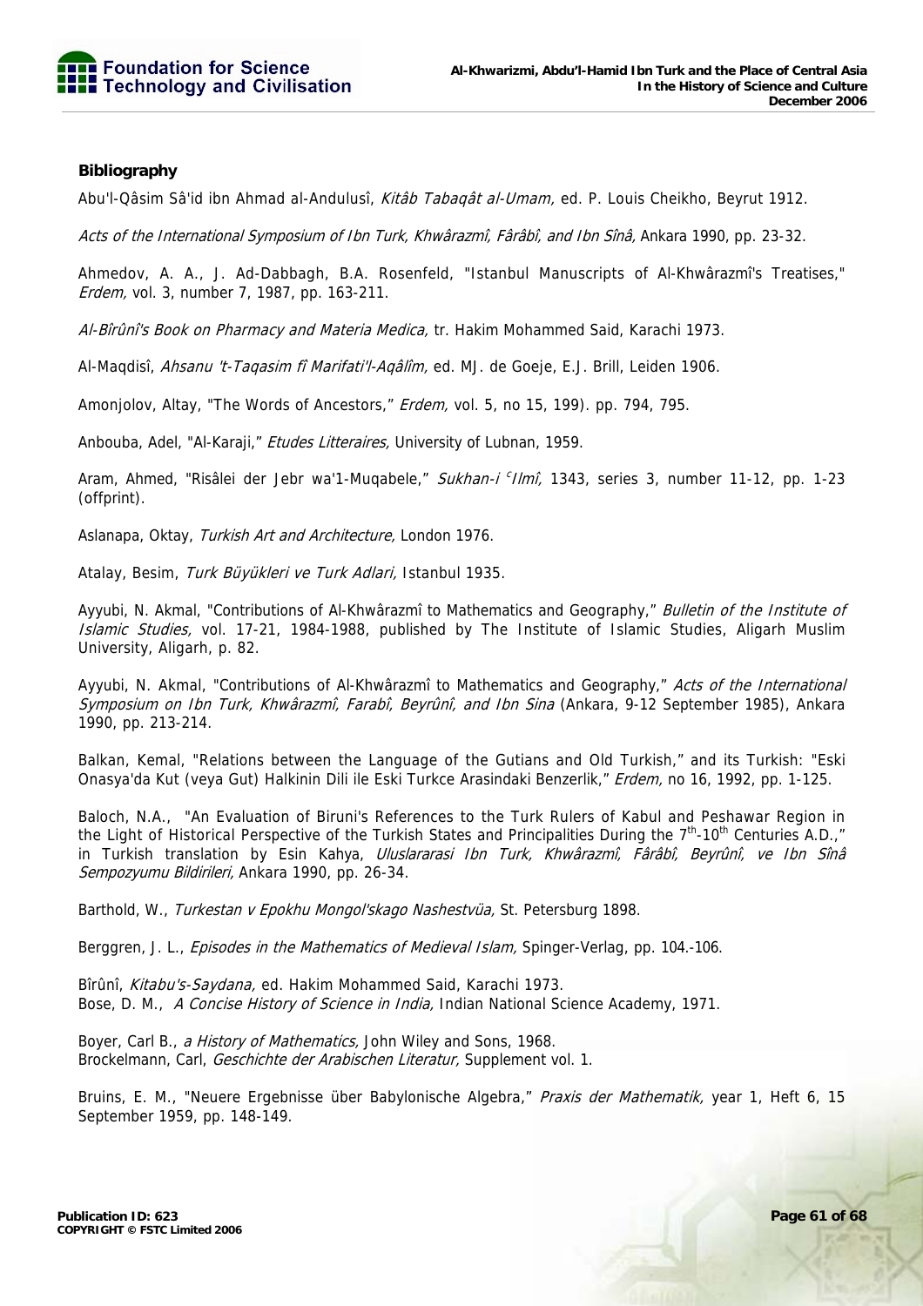

### **Bibliography**

Abu'l-Qâsim Sâ'id ibn Ahmad al-Andulusî, Kitâb Tabaqât al-Umam, ed. P. Louis Cheikho, Beyrut 1912.

Acts of the International Symposium of Ibn Turk, Khwârazmî, Fârâbî, and Ibn Sînâ, Ankara 1990, pp. 23-32.

Ahmedov, A. A., J. Ad-Dabbagh, B.A. Rosenfeld, "Istanbul Manuscripts of Al-Khwârazmî's Treatises," Erdem, vol. 3, number 7, 1987, pp. 163-211.

Al-Bîrûnî's Book on Pharmacy and Materia Medica, tr. Hakim Mohammed Said, Karachi 1973.

Al-Magdisî, Ahsanu 't-Taqasim fî Marifati'l-Aqâlîm, ed. MJ. de Goeje, E.J. Brill, Leiden 1906.

Amonjolov, Altay, "The Words of Ancestors," Erdem, vol. 5, no 15, 199). pp. 794, 795.

Anbouba, Adel, "Al-Karaji," Etudes Litteraires, University of Lubnan, 1959.

Aram, Ahmed, "Risâlei der Jebr wa'1-Muqabele," Sukhan-i <sup>c</sup> Ilmî, 1343, series 3, number 11-12, pp. 1-23 (offprint).

Aslanapa, Oktay, Turkish Art and Architecture, London 1976.

Atalay, Besim, Turk Büyükleri ve Turk Adlari, Istanbul 1935.

Ayyubi, N. Akmal, "Contributions of Al-Khwârazmî to Mathematics and Geography," Bulletin of the Institute of Islamic Studies, vol. 17-21, 1984-1988, published by The Institute of Islamic Studies, Aligarh Muslim University, Aligarh, p. 82.

Ayyubi, N. Akmal, "Contributions of Al-Khwârazmî to Mathematics and Geography," Acts of the International Symposium on Ibn Turk, Khwârazmî, Farabî, Beyrûnî, and Ibn Sina (Ankara, 9-12 September 1985), Ankara 1990, pp. 213-214.

Balkan, Kemal, "Relations between the Language of the Gutians and Old Turkish," and its Turkish: "Eski Onasya'da Kut (veya Gut) Halkinin Dili ile Eski Turkce Arasindaki Benzerlik," Erdem, no 16, 1992, pp. 1-125.

Baloch, N.A., "An Evaluation of Biruni's References to the Turk Rulers of Kabul and Peshawar Region in the Light of Historical Perspective of the Turkish States and Principalities During the 7<sup>th</sup>-10<sup>th</sup> Centuries A.D.," in Turkish translation by Esin Kahya, Uluslararasi Ibn Turk, Khwârazmî, Fârâbî, Beyrûnî, ve Ibn Sînâ Sempozyumu Bildirileri, Ankara 1990, pp. 26-34.

Barthold, W., Turkestan v Epokhu Mongol'skago Nashestvüa, St. Petersburg 1898.

Berggren, J. L., *Episodes in the Mathematics of Medieval Islam*, Spinger-Verlag, pp. 104.-106.

Bîrûnî, Kitabu's-Saydana, ed. Hakim Mohammed Said, Karachi 1973. Bose, D. M., A Concise History of Science in India, Indian National Science Academy, 1971.

Boyer, Carl B., a History of Mathematics, John Wiley and Sons, 1968. Brockelmann, Carl, Geschichte der Arabischen Literatur, Supplement vol. 1.

Bruins, E. M., "Neuere Ergebnisse über Babylonische Algebra," Praxis der Mathematik, year 1, Heft 6, 15 September 1959, pp. 148-149.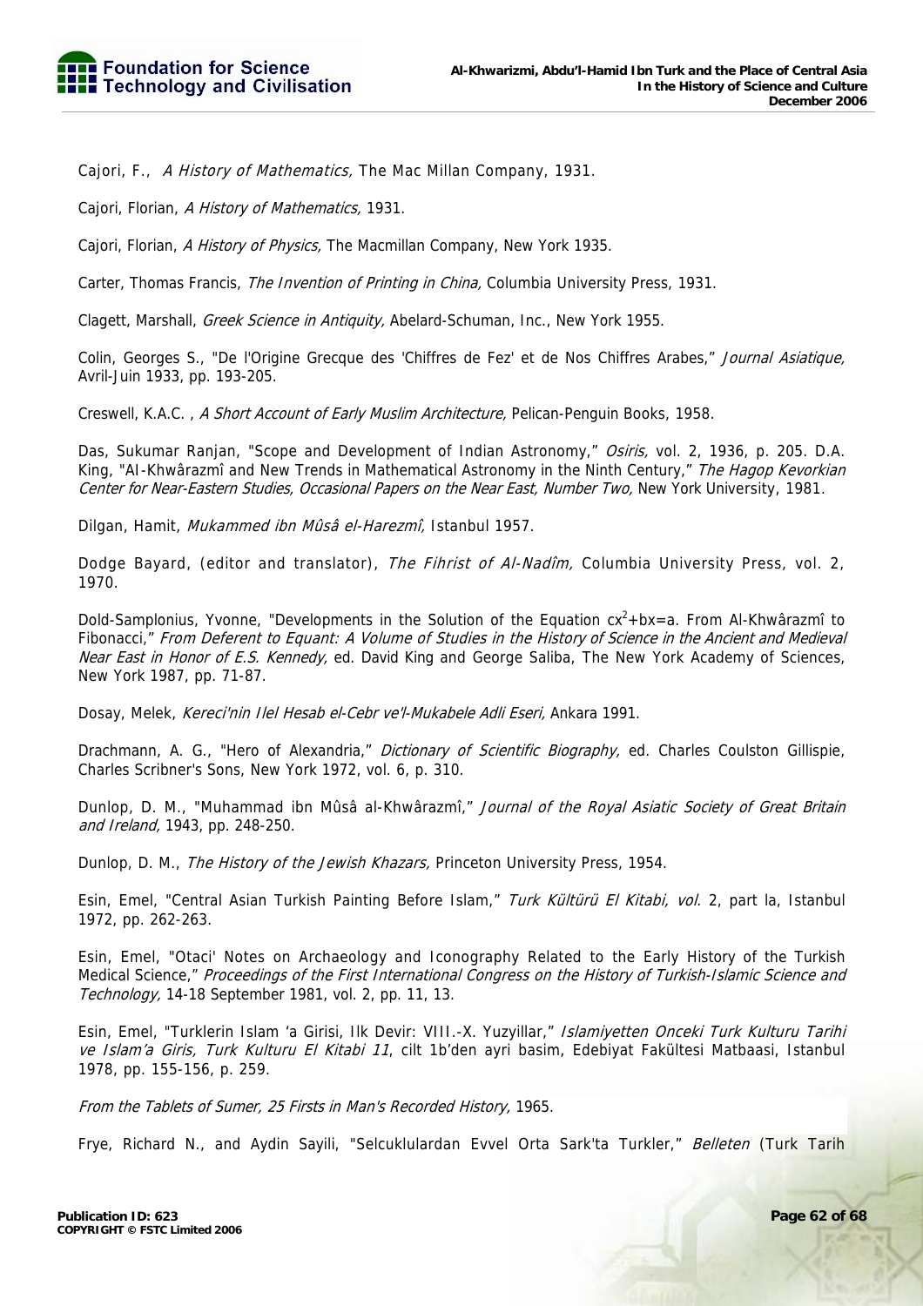Cajori, F., A History of Mathematics, The Mac Millan Company, 1931.

Cajori, Florian, A History of Mathematics, 1931.

Cajori, Florian, A History of Physics, The Macmillan Company, New York 1935.

Carter, Thomas Francis, *The Invention of Printing in China*, Columbia University Press, 1931.

Clagett, Marshall, Greek Science in Antiquity, Abelard-Schuman, Inc., New York 1955.

Colin, Georges S., "De l'Origine Grecque des 'Chiffres de Fez' et de Nos Chiffres Arabes," Journal Asiatique, Avril-Juin 1933, pp. 193-205.

Creswell, K.A.C., A Short Account of Early Muslim Architecture, Pelican-Penguin Books, 1958.

Das, Sukumar Ranjan, "Scope and Development of Indian Astronomy," Osiris, vol. 2, 1936, p. 205. D.A. King, "AI-Khwârazmî and New Trends in Mathematical Astronomy in the Ninth Century," The Hagop Kevorkian Center for Near-Eastern Studies, Occasional Papers on the Near East, Number Two, New York University, 1981.

Dilgan, Hamit, Mukammed ibn Mûsâ el-Harezmî, Istanbul 1957.

Dodge Bayard, (editor and translator), The Fihrist of Al-Nadîm, Columbia University Press, vol. 2, 1970.

Dold-Samplonius, Yvonne, "Developments in the Solution of the Equation  $cx^2 + bx = a$ . From Al-Khwârazmî to Fibonacci," From Deferent to Equant: A Volume of Studies in the History of Science in the Ancient and Medieval Near East in Honor of E.S. Kennedy, ed. David King and George Saliba, The New York Academy of Sciences, New York 1987, pp. 71-87.

Dosay, Melek, Kereci'nin Ilel Hesab el-Cebr ve'l-Mukabele Adli Eseri, Ankara 1991.

Drachmann, A. G., "Hero of Alexandria," *Dictionary of Scientific Biography*, ed. Charles Coulston Gillispie, Charles Scribner's Sons, New York 1972, vol. 6, p. 310.

Dunlop, D. M., "Muhammad ibn Mûsâ al-Khwârazmî," Journal of the Royal Asiatic Society of Great Britain and Ireland, 1943, pp. 248-250.

Dunlop, D. M., The History of the Jewish Khazars, Princeton University Press, 1954.

Esin, Emel, "Central Asian Turkish Painting Before Islam," Turk Kültürü El Kitabi, vol. 2, part la, Istanbul 1972, pp. 262-263.

Esin, Emel, "Otaci' Notes on Archaeology and Iconography Related to the Early History of the Turkish Medical Science," Proceedings of the First International Congress on the History of Turkish-Islamic Science and Technology, 14-18 September 1981, vol. 2, pp. 11, 13.

Esin, Emel, "Turklerin Islam 'a Girisi, Ilk Devir: VIII.-X. Yuzyillar," Islamiyetten Onceki Turk Kulturu Tarihi ve Islam'a Giris, Turk Kulturu El Kitabi 11, cilt 1b'den ayri basim, Edebiyat Fakültesi Matbaasi, Istanbul 1978, pp. 155-156, p. 259.

From the Tablets of Sumer, 25 Firsts in Man's Recorded History, 1965.

Frye, Richard N., and Aydin Sayili, "Selcuklulardan Evvel Orta Sark'ta Turkler," Belleten (Turk Tarih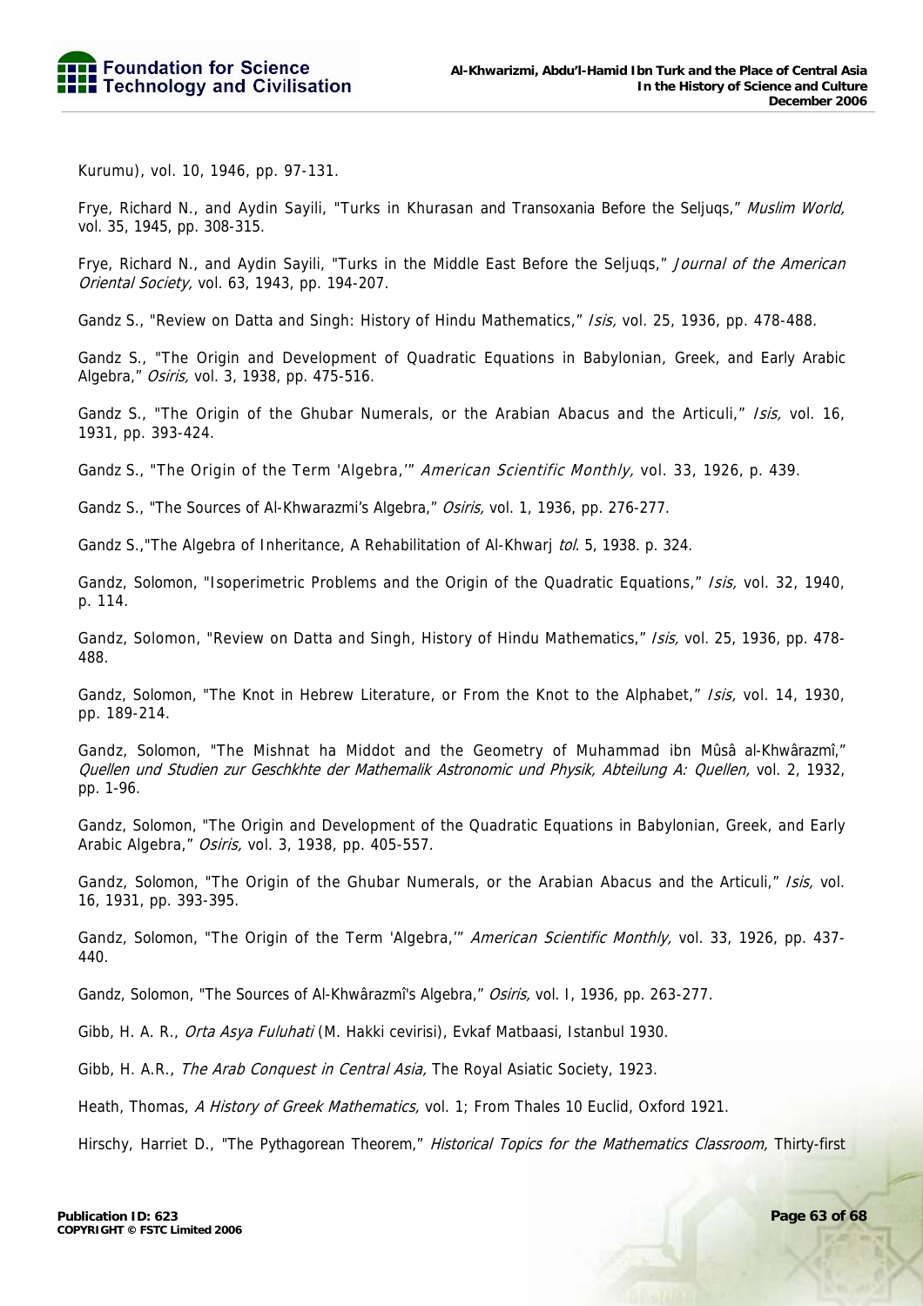Kurumu), vol. 10, 1946, pp. 97-131.

Frye, Richard N., and Aydin Sayili, "Turks in Khurasan and Transoxania Before the Seljuqs," Muslim World, vol. 35, 1945, pp. 308-315.

Frye, Richard N., and Aydin Sayili, "Turks in the Middle East Before the Seljugs," Journal of the American Oriental Society, vol. 63, 1943, pp. 194-207.

Gandz S., "Review on Datta and Singh: History of Hindu Mathematics," Isis, vol. 25, 1936, pp. 478-488.

Gandz S., "The Origin and Development of Quadratic Equations in Babylonian, Greek, and Early Arabic Algebra," Osiris, vol. 3, 1938, pp. 475-516.

Gandz S., "The Origin of the Ghubar Numerals, or the Arabian Abacus and the Articuli," Isis, vol. 16, 1931, pp. 393-424.

Gandz S., "The Origin of the Term 'Algebra," American Scientific Monthly, vol. 33, 1926, p. 439.

Gandz S., "The Sources of Al-Khwarazmi's Algebra," Osiris, vol. 1, 1936, pp. 276-277.

Gandz S., "The Algebra of Inheritance, A Rehabilitation of Al-Khwarj tol. 5, 1938. p. 324.

Gandz, Solomon, "Isoperimetric Problems and the Origin of the Quadratic Equations," Isis, vol. 32, 1940, p. 114.

Gandz, Solomon, "Review on Datta and Singh, History of Hindu Mathematics," Isis, vol. 25, 1936, pp. 478-488.

Gandz, Solomon, "The Knot in Hebrew Literature, or From the Knot to the Alphabet," Isis, vol. 14, 1930, pp. 189-214.

Gandz, Solomon, "The Mishnat ha Middot and the Geometry of Muhammad ibn Mûsâ al-Khwârazmî," Quellen und Studien zur Geschkhte der Mathemalik Astronomic und Physik, Abteilung A: Quellen, vol. 2, 1932, pp. 1-96.

Gandz, Solomon, "The Origin and Development of the Quadratic Equations in Babylonian, Greek, and Early Arabic Algebra," Osiris, vol. 3, 1938, pp. 405-557.

Gandz, Solomon, "The Origin of the Ghubar Numerals, or the Arabian Abacus and the Articuli," Isis, vol. 16, 1931, pp. 393-395.

Gandz, Solomon, "The Origin of the Term 'Algebra," American Scientific Monthly, vol. 33, 1926, pp. 437-440.

Gandz, Solomon, "The Sources of Al-Khwârazmî's Algebra," Osiris, vol. I, 1936, pp. 263-277.

Gibb, H. A. R., Orta Asya Fuluhati (M. Hakki cevirisi), Evkaf Matbaasi, Istanbul 1930.

Gibb, H. A.R., The Arab Conquest in Central Asia, The Royal Asiatic Society, 1923.

Heath, Thomas, A History of Greek Mathematics, vol. 1; From Thales 10 Euclid, Oxford 1921.

Hirschy, Harriet D., "The Pythagorean Theorem," Historical Topics for the Mathematics Classroom, Thirty-first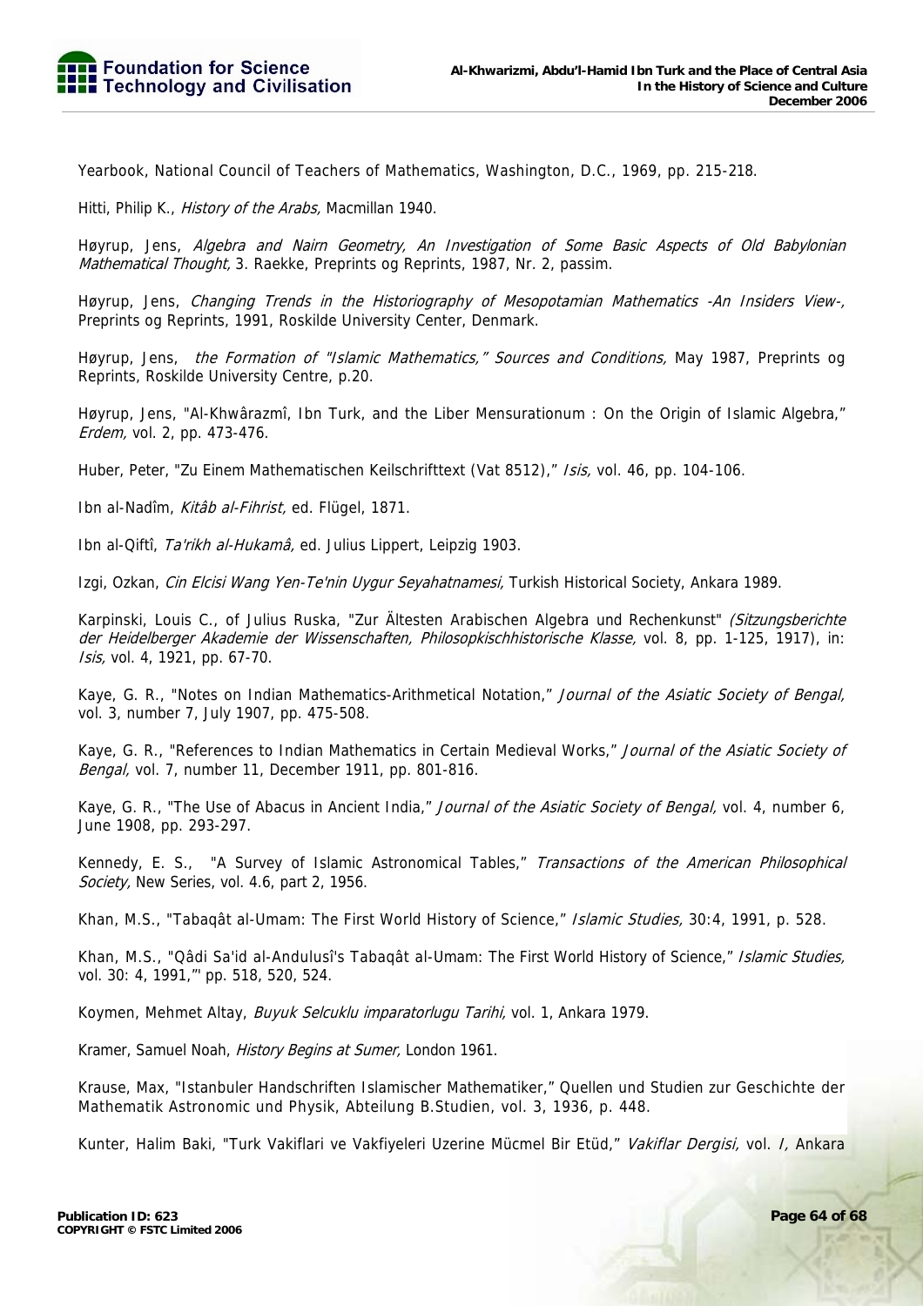Yearbook, National Council of Teachers of Mathematics, Washington, D.C., 1969, pp. 215-218.

Hitti, Philip K., *History of the Arabs*, Macmillan 1940.

Høyrup, Jens, Algebra and Nairn Geometry, An Investigation of Some Basic Aspects of Old Babylonian Mathematical Thought, 3. Raekke, Preprints og Reprints, 1987, Nr. 2, passim.

Høyrup, Jens, Changing Trends in the Historiography of Mesopotamian Mathematics -An Insiders View-, Preprints og Reprints, 1991, Roskilde University Center, Denmark.

Høyrup, Jens, the Formation of "Islamic Mathematics," Sources and Conditions, May 1987, Preprints og Reprints, Roskilde University Centre, p.20.

Høyrup, Jens, "Al-Khwârazmî, Ibn Turk, and the Liber Mensurationum : On the Origin of Islamic Algebra," Erdem, vol. 2, pp. 473-476.

Huber, Peter, "Zu Einem Mathematischen Keilschrifttext (Vat 8512)," Isis, vol. 46, pp. 104-106.

Ibn al-Nadîm, Kitâb al-Fihrist, ed. Flügel, 1871.

Ibn al-Qiftî, Ta'rikh al-Hukamâ, ed. Julius Lippert, Leipzig 1903.

Izgi, Ozkan, Cin Elcisi Wang Yen-Te'nin Uygur Seyahatnamesi, Turkish Historical Society, Ankara 1989.

Karpinski, Louis C., of Julius Ruska, "Zur Ältesten Arabischen Algebra und Rechenkunst" (Sitzungsberichte der Heidelberger Akademie der Wissenschaften, Philosopkischhistorische Klasse, vol. 8, pp. 1-125, 1917), in: Isis, vol. 4, 1921, pp. 67-70.

Kaye, G. R., "Notes on Indian Mathematics-Arithmetical Notation," Journal of the Asiatic Society of Bengal, vol. 3, number 7, July 1907, pp. 475-508.

Kaye, G. R., "References to Indian Mathematics in Certain Medieval Works," Journal of the Asiatic Society of Bengal, vol. 7, number 11, December 1911, pp. 801-816.

Kaye, G. R., "The Use of Abacus in Ancient India," Journal of the Asiatic Society of Bengal, vol. 4, number 6, June 1908, pp. 293-297.

Kennedy, E. S., "A Survey of Islamic Astronomical Tables," Transactions of the American Philosophical Society, New Series, vol. 4.6, part 2, 1956.

Khan, M.S., "Tabaqât al-Umam: The First World History of Science," Islamic Studies, 30:4, 1991, p. 528.

Khan, M.S., "Qâdi Sa'id al-Andulusî's Tabaqât al-Umam: The First World History of Science," Islamic Studies, vol. 30: 4, 1991,"' pp. 518, 520, 524.

Koymen, Mehmet Altay, Buyuk Selcuklu imparatorlugu Tarihi, vol. 1, Ankara 1979.

Kramer, Samuel Noah, History Begins at Sumer, London 1961.

Krause, Max, "Istanbuler Handschriften Islamischer Mathematiker," Quellen und Studien zur Geschichte der Mathematik Astronomic und Physik, Abteilung B.Studien, vol. 3, 1936, p. 448.

Kunter, Halim Baki, "Turk Vakiflari ve Vakfiyeleri Uzerine Mücmel Bir Etüd," Vakiflar Dergisi, vol. I, Ankara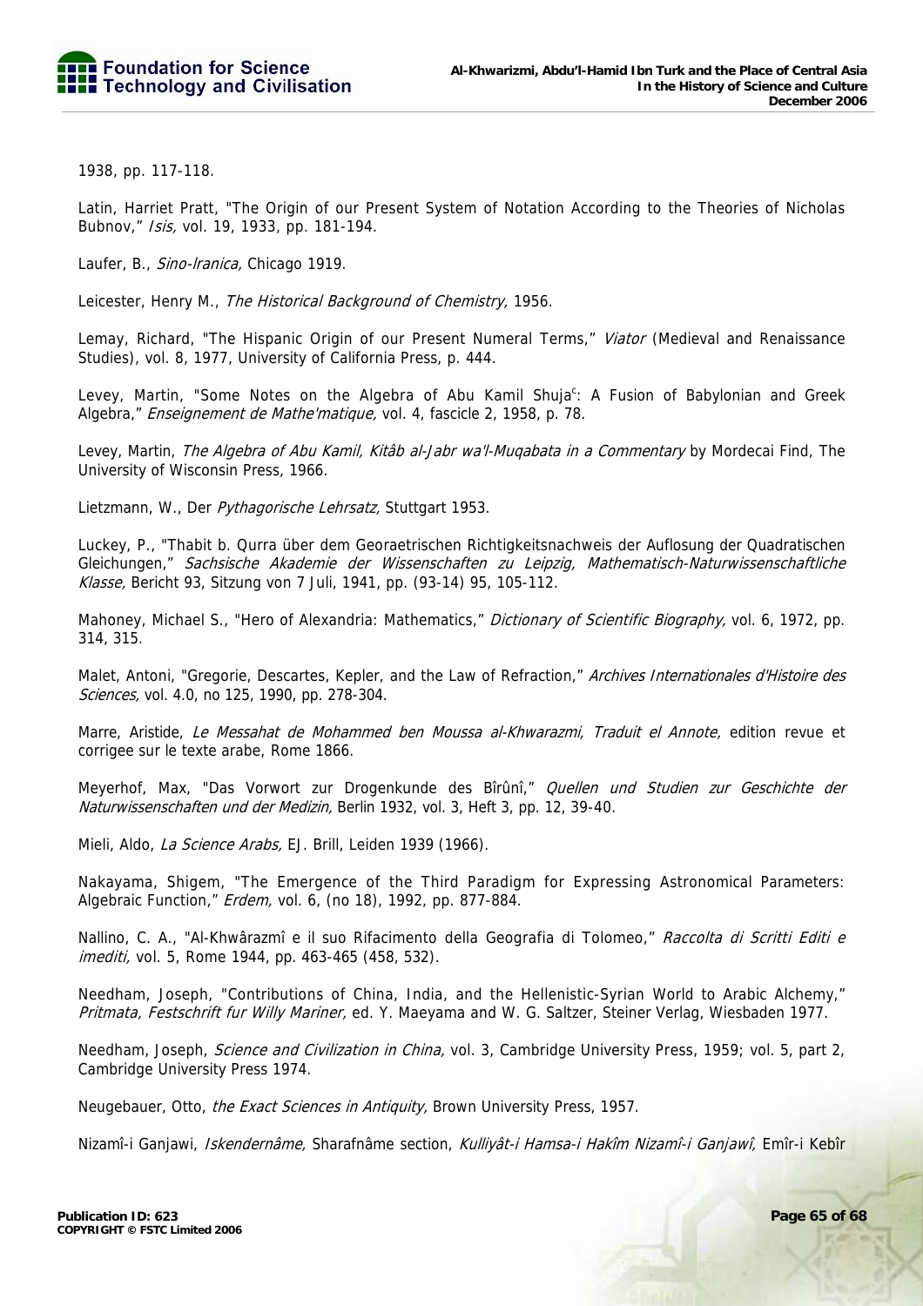1938, pp. 117-118.

Latin, Harriet Pratt, "The Origin of our Present System of Notation According to the Theories of Nicholas Bubnov," Isis, vol. 19, 1933, pp. 181-194.

Laufer, B., Sino-Iranica, Chicago 1919.

Leicester, Henry M., The Historical Background of Chemistry, 1956.

Lemay, Richard, "The Hispanic Origin of our Present Numeral Terms," *Viator* (Medieval and Renaissance Studies), vol. 8, 1977, University of California Press, p. 444.

Levey, Martin, "Some Notes on the Algebra of Abu Kamil Shuja<sup>c</sup>: A Fusion of Babylonian and Greek Algebra," Enseignement de Mathe'matique, vol. 4, fascicle 2, 1958, p. 78.

Levey, Martin, The Algebra of Abu Kamil, Kitâb al-Jabr wa'l-Mugabata in a Commentary by Mordecai Find, The University of Wisconsin Press, 1966.

Lietzmann, W., Der Pythagorische Lehrsatz, Stuttgart 1953.

Luckey, P., "Thabit b. Qurra über dem Georaetrischen Richtigkeitsnachweis der Auflosung der Quadratischen Gleichungen," Sachsische Akademie der Wissenschaften zu Leipzig, Mathematisch-Naturwissenschaftliche Klasse, Bericht 93, Sitzung von 7 Juli, 1941, pp. (93-14) 95, 105-112.

Mahoney, Michael S., "Hero of Alexandria: Mathematics," Dictionary of Scientific Biography, vol. 6, 1972, pp. 314, 315.

Malet, Antoni, "Gregorie, Descartes, Kepler, and the Law of Refraction," Archives Internationales d'Histoire des Sciences, vol. 4.0, no 125, 1990, pp. 278-304.

Marre, Aristide, Le Messahat de Mohammed ben Moussa al-Khwarazmi, Traduit el Annote, edition revue et corrigee sur le texte arabe, Rome 1866.

Meyerhof, Max, "Das Vorwort zur Drogenkunde des Bîrûnî," Quellen und Studien zur Geschichte der Naturwissenschaften und der Medizin, Berlin 1932, vol. 3, Heft 3, pp. 12, 39-40.

Mieli, Aldo, La Science Arabs, EJ. Brill, Leiden 1939 (1966).

Nakayama, Shigem, "The Emergence of the Third Paradigm for Expressing Astronomical Parameters: Algebraic Function," Erdem, vol. 6, (no 18), 1992, pp. 877-884.

Nallino, C. A., "Al-Khwârazmî e il suo Rifacimento della Geografia di Tolomeo," Raccolta di Scritti Editi e imediti, vol. 5, Rome 1944, pp. 463-465 (458, 532).

Needham, Joseph, "Contributions of China, India, and the Hellenistic-Syrian World to Arabic Alchemy," Pritmata, Festschrift fur Willy Mariner, ed. Y. Maeyama and W. G. Saltzer, Steiner Verlag, Wiesbaden 1977.

Needham, Joseph, Science and Civilization in China, vol. 3, Cambridge University Press, 1959; vol. 5, part 2, Cambridge University Press 1974.

Neugebauer, Otto, the Exact Sciences in Antiquity, Brown University Press, 1957.

Nizamî-i Ganjawi, Iskendernâme, Sharafnâme section, Kulliyât-i Hamsa-i Hakîm Nizamî-i Ganjawî, Emîr-i Kebîr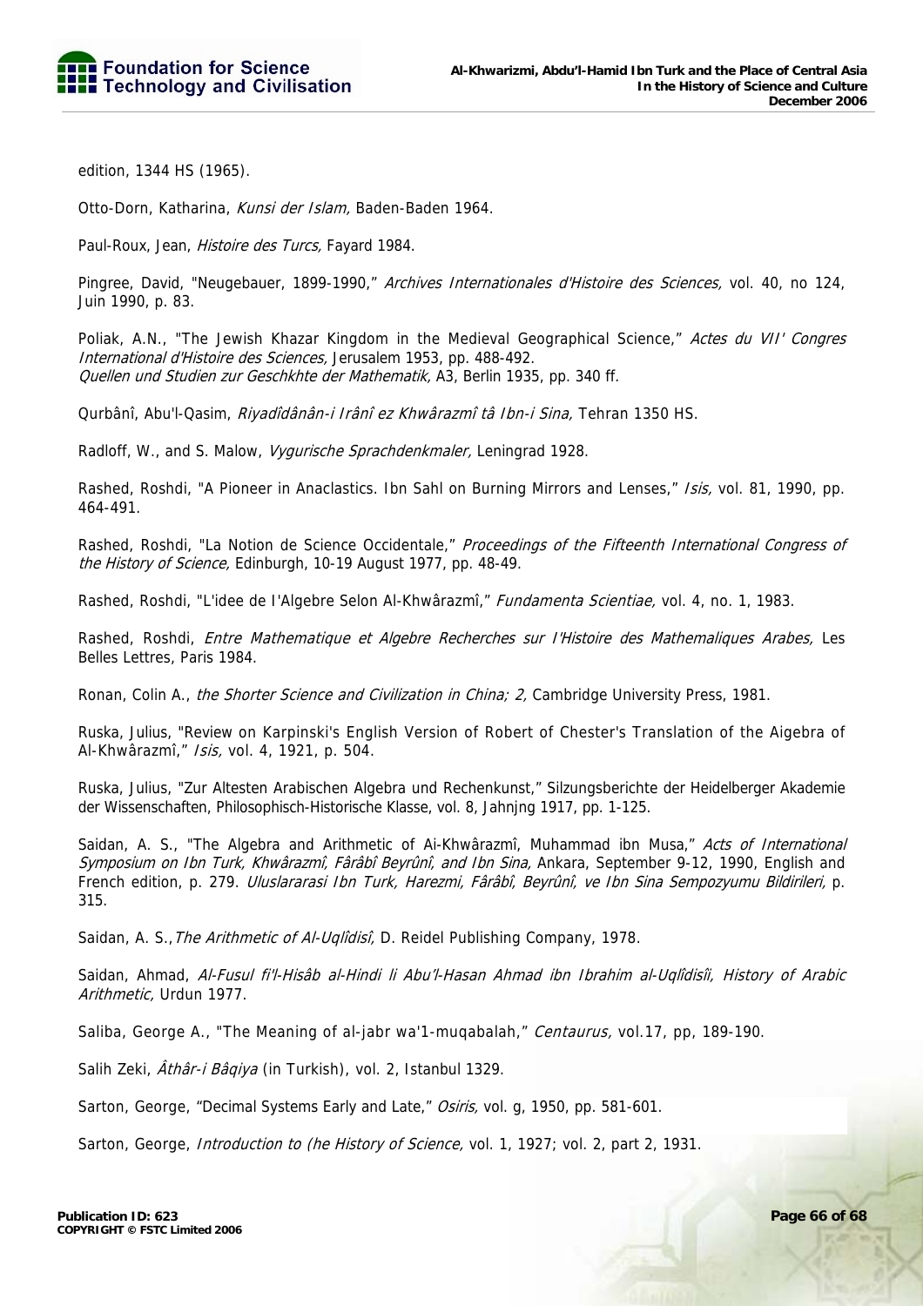edition, 1344 HS (1965).

Otto-Dorn, Katharina, Kunsi der Islam, Baden-Baden 1964.

Paul-Roux, Jean, Histoire des Turcs, Fayard 1984.

Pingree, David, "Neugebauer, 1899-1990," Archives Internationales d'Histoire des Sciences, vol. 40, no 124, Juin 1990, p. 83.

Poliak, A.N., "The Jewish Khazar Kingdom in the Medieval Geographical Science," Actes du VII' Congres International d'Histoire des Sciences, Jerusalem 1953, pp. 488-492. Quellen und Studien zur Geschkhte der Mathematik, A3, Berlin 1935, pp. 340 ff.

Qurbânî, Abu'l-Qasim, Riyadîdânân-i Irânî ez Khwârazmî tâ Ibn-i Sina, Tehran 1350 HS.

Radloff, W., and S. Malow, Vygurische Sprachdenkmaler, Leningrad 1928.

Rashed, Roshdi, "A Pioneer in Anaclastics. Ibn Sahl on Burning Mirrors and Lenses," *Isis*, vol. 81, 1990, pp. 464-491.

Rashed, Roshdi, "La Notion de Science Occidentale," Proceedings of the Fifteenth International Congress of the History of Science, Edinburgh, 10-19 August 1977, pp. 48-49.

Rashed, Roshdi, "L'idee de l'Algebre Selon Al-Khwârazmî," Fundamenta Scientiae, vol. 4, no. 1, 1983.

Rashed, Roshdi, Entre Mathematique et Algebre Recherches sur I'Histoire des Mathemaliques Arabes, Les Belles Lettres, Paris 1984.

Ronan, Colin A., the Shorter Science and Civilization in China; 2, Cambridge University Press, 1981.

Ruska, Julius, "Review on Karpinski's English Version of Robert of Chester's Translation of the Aigebra of Al-Khwârazmî," Isis, vol. 4, 1921, p. 504.

Ruska, Julius, "Zur Altesten Arabischen Algebra und Rechenkunst," Silzungsberichte der Heidelberger Akademie der Wissenschaften, Philosophisch-Historische Klasse, vol. 8, Jahnjng 1917, pp. 1-125.

Saidan, A. S., "The Algebra and Arithmetic of Ai-Khwârazmî, Muhammad ibn Musa," Acts of International Symposium on Ibn Turk, Khwârazmî, Fârâbî Beyrûnî, and Ibn Sina, Ankara, September 9-12, 1990, English and French edition, p. 279. Uluslararasi Ibn Turk, Harezmi, Fârâbî, Beyrûnî, ve Ibn Sina Sempozyumu Bildirileri, p. 315.

Saidan, A. S., The Arithmetic of Al-Uqlidisi, D. Reidel Publishing Company, 1978.

Saidan, Ahmad, Al-Fusul fi'l-Hisâb al-Hindi li Abu'l-Hasan Ahmad ibn Ibrahim al-Uqlîdisîi, History of Arabic Arithmetic, Urdun 1977.

Saliba, George A., "The Meaning of al-jabr wa'1-mugabalah," Centaurus, vol.17, pp, 189-190.

Salih Zeki, Athâr-i Bâqiya (in Turkish), vol. 2, Istanbul 1329.

Sarton, George, "Decimal Systems Early and Late," Osiris, vol. q, 1950, pp. 581-601.

Sarton, George, *Introduction to (he History of Science, vol. 1, 1927; vol. 2, part 2, 1931.*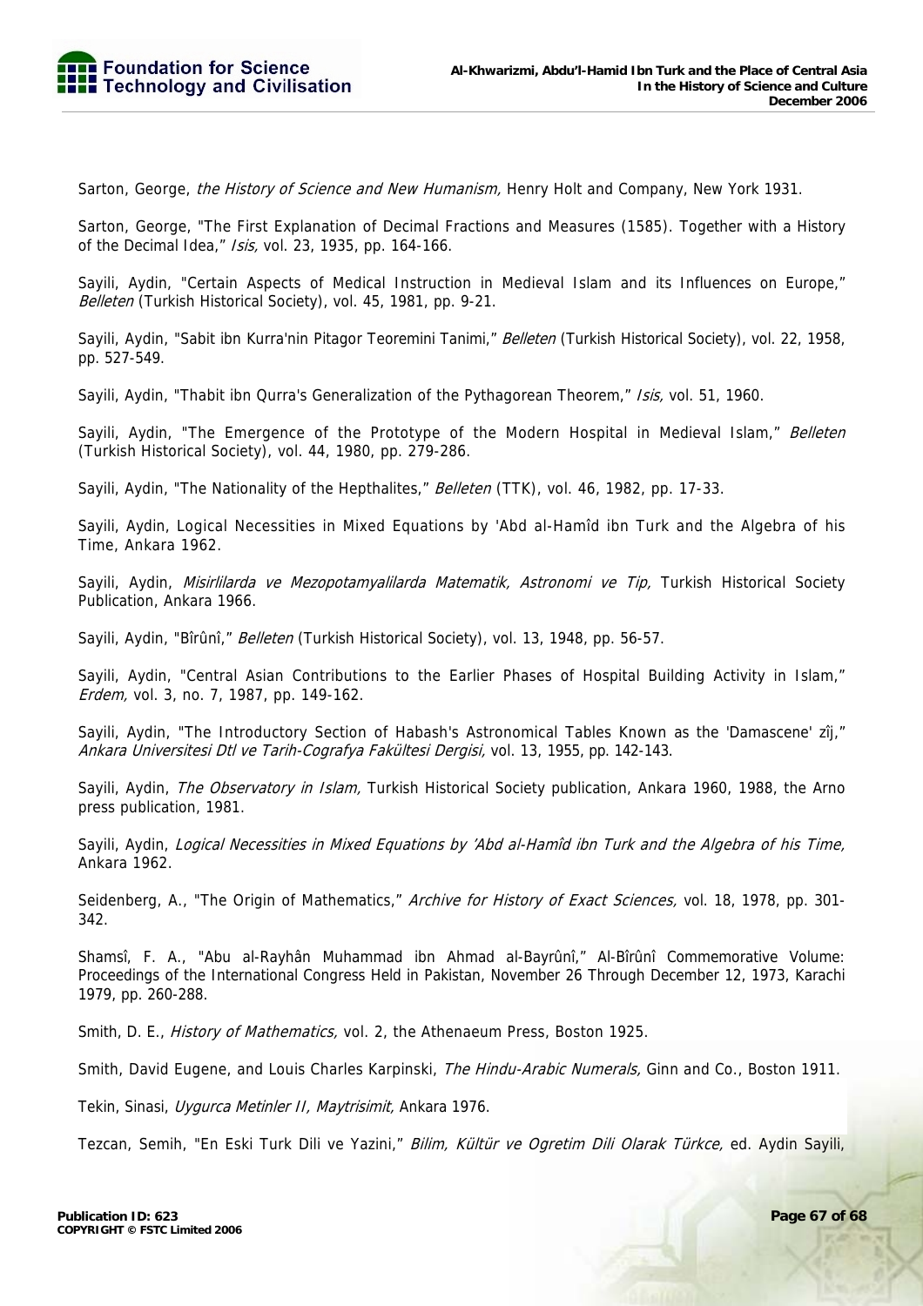Sarton, George, the History of Science and New Humanism, Henry Holt and Company, New York 1931.

Sarton, George, "The First Explanation of Decimal Fractions and Measures (1585). Together with a History of the Decimal Idea," Isis, vol. 23, 1935, pp. 164-166.

Sayili, Aydin, "Certain Aspects of Medical Instruction in Medieval Islam and its Influences on Europe," Belleten (Turkish Historical Society), vol. 45, 1981, pp. 9-21.

Sayili, Aydin, "Sabit ibn Kurra'nin Pitagor Teoremini Tanimi," Belleten (Turkish Historical Society), vol. 22, 1958, pp. 527-549.

Sayili, Aydin, "Thabit ibn Qurra's Generalization of the Pythagorean Theorem," Isis, vol. 51, 1960.

Sayili, Aydin, "The Emergence of the Prototype of the Modern Hospital in Medieval Islam," Belleten (Turkish Historical Society), vol. 44, 1980, pp. 279-286.

Sayili, Aydin, "The Nationality of the Hepthalites," Belleten (TTK), vol. 46, 1982, pp. 17-33.

Sayili, Aydin, Logical Necessities in Mixed Equations by 'Abd al-Hamîd ibn Turk and the Algebra of his Time, Ankara 1962.

Sayili, Aydin, Misirlilarda ve Mezopotamyalilarda Matematik, Astronomi ve Tip, Turkish Historical Society Publication, Ankara 1966.

Sayili, Aydin, "Bîrûnî," Belleten (Turkish Historical Society), vol. 13, 1948, pp. 56-57.

Sayili, Aydin, "Central Asian Contributions to the Earlier Phases of Hospital Building Activity in Islam," Erdem, vol. 3, no. 7, 1987, pp. 149-162.

Sayili, Aydin, "The Introductory Section of Habash's Astronomical Tables Known as the 'Damascene' zîj," Ankara Universitesi Dtl ve Tarih-Cografya Fakültesi Dergisi, vol. 13, 1955, pp. 142-143.

Sayili, Aydin, The Observatory in Islam, Turkish Historical Society publication, Ankara 1960, 1988, the Arno press publication, 1981.

Sayili, Aydin, Logical Necessities in Mixed Equations by 'Abd al-Hamîd ibn Turk and the Algebra of his Time, Ankara 1962.

Seidenberg, A., "The Origin of Mathematics," Archive for History of Exact Sciences, vol. 18, 1978, pp. 301-342.

Shamsî, F. A., "Abu al-Rayhân Muhammad ibn Ahmad al-Bayrûnî," Al-Bîrûnî Commemorative Volume: Proceedings of the International Congress Held in Pakistan, November 26 Through December 12, 1973, Karachi 1979, pp. 260-288.

Smith, D. E., *History of Mathematics*, vol. 2, the Athenaeum Press, Boston 1925.

Smith, David Eugene, and Louis Charles Karpinski, The Hindu-Arabic Numerals, Ginn and Co., Boston 1911.

Tekin, Sinasi, Uygurca Metinler II, Maytrisimit, Ankara 1976.

Tezcan, Semih, "En Eski Turk Dili ve Yazini," Bilim, Kültür ve Ogretim Dili Olarak Türkce, ed. Aydin Sayili,